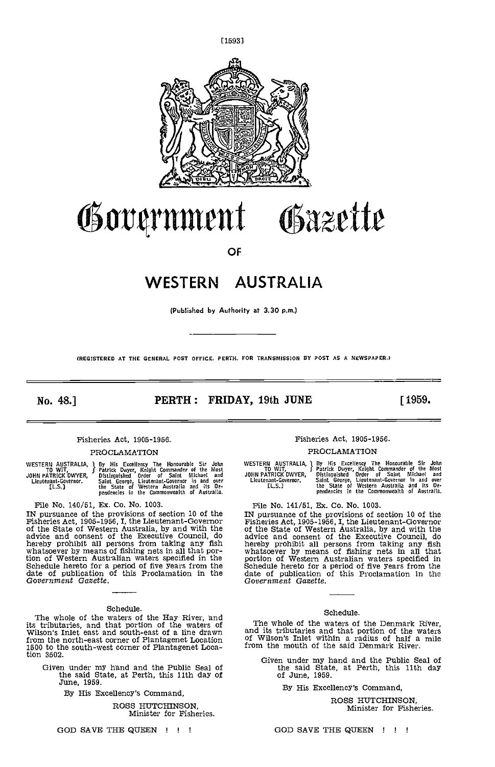

# Government Gazette

OF

## WESTERN AUSTRALIA

(Published by Authority at 3.30 p.m.)

(REGISTERED AT THE GENERAL POST OFFICE PERTH. FOR TRANSMISSION BY POST AS A NEWSPAPER.)

No. 48.] **PERTH: FRIDAY, 19th JUNE** [1959.

#### Fisheries Act, 1905-1956.

#### PROCLAMATION

|                      | WESTERN AUSTRALIA, I By His Excellency The Honourable Sir John | <b>WES</b> |
|----------------------|----------------------------------------------------------------|------------|
| TO WIT,              | Patrick Dwyer, Knight Commander of the Most                    |            |
| JOHN PATRICK DWYER,  | Distinguished Order of Saint Michael and                       | JOHN       |
| Lieutenant-Governor. | Saint George, Lieutenant-Governor in and over                  | Lit        |
| TL S.T               | the State of Western Australia and its De-                     |            |
|                      | pendencies in the Commonwealth of Australia.                   |            |

File No. 140/51, Ex. Co. No. 1003.<br>IN pursuance of the provisions of section 10 of the<br>Fisheries Act, 1905-1956, I, the Lieutenant-Governor IN pursuance of the provisions of section 10 of the  $\blacksquare$  IN pursuance of the State 1905-1956, I, the Lieutenant-Governor  $\blacksquare$  Fisher: of the Executive Council, and with the advice and consent of the Executive Council, tion of Western Australian waters specified in the portic<br>Schedule hereto for a period of five years from the Schedule<br>date of publication of this Proclamation in the date<br>Government Gazette. Gover

#### Schedule.

The whole of the waters of the Hay River, and<br>its tributaries, and that portion of the waters of The<br>Wilson's Inlet east and south-east of a line drawn and it from the north-east corner of Plantagenet Location 1500 to the south-west corner of Plantagenet Location 3502.

Given under my hand and the Public Seal of the said State, at Perth, this 11th day of June, 1959.

By His Excellency's Command,

ROSS HUTCHINSON, Minister for Fisheries.

Fisheries Act, 1905-1956.

#### PROCLAMATION

WESTERN AUSTRALIA, 1 By His Excellency The Honourable Sir John<br>\_\_\_\_\_\_\_TO\_WIT, \_\_\_\_\_\_\_\_\_\_\_\_\_\_\_\_Patrick Dwyer, Knight Commander of the Most JOHN PATRICK DWYER, Dintinouished Order of Saint Michael and Lieatanant.Governor. Saint George, Lieutenant.Governor in and over the State of Wentern Australia and its Oe.pendencies in the Commonwealtie of Aestralia.

File No. 141/51, Ex. Co. No. 1003.

File No. 141/b1, Ex. Co. No. 1003.<br>IN pursuance of the provisions of section 10 of the<br>Fisheries Act, 1905-1956, I, the Lieutenant-Governor<br>of the State of Western Australia, by and with the<br>advice and consent of the Execu

#### Schedule.

The whole of the waters of the Denmark River, and its tributaries and that portion of the waters of Wilson's Inlet within a radius of half a mile from the mouth of the said Denmark River.

Given under my hand and the Public Seal of the said State, at Perth, this 11th day of June, 1959.

By His Excellency's Command,

ROSS HUTCHINSON, Minister for Fisheries.

GOD SAVE THE QUEEN I ! ! GOD SAVE THE QUEEN ! ! !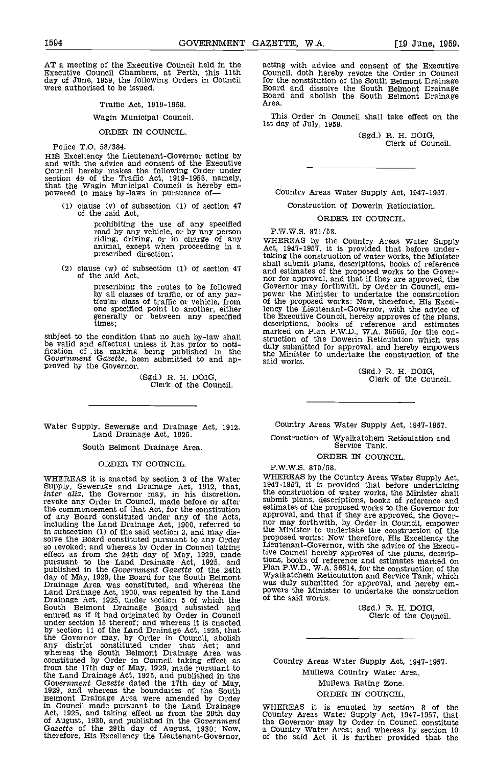AT a meeting of the Executive Council held in the acting<br>Executive Council Chambers, at Perth, this 11th Counci day of June, 1959, the following Orders in Council were authorised to be issued.

Traffic Act, 1919-1958.

#### Wagin Municipal Council.

#### ORDER IN COUNCIL.

Police T.O. 58/384.

HIS Excellency the Lieutenant-Governor 'acting by and with the advice and consent of the Executive Council hereby makes the following Order under section 49 of the Traffic Act, 1919-1958, namely, that the Wagin Municipal Council is hereby empowered to make by-laws in pursuance of—

clause (v) of subsection (1) of section 41 of the said Act,

> prohibiting the use of any specified road by any vehicle, or by any person P.W.<br>riding, driving, or in charge of any WHER animal, except when proceeding in a **problem** Act, prescribed direction; taking

clause (w) of subsection (1) of section  $47$  and est<br>of the said Act, nor fo

prescribing the routes to be followed by all classes of traffic, or of any par-ticular class of traffic or vehicle, from one specified point to another, either<br>generally or between any specified<br>times:

subject to the condition that no such by-law shall  $\frac{u}{s}$ <br>be valid and effectual unless it has prior to notification of its making being published in the the Government Gazette, been submitted to and ap-<br>proved by the Governor.

(Sgd.) R. H. DOIG,<br>Clerk of the Council.

Water Supply, Sewerage and Drainage Act, 1912. Land Drainage Act, 1925.

South Belmont Drainage Area,

#### ORDER IN COUNCIL.

WHEREAS it is enacted by section 3 of the Water Supply, Sewerage and Drainage Act, 1912, that, inter alia, the Governor may, in his discretion, revoke any Order in Council, made before or after the commencement of that Act the commencement of that Act, for the constitution of any Board constituted under any of the Acts, including the Land Drainage Act, 1900, referred to in subsection (1) of the said section 3, and may dis- solve the Board constituted pursuant to any Order so revoked; and whereas by Order in Council taking effect as from the 24th day of May, 1929, made tive Co<br>pursuant to the Land Drainage Act, 1925, and tions, b<br>published in the Government Gazette of the 24th  $\frac{1}{N}$ day of May, 1929, the Board for the South Belmont<br>Drainage Area was constituted, and whereas the Was (<br>Land Drainage Act, 1900, was repealed by the Land<br>Drainage Act, 1925, under section 5 of which the o<sup>f the</sup><br>South Belmo enured as if it had originated by Order in Council under section 15 thereof; and whereas it is enacted by scction 11 of the Land Drainage Act, 1925, that the Governor may, by Order in Council, abolish any district constituted under that Act; and whereas the South Belmont Drainage Area was<br>constituted by Order in Council taking effect as C constituted by Order in Council taking effect as<br>from the 17th day of May, 1929, made pursuant to<br>the Land Drainage Act, 1925, and published in the<br>Government Gazette dated the 17th day of May, the Land Drainage Act, 1925, and published in the Government Gazette dated the 17th day of May, 1929, and whereas the boundaries of the South Belmont Drainage Area were amended by Order in Council made pursuant to the Land Drainage WHE<br>Act, 1925, and taking effect as from the 29th day Count of August, 1930, and published in the Government<br>Gazette of the 29th day of August, 1930: Now,<br>therefore, His Excellency the Lieutenant-Governor,

acting with advice and consent of the Executive<br>Council, doth hereby revoke the Order in Council<br>for the constitution of the South Belmont Drainage<br>Board and dissolve the South Belmont Drainage<br>Roard and abolish the South

This Order in Council shall take effect on the 1st day of July, 1959.

(Sgd.) R. H. DOIG, Clerk of Council.

Country Areas Water Supply Act, 1947-1951.

Construction of Dowerin Reticulation.

ORDER IN COUNCIL,

RW.W.S. 871/58.

WHEREAS by the Country Areas Water Supply Act, 1941-1957, it is provided that before undertaking the construction of water works, the Minister<br>shall submit plans, descriptions, books of reference<br>and estimates of the proposed works to the Gover-<br>nor for approval, and that if they are approved, the<br>Governor may of the proposed works: Now, therefore, His Excellency the Lieutenant-Governor, with the advice of the Executive Council, hereby approves of the plans, descriptions, books of reference and estimates marked on Plan P.W.D., W.A. 36565, for the con- struction of the Dowerin Reticulation which was duly submitted for approval, and hereby empowers the Minister to undertake the construction of the said works.

(Sgd.) R. H. DOIG, Clerk of the Council.

Country Areas Water Supply Act, 1947-1957.

Construction of Wyalkatchem Reticulation and Service Tank.

ORDER IN COUNCIL.

P.W.W.S. 870/58.

WHEREAS by the Country Areas Water Supply Act, 1941-1957, it is provided that before undertaking the construction of water works, the Minister shall submit plans, descriptions, books of reference and estimates of the proposed works to the Governor for approval, and that if they are approved, the Gover-<br>nor may forthwith, by Order in Council, empower the Minister to undertake the construction of the proposed works: Now therefore, His Excellency the Lieutenant-Governor, with the advice of the Executive Council hereby approves of the plans, descrip-tions, books of reference and estimates marked on Plan P.W.D., WA. 36614, for the construction of the Wyalkatchem Reticulation and Service Tank, which was duly submitted for approval, and hereby em- powers the Minister to undertake the construction of the said works.

(Sgd.) R. H. DOIG, Clerk of the Council.

Country Areas Water Supply Act, 1947-1957.

Mullewa Country Water Area. Mullewa Rating Zone.

ORDER IN COUNCIL.

WHEREAS it is enacted by section <sup>8</sup> of the Country Areas Water Supply Act, 1947-1957, that the Governor may by Order in Council constitute a Country Water Area' and whereas by section 10 of the said Act it Is further provided that the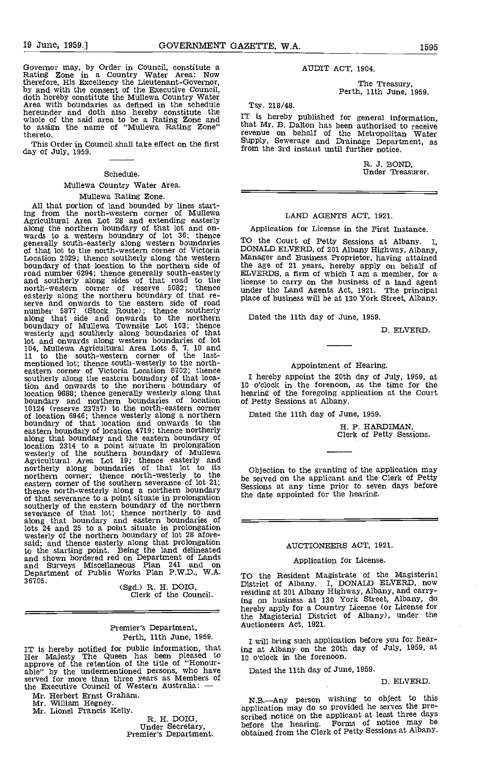Governor may, by Order in Council, constitute a Rating Zone in a Country Water Area: Now therefore, His Excellency the Lieutenant-Governor,<br>by and with the consent of the Executive Council,<br>doth hereby constitute the Mullewa Country Water<br>Area with boundaries as defined in the schedule Ts hereunder and doth also hereby constitute the T<sub>13</sub>.<br>whole of the said area to be a Rating Zone and  $\frac{1}{100}$  that M to assign the name of "Mullewa Rating Zone" thereto.

This Order in Council shall take effect on the first day of July, 1959.

#### Schedule.

#### Mullewa Country Water Area. Mullewa Rating Zone.

All that portion of land bounded by lines start- ing from the north-western corner of Mullewa Agricultural Area Lot 28 and extending easterly along the northern boundary of that lot and on-<br>wards to a western boundary of lot 36; thence<br>generally south-easterly along western boundaries TO the<br>of that lot to the north-western corner of Victoria DONA Location 2029; thence southerly along the western Managhoundary of that location to the northern side of the ag road number 6294; thence generally south-easterly ELVER<br>and southerly along sides of that road to the license<br>north-western corner of reserve 5082; thence under<br>easterly along the northern boundary of that re-<br>place of roa number 5877 (Stock Route); thence southerly<br>along that side and onwards to the northern Dated boundary of Mullewa Townsite Lot 103; thence westerly and southerly along boundaries of that lot and onwards along western boundaries of lot 104, Mullewa Agricultural Area Lots 5, 7, 10 and <sup>11</sup> to the south-western corner of the lastmentioned lot; thence south-westerly to the north-<br>eastern corner of Victoria Location 8702; thence southerly along the eastern boundary of that loca-<br>tion and onwards to the northern boundary of 10 location 9688; thence generally westerly along that boundary and northern boundaries of location 10124 (reserve 23757) to the north-eastern corner<br>of location 6946; thence westerly along a northern boundary of that location and onwards to the<br>eastern boundary of location 4719; thence northerly along that boundary and the eastern boundary of location 2314 to a point situate in prolongation westerly of the southern boundary of Mullewa Agricultural Area Lot 19; thence easterly and mortherly along boundaries of that lot to its<br>northern corner; thence north-westerly to the be ser eastern corner of the southern severance of lot 21;<br>thence north-westerly along a northern boundary session of that severance to a point situate in prolongation<br>southerly of the eastern boundary of the northern<br>severance of that lot; thence northerly to and<br>along that boundary and eastern boundaries of lots 24 and 25 to a point situate in prolongation westerly of the northern boundary of lot 28 afore-<br>said; and thence easterly along that prolongation to the starting point. Being the land delineated and shown bordered red on Department of Lands<br>and Surveys Miscellaneous Plan 241 and on<br>Department of Public Works Plan P.W.D., W.A.

36705. (Sgd.) R. H. DOIG, Clerk of the Council.

Premier's Department, Perth, 11th June, 1959.

IT is hereby notified for public information, that  $\begin{array}{cc} \text{in} & \text{in} \\ \text{Her} & \text{Majesty} \end{array}$  The Queen has been pleased to  $\begin{array}{cc} 10 & \text{o'clo'} \end{array}$ exprove of the retention of the title of "Honour-<br>able" by the undermentioned persons, who have Dat<br>served for more than three years as Members of<br>the Executive Council of Western Australia: —

Mr. Herbert Ernst Graham.

Mr. William Hegney.<br>
Mr. Lionel Francis Kelly.<br>
R. H. DOIG,

Under Secretary,<br>Premier's Department.

#### AUDIT ACT, 1904.

The Treasury, Perth, 11th June, 1959.

Tsy. 218/48,

IT is hereby published for general information, that Mr. B. Dalton has been authorised to receive revenue on behalf of the Metropolitan Water Supply, Sewerage and Drainage Department, as from the 3rd instant until further notice.

R. J. BOND,<br>Under Treasurer.

#### LAND AGENTS ACT, 1921.

#### Application for License in the First Instance.

TO the Court of Petty Sessions at Albany. I, DONALD ELVERD, of 201 Albany Highway, Albany, Manager and Business Proprietor, having attained the age of 21 years, hereby apply on behalf of ELVERDS, a firm of which I am a member, for a license to carry on the business of a land agent under the Land Agents Act, 1921. The principal place of business will be at 130 York Street, Albany.

Dated the 11th day of June, 1959.

D. ELVERD.

#### Appointment of Hearing.

I hereby appoint the 20th day of July, 1959, at 10 o'clock in the forenoon, as the time for the hearing of the foregoing application at the Court of Petty Sessions at Albany.

Dated the 11th day of June, 1959.

H. P. HARDIMAN, Clerk of Petty Sessions.

Objection to the granting of the application may be served on the applicant and the Clerk of Petty Sessions at any time prior to seven days before the date appointed for the hearing.

#### AUCTIONEERS ACT, 1921.

#### Application for License.

TO the Resident Magistrate of the Magisterial<br>District of Albany. I, DONALD ELVERD, now residing at 201 Albany Highway, Albany, and carrying on business at 130 York Street, Albany, do hereby apply for a Country License (or License for the Magisterial District of Albany), under the Auctioneers Act, 1921.

I will bring such application before you for hearing at Albany on the 20th day of July, 1959, at 10 o'clock in the forenoon.

Dated the 11th day of June, 1959.

D. ELVERD.

N.B.—Any person wishing to object to this<br>application may do so provided he serves the preapplication may do so provided he serves the pre- scribed notice on the applicant at least three days scribed notice on the approach at follow three may be<br>before the hearing. Forms of notice may be obtained from the Clerk of Petty Sessions at Albany.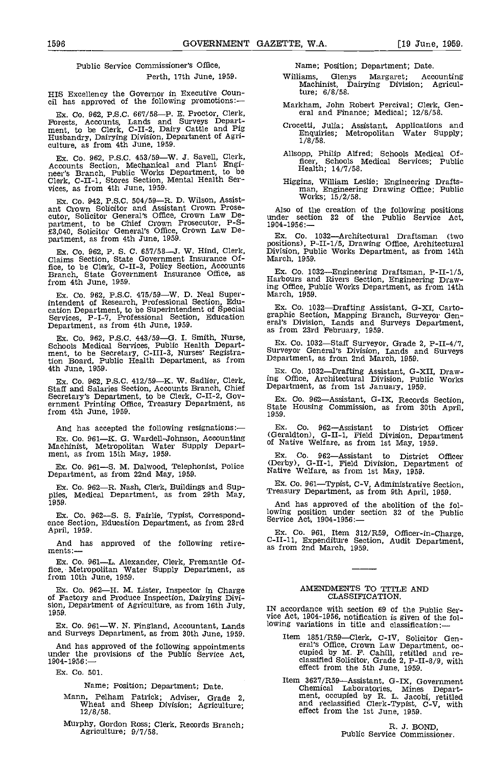#### Public Service Commissioner's Office,

Perth. 17th June, 1959.

HIS Excellency the Governor in Executive Coun- cil has approved of the following promotions:

Ex. Co. 962, P.S.C. 667/58—P. E. Proctor, Clerk,<br>Forests, Accounts, Lands and Surveys Depart-<br>ment, to be Clerk, C-II-2, Dairy Cattle and Pig<br>Husbandry, Dairying Division, Department of Agri-<br>culture, as from 4th June, 195

Ex. Co. 962, P.S.C. 453/59—W. J. Savell, Clerk, Accounts Section, Mechanical and Plant Engi-<br>neer's Branch, Public Works Department, to be<br>Clerk, C-II-1, Stores Section, Mental Health Ser-<br>vices, as from 4th June, 1959.

Ex. Co. 942, P.S.C. 504/59—R. D. Wilson, Assist-<br>ant Crown Solicitor and Assistant Crown Prosecutor, Solicitor General's Office, Crown Law De-<br>partment, to be Chief Crown Prosecutor, P-S-  $\frac{19}{190}$ <br>£3,040, Solicitor General's Office, Crown Law Department, as from 4th June, 1959.

Ex. Co. 962, P. S. C. 657/58—J. W. Hind, Clerk, Claims Section, State Government Insurance Office, to be Clerk, C-II-3, Policy Section, Accounts<br>Branch, State Government Insurance Office, as from 4th June, 1959.

Ex. Co. 962, P.S.C. 475/59-W. D. Neal Superintendent of Research, Professional Section, Edu-<br>
cation Department, to be Superintendent of Special Services, P-I-7, Professional Section, Education graphi<br>
Department, as from 4th June, 1959.<br>
Caracterical

Ex. Co. 962, P.S.C. 443/59-G. I. Smith, Nurse, The Manusch Medical Services, Public Health Depart-<br>
ment, to be Secretary, C-III-3, Nurses' Registra- tion Board, Public Health Department, as from Department, as from Amarch 4th June, 1959.

Ex. Co. 962, P.S.C. 412/59—K. W. Sadlier, Clerk,  ${}^{10}$  Ing<br>Staff and Salaries Section, Accounts Branch, Chief Dep<br>Secretary's Department, to be Clerk, C-II-2, Gov-<br>ernment Printing Office, Treasury Department, as  ${}^{8}$  $from 4th$  June, 1959.

And has accepted the following resignations: Ex. Co. 961—K. G. Wardell-Johnson, Accounting Machinist, Metropolitan Water Supply Depart-ment, as from 15th May, 1959.

Ex. Co. 961-S. M. Dalwood, Telephonist, Police Department, as from 22nd May, 1959.

Ex. Co. 962-R. Nash, Clerk, Buildings and Sup- plies, Medical Department, as from 29th May, 1959,

Ex. Co. 962-S. S. Fairlie, Typist, Correspond-<br>ence Section, Education Department, as from 23rd<br>April, 1959.

And has approved of the following retirements:-

Ex. Co. 961—L. Alexander, Clerk, Fremantle Of-<br>fice, Metropolitan Water Supply Department, as from 10th June, 1959.

Ex. Co. 962—H. M. Lister, Inspector in Charge of Factory and Produce Inspection, Dairying Divi-<br>sion, Department of Agriculture, as from 16th July, 1959.

Ex. Co. 961—W. N. Fingland, Accountant, Lands and Surveys Department, as from 30th June, 1959.

And has approved of the following appointments under the provisions of the Public Service Act, 1904-1956:

Es. Co. 501.

Name; Position; Department; Date.

- Mann, Pelham Patrick; Adviser, Grade 2, Wheat and Sheep Division; Agriculture; 12/8/58.
- Murphy, Gordon Ross; Clerk, Records Branch; Agriculture; 9/7/58.

Name; Position; Department; Date.

- Williams, Glenys Margaret; Accounting Machinist, Dairying Division; Agriculture; 6/8/58.
- Markham, John Robert Percival; Clerk, Gen- eral and Finance; Medical; 12/8/58.
- Crocetti, Julia; Assistant, Applications and Enquiries; Metropolitan Water Supply; 1/8/58.
- Allsopp, Philip Alfred; Schools Medical Officer, Schools Medical Services; Public Health; 14/7/58.
- Higgins, William Leslie; Engineering Drafts- man, Engineering Drawing Office; Public Works; 15/2/58.

Also of the creation of the following positions under section 32 of the Public Service Act, 1904-1956:-

Ex. Co. 1032—Architectural Draftsman (two positions), P-II-1/5, Drawing Office, Architectural Division, Public Works Department, as from 14th March, 1959.

Es, Co. 1032Engineering Draftsman, P-Il-i/S. Harbours and Rivers Section, Engineering Drawing Office, Public Works Department, as from 14th March, 1959.

Ex. Co. 1032—Drafting Assistant, G-XI, Carto-graphic Section, Mapping Branch, Surveyor General's Division, Lands and Surveys Department,

Ex. Co. 1032-Staff Surveyor, Grade 2, P-II-4/7, Surveyor General's Division, Lands and Surveys

Ex. Co. 1032-Drafting Assistant, G-XII, Drawing Office, Architectural Division, Public Works Department, as from 1st January, 1959.

Ex. Co. 962—Assistant, G-IX, Records Section, State Housing Commission, as from 30th April, 1959.

Ex. Co. 962—Assistant to District Officer (Geraldton), G-II-1, Field Division, Department of Native Welfare, as from 1st May, 1959.

Ex. Co. 962—Assistant to District Officer (Derby), G-II-1, Field Division, Department of Native Welfare, as from 1st May, 1959.

Ex. Co. 961—Typist, C-V, Administrative Section, Treasury Department, as from 9th April, 1959.

And has approved of the abolition of the following position under section 32 of the Public Service Act, 1904-1956:—

Es. Co. 961, Item 312/R59, Officer-in-Charge, C-Il-Il, Expenditure Section, Audit Department, as from 2nd March, 1959.

#### AMENDMENTS TO TITLE AND CLASSIFICATION.

IN accordance with section 69 of the Public Service Act, 1904-1956, notification is given of the following variations in title and classification:-

- Item 1851/R59—Clerk, C-IV, Solicitor Gen-<br>eral's Office, Crown Law Department, oc-<br>cupied by M. F. Cahill, retitled and re-<br>classified Solicitor, Grade 2, P-II-8/9, with<br>effect from the 5th June, 1959.
- Item 3627/R59—Assistant, G-IX, Government<br>Chemical Laboratories, Mines Depart-<br>ment, occupied by R. L. Jacobi, retitled<br>and reclassified Clerk-Typist, C-V, with effect from the 1st June, 1959.

R. J. BOND,<br>Public Service Commissioner.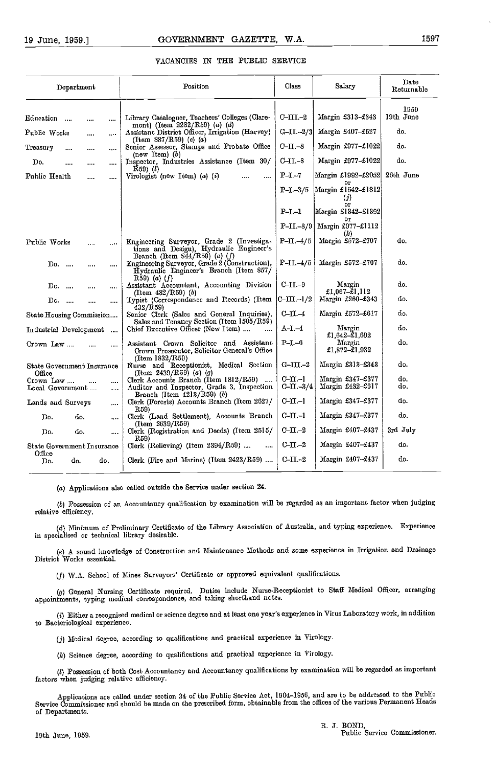| Department                                                  | Position                                                                                                                    | Class                            | Salary                                     | Date<br>Returnable |
|-------------------------------------------------------------|-----------------------------------------------------------------------------------------------------------------------------|----------------------------------|--------------------------------------------|--------------------|
|                                                             |                                                                                                                             |                                  |                                            | 1959               |
| Education<br>$\sim$<br><br>                                 | Library Cataloguer, Teachers' Colleges (Clare-<br>mont) (Item $2282/R59$ ) (a) (d)                                          | C-III.–2                         | Margin £313-£343                           | 19th June          |
| Public Works<br><br>$\cdots$                                | Assistant District Officer, Irrigation (Harvey)<br>(Item $887/R59$ ) (e) (a)                                                | $G-II. -2/3$                     | Margin £407-£527                           | do.                |
| Treasury<br><br>$\cdots$<br>$\cdots$                        | Senior Assessor, Stamps and Probate Office<br>(new Item) $(b)$                                                              | $C$ - $\Pi$ .-8                  | Margin £977-£1022                          | do.                |
| Do.<br>$\cdots$<br>                                         | Inspector, Industries Assistance (Item 30/                                                                                  | $C$ -II-8                        | Margin £977-£1022                          | do.                |
| Public Health<br><br>                                       | $R59)$ ( <i>l</i> )<br>Virologist (new Item) $(a)$ $(i)$<br>                                                                | $P-I-7$                          | Margin £1992-£2052<br>O۳                   | 26th June          |
|                                                             |                                                                                                                             | $P-I - 3/5$                      | Margin £1542-£1812<br>(j)                  |                    |
|                                                             |                                                                                                                             | $P-I-I$                          | or<br>Margin £1342-£1392                   |                    |
|                                                             |                                                                                                                             | $P-II - 8/9$                     | Οr<br>Margin $£977 - £1112$                |                    |
| Public Works<br>                                            | Engineering Surveyor, Grade 2 (Investiga-<br>tions and Desigu), Hydraulic Engineer's                                        | $P - \Pi - 4/5$                  | Margin £572-£707                           | do.                |
| Do.<br>$\cdots$<br>$\cdots$                                 | Branch (Item $844/R59$ ) (a) (f)<br>Engineering Surveyor, Grade 2 (Construction),<br>Hydraulic Engineer's Branch (Item 857/ | $P-II -4/5$                      | Margin £572-£707                           | do.                |
| $Do.$<br><br>                                               | $R59)$ (a) (f)<br>Assistant Accountant, Accounting Division<br>(Item $482/R59$ ) (b)                                        | $C$ -II.- $9$                    | Margin<br>£1,067- $\tilde{z}$ 1,112        | do.                |
| Do.<br><br>$\cdots$                                         | Typist (Correspondence and Records) (Item<br>432/R59)                                                                       | $C$ -III.-1/2                    | Margin £260-£343                           | do.                |
| State Housing Commission                                    | Senior Clerk (Sales and General Inquiries),<br>Sales and Tenancy Section (Item 1505/R59)                                    | $C$ -II. $-4$                    | Margin £572-£617                           | do.                |
| Industrial Development                                      | Chief Executive Officer (New Item)<br>$\ddotsc$                                                                             | $A-I. -4$                        | Margin<br>£1.642–£1.692                    | do.                |
| Crown Law<br>                                               | Assistant Crown Solicitor and Assistant<br>Crown Prosecutor, Solicitor General's Office                                     | P–I.–6                           | Margin<br>£1,872-£1,932                    | do.                |
| State Government Insurance                                  | (Item 1832/R59)<br>Nurse and Receptionist, Medical Section<br>(Item 2439/R59) (a) (g)                                       | $G-III. -2$                      | Margin £313-£343                           | do.                |
| Office<br>Crown Law<br>$\cdots$<br><br>Local Government<br> | Clerk Accounts Branch (Item 1812/R59)<br>Auditor and Inspector, Grade 3, Inspection                                         | $C-11-1$<br>$C\text{-}II$ $-3/4$ | Margin $£347 - £377$<br>Margin $£482-£617$ | do.<br>do.         |
| Lands and Surveys<br>$\ldots$                               | Branch (Item $4213/R59$ ) (b)<br>Clerk (Forests) Accounts Branch (Item 2627/                                                | $C-11-1$                         | Margin £347-£377                           | do.                |
| Do.<br>do.<br>$\ldots$                                      | R59)<br>Clerk (Land Settlement), Accounts Branch                                                                            | $C-II-1$                         | Margin £347-£377                           | do.                |
| Do.<br>do.<br>                                              | (Item 2639/R59)<br>Clerk (Registration and Deeds) (Item 2515/                                                               | $C\text{-}II$ . $-2$             | Margin £407-£437                           | 3rd July           |
| State Government Insurance                                  | R59)<br>Clerk (Relieving) (Item $2394/R59$ )                                                                                | $C\text{-}II$ $-2$               | Margin £407-£437                           | do.                |
| Office<br>do.<br>do.<br>D٥.                                 | Clerk (Fire and Marine) (Item $2423/R59$ )                                                                                  | $_{\rm C-II.-2}$                 | Margin $£407 - £437$                       | do.                |
|                                                             |                                                                                                                             |                                  |                                            |                    |

(a) Applications also called outside the Service under section 24.

(6) Possession of an Accountancy qualification by examination will be regarded as an important factor when judging relative efficiency.

(d) Minimum of Preliminary Certificate of the Library Association of Australia, and typing experience. Experience in specialised or technical library desirable.

A sound knowledge of Construction and Maintenance Methods and some experience in Irrigation and Drainage District Works essential.

W.A. School of Mines Surveyors' Certificate or approved equivalent qualifications.

General Nursing Certificate required. Duties include Nurse-Receptionist to Staff Medical Officer, arranging appointments, typing medical correspondence, and taking shorthand notes.

Either a recognised medical cr science degree and at least one year's experience in Virus Laboratory wcrk, in addition to Bacteriological experience.

(j) Medical degree, according to qualifications and practical experience in Virology.

(k) Science degree, according to qualifications and practical experience in Virology.

(1) Possession of both Cost Accountancy and Accountancy qualifications by examination will be regarded as important factors when judging relative efficiency.

Applications are called under section 34 of the Public Service Act, 1904-1056, and are to be addressed to the Public Service Commissioner and should be made on the prescribed form, obtainable from the offices of the various Permanent Heads of Departments.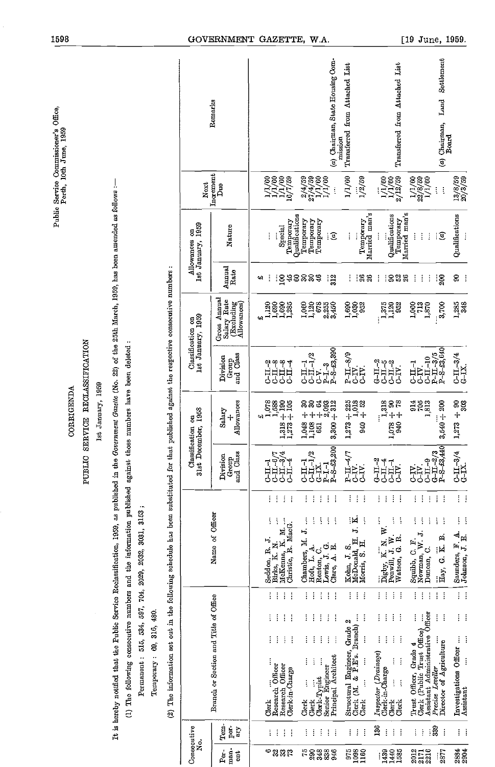|                                                                    |                                                                                                                                                                                                                                    |                                                                                                                                           |                                        | Remarks                                                  |                                                                                      | (a) Chairman, State Housing Com-<br>mission                                                                                                                                                           | Transferred from Attached List                                            | Transferred from Attached List                                                                 | Settlement<br>Land<br>$(a)$ Chairman,<br>Board                                                                       |                                                                                                                                                               |
|--------------------------------------------------------------------|------------------------------------------------------------------------------------------------------------------------------------------------------------------------------------------------------------------------------------|-------------------------------------------------------------------------------------------------------------------------------------------|----------------------------------------|----------------------------------------------------------|--------------------------------------------------------------------------------------|-------------------------------------------------------------------------------------------------------------------------------------------------------------------------------------------------------|---------------------------------------------------------------------------|------------------------------------------------------------------------------------------------|----------------------------------------------------------------------------------------------------------------------|---------------------------------------------------------------------------------------------------------------------------------------------------------------|
|                                                                    |                                                                                                                                                                                                                                    |                                                                                                                                           | Next                                   | Increment<br>Due                                         | $\begin{array}{c} 1/1/60 \\ 1/1/60 \\ 1/1/60 \\ 1/1/59 \\ 16/7/59 \\ \end{array}$    | $\begin{array}{c} 2/4/59 \\ 27/4/59 \\ 1/1/59 \\ 1/1/100 \\ 1/1/1 \end{array}$                                                                                                                        | 1/1/60<br>1/2/59                                                          | $\begin{array}{c} 1/1/60 \\ 1/1/60 \\ 2/12/59 \end{array}$                                     | $\frac{1/1/60}{22/8/59}$<br>$\vdots$<br>į                                                                            | $\frac{13}{8}/\frac{8}{59}$                                                                                                                                   |
|                                                                    | Government Gazette (No. 22) of the 25th March, 1959, has been amended as follows :-                                                                                                                                                |                                                                                                                                           | Ist January, 1959<br>Allowances on     | Nature                                                   | Qualifications<br>Temporary<br>Special<br>Ì                                          | Temporary<br>Temporary<br>Temporary<br>T                                                                                                                                                              | Temporary<br>Married man's<br>į<br>j                                      | Married man's<br>Qualifications<br>Temporary<br>$\vdots$                                       | $\frac{1}{2}$<br>$\vdots$<br>$\overline{\mathfrak{s}}$<br>Ì                                                          | Qualifications                                                                                                                                                |
|                                                                    |                                                                                                                                                                                                                                    |                                                                                                                                           |                                        | Annual<br>Rate                                           | :8#<br>8<br>щ                                                                        | <b>ននន</b><br>312                                                                                                                                                                                     | :ୡୡ                                                                       | :ខង<br>÷<br>$26\,$                                                                             | ÷<br>୍ଥି<br>÷<br>Ŧ                                                                                                   | g<br>÷                                                                                                                                                        |
|                                                                    |                                                                                                                                                                                                                                    |                                                                                                                                           | lst January, 1959<br>Classification on | Gross Annual<br>Salary Rate<br>(Excluding<br>Allowances) | $\frac{1,090}{1,285}$<br>1,120<br>1,690                                              | 1,000<br>1,120<br>678<br>2,255<br>3,450                                                                                                                                                               | $1,690$<br>$1,030$<br>952                                                 | $\frac{1}{1,375}$<br>952                                                                       | 3,700<br>1,000<br>713<br>1,870                                                                                       | 1,285<br>348                                                                                                                                                  |
|                                                                    |                                                                                                                                                                                                                                    |                                                                                                                                           |                                        | and Class<br>Division<br>Group                           | <b>AHTA</b><br>CHI-1<br>ግ<br>፲<br>°-∏ب                                               | $P-I. -3 P-S-.23,390$<br>$C_{LL-1/2}$<br>ن<br>ن                                                                                                                                                       | $P-II.-8/9$<br>CIV.<br>C-IV.                                              | $G-L-2$<br>יקול<br> קבו<br> סרף<br>C-IV.                                                       | P-S-£3,640<br>$P-TI-3/5$<br>$C-LI-10$<br>$CL-1$<br>CIV.                                                              | $C = 11 - 3/4$<br>$G = IX$                                                                                                                                    |
| SERVICE RECLASSIFICATION<br>1st January, 1959<br><b>CORRIGENDA</b> | those numbers have been deleted :                                                                                                                                                                                                  |                                                                                                                                           | December, 1958<br>Classification on    | Allowances<br>Salary                                     | $\begin{array}{c} 1,318 + 190 \\ 1,273 + 105 \end{array}$<br>1,078<br>1,588<br>47    | $30 + +$<br>ಶ<br>$3,300 + 312$<br>1,048<br>1,108<br>651                                                                                                                                               | $1,273 + 225$<br>$1,018$<br>$940 + 52$                                    | $\begin{array}{c} 06 + 076 \\ 06 + 820'1 \\ 078 + 30 \end{array}$                              | $3,540 + 200$<br>$\frac{914}{705}$                                                                                   | $1,273 + 90$<br>303                                                                                                                                           |
| PUBLIC                                                             |                                                                                                                                                                                                                                    |                                                                                                                                           | $31st$ $1$                             | and Class<br>Division<br>Group                           | にき<br>$C=II-J$<br>्रेन<br>नाम<br>पुर<br>了<br>ご                                       | $P-I -1$<br>$P-S-53,200$<br>্য<br>$C = 11 - 11$<br>$CL-1$<br>$G-TZ$ .                                                                                                                                 | $P - II - 4/7$<br>iÈÈ<br>JJ                                               | $G-L-2$<br>LIL-4<br>$CL-1$<br>م<br>ح                                                           | $G - II - 2/3$<br>P-8-43,440<br>$C-TI-9$<br>EE<br>JJ                                                                 | $C_{L1}$ 3/4<br>$C_{L1}$                                                                                                                                      |
|                                                                    |                                                                                                                                                                                                                                    |                                                                                                                                           |                                        |                                                          | ŧ<br>÷<br>ŧ                                                                          | ÷<br>ŧ<br>÷<br>÷                                                                                                                                                                                      | Î<br>÷<br>÷                                                               | ŧ<br>ŧ<br>÷<br>÷                                                                               | ŧ<br>÷<br>÷<br>İ<br>ŧ                                                                                                | $\frac{1}{2}$                                                                                                                                                 |
|                                                                    | It is hereby notified that the Public Service Reclassification, 1959, as published in the<br>(1) The following consecutive numbers and the information published against<br>Permanent: 515, 534, 597, 704, 2029, 2032, 3031, 3153; | (2) The information set out in the following schedule has been substituted for that published against the respective consecutive numbers: |                                        | Name of Officer                                          | ŧ<br>ļ<br>ŧ<br>Christie, R. MacG.<br>McKenna, K. M.<br>Seddon, R. J.<br>Birks, K. N. | ŧ<br>ţ<br>ŧ<br>ţ<br>ŧ<br>Chambers, M. J.<br>Renton, C.<br>Lewis, J. G.<br>Clare, A. E.<br>$\begin{tabular}{ll} \hline & \text{Left}, & L. & A. \\ \hline \text{Renton}, & C. \\ \hline \end{tabular}$ | J. K.<br>ļ<br>McDonald, H.<br>Morris, S. H.<br>Kohn, J. S.                | ÷<br>Watson, G. R.                                                                             | ŧ<br>ŧ<br>ŧ<br>ŧ<br>$\vdots$<br>Squibb, C. F.<br>Newman, W. J.<br>Hay, G. K. B.<br>Newman, W<br>Duncan, C.           | $\frac{1}{2}$ .<br>$\begin{array}{c}\n\ldots \\ \vdots \\ \downarrow\n\end{array}\n\begin{array}{c}\n\text{Sumders, }\Pi, \Delta. \\ \downarrow\n\end{array}$ |
|                                                                    |                                                                                                                                                                                                                                    |                                                                                                                                           |                                        |                                                          | ŧ<br>$\vdots$<br>$\vdots$<br>i<br>ŧ<br>ŧ<br>÷                                        | $\vdots$<br>ŧ<br>÷<br>ŧ<br>÷<br>÷<br>ŧ<br>ţ<br>÷<br>÷                                                                                                                                                 | ÷<br>ł<br>ŧ<br>ŧ<br>ŧ<br>6)                                               | j.<br>ŧ<br>ł<br>÷<br>ŧ<br>ŧ<br>ŧ<br>÷                                                          | ţ<br>÷<br>š<br>ŧ<br>ŧ<br>$\vdots$<br>ŧ<br>Ì<br>ł                                                                     | H                                                                                                                                                             |
|                                                                    |                                                                                                                                                                                                                                    | Temporary: 69, 316, 480.                                                                                                                  |                                        | Branch or Section and Title of Office                    | ŧ<br>ŧ<br>ŧ                                                                          | ţ<br>i<br>÷<br>Ì<br>ă<br>ļ<br>ļ<br>ţ                                                                                                                                                                  | Structural Engineer, Grade<br>Clerk (M. & P.E's. Branch)<br>i<br>$\vdots$ | ţ<br>į<br>ł<br>ļ<br>$\vdots$<br>ţ                                                              | Assistant Administrative Officer<br>Trust Officer, Grade 4<br>Clerk (Public Trust Office)<br>Director of Agriculture | ţ<br>Investigations Officer<br>$\vdots$                                                                                                                       |
|                                                                    |                                                                                                                                                                                                                                    |                                                                                                                                           |                                        |                                                          | Vuerk<br>Research Officer<br>Research Officer<br>Clerk-in-Charge<br>Clerk            | Senior Engineer<br>Principal Architect<br>Clerk-Typist<br>$\vdots$<br>$\vdots$<br>Clerk<br>Clerk                                                                                                      | ļ<br>Clerk                                                                | Inspector (Drainage)<br>Clerk-in-Charge<br>$\vdots$<br>$\ddot{\cdot}$<br>Clerk<br>derk<br>Oerk | Precise Leveller                                                                                                     | Assistant                                                                                                                                                     |
|                                                                    |                                                                                                                                                                                                                                    |                                                                                                                                           | Consecutive<br>ż                       | Tem-<br>por.<br>ary                                      | ŧ<br>ŧ<br>÷                                                                          | ł<br>÷<br>ŧ<br>÷<br>÷                                                                                                                                                                                 | ŧ<br>ļ<br>J                                                               | 136<br>ŧ<br>ŧ<br>ŧ                                                                             | 339<br>$\vdots$<br>ŧ                                                                                                 | ÷<br>ŧ.                                                                                                                                                       |
|                                                                    |                                                                                                                                                                                                                                    |                                                                                                                                           |                                        | man-<br>$Pex$ .<br>$\frac{1}{2}$                         | ⇔<br>232                                                                             | 75<br>290<br>3335                                                                                                                                                                                     | 975<br>1088<br>1160                                                       | $\frac{1330}{1400}$                                                                            | $\frac{2012}{2210}$<br>2877                                                                                          | 2884<br>2904                                                                                                                                                  |

Public Service Commissioner's Office, Perth, 10th June, 1959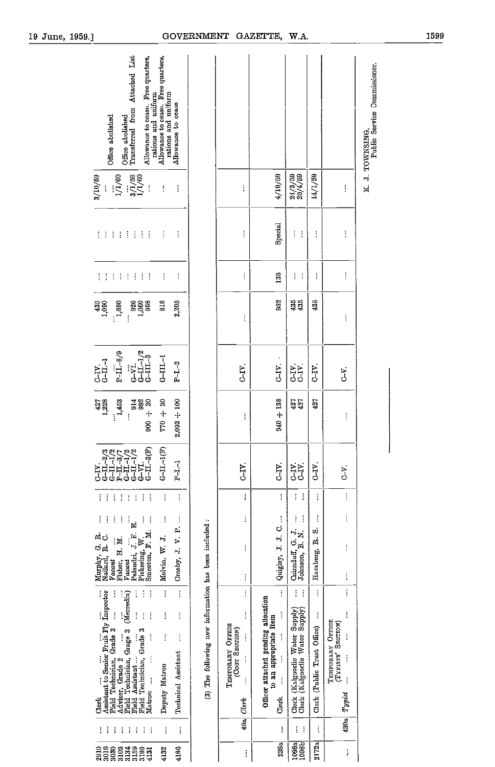| Office abolished<br>Transferred from Attached List<br>Allowance to cease. Free quarters,<br>rations and uniform<br>Office abolished                                                                                                                                                                                                                                                                                  | Allowance to cease. Free quarters,<br>rations and uniform<br>Allowance to cease |                                                       |                                                                          |                                                                                                                                                  |                                                                                           |                                  |                                                                                              | K. J. TOWNSING,<br>Public Service Commissioner. |
|----------------------------------------------------------------------------------------------------------------------------------------------------------------------------------------------------------------------------------------------------------------------------------------------------------------------------------------------------------------------------------------------------------------------|---------------------------------------------------------------------------------|-------------------------------------------------------|--------------------------------------------------------------------------|--------------------------------------------------------------------------------------------------------------------------------------------------|-------------------------------------------------------------------------------------------|----------------------------------|----------------------------------------------------------------------------------------------|-------------------------------------------------|
| $\begin{array}{c} \ldots \\ 1/1/60 \\ 3/1/59 \\ 1/1/60 \\ \ldots \end{array}$<br>3/10/59                                                                                                                                                                                                                                                                                                                             | $\vdots$<br>ţ                                                                   |                                                       | $\vdots$                                                                 | 4/10/59                                                                                                                                          | $\frac{24}{3}/\frac{3}{59}$                                                               | 14/1/59                          | $\vdots$                                                                                     |                                                 |
| 4444<br>$\pm$ $\pm$<br>Ħ                                                                                                                                                                                                                                                                                                                                                                                             | ŧ<br>$\vdots$                                                                   |                                                       | ŧ                                                                        | Special                                                                                                                                          | ţ<br>ł                                                                                    | $\vdots$                         | $\vdots$                                                                                     |                                                 |
| 斗王<br>$\mathcal{A}^{\mathcal{A}}$<br>$\mathcal{L}^{\mathcal{L}}$<br>ŧ.<br>÷                                                                                                                                                                                                                                                                                                                                          | ŧ<br>$\vdots$                                                                   |                                                       | $\vdots$                                                                 | 133                                                                                                                                              | $\ddot{.}$<br>ţ                                                                           | $\vdots$                         | $\vdots$                                                                                     |                                                 |
| $435$<br>$1,080$<br><b>98611</b><br>08611<br>$\frac{1,690}{ }$<br>į                                                                                                                                                                                                                                                                                                                                                  | 818<br>2,205                                                                    |                                                       | i                                                                        | 952                                                                                                                                              | 435                                                                                       | 435                              | ļ                                                                                            |                                                 |
| $P-\overline{11}-8/9$<br>$\begin{array}{l} \frac{\text{G}-\text{V}\text{T}}{\text{G}-\text{L}}-1/2\\ \text{G}-\text{I}\text{L}-3 \end{array}$<br>$CII-1$                                                                                                                                                                                                                                                             | $G-HI-1$<br>$P-I-2$                                                             |                                                       | C-IV.                                                                    | C.TV                                                                                                                                             | <b>AR</b><br>55                                                                           | C <sub>IV</sub>                  | تى<br>ج                                                                                      |                                                 |
| $\begin{array}{c} 06 + 006 \\ 366 \\ \hline 266 \end{array}$<br>427<br>1,228<br>1,453                                                                                                                                                                                                                                                                                                                                | $2,093 + 100$<br>$05 + 017$                                                     |                                                       | ļ                                                                        | $940 + 138$                                                                                                                                      | 427                                                                                       | 427                              | $\vdots$                                                                                     |                                                 |
| $(-3(F))$<br>$\begin{array}{l} {\bf \begin{array}{c} -2/3 \\[-1.2mm] {\bf \color{blue}{G\!-\!1}}{1\!-\!1}\!/\!2 \\[-1.2mm] {\bf \color{blue}{G\!-\!1}}{1\!-\!1}\!/\!2 \\[-1.2mm] {\bf \color{blue}{G\!-\!1}}{1\!-\!1}\!/\!2 \\[-1.2mm] {\bf \color{blue}{G\!-\!1}}{1\!-\!1}\!/\!2 \\[-1.2mm] {\bf \color{blue}{G\!-\!1}}{1\!-\!1}\!/\!2 \\[-1.2mm] {\bf \color{blue}{G\!-\!1}}{1\!-\!1}\!/\!2 \\[-$<br>F<br>J<br>5H. | $G-H-H$<br>$P-I-1$                                                              |                                                       | C-IV.                                                                    | C <sub>T</sub>                                                                                                                                   | 55<br>JJ                                                                                  | C-IV.                            | بن<br>ح                                                                                      |                                                 |
| i<br>Ì<br>ĵ<br>ł<br>ŧ<br>i<br>ŧ<br>ŧ                                                                                                                                                                                                                                                                                                                                                                                 | $\vdots$<br>$\vdots$                                                            |                                                       | İ                                                                        | İ                                                                                                                                                | ţ<br>ŧ                                                                                    | ì                                | $\vdots$                                                                                     |                                                 |
| $\vdots$<br>į<br>ĵ<br>Ì<br>ļ<br>ŧ<br>Palandri, J. F. E.<br>Murphy, G. R.<br>Nailard, R. C.<br>Pickering, W.<br>Smeeton, F. M.<br>Fisher, H. M.<br>Vacant<br>Vacant                                                                                                                                                                                                                                                   | $\vdots$<br>Crosby, J. V. P.<br>Melvin, W. J.                                   |                                                       | ì<br>$\vdots$<br>ì                                                       | Quigley, J. J. C.                                                                                                                                | ţ<br>Ì<br>$\begin{array}{ll} \text{Cairnduff, G. J} \\ \text{Johnson, B. N.} \end{array}$ | ţ<br>ø<br>Hamburg, R.            | ļ<br>$\vdots$<br>į                                                                           |                                                 |
| ţ<br>i<br>İ<br>$\ddot{\cdot}$                                                                                                                                                                                                                                                                                                                                                                                        | ļ<br>į                                                                          |                                                       | $\vdots$                                                                 | $\vdots$                                                                                                                                         | I<br>$\ddot{\ddot{\cdot}}$                                                                | ţ                                | $\vdots$                                                                                     |                                                 |
| Assistant to Senior Fruit Fly Inspector<br>(Merredin)<br>$\vdots$<br>$\vdots$<br>Ì<br>$\ddot{\ddot{\cdot}}$<br>Field Technician, Grade 3<br>Field Technician, Grage 3<br>Field Technician, Grade 3<br>ţ<br>Field Assistant<br>Adviser, Grade 2<br>Matron<br>Clerk                                                                                                                                                    | į<br>İ<br>$\vdots$<br>Ì<br>Technical Assistant<br>Deputy Matron                 | (3) The following new information has been included : | İ<br>TEMPORARY OFFICE<br>(Cost Secrion)<br>$\vdots$<br>$\vdots$<br>Olevk | Officer attached pending allocation<br>$\vdots$<br>to an appropriate Item<br>$\vdots$<br>$\ddot{\ddot{\cdot}}$<br>$\ddot{\ddot{\cdot}}$<br>Clerk | Clerk (Kalgoorlie Water Supply)<br>Clerk (Kalgoorlie Water Supply)                        | ļ<br>Clerk (Public Trust Office) | $\vdots$<br>TEMPORARY OFFICE<br>(TYPISTS' SECTION)<br>$\vdots$<br>i<br>$\vdots$<br>$Ty$ gust |                                                 |
| i<br>i<br>ŧ<br>ļ<br>ł<br>ł<br>ŧ<br>÷                                                                                                                                                                                                                                                                                                                                                                                 | ļ<br>ţ                                                                          |                                                       | 49a                                                                      | Ì                                                                                                                                                | į<br>ŧ                                                                                    | ì                                | 4.30a                                                                                        |                                                 |
| 2916<br>3016<br>3030<br>3134<br>3159<br>3199<br>3103<br>4131                                                                                                                                                                                                                                                                                                                                                         | 4186<br>4132                                                                    |                                                       | į                                                                        | 238a                                                                                                                                             | 1098a<br>1098b                                                                            | 2172a                            | ļ                                                                                            |                                                 |

|                                          |                                                                 | <b>GOVERNMENT</b>                                     |                                                                                                      | <b>GAZETTE,</b>                                                                                                                         | W.A.                                                                                                                                                                                                                                                                                                                                                                                                                                                           |                                         |                                                                                                                   |                                                 |   |
|------------------------------------------|-----------------------------------------------------------------|-------------------------------------------------------|------------------------------------------------------------------------------------------------------|-----------------------------------------------------------------------------------------------------------------------------------------|----------------------------------------------------------------------------------------------------------------------------------------------------------------------------------------------------------------------------------------------------------------------------------------------------------------------------------------------------------------------------------------------------------------------------------------------------------------|-----------------------------------------|-------------------------------------------------------------------------------------------------------------------|-------------------------------------------------|---|
|                                          | rations and uniform<br>Allowance to cease                       |                                                       |                                                                                                      |                                                                                                                                         |                                                                                                                                                                                                                                                                                                                                                                                                                                                                |                                         |                                                                                                                   | K. J. TOWNSING,<br>Public Service Commissioner. |   |
|                                          | $\vdots$                                                        |                                                       | i                                                                                                    | 4/10/59                                                                                                                                 | $\frac{24}{3}/\frac{3}{59}$                                                                                                                                                                                                                                                                                                                                                                                                                                    | 14/1/59                                 | $\vdots$                                                                                                          |                                                 |   |
|                                          | $\vdots$                                                        |                                                       | $\vdots$                                                                                             | Special                                                                                                                                 | ĵ<br>Ì                                                                                                                                                                                                                                                                                                                                                                                                                                                         | $\vdots$                                | $\vdots$                                                                                                          |                                                 |   |
|                                          | $\vdots$                                                        |                                                       | $\vdots$                                                                                             | 138                                                                                                                                     | ţ<br>$\vdots$                                                                                                                                                                                                                                                                                                                                                                                                                                                  | $\vdots$                                | $\vdots$                                                                                                          |                                                 |   |
|                                          | 2,205                                                           |                                                       | i                                                                                                    | 952                                                                                                                                     | 435                                                                                                                                                                                                                                                                                                                                                                                                                                                            | 435                                     | Ì                                                                                                                 |                                                 |   |
|                                          | $P-I-2$                                                         |                                                       | $C_{-}IV$ .                                                                                          | $C_{\text{L}}$                                                                                                                          | <b>AA</b><br>DD                                                                                                                                                                                                                                                                                                                                                                                                                                                | C-IV.                                   | بر<br>ح                                                                                                           |                                                 |   |
|                                          | $2,093 + 100$                                                   |                                                       | $\vdots$                                                                                             | $940 + 138$                                                                                                                             | 427<br>427                                                                                                                                                                                                                                                                                                                                                                                                                                                     | 427                                     | $\vdots$                                                                                                          |                                                 |   |
| - 1<br> <br>                             | $P-I-1$                                                         |                                                       | C-IV.                                                                                                | ET,                                                                                                                                     | 함<br>강강                                                                                                                                                                                                                                                                                                                                                                                                                                                        | ET,                                     | نې<br>پ                                                                                                           |                                                 | İ |
| $\vdots$<br>$\vdots$                     | $\vdots$<br>Crosby, J. V. P.                                    |                                                       | $\vdots$<br>$\vdots$<br>$\vdots$<br>$\vdots$                                                         | $\vdots$<br>Quigley, J. J. C.                                                                                                           | $\ddot{\ddot{\cdot}}$<br>Î<br>$\begin{minipage}{.4\linewidth} \textbf{C} \textbf{a} \textbf{im} \textbf{d} \textbf{m} \textbf{r} \textbf{r} \textbf{r} \textbf{m} \textbf{m} \textbf{r} \textbf{m} \textbf{r} \textbf{m} \textbf{r} \textbf{m} \textbf{r} \textbf{m} \textbf{r} \textbf{r} \textbf{r} \textbf{r} \textbf{r} \textbf{r} \textbf{r} \textbf{r} \textbf{r} \textbf{r} \textbf{r} \textbf{r} \textbf{r} \textbf{r} \textbf{r} \textbf{r} \textbf{$ | $\vdots$<br>Hamburg, R. S.              | $\vdots$<br>ļ<br>i<br>į                                                                                           |                                                 |   |
| :<br>$\vdots$<br>The second formation of | $\overline{\mathbf{r}}$<br>i<br>$\vdots$<br>Technical Assistant | (3) The following new information has been included : | $\vdots$<br>İ<br>TEMPORARY OFFICE<br>(Cost Secriox)<br>$\vdots$<br>$\vdots$<br>$\vdots$<br>49a Clerk | $\vdots$<br>Officer attached pending allocation<br>to an appropriate Item<br>$\vdots$<br>$\vdots$<br>$\vdots$<br>$\frac{1}{2}$<br>Clerk | $\vdots$<br>$\ddot{\ddot{\cdot}}$<br>Clerk (Kalgoorlie Water Supply)<br>Clerk (Kalgoorlie Water Supply)                                                                                                                                                                                                                                                                                                                                                        | $\vdots$<br>Clerk (Public Trust Office) | $\vdots$<br>$\vdots$<br>TEMPORARY OFFICE<br>(TYPISTS' SECTION)<br>$\vdots$<br>$\vdots$<br>$\vdots$<br>430a Typist |                                                 |   |
| $\ddot{\ddot{\phantom{0}}}$              | ļ                                                               |                                                       |                                                                                                      | ļ                                                                                                                                       | $\ddot{\ddot{\cdot}}$<br>i                                                                                                                                                                                                                                                                                                                                                                                                                                     | Ì                                       |                                                                                                                   |                                                 |   |
| l notis                                  | 4186                                                            |                                                       | i                                                                                                    | 238a                                                                                                                                    | 1098a<br>1098 <sub>b</sub>                                                                                                                                                                                                                                                                                                                                                                                                                                     | 2172a                                   | ļ                                                                                                                 |                                                 |   |

19 June, 1959.]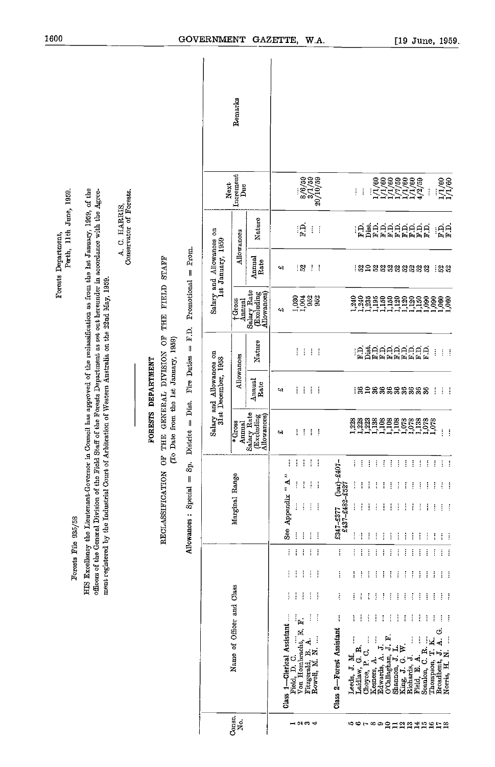|                                                                                                                                                                                                                                                                                                                                                                                               |                                                                                 |                                                 | Remarks                                                      |                                                                                                                                                                                                                                                                                                                                                                        |                                                                                                                                                                                                                                                                                                                                                                                                                                                                                                                                                                                                                                                                                                                                                                                                                                                                                                                                                                                                                                                                                                              |
|-----------------------------------------------------------------------------------------------------------------------------------------------------------------------------------------------------------------------------------------------------------------------------------------------------------------------------------------------------------------------------------------------|---------------------------------------------------------------------------------|-------------------------------------------------|--------------------------------------------------------------|------------------------------------------------------------------------------------------------------------------------------------------------------------------------------------------------------------------------------------------------------------------------------------------------------------------------------------------------------------------------|--------------------------------------------------------------------------------------------------------------------------------------------------------------------------------------------------------------------------------------------------------------------------------------------------------------------------------------------------------------------------------------------------------------------------------------------------------------------------------------------------------------------------------------------------------------------------------------------------------------------------------------------------------------------------------------------------------------------------------------------------------------------------------------------------------------------------------------------------------------------------------------------------------------------------------------------------------------------------------------------------------------------------------------------------------------------------------------------------------------|
|                                                                                                                                                                                                                                                                                                                                                                                               |                                                                                 | Next                                            | Increment<br>Due                                             | $\begin{array}{c} 8/6/59 \\ 3/1/59 \\ 3/1/59 \\ 20/10/59 \end{array}$                                                                                                                                                                                                                                                                                                  | $\frac{1}{1}/1/60$<br>÷<br>÷<br>ŧ                                                                                                                                                                                                                                                                                                                                                                                                                                                                                                                                                                                                                                                                                                                                                                                                                                                                                                                                                                                                                                                                            |
| Perth, 11th June, 1959.<br>Conservator of Forests.<br>C. HARRIS,                                                                                                                                                                                                                                                                                                                              |                                                                                 |                                                 | Nature<br>Allowances                                         | $\mathbf{P}$<br>Ť<br>Ť                                                                                                                                                                                                                                                                                                                                                 | EC <sub>R</sub><br>AFR<br>$\ddot{\mathbf{F}}$<br>ÉARRAR<br>FEEREE<br>$\frac{1}{2}$                                                                                                                                                                                                                                                                                                                                                                                                                                                                                                                                                                                                                                                                                                                                                                                                                                                                                                                                                                                                                           |
| Forests Department,<br>4                                                                                                                                                                                                                                                                                                                                                                      | Prom.<br><b>STAIF</b><br>$\parallel$                                            | Salary and Allowances on<br>1st January, 1959   | Annual<br><b>Rate</b>                                        | .ន<br>÷<br>÷<br>4                                                                                                                                                                                                                                                                                                                                                      | <b>: 2 음 2 음 2 음 2 음 2 음 3</b> 금 2 음                                                                                                                                                                                                                                                                                                                                                                                                                                                                                                                                                                                                                                                                                                                                                                                                                                                                                                                                                                                                                                                                         |
|                                                                                                                                                                                                                                                                                                                                                                                               | Promotional<br><b>FIELD</b><br>THE                                              |                                                 | Salary Rate<br>(Excluding<br>Allowances)<br>†Gross<br>Annual | $1,030$<br>$1,004$<br>952<br>952<br>4                                                                                                                                                                                                                                                                                                                                  | 1,240<br>1,240<br>1,235<br>1,195<br>$\frac{150}{1,150}$<br>$\frac{1,120}{1,150}$<br>1,090<br>$\frac{0.000}{1.060}$                                                                                                                                                                                                                                                                                                                                                                                                                                                                                                                                                                                                                                                                                                                                                                                                                                                                                                                                                                                           |
|                                                                                                                                                                                                                                                                                                                                                                                               | $\Gamma$ D.<br>OF <sup></sup><br>$\parallel$                                    |                                                 | Nature                                                       | ŧ.<br>$\frac{1}{2}$<br>$\sim 1$                                                                                                                                                                                                                                                                                                                                        | <b>EARRERER</b><br>ŧ<br>$\mathbb{R}^n$                                                                                                                                                                                                                                                                                                                                                                                                                                                                                                                                                                                                                                                                                                                                                                                                                                                                                                                                                                                                                                                                       |
|                                                                                                                                                                                                                                                                                                                                                                                               | GENERAL DIVISION<br>Fire Duties<br><b>FORESTS DEPARTMENT</b>                    | Salary and Allowances on<br>31st December, 1958 | Allowances<br>Annual<br>Rate                                 | ŧ<br>÷.<br>$\pm$ $\pm$<br>43                                                                                                                                                                                                                                                                                                                                           | :នួកនួននិន្ននិន្ននិ<br>÷<br>$\mathcal{A}^{\mathcal{A}}$                                                                                                                                                                                                                                                                                                                                                                                                                                                                                                                                                                                                                                                                                                                                                                                                                                                                                                                                                                                                                                                      |
|                                                                                                                                                                                                                                                                                                                                                                                               | (To Date from the 1st January, 1959)<br>Dist.<br>$\parallel$<br>District<br>THE |                                                 | Salary Rate<br>(Excluding<br>Allowances)<br>*Gross<br>Annual | $\frac{1}{2}$<br>$\mathcal{I}$<br>ŧ<br>÷<br>¢4                                                                                                                                                                                                                                                                                                                         | $\begin{array}{c}\n 888822 \\  11121 \\  \hline\n 1322\n \end{array}$<br>1,108<br>1,138<br>1,078<br>1,078<br>223<br>$\frac{1,078}{1,078}$<br>ŧ<br>÷.                                                                                                                                                                                                                                                                                                                                                                                                                                                                                                                                                                                                                                                                                                                                                                                                                                                                                                                                                         |
| HIS Excellency the Lieutenant Governor in Council has approved of the reclassification as from the 1st January, 1959, of the<br>officers of the General Division of the Field Staff of the Forests Department as set out hereunder in accordance with the Agree-<br>ment registered by the Industrial Court of Arbitration of Western Australia on the 22nd May, 1959.<br>Forests File 935/58 | ă<br>À.<br>ä<br>RECLASSIFICATION<br>$\parallel$<br>Special<br>Allowances:       |                                                 | Marginal Range<br>Name of Officer and Class                  | ŧ<br>÷<br>÷<br>÷<br>÷<br>$\alpha$ $\overline{V}$ $\alpha$<br>Ť<br>t<br>÷<br>÷<br>See Appendix<br>$\frac{1}{4}$<br>ĵ<br>÷<br>$\frac{1}{2}$<br>ŧ<br>ŧ<br>ŧ<br>ţ<br>÷<br>ł<br>Ť<br>ŧ<br>÷<br>Ť<br>ł<br>÷<br>÷<br>÷,<br>ŧ<br>÷<br>÷<br>Class 1-Clerical Assistant<br>Ť<br>İ<br>.<br>⊫<br>Field, D. C.<br>Von Hombracht, E.<br>j<br>4<br>Fitzgerald, B. A.<br>Rowell, M. N. | 7<br>÷<br>÷<br>÷<br>÷<br>4<br>÷<br>÷<br>$\frac{4}{3}$<br>÷<br>÷<br>÷<br>$\cdot$ :<br>Ť<br>÷<br>$(bax)-240$<br>İ<br>Ţ<br>ŧ<br>ŧ<br>÷<br>÷<br>Ť<br>Ť<br>ŧ<br>ŧ<br>÷<br>£437-£482-£527<br>÷<br>÷<br>İ<br>Ť<br>÷<br>÷<br>÷<br>÷<br>÷<br>ł<br>ł<br>÷<br>÷<br>ŧ<br>÷<br>÷<br>£347-£377<br>ŧ<br>ŧ<br>Ť<br>ŧ<br>$\frac{1}{2}$<br>$\frac{1}{2}$<br>÷<br>ŧ<br>ŧ<br>÷<br>÷<br>÷<br>÷<br>÷<br>ŧ<br>ŧ<br>ĵ<br>Ŧ<br>ŧ<br>÷<br>ĵ<br>ŧ<br>÷<br>I<br>ŧ<br>ŧ<br>ĵ<br>ŧ<br>ł<br>ŧ<br>÷<br>ŧ<br>ŧ<br>÷<br>ŧ<br>Ť<br>ŧ<br>ŧ<br>I<br>ŧ<br>ŧ<br>÷<br>ŧ<br>÷<br>÷<br>÷<br>ĵ<br>ł<br>ł<br>÷<br>÷<br>ŧ<br>ł<br>ł<br>Ŧ<br>ŧ<br>÷<br>÷<br>÷<br>İ<br>ŧ<br>ł<br>I<br>ŧ<br>÷<br>÷<br>f<br>÷<br>ł<br>ŧ<br>ł<br>ŧ<br>Ť<br>ł<br>Class 2-Forest Assistant<br>Ġ<br>ਸ਼<br>ਸਮੁਸ<br>j<br>ţ<br>i<br>¥.<br>İ<br>į<br>$\overline{\mathbf{A}}$<br>j<br>Laidlaw, G. R.<br>Choyce, P. C.<br>$\vdash$<br>Seanlon, C. R.<br>$\mathbf{H}$<br>$\div$<br>${\bf Broad bent, \ J.} \\ {\bf Norm, \ H. \ N.}$<br>Leeds, J. M.<br>4.<br>O'Callaghan,<br>Ġ<br>Richards, J.<br>Field. E. A.<br>Kesners, A.<br>Edwards, A.<br>Thompson,<br>Shannon, J.<br>King, J. G. |
|                                                                                                                                                                                                                                                                                                                                                                                               |                                                                                 | Consc.                                          | ğ.                                                           | $ \approx$ $\approx$ $+$                                                                                                                                                                                                                                                                                                                                               | <b>5078900以認証はおおける</b>                                                                                                                                                                                                                                                                                                                                                                                                                                                                                                                                                                                                                                                                                                                                                                                                                                                                                                                                                                                                                                                                                       |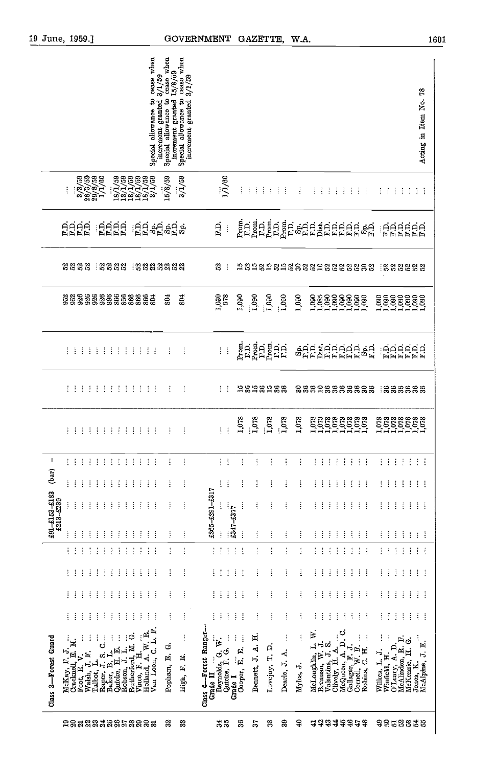| 19 June, 1959.]                                                                                                                                  | <b>GOVERNMENT</b>                                                                                                                                           | GAZETTE,<br>W.A.                                                                                                                                                                                                                                                                                                                                                                                                                                                                                                                                                                                                                          | 1601                                                                |
|--------------------------------------------------------------------------------------------------------------------------------------------------|-------------------------------------------------------------------------------------------------------------------------------------------------------------|-------------------------------------------------------------------------------------------------------------------------------------------------------------------------------------------------------------------------------------------------------------------------------------------------------------------------------------------------------------------------------------------------------------------------------------------------------------------------------------------------------------------------------------------------------------------------------------------------------------------------------------------|---------------------------------------------------------------------|
| Special allowance to cease when<br>increment granted $3/1/59$                                                                                    | $\frac{1}{2}$ increment granted $\frac{15}{8}$ ( $\frac{15}{8}$ )<br>cease when<br>increment granted 3/1/59<br>Special allowance to<br>Special allowance to |                                                                                                                                                                                                                                                                                                                                                                                                                                                                                                                                                                                                                                           | 28<br>Acting in Item No.                                            |
| $\begin{array}{c} 3 / 3 / 59 \\ 28 / 3 / 59 \\ 29 / 8 / 59 \\ 1 / 1 / 60 \end{array}$<br>187759<br>187759<br>187759<br>187159<br>37759<br>I      | 15/8/59<br>3/1/59<br>1/1/60                                                                                                                                 | $\vdots$<br>$\mathop{\mathbb{I}}$<br>÷<br>÷<br>$\pm$ $\pm$<br>ŧ<br>11111111<br>÷<br>$\mathbb{F}^{\mathbb{Z}}$<br>÷.                                                                                                                                                                                                                                                                                                                                                                                                                                                                                                                       | 4444                                                                |
| dddd<br>BBBB<br>ERRE                                                                                                                             | Ŗ.<br>ුටුටු දිවු දිවු දි<br>මුලි දිවු දිවු දි<br>$\vdots$                                                                                                   | $P_{\text{F.D.}}$<br>$F_{\text{rem}}$<br>Prom.<br>֚<br>׆֥֥֧֧֧֧<br>׆֥֥׆֥֥֦֥׆֥׆֥׆׆֥׆׆׆׆׆׆׆<br>ERRENE                                                                                                                                                                                                                                                                                                                                                                                                                                                                                                                                        |                                                                     |
| 2323<br>୍ଷ ଅ ଅ ଅ<br>୍ଷ ଷ୍ଟ୍ର ଅକ୍ଷ ଅକ୍ଷ                                                                                                           | $\mathbb{S}$<br>$\ddot{\cdot}$                                                                                                                              | 1929898988899888888<br>1333333                                                                                                                                                                                                                                                                                                                                                                                                                                                                                                                                                                                                            |                                                                     |
| 233333555555555                                                                                                                                  | 804<br>1,030<br>978<br>SO <sub>1</sub>                                                                                                                      | 1,090<br>1,000<br>$\frac{1}{1000}$<br>1,000<br>1,090<br>1,090                                                                                                                                                                                                                                                                                                                                                                                                                                                                                                                                                                             |                                                                     |
| $\bar{1}$<br>主主主<br>注定主义<br>$\frac{1}{2}$<br>-i<br>÷<br>÷<br>÷                                                                                   | $\mathbb{H}$<br>ŧ<br>$\frac{1}{4}$                                                                                                                          | ត្ត<br>ក្នុងក្នុងក្នុង<br>ក្នុងក្នុងក្នុង<br><b>SHARAHARAH</b><br>ERRARA                                                                                                                                                                                                                                                                                                                                                                                                                                                                                                                                                                  |                                                                     |
| 1111111<br>111<br>注下字                                                                                                                            | ÷<br>ŧ<br>$\frac{1}{2}$                                                                                                                                     | 1381381388<br>88828888888<br><b>:</b> នួននួននួន                                                                                                                                                                                                                                                                                                                                                                                                                                                                                                                                                                                           |                                                                     |
| ÷                                                                                                                                                | $\cdot$ :<br>ŧ<br>ŧ<br>Ŧ,                                                                                                                                   | 1,078<br>$\frac{1}{1}$ .078<br>1,078<br>11111111111<br>111111111<br>1,078<br>1,078                                                                                                                                                                                                                                                                                                                                                                                                                                                                                                                                                        |                                                                     |
| J.<br>主主主<br>33333<br>$\pm$ $\pm$<br>÷<br>÷<br>÷                                                                                                 | ŧ<br>$\frac{1}{2}$<br>$\frac{1}{2}$                                                                                                                         | $\vdots$<br>ŧ<br>ŧ<br>ŧ<br>$\vdots$<br>÷<br>÷<br>÷<br>ŧ<br>$\frac{1}{4}$<br>$\vdots$<br>÷<br>÷<br>÷<br>ŧ<br>÷<br>÷                                                                                                                                                                                                                                                                                                                                                                                                                                                                                                                        | ÷<br>÷<br>÷                                                         |
| (bar)<br>ŧ<br>÷<br>$\vdots$<br>÷<br>÷<br>÷<br>÷<br>ŧ<br>÷<br>÷<br>÷<br>Ť<br>÷                                                                    | ŧ<br>$\vdots$<br>÷<br>ŧ                                                                                                                                     | ŧ<br>ŧ<br>÷<br>ŧ<br>$\vdots$<br>ŧ<br>ŧ<br>÷<br>÷<br>÷<br>Ŧ<br>÷<br>÷<br>÷<br>ŧ<br>÷<br>÷                                                                                                                                                                                                                                                                                                                                                                                                                                                                                                                                                  | ÷<br>÷<br>÷                                                         |
| $£91 - £153 - £183$<br>$£213 - £239$<br>Ť<br>$\vdots$<br>$\vdots$<br>ŧ<br>$\vdots$<br>÷<br>Ť<br>ŧ<br>÷<br>÷<br>÷<br>÷<br>ŧ                       | £265-£291-£317<br>$$347 - $377$<br>ŧ<br>ł<br>ļ                                                                                                              | İ<br>$\vdots$<br>$\vdots$<br>ŧ<br>÷<br>÷<br>÷<br>÷<br>÷<br>ŧ<br>ŧ<br>I<br>÷<br>÷<br>÷<br>÷<br>ŧ                                                                                                                                                                                                                                                                                                                                                                                                                                                                                                                                           | ÷<br>÷<br>÷                                                         |
| ÷<br>ŧ                                                                                                                                           | $\vdots$<br>ŧ                                                                                                                                               | $\vdots$<br>÷<br>j<br>÷<br>ŧ<br>ŧ<br>i<br>ŧ<br>j<br>ŧ                                                                                                                                                                                                                                                                                                                                                                                                                                                                                                                                                                                     | ŧ<br>÷<br>÷                                                         |
| ÷<br>ŧ<br>÷<br>÷<br>$\vdots$<br>÷<br>÷<br>÷<br>ŧ<br>÷<br>÷<br>ŧ<br>÷                                                                             | $\ddot{.}$<br>ŧ<br>$\vdots$<br>$\vdots$<br>$\ddot{.}$                                                                                                       | $\vdots$<br>t<br>÷<br>ŧ<br>÷<br>÷<br>÷<br>ŧ<br>ŧ<br>÷<br>ŧ<br>÷<br>ŧ<br>÷<br>÷<br>÷                                                                                                                                                                                                                                                                                                                                                                                                                                                                                                                                                       | ÷<br>÷<br>÷                                                         |
| ÷<br>ŧ<br>÷<br>$\vdots$<br>÷<br>$\vdots$<br>÷<br>÷<br>ŧ<br>ŧ<br>÷<br>$\vdots$                                                                    | $\vdots$<br>÷<br>ŧ<br>$\vdots$<br>$\vdots$                                                                                                                  | $\vdots$<br>÷<br>÷<br>÷<br>÷<br>i<br>$\vdots$<br>$\vdots$<br>÷<br>j<br>ĵ<br>÷<br>ŧ<br>÷<br>$\vdots$<br>÷<br>÷<br>ŧ                                                                                                                                                                                                                                                                                                                                                                                                                                                                                                                        | $\vdots$<br>$\vdots$<br>÷                                           |
| ÷<br>$\vdots$<br>÷<br>÷<br>÷<br>ŧ<br>ŧ<br>ŧ<br>÷<br>$\vdots$<br>÷<br>÷                                                                           | Î<br>$\vdots$<br>ŧ<br>÷<br>÷                                                                                                                                | $\vdots$<br>ŧ<br>÷<br>$\vdots$<br>ĵ<br>$\vdots$<br>÷<br>ŧ<br>÷<br>Ŧ<br>÷<br>ŧ<br>÷<br>÷<br>÷<br>÷<br>ŧ<br>÷                                                                                                                                                                                                                                                                                                                                                                                                                                                                                                                               | ÷<br>÷<br>÷                                                         |
| $\vdots$<br>÷<br>÷<br>ŧ<br>÷<br>ŧ<br>$\vdots$<br>÷<br>÷<br>İ<br>÷<br>÷                                                                           | $\frac{1}{4}$<br>÷<br>ŧ<br>$\vdots$<br>$\vdots$                                                                                                             | $\vdots$<br>ŧ<br>ŧ<br>÷<br>$\vdots$<br>÷<br>÷<br>÷<br>÷<br>÷<br>$\vdots$<br>$\vdots$<br>÷<br>÷<br>÷<br>ŧ<br>÷<br>÷                                                                                                                                                                                                                                                                                                                                                                                                                                                                                                                        | $\vdots$<br>$\ddot{\phantom{a}}$                                    |
| Van Loon, C. L. F.<br>$\tilde{\mathbf{r}}$<br>$R$ utherford, M. G.<br>Vince F. T. G.<br>Class 3-Forest Guard<br>≋<br>Vince, F. H.<br>Holland, A. | Class 4—Forest Ranger-<br>Grade II<br>$\frac{1}{4}$<br>Reynolds, G. W.<br>Quicke, F. G.<br>Grade I<br>Popham, E. G.<br>High, F. E.                          | $\begin{array}{l} \mathsf{v}_\mathsf{u}, \mathsf{v}_\mathsf{u}, \mathsf{v}, \mathsf{r}, \mathsf{a}, \mathsf{a}, \dots \\ \mathsf{McQuen}, \mathsf{A}, \mathsf{D}, \mathsf{C}, \\ \mathsf{Gallager}, \mathsf{F}, \mathsf{J}, \\ \mathsf{Comell}, \mathsf{W}, \mathsf{F}, \dots \\ \end{array}$<br>McLaughlin, L. W.<br>Brennan, W. J.<br>Valentine, J. S.<br>Clively, H. A.<br>Bennett, J. A. H.<br>ŧ<br>$\vdots$<br>$\vdots$<br>ł<br>$\vdots$<br>$\begin{array}{ll}\n\text{Willes, L. J.}\\ \text{Winfeld, H.}\\ \text{O'Leary, A. D.}\\ \end{array}$<br>Lovejoy, T. D.<br>Cooper, E. E.<br>C.H.<br>Dearle, J. A.<br>Myles, J.<br>Robins, | McAlinden, R. F.<br>McKenzie, H. G.<br>Jones, K.<br>McAlpine, J. E. |
| 2858338858885                                                                                                                                    | 345<br>32<br>53                                                                                                                                             | 4 의ង 3 ង 3 年 3<br>\$\$53335<br>36<br>38<br>39<br>$\boldsymbol{\theta}$<br>$5\overline{6}$                                                                                                                                                                                                                                                                                                                                                                                                                                                                                                                                                 |                                                                     |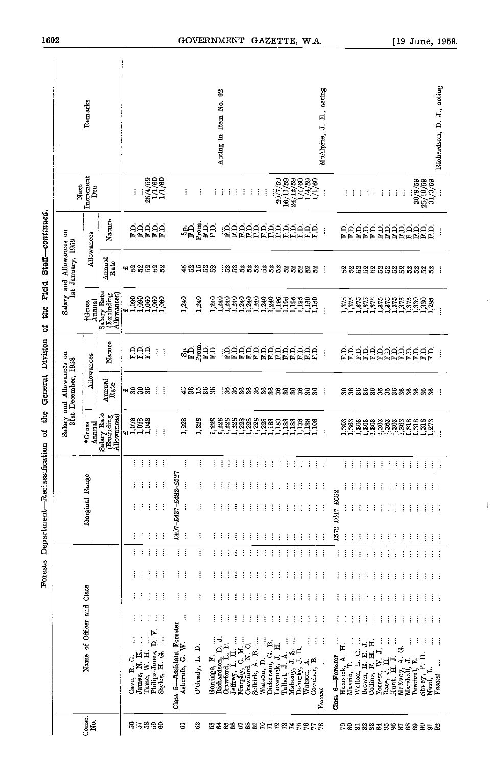|                                                                                                                                             |                       |          |          |        |                             |                     |          |                 |                                                    |                                        | Salary and Allowances on<br>31st December, 1958                                                        |                                          | Salary and Allowances on<br>1st January, 1969 |                                | Next                                                                                                                  |                               |
|---------------------------------------------------------------------------------------------------------------------------------------------|-----------------------|----------|----------|--------|-----------------------------|---------------------|----------|-----------------|----------------------------------------------------|----------------------------------------|--------------------------------------------------------------------------------------------------------|------------------------------------------|-----------------------------------------------|--------------------------------|-----------------------------------------------------------------------------------------------------------------------|-------------------------------|
| Name of Officer and Class                                                                                                                   |                       |          |          |        |                             | Marginal Range      |          |                 | *Gross                                             |                                        | Allowances                                                                                             | Annual<br><b>TGross</b>                  |                                               | Allowances                     | Increment<br>${\bf Due}$                                                                                              | Remarks                       |
|                                                                                                                                             |                       |          |          |        |                             |                     |          |                 | Annual<br>Salary Rate<br>(Excluding<br>Allowances) | Amual<br>Rate                          | Nature                                                                                                 | Salary Rate<br>(Excluding<br>Allowances) | Amual<br>Rate                                 | Nature                         |                                                                                                                       |                               |
| ŧ<br>Ġ<br>¢<br>Cave,                                                                                                                        | ł                     |          |          |        |                             |                     |          |                 | $4.078$<br>$1.078$<br>$1.048$                      | # នឹននឹ                                |                                                                                                        | 41                                       | <b>여왕얺얺얺얺</b>                                 |                                |                                                                                                                       |                               |
| James, N. K.<br>Tame, W. H.                                                                                                                 | ł                     |          | Ť        | ŧ<br>ŧ | ŧ<br>÷                      | ł<br>ł              | ŧ        | ŧ<br>ł          |                                                    |                                        | HHH<br>HHH                                                                                             |                                          |                                               |                                | ł                                                                                                                     |                               |
| ŧ                                                                                                                                           | ŧ                     | ÷        | ŧ        | ł      | ŧ                           | ŧ                   | ţ        | ŧ               |                                                    |                                        |                                                                                                        |                                          |                                               |                                |                                                                                                                       |                               |
| ⋗<br>$\overline{\mathbf{a}}$<br>Philips-Jones, 1<br>Styles, H. G.                                                                           | ŧ                     | ŧ        | ÷        | ŧ      | ŧ                           | ł                   | $\vdots$ | ÷               | Ŧ                                                  | ÷                                      | ł                                                                                                      | 388888                                   |                                               | GOOOO<br>RRAAR                 | $\begin{array}{c} 25/4/59 \\ 1/1/60 \\ 1/1/1 \end{array}$                                                             |                               |
|                                                                                                                                             | ÷                     | ŧ        | ŧ        | ŧ      | ŧ                           | $\vdots$            | ŧ        | ÷               | ÷                                                  | ÷                                      | ŧ                                                                                                      |                                          |                                               |                                |                                                                                                                       |                               |
| Class 5—Assistant Forester<br>Ashcroft, G. W.                                                                                               |                       | ŧ        | İ        | ŧ      |                             | £407-£437-£482-£527 |          |                 |                                                    |                                        |                                                                                                        |                                          |                                               |                                |                                                                                                                       |                               |
|                                                                                                                                             | ł                     | ÷        | ł        | ŧ      | ļ                           | ļ                   | j        | ŧ               | 1,228                                              | <b>48288</b>                           | $\frac{8}{5}$                                                                                          | 1,240                                    | <b>48588</b>                                  | $\hat{\sigma}_{\rm E}^{\rm Q}$ | ŧ                                                                                                                     |                               |
| O'Grady, L. D                                                                                                                               | j                     | ÷        | ŧ        | ŧ      | Ŧ                           | ĵ                   | ÷        | ŧ               | 1,223                                              |                                        | $\begin{array}{c} \mathbf{p}_{\text{R}} \\ \mathbf{p}_{\text{R}} \\ \mathbf{p}_{\text{R}} \end{array}$ | 1,240                                    |                                               |                                | ŧ                                                                                                                     |                               |
|                                                                                                                                             | ł                     | Ĩ        | ŧ        | ŧ      |                             |                     | ŧ        | ŧ               |                                                    |                                        |                                                                                                        |                                          |                                               | $P_{\text{F1}}$                | ĵ                                                                                                                     |                               |
| Gorringe, F.<br>Richardson, D. J.<br>Crawford, E. F.                                                                                        | ÷                     | ÷        | ŧ        | j      | ł                           |                     | ÷        |                 |                                                    |                                        |                                                                                                        |                                          |                                               |                                | ŧ                                                                                                                     | Acting in Item No.            |
|                                                                                                                                             | ŧ                     | ŧ        | ŧ        |        |                             |                     |          |                 |                                                    |                                        |                                                                                                        |                                          |                                               |                                | ł                                                                                                                     |                               |
| Ĵ<br>Ħ<br>Jeffrey, L.                                                                                                                       | j                     | ŧ        | $\vdots$ | Ì      |                             |                     | ł        | <b>SERVICE</b>  |                                                    |                                        |                                                                                                        |                                          |                                               |                                | ÷                                                                                                                     |                               |
| Murphy, C. M.<br>Crawford, N. C.                                                                                                            | ł                     | ŧ        | ŧ        |        | ÷                           |                     | ŧ        |                 |                                                    |                                        |                                                                                                        |                                          |                                               |                                | ŧ                                                                                                                     |                               |
| $\mathbf{B}$ .<br>Selkirk, A.                                                                                                               | ÷                     | $\vdots$ | ÷        |        | ÷                           |                     | ŧ        |                 |                                                    |                                        |                                                                                                        |                                          |                                               |                                | ÷                                                                                                                     |                               |
| Watson, D.                                                                                                                                  | ÷<br>ŧ                | ÷<br>ł   | ŧ        |        |                             |                     | ŧ        |                 |                                                    |                                        |                                                                                                        |                                          |                                               |                                | ŧ                                                                                                                     |                               |
| Dickerson, G. B.                                                                                                                            | ĵ                     | ł        | ŧ<br>ŧ   |        |                             |                     | İ<br>÷   | 生生生             |                                                    | <b>នៃនិនី</b> ឌីនីឌីនីនីនីនីនីនីនីនីនី | GAAAAAAAAAAAA<br>FAAAAAAAAAAAA                                                                         | TTTTTTTTTTTTTTTTTT                       | 1.2222232232323                               | ERRERERERERE                   | ŧ                                                                                                                     |                               |
| Loverock, J H.                                                                                                                              | $\ddot{\ddot{\cdot}}$ | ĵ        | ÷        |        |                             |                     | ÷        | $\mathcal{A}$   |                                                    |                                        |                                                                                                        |                                          |                                               |                                |                                                                                                                       |                               |
| Ĵ<br>Talbot, J.A.                                                                                                                           | ł                     | ĵ        | ÷        | ÷      |                             | İ                   | ÷        |                 |                                                    |                                        |                                                                                                        |                                          |                                               |                                |                                                                                                                       |                               |
| ţ<br>Mahony, J. S. .<br>Doherty, J. R.                                                                                                      | Î                     | ŧ        | ŧ        |        |                             |                     | ł        |                 |                                                    |                                        |                                                                                                        |                                          |                                               |                                |                                                                                                                       |                               |
| ŧ<br>Watson, A.<br>Cowcher, B.                                                                                                              | ŧ<br>ŧ                | ŧ<br>ł   | Ť<br>÷   | ŧ<br>ł | ÷                           | ł<br>ŧ              | ŧ<br>ŧ   | 9999            |                                                    |                                        |                                                                                                        |                                          |                                               |                                | $\begin{array}{c} 20/7/59 \\ 16/11/59 \\ 16/11/59 \\ 24/12/59 \\ 1/4/59 \\ 1/4/59 \\ 1/1/60 \\ 1/1/60 \\ \end{array}$ |                               |
| İ                                                                                                                                           | ŧ                     | ŧ        | ŧ        | ÷      | ÷                           | ŧ                   | ÷        | 4H              |                                                    |                                        |                                                                                                        |                                          |                                               |                                |                                                                                                                       |                               |
| ŧ<br><b>Vacant</b>                                                                                                                          | ÷                     | ÷        | ŧ        |        | ŧ                           | $\vdots$            |          |                 | ÷                                                  | ÷                                      | ŧ                                                                                                      |                                          | ÷.                                            | ŧ                              | ÷                                                                                                                     | E., acting<br>H,<br>McAlpine, |
| ł<br>Class 6-Forester                                                                                                                       | ÷                     | ł        | j        | ÷      |                             | £572-£617-£662      |          |                 |                                                    |                                        |                                                                                                        |                                          |                                               |                                |                                                                                                                       |                               |
| Ħ.<br>Hancock, A.                                                                                                                           | ł                     | ŧ        | Ţ        | ÷      | ÷                           | ł                   |          | Ιł              |                                                    | 8888888888888                          | AAAAAAAAAAAAA<br>FFFFFFFFFFFF                                                                          |                                          | 22222222222222                                | ARARARARARAR<br>ARARARARARA    | ÷                                                                                                                     |                               |
| ĵ,                                                                                                                                          | ŧ                     | j        | Ť        | ÷      | ÷                           | ÷                   | ÷        |                 |                                                    |                                        |                                                                                                        |                                          |                                               |                                | ÷                                                                                                                     |                               |
| $\begin{tabular}{l} Walton, L. G. \\ {\small \textbf{Brown}, E. E. J.} \\ {\small \textbf{Group}, P. H. H. H.} \end{tabular}$               | Ŧ                     | ÷        | ÷        | Ŧ      | ÷                           | ÷                   | ŧ        |                 |                                                    |                                        |                                                                                                        |                                          |                                               |                                | ÷                                                                                                                     |                               |
|                                                                                                                                             | ł<br>ł                | ÷<br>÷   | ÷<br>ŧ   | ÷<br>ŧ | ÷<br>ŧ                      |                     | ÷<br>Ť   |                 |                                                    |                                        |                                                                                                        |                                          |                                               |                                | $\mathcal{L}_{\mathcal{A}}$                                                                                           |                               |
| $\begin{array}{ll} \mbox{Roresi}, \; \mbox{W. J.} \; \ldots \\ \mbox{Rate, J. H.} \\ \mbox{Hunt}, \; \mbox{H. J.} \quad \ldots \end{array}$ | ł                     | ÷        | ŧ        | ÷      | ŧ                           |                     | ÷        | 生长生生            |                                                    |                                        |                                                                                                        |                                          |                                               |                                | ÷<br>÷                                                                                                                |                               |
|                                                                                                                                             | ł                     | ÷        | ŧ        | ŧ      | ÷                           |                     | ŧ        |                 |                                                    |                                        |                                                                                                        |                                          |                                               |                                | ŧ                                                                                                                     |                               |
|                                                                                                                                             | ł                     | ł        | ŧ        | ŧ      | ÷                           | ł                   | ÷        | o Ford          |                                                    |                                        |                                                                                                        |                                          |                                               |                                | ÷                                                                                                                     |                               |
| Ġ<br>McEvoy, A.<br>Marshall, J.                                                                                                             | Ì                     | ÷        | İ        | ÷      | ł                           |                     | ÷        | (1, 1, 1, 1, 1) |                                                    |                                        |                                                                                                        |                                          |                                               |                                | ŧ                                                                                                                     |                               |
| ŧ                                                                                                                                           | ŧ                     | ÷        | Ŧ        | ŧ      | ÷                           | ł                   | ŧ        |                 |                                                    |                                        |                                                                                                        |                                          |                                               |                                |                                                                                                                       |                               |
| ÷<br>Litral, E.<br>Staley, P. D.<br>Nicol, L.<br>Vaccionalist                                                                               | ÷                     | ÷        | ÷        | ŧ      | ÷                           | ŧ                   | ÷        |                 |                                                    |                                        |                                                                                                        |                                          |                                               |                                | $\begin{array}{c} 30/8/59 \\ 25/10/59 \\ 31/3/59 \end{array}$                                                         |                               |
| ÷                                                                                                                                           | ÷                     | ÷        | ÷        | ÷      | ÷                           | ŧ                   | ÷        |                 |                                                    |                                        |                                                                                                        |                                          |                                               |                                |                                                                                                                       |                               |
| ÷                                                                                                                                           | ÷                     | ÷        | ÷        | ÷      | $\mathcal{F}^{\mathcal{A}}$ | ŧ                   | ÷        |                 |                                                    |                                        |                                                                                                        |                                          |                                               |                                |                                                                                                                       |                               |
| ÷                                                                                                                                           | ÷                     | ÷        | -3       | ÷      |                             | ÷                   | ÷        | $\frac{1}{2}$   | ł                                                  | ÷                                      | ţ                                                                                                      | ŧ                                        | -i                                            | ŧ                              | ł                                                                                                                     | Richardson, D. J., acting     |

1602

 $\frac{1}{2}$ 

 $\frac{3}{4}$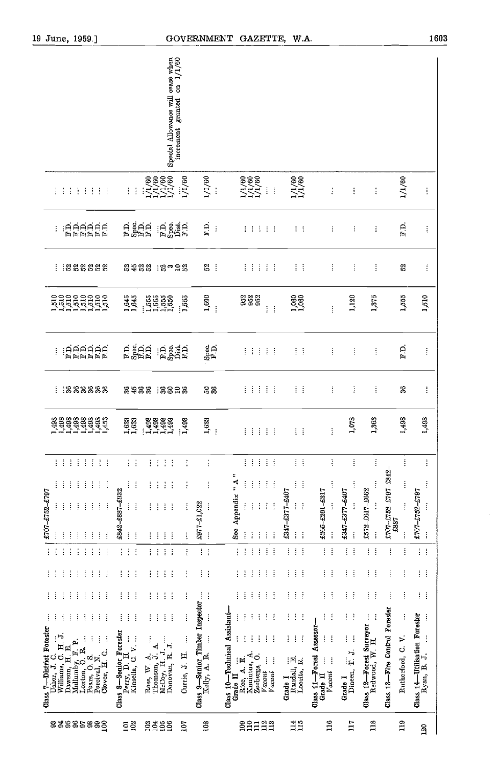| 19 June, 1959.]                                                                                                                                                                                                                                                                                                                                                                                                                                                   |                                                                                                                                                                                                                                                                                      |                                                         | GOVERNMENT GAZETTE, W.A.                                                                                                                                                                                                                                                                                                                       |                                                                                                                                            |                                                                                                          |                                              |                                                      |                                                          | 1603                                                          |
|-------------------------------------------------------------------------------------------------------------------------------------------------------------------------------------------------------------------------------------------------------------------------------------------------------------------------------------------------------------------------------------------------------------------------------------------------------------------|--------------------------------------------------------------------------------------------------------------------------------------------------------------------------------------------------------------------------------------------------------------------------------------|---------------------------------------------------------|------------------------------------------------------------------------------------------------------------------------------------------------------------------------------------------------------------------------------------------------------------------------------------------------------------------------------------------------|--------------------------------------------------------------------------------------------------------------------------------------------|----------------------------------------------------------------------------------------------------------|----------------------------------------------|------------------------------------------------------|----------------------------------------------------------|---------------------------------------------------------------|
|                                                                                                                                                                                                                                                                                                                                                                                                                                                                   | Special Allowance will cease when<br>increment granted on 1/1/60<br>increment granted                                                                                                                                                                                                |                                                         |                                                                                                                                                                                                                                                                                                                                                |                                                                                                                                            |                                                                                                          |                                              |                                                      |                                                          |                                                               |
| 11111111                                                                                                                                                                                                                                                                                                                                                                                                                                                          | $\begin{array}{c} 1/1/60 \\ 1/1/60 \\ 1/1/60 \\ 1/1/60 \\ \end{array}$<br>1/1/60<br>$\mathbb{R}^n$                                                                                                                                                                                   | 1/1/60                                                  | $\begin{array}{c}\n 1/1/60 \\  1/1/60 \\  1/1/60 \\  \cdots\n \end{array}$<br>$\bar{\rm{}}$                                                                                                                                                                                                                                                    | $\frac{1}{1}$ / $\frac{60}{1}$                                                                                                             | $\ddot{\mathrm{i}}$                                                                                      | $\vdots$                                     | ŧ                                                    | 1/1/60                                                   | ŧ                                                             |
| ERRERE                                                                                                                                                                                                                                                                                                                                                                                                                                                            | ក្កុខ្លុំក្កុក្ក<br>កន្លុំក្ក<br>្ពុជ ខ្ញុំ ដូក<br>គ <sub>ន</sub> ក្នុង                                                                                                                                                                                                              | $\overline{F}$ .<br>÷                                   | :::::                                                                                                                                                                                                                                                                                                                                          | $\frac{1}{2}$ , $\frac{1}{2}$                                                                                                              | ŧ                                                                                                        | ŧ                                            | ÷                                                    | $\overline{F}$ .                                         | $\vdots$                                                      |
| : : 888888                                                                                                                                                                                                                                                                                                                                                                                                                                                        | 8988 18028                                                                                                                                                                                                                                                                           | 5 <sup>2</sup>                                          | :::::                                                                                                                                                                                                                                                                                                                                          | $\mathcal{L}^{\mathcal{L}}$                                                                                                                | ŧ                                                                                                        | ŧ                                            | ŧ                                                    | S                                                        | Î                                                             |
| <b>19999999</b><br>199955555<br>19999999<br>1,510                                                                                                                                                                                                                                                                                                                                                                                                                 | 1,645<br>1,645<br>15555<br>15555<br>11550<br>1,555<br>ţ                                                                                                                                                                                                                              | 1,690<br>÷                                              | 668<br>668<br>ŧ<br>÷                                                                                                                                                                                                                                                                                                                           | 1,060                                                                                                                                      | ŧ                                                                                                        | 1,120                                        | 1375                                                 | 1,555                                                    | 1,510                                                         |
| ERRERE<br>ŧ                                                                                                                                                                                                                                                                                                                                                                                                                                                       | n ago.<br>Earna<br>ER STAR<br>Fødsla                                                                                                                                                                                                                                                 | $\frac{\rm Spec}{\rm F.D.}$                             | Ψł<br>计主主                                                                                                                                                                                                                                                                                                                                      | $\mathcal{I} \subset \mathcal{I}$                                                                                                          | $\vdots$                                                                                                 | ŧ                                            | ŧ                                                    | r.n                                                      | ŧ                                                             |
| 1888888<br>÷                                                                                                                                                                                                                                                                                                                                                                                                                                                      | 8988<br>12838                                                                                                                                                                                                                                                                        | 5%                                                      | 注定率<br>ΪÎ                                                                                                                                                                                                                                                                                                                                      | 主义                                                                                                                                         | ŧ                                                                                                        | ŧ                                            | ŧ                                                    | $3\%$                                                    | ŧ                                                             |
| 1111111111                                                                                                                                                                                                                                                                                                                                                                                                                                                        | $\frac{1,633}{1,633}$<br>$\begin{array}{c} 1.498 \\ 1.493 \\ 1.493 \\ 1.493 \\ \end{array}$<br>$\frac{1}{1,498}$                                                                                                                                                                     | 1,633<br>ŧ                                              | <b>FFFFF</b>                                                                                                                                                                                                                                                                                                                                   | Ť.<br>÷.                                                                                                                                   | j                                                                                                        | 1,078                                        | 1,363                                                | 1,498                                                    | 1,498                                                         |
| ₫.<br>÷<br>$\frac{1}{2}$ .<br>÷<br>÷<br>÷<br>÷<br>÷<br>÷<br>÷<br>÷<br>İ<br>÷<br>÷<br>£707-£752-£797<br>$\vdots$<br>ŧ<br>ŧ<br>ŧ<br>ŧ<br>$\vdots$<br>ŧ<br>Ĵ,<br>ŧ<br>$\vdots$<br>Î                                                                                                                                                                                                                                                                                  | 主义<br>$\ddot{\ddot{\textbf{i}}}$<br>Ť<br>Ť.<br>ŧ<br>ŧ<br>ŧ<br>÷<br>ŧ<br>ŧ<br>ŧ<br>ŧ<br>÷<br>£842-£887-£932<br>$\ddot{t}$<br>$\frac{1}{2}$<br>ŧ<br>$\vdots$<br>ŧ<br>$\vdots$<br>ł<br>Î<br>Ť<br>ŧ<br>ŧ<br>ŧ                                                                            | ŧ<br>ţ<br>£977-£1,022<br>ţ<br>$\ddot{\ddot{\mathrm{}}}$ | $\frac{1}{2}$ , $\frac{1}{2}$<br>Ť<br>$\cdot$<br>÷<br>$``\,\mathrm{A}$ "<br>$\vdots$<br>ŧ<br>ŧ<br>ŧ<br>÷<br>See Appendix<br>$\mathbf{i}$<br>$\vdots$<br>$\vdots$<br>$\vdots$<br>$\vdots$<br>ļ<br>$\vdots$<br>ŧ<br>÷                                                                                                                            | $\frac{1}{2}$<br>ţ<br>đ<br>£347-£377-£407<br>ŧ,<br>J.<br>ŧ<br>÷                                                                            | ļ<br>$\vdots$<br>£265-£291-£317<br>$\vdots$<br>ţ                                                         | ŧ<br>1053-1163-1763<br>$\vdots$<br>ł         | Ť<br>ŧ<br>£572-£617-£662<br>ŧ                        | ŧ<br>£707-£752-£797-£842<br>ŧ<br>$\vdots$<br>£887        | į<br>ŧ<br>£707-£752-£797<br>$\mathbf{i}$<br>$\vdots$          |
| ŧ<br>$\vdots$<br>$\frac{1}{2}$<br>ŧ<br>÷<br>÷<br>÷<br>ŧ<br>j                                                                                                                                                                                                                                                                                                                                                                                                      | ŧ<br>Ť<br>÷<br>ŧ<br>Ť<br>ţ<br>ŧ<br>$\vdots$                                                                                                                                                                                                                                          | ŧ<br>$\frac{1}{2}$                                      | $\vdots$<br>Í<br>$\vdots$<br>÷<br>ŧ<br>Ť                                                                                                                                                                                                                                                                                                       | ŧ<br>ŧ<br>t                                                                                                                                | ŧ<br>ŧ                                                                                                   | $\vdots$<br>$\vdots$                         | ŧ<br>ŧ                                               | ţ<br>$\vdots$                                            | $\left\{ \begin{array}{c} 1 \\ 1 \end{array} \right\}$        |
| ŧ<br>÷<br>ŧ<br>÷<br>÷<br>÷<br>ŧ<br>ł<br>÷                                                                                                                                                                                                                                                                                                                                                                                                                         | ŧ<br>ŧ<br>÷<br>ŧ<br>ŧ<br>ŧ<br>ŧ<br>ŧ                                                                                                                                                                                                                                                 | ÷<br>ŧ                                                  | ŧ<br>ŧ<br>÷<br>÷<br>ł<br>÷                                                                                                                                                                                                                                                                                                                     | Ŧ<br>ŧ<br>ŧ                                                                                                                                | ŧ<br>÷                                                                                                   | ŧ<br>÷                                       | ŧ<br>÷                                               | ÷<br>ŧ                                                   | $\frac{1}{2}$                                                 |
| ŧ<br>ł<br>j<br>ŧ<br>÷<br>÷<br>ŧ<br>ŧ<br>÷                                                                                                                                                                                                                                                                                                                                                                                                                         | ŧ<br>$\vdots$<br>ŧ<br>ŧ<br>ŧ<br>ŧ                                                                                                                                                                                                                                                    |                                                         | ŧ<br>i<br>Ì<br>ŧ<br>÷                                                                                                                                                                                                                                                                                                                          | ÷<br>ŧ<br>ŧ                                                                                                                                | ŧ<br>÷                                                                                                   | ŧ<br>ŧ                                       | ł<br>÷                                               | ŧ<br>ŧ                                                   | ŧ<br>÷                                                        |
| ÷<br>ŧ<br>ŧ<br>ŧ<br>Ť<br>i<br>Ĩ<br>ŧ<br>Ē<br>$\begin{array}{ c } \hline \textbf{Class $7$—Distrit Forester}\\ \hline \textbf{Uabser, J. C.}\\ \hline \textbf{Willians, G. H. J.}\\ \hline \textbf{Dawson, H. B.}\\ \hline \textbf{Dawson, J. B.}\\ \hline \textbf{Loxton, O, S.}\\ \hline \textbf{Dexs, O. S.}\\ \hline \textbf{Pens, O. S.}\\ \hline \textbf{Pensy, O. S.}\\ \hline \textbf{Pervival, N.}\\ \hline \textbf{Clover, H. G.} \\ \hline \end{array}$ | ÷<br>÷<br>ł<br>÷<br>ŧ<br>Class 8—Senior Forester<br>Perry, D. H.<br>Kinsella, C. V.<br>ł<br>ļ<br>ŧ<br>$\begin{minipage}{.4\linewidth} \textbf{Ross}, \textbf{W. A.} \\ \textbf{Thomson, J. A.} \\ \textbf{McOoy, H. J.} \\ \ldots \end{minipage}$<br>Donovan, R. J.<br>Currie, J. H. | Class 9—Senior Timber Inspector<br>Kelly, A. R.         | Class 10-Technical Assistant-<br>ŧ<br>ł<br>ŧ<br>ŧ<br>ŧ<br>÷<br>ł<br>ŧ<br>÷<br>$\vdots$<br>ŧ<br>$\begin{array}{ll}\n\text{Rice} & \mathbf{A} & \dots \\ \hline\n\text{Rieniutus}, & \mathbf{A} \\ \hline\n\text{Kunitus}, & \mathbf{A} \\ \hline\n\text{Zeeberg3}, & \mathbf{O}.\n\end{array}$<br>$\vdots$<br>ŧ<br>Vacant<br>Vacani<br>Grade II | Ť<br>ŧ<br>ŧ<br>I<br>÷<br>Ť<br>$\begin{array}{ll} \textbf{Randall}, \ \mathbf{E}, \\ \textbf{Locals}, \ \mathbf{R}. \end{array}$<br>Grade I | ŧ<br>ŧ<br>Class 11-Forest Assessor-<br>ţ<br>÷<br>$\vdots$<br>$\ddot{\ddot{\cdot}}$<br>Vacant<br>Grade II | ŧ<br>÷<br>İ<br>ł<br>Dineen, T. J.<br>Grade I | ŧ<br>ŧ<br>Class 12—Forest Surveyor<br>Redwood, W. H. | Class 13-Fire Control Forester<br>ŧ<br>Rutherford, C. V. | Class 14-Utilisation Forester<br>ŧ<br>$\vdots$<br>Ryan, B. J. |
| 83885888                                                                                                                                                                                                                                                                                                                                                                                                                                                          | $\frac{20}{20}$<br>gggg<br>Eqr                                                                                                                                                                                                                                                       | 108                                                     | 109<br>2222                                                                                                                                                                                                                                                                                                                                    | 114<br>115                                                                                                                                 | 116                                                                                                      | $\overline{117}$                             | 118                                                  | 119                                                      | 120                                                           |

 $\hat{\boldsymbol{\beta}}$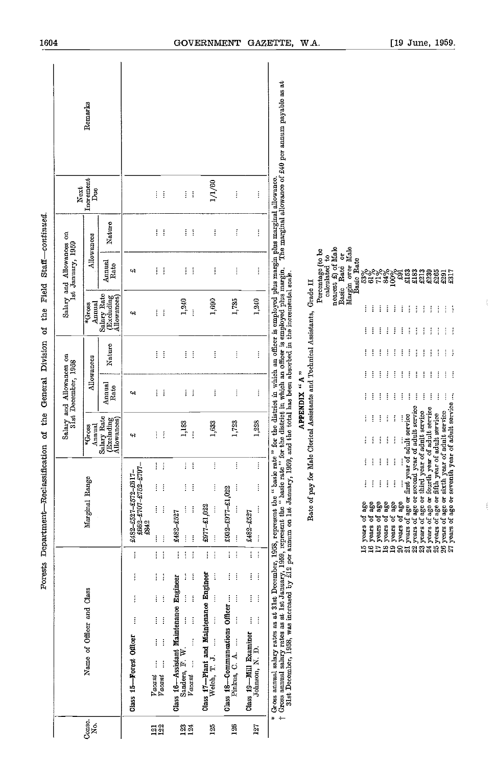|                  |                                                                                                                                                                                                                                   | Forests Department-Reclassification                                                                                                                                                                                                                                                                                                                                                                                                    | the<br>ð                                                   | General                                                                                                    | Division                                            | Field<br>$t$ he<br>đ                                                                                       |                                                                                                        | Staff-continued |                              |         |
|------------------|-----------------------------------------------------------------------------------------------------------------------------------------------------------------------------------------------------------------------------------|----------------------------------------------------------------------------------------------------------------------------------------------------------------------------------------------------------------------------------------------------------------------------------------------------------------------------------------------------------------------------------------------------------------------------------------|------------------------------------------------------------|------------------------------------------------------------------------------------------------------------|-----------------------------------------------------|------------------------------------------------------------------------------------------------------------|--------------------------------------------------------------------------------------------------------|-----------------|------------------------------|---------|
|                  |                                                                                                                                                                                                                                   |                                                                                                                                                                                                                                                                                                                                                                                                                                        |                                                            | Salary and Allowances on<br>31st December, 1958                                                            |                                                     | Salary and                                                                                                 | y and Allowances<br>Ist January, 1959                                                                  | $\mathbf g$     | Next                         |         |
| Conse.<br>Ź      | Name of Officer and Class                                                                                                                                                                                                         | Marginal Range                                                                                                                                                                                                                                                                                                                                                                                                                         | Annual<br>*Gross                                           | Allowances                                                                                                 |                                                     | Annual<br>*Gross                                                                                           | Allowances                                                                                             |                 | Increment<br>D <sub>ue</sub> | Remarks |
|                  |                                                                                                                                                                                                                                   |                                                                                                                                                                                                                                                                                                                                                                                                                                        | Salary Rate<br>(Excluding<br>Allowances)                   | Annual<br>Rate                                                                                             | Nature                                              | Salary Rate<br>(Excluding<br>Allowances)                                                                   | Annual<br>Rate                                                                                         | Nature          |                              |         |
|                  | İ<br>İ<br>ţ<br>ţ<br>Class 15-Forest Officer                                                                                                                                                                                       | 2662-2707-2752-2797-<br>£482-£527-£572-£617-<br>=842                                                                                                                                                                                                                                                                                                                                                                                   | 43                                                         | cH,                                                                                                        |                                                     | ¢Ŗ                                                                                                         | 47                                                                                                     |                 |                              |         |
| $\frac{23}{122}$ | ŧ<br>ŧ<br>ŧ<br>ŧ<br>ł<br>ł<br>ļ<br>ŧ<br>ŧ<br>İ<br>İ<br>İ<br>$\frac{Vacant}{Vacant}$                                                                                                                                               | İ<br>÷<br>ŧ<br>ŧ<br>ŧ<br>İ<br>İ<br>į                                                                                                                                                                                                                                                                                                                                                                                                   | ŧ<br>ŧ                                                     | ŧ.<br>÷                                                                                                    | ŧ<br>÷                                              | ŧ.<br>ł                                                                                                    | ÷<br>÷                                                                                                 | ŧ<br>÷          | ŧ<br>ŧ                       |         |
| <b>234</b>       | ł<br>$\vdots$<br>÷<br>ţ<br>ł<br>Class 16-Assistant Maintenance Engineer<br>$\vdots$<br>ţ<br>$\mathbf{i}$<br>$\frac{1}{2}$<br>j<br>Sanders, F. W<br>ĵ<br>Vacant                                                                    | İ<br>ł<br>İ.<br>÷<br>ţ<br>ţ<br>2482-£527<br>$\mathop{!}\nolimits$<br>ţ                                                                                                                                                                                                                                                                                                                                                                 | 1,183<br>ţ                                                 | ŧ<br>÷                                                                                                     | ŧ<br>÷                                              | 1,240<br>ł                                                                                                 | ŧ<br>÷                                                                                                 | ł.<br>÷         | ŧ<br>÷                       |         |
| 125              | ţ<br>ĵ<br>Class $17$ -Plant and Maintenance Engineer<br>Welch, T. J.                                                                                                                                                              | Í<br>ŧ<br>.022<br>ł                                                                                                                                                                                                                                                                                                                                                                                                                    | 1,633                                                      | ŧ                                                                                                          | ŧ                                                   | 1,690                                                                                                      | ŧ                                                                                                      | ł               | 1/1/60                       |         |
| 126              | ł<br>÷<br>İ<br>÷<br>Class $18$ —Communcations Officer<br>Pinkus, C. A.                                                                                                                                                            | İ<br>ŧ<br>$£932 - £977 - £1,022$<br>ŧ<br>ŧ                                                                                                                                                                                                                                                                                                                                                                                             | 1,723                                                      | ŧ                                                                                                          | ŧ                                                   | 1,735                                                                                                      | ŧ                                                                                                      | Ť               | ŧ                            |         |
| 127              | $\frac{1}{2}$ .<br>ŧ.<br>÷<br>ŧ<br>÷<br>ŧ<br>đ<br>Class 19-Mill Examiner<br>Johnson, N.D.                                                                                                                                         | ŧ<br>ŧ<br>j<br>£482-£527<br>j                                                                                                                                                                                                                                                                                                                                                                                                          | 1,228                                                      | İ                                                                                                          | ŧ                                                   | 1,240                                                                                                      | ŧ                                                                                                      | $\vdots$        | ŧ                            |         |
|                  | * Gross annual sakay rates as at 31st December, 1958, represent the " basic rate " for the district in which an officer is employed plus margin plus marginal allowance.<br>† Gross annual sakay rates as at 1st January, 1969, r |                                                                                                                                                                                                                                                                                                                                                                                                                                        |                                                            |                                                                                                            |                                                     |                                                                                                            |                                                                                                        |                 |                              |         |
|                  |                                                                                                                                                                                                                                   | Rate of pay for                                                                                                                                                                                                                                                                                                                                                                                                                        |                                                            | Male Clerical Assistants and Technical Assistants,<br>APPENDIX "A"                                         |                                                     | Grade II                                                                                                   |                                                                                                        |                 |                              |         |
|                  |                                                                                                                                                                                                                                   |                                                                                                                                                                                                                                                                                                                                                                                                                                        |                                                            |                                                                                                            |                                                     |                                                                                                            | calculated to<br>nearest $\pounds$ ) of Male<br>Basic Rate or<br>Margin over Male<br>Percentage (to be |                 |                              |         |
|                  |                                                                                                                                                                                                                                   | years of age or second year of adult service<br>years of age or third year of adult service<br>years of age or fourth year of adult service<br>years of age or fifth year of adult service<br>years of age or first year of adult service<br>ł<br>ŧ<br>ŧ<br>İ<br>ŧ<br>ţ<br>ł<br>ŧ<br>İ<br>÷<br>$^{39}$<br>းမှု<br>အမွှ<br>years of age<br>256<br>age<br>đ<br>years of<br>đ<br>years of<br>years of<br>years<br>years<br>19958985883888 | ŧ<br>İ<br>ŧ<br>ł<br>÷<br>ł<br>ŧ<br>İ<br>$\frac{1}{2}$<br>ŧ | ŧ<br>ŧ<br>÷<br>Ŧ<br>÷<br>ł<br>Ť<br>÷<br>ŧ<br>÷<br>Ť<br>ŧ<br>ŧ<br>÷<br>ŧ<br>ŧ<br>÷<br>ŧ<br>÷<br>ŧ<br>ŧ<br>ł | ŧ<br>ŧ<br>Ŧ<br>÷<br>İ<br>÷<br>÷<br>ŧ<br>Ť<br>÷<br>Ť | ŧ<br>ŧ<br>÷<br>ŧ<br>ł<br>÷<br>÷<br>÷<br>÷<br>÷<br>Ť<br>ŧ<br>ŧ<br>ł<br>÷<br>ł<br>÷<br>š<br>÷<br>÷<br>÷<br>÷ | Basic Rate<br> ៖<br> ឌី៩៩៖៖៖ ដូច្នេះ<br> ឌី៩៩ ឌីខ្មី ដូច្នេះ<br>213<br>ន្លួន<br>និងអ្នក                |                 |                              |         |
|                  |                                                                                                                                                                                                                                   | years of age or sixth year of adult service<br>years of age or seventh year of adult servi                                                                                                                                                                                                                                                                                                                                             | year of adult service                                      | $\mathbb{R}^n$<br>ŧ                                                                                        | $\mathbb{R}^n$                                      | $\bar{z}$<br>÷<br>÷<br>÷                                                                                   |                                                                                                        |                 |                              |         |
|                  |                                                                                                                                                                                                                                   |                                                                                                                                                                                                                                                                                                                                                                                                                                        |                                                            |                                                                                                            |                                                     |                                                                                                            |                                                                                                        |                 |                              |         |

of the Field Staff continued porests Department—Reclassification of the General Division

1604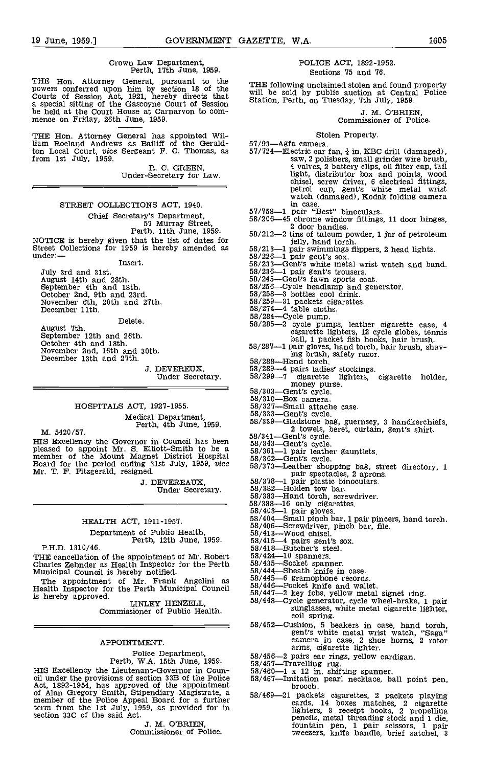## Crown Law Department, Perth, 11th June, 1959.

THE Hon. Attorney General, pursuant to the THE powers conferred upon him by section 18 of the Will b Courts of Session Act, 1921, hereby directs that will b a special sitting of the Gascoyne Court of Session Statio be held mence on Friday, 26th June, 1959.

THE Hon. Attorney General has appointed William Roeland Andrews as Bailiff of the Geraldton Local Court, vice Sergeant F. C. Thomas, as 57/7 from 1st July, 1959.

R. C. GREEN,<br>Under-Secretary for Law.

#### STREET COLLECTIONS ACT, 1940.

Chief Secretary's Department, 57 Murray Street, Perth, 11th June, 1959.

NOTICE is hereby given that the list of dates for<br>Street Collections for 1959 is hereby amended as  $58/213-1$  pair swimmings flippers, 2 head lights.<br>under:—

Insert

July 3rd and 31st. August 14th and 28th. September 4th and 18th. October 2nd, 9th and 23rd. November 6th, 20th and 27th. December 11th.

Delete.

August 7th. September 12th and 26th. October 4th and lath. November 2nd, 16th and 30th. December 13th and 27th.

J. DEVEREUX, Under Secretary.

### HOSPITALS ACT, 1927-1955. Medical Department, Perth, 4th June, 1959.

M. 5420/57.

HIS Excellency the Governor in Council has been pleased to appoint Mr. S. Elliott-Smith to be a member of the Mount Magnet District Hospital  $58/362$ —Gent's cycle.<br>
Headed to appoint Mr. S. Elliott-Smith to be a  $58/362$ —G

J. DEVEREAUX,<br>Under Secretary.

### HEALTH ACT, 1911-1957.

## Department of Public Health,<br>P.H.D. 1310/46.<br>P.H.D. 1310/46.

Perth, 12th June, 1959.<br>
Perth, 12th June, 1959.<br>
Fa)/46.<br>
58/418—Butcher's steel.<br>
THE cancellation of the appointment of Mr. Robert<br>
Charles Zehnder as Health Inspector for the Perth<br>
Municipal Council is hereby notifie

is hereby approved. LINLEY HENZELL,

Commissioner of Public Health.

#### APPOINTMENT.

Police Department,<br>Perth, W.A. 15th June, 1959.<br>HIS Excellency the Lieutenant-Governor in Council under the provisions of section 33B of the Police<br>Act, 1892-1954, has approved of the appointment<br>of Alan Gregory Smith, Stipendiary Magistrate, a<br>member of the Police Appeal Board for a further term from the 1st July, 1959, as provided for in section 33C of the said Act,

J. M. O'BRIEN, Commissioner of Police.

#### POLICE ACT, 1892-1952. Sections 75 and 76.

THE following unclaimed stolen and found property will be sold by public auction at Central Police Station, Perth, on Tuesday, 7th July, 1959.

J. M. O'BRIEN, Commissioner of Police.

- Stolen Property.<br>57/93—Agfa camera.<br>57/724—Electric car fan,  $\frac{1}{4}$  in KBC drill (damaged), saw, 2 polishers, small grinder wire brush, 4 valves, 2 battery clips, oil filter cap, tail Fig. screw driver, screw driver, and points, wood<br>chisel, screw driver, 6 electrical fittings,<br>petrol cap, gent's white metal wrist<br>watch (damaged), Kodak folding camera
- 
- in case.<br>57/758—1 pair "Best" binoculars.<br>58/206—45 chrome window fittings, 11 door hinges,<br>2 door handles.  $2$  door handles.<br> $-2$  tins of talcum powder, 1 jar of petroleum
- 
- 
- 
- $j_{9/210} = j_{9/226} = j_{9/226} = j_{9/226} = j_{9/226} = j_{9/226} = j_{9/226} = j_{9/226} = j_{9/226} = j_{9/226} = j_{9/226} = j_{9/226} = j_{9/226} = j_{9/226} = j_{9/226} = j_{9/226} = j_{9/226} = j_{9/226} = j_{9/226} = j_{9/226} = j_{9/226} = j_{9/226} = j_{9/226} = j_{9/226} = j_{9/$
- 
- 58/245-Gent's fawn sports coat.<br>58/256-Cycle headlamp and generator.<br>58/258-3 bottles cool drink.
- 
- $58/259-31$  packets cigarettes.<br> $58/274-4$  table cloths.<br> $58/284-Cycle$  pump.
- 
- 
- 58/285-2 cycle pumps, leather cigarette case, 4 cigarette lighters, 12 cycle globes, tennis
- ball, 1 packet fish hooks, hair brush.<br>58/287-1 pair gloves, hand torch, hair brush, shav-<br>ing brush, safety razor.<br>58/288--Hand torch.
- 
- 
- $\frac{58}{289-4}$  pairs ladies' stockings.<br>
58/299-7 cigarette lighters, cigarette holder,<br>
58/303-Gent's cycle.<br>
58/303-Gent's cycle.<br>
58/310-Box camera.<br>
58/327-Small attache case.
- 
- 
- 58/327-Small attache case.<br>58/333-Gent's cycle.
- 
- 58/339—Gladstone bag, guernsey, 3 handkerchiefs, 2 towels, beret, curtain, gent's shirt.<br>58/341—Gent's cycle.<br>58/343—Gent's cycle.<br>58/363—Gent's cycle.<br>58/362—Gent's cycle.
- 
- 
- 
- 
- 
- 
- $58/378-1$  pair plastic binoculars.<br> $58/382$ —Holden tow bar.<br> $58/383$ —Hand torch, screwdriver.
- 
- 
- $\frac{58}{38838-16}$  only cigarettes.<br>58/403-1 pair gloves.<br>58/404-Small pinch bar, 1 pair pincers, hand torch.<br>58/406-Screwdriver, pinch bar, file.<br>58/413-Wood chisel.
- 
- 
- 
- 
- 
- 
- 58/435-5 pairwis sourcher<br>58/435-5 pairs sheath spanner.<br>58/444-5 beath knife in case. 58/445-6 gramophone records.
- $58/445-6$  gramophone records.<br> $58/446$ —Pocket knife and wallet.
- 
- $58/447-2$  key fobs, yellow metal signet ring.<br> $58/448$ -Cycle generator, cycle wheel-brake, 1 pair<br>sunglasses, white metal cigarette lighter,<br>coil spring.
- coil spring.<br>58/452—Cushion, 5 beakers in case, hand torch, gent's white metal wrist watch, "Saga" camera in case, 2 shoe horns, 2 rotor arms, cigarette lighter.
- 
- 
- 
- 58/456-2 pairs ear rings, yellow cardigan.<br>58/457-Travelling rug.<br>58/460-1 x 12 in. shifting spanner.<br>58/467-Imitation pearl necklace, ball point pen, brooch.
- 58/469-21 packets cigarettes, 2 packets playing cards, 14 boxes matches, <sup>2</sup> cigarette lighters, <sup>3</sup> receipt books, 2 propelling pencils, metal threading stock and 1 die, fountain pen, 1 pair scissors, 1 pair tweezers, knife handle, brief satchel, 3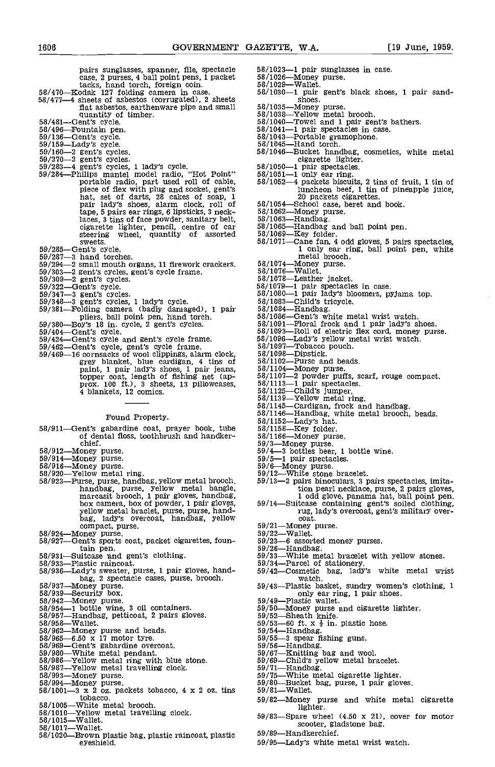case, 2 purses, 4 ball point pens, 1 packet 58/470—Kodak 127 folding camera in case. 58/470—Kodak 127 folding camera in case. 58/477—4 sheets of asbestos (corrugated), 2 sheets fiat asbestos, earthenware pipe and small quantity of timber. 58/481Gent's cycle. 58/496Fountain pen. 59/136Gent's cycle. 59/159Lady's cycle. 59/160-2 gent's cycles. 59/270-2 gent's cycles. 59/283-4 gent's cycles, 1 lady's cycle. 59/284Philips mantel model radio, "Hot Point" portable radio, part used roll of cable, piece of flex with plug and socket, gent's hat, set of darts, 28 cakes of soap, 1

- pair lady's shoes, alarm clock, roll of tape, 5 pairs ear rings, 6 lipsticks, 3 necktape, 5 pairs ear rings, 6 lipsticks, 3 neck-<br>laces, 3 tins of face powder, sanitary belt, 58/1063-<br>cigarette lighter, pencil, centre of car 58/1065-<br>steering wheel, quantity of assorted 58/1069-<br>sweets. 58/1071sweets.<br>59/285—Gent's cycle.<br>59/287—3 hand torches.
- 
- 
- 
- 
- 
- 
- 
- 
- 
- 
- 
- 
- 
- 59/294-2 small mouth organs, 11 firework crackers. 59/303-2 gent's cycles, gent's cycle frame. 59/309-2 gent's cycles. 59/322Gent's cycle. 59/347-3 gent's cycles. 59/348-3 gent's cycles, 1 lady's cycle. 59/381Folding camera (badly damaged), 1 pair pliers, ball point pen, hand torch. 59/380Boy's 18 in. cycle, 2 gent's cycles. 59/404Gent's cycle. 59/424Gent's cycle and gent's cycle frame. 59/462Gent's cycle, gent's cycle frame. 59/469-16 cornsacks of wool clippings, alarm clock, grey blanket, blue cardigan, 4 tIns of paint, 1 pair lady's shoes, 1 pair jeans, topper coat, length of fishing net (ap- prox. 100 ft.), 3 sheets, 13 pillowcases, 4 blankets, 12 comics.

#### Found Property.

- 58/911-Gent's gabardine coat, prayer book, tube 58/1152-Lady's hat.<br>
of dental floss, toothbrush and handker- 58/1166-Money purs
- chief.<br>58/912—Money purse.<br>59/914—Money purse.
- 
- 
- 
- $58/916$ —Money purse.<br>  $58/920$ —Yellow metal ring.<br>  $58/920$ —Yellow metal ring.<br>  $58/923$ —Purse, purse, handbag, yellow metal brooch.<br>
handbag, purse, yellow metal bangle,<br>
marcasit brooch, 1 pair gloves, handbag,<br>
box ca
- 
- 58/924—Money purse.<br>58/927—Gent's sports coat, packet cigarettes, foun-<br>tain pen.
- 58/931—Suitcase and gent's clothing.<br>58/933—Plastic raincoat.<br>58/936—Lady's sweater, purse, 1 pair gloves, hand-
- 
- 
- 
- 
- 
- 
- 
- 
- 
- 
- 
- 
- 
- 
- 58/936—Lady's sweater, purse, 1 pair gloves, hand-<br>
58/936—Lady's sweater, purse, 1 pair gloves, hand-<br>
58/937—Money purse.<br>
58/937—Money purse.<br>
58/942—Money purse.<br>
58/942—Money purse.<br>
58/942—Money purse.<br>
58/954—1 bot
- 58/1005—White metal brooch.
- 58/1010—Yellow metal travelling clock.<br>58/1015—Wallet.
- $58/1017$ —Wallet.
- 58/1017—Wallet.<br>58/1020—Brown plastic bag, plastic raincoat, plastic eyeshleld.
- pairs sunglasses, spanner, file, spectacle
	-
	- 58/1023-1 pair sunglasses in case.<br>58/1026-Money purse.<br>58/1029-Wallet.<br>58/1030-1 pair gent's black shoes -1 pair gent's black shoes, 1 pair sandshoes.<br>Money purse
	-
	-
	- -Yellow metal brooch.<br>-Towel and 1 pair gent's bathers.<br>-1 pair spectacles in case.<br>-Portable gramophone.
	-
	-
	-
	-
	-
	- 581–1046<br>
	58. 10466 Bucket handbag, cosmetics, white metal<br>
	cigarette lighter.<br>
	59.1051-1 only ear ring.<br>
	59.1051-1 only ear ring.<br>
	59.1052-4 packets biscuits, 2 tins of fruit, 1 tin of<br>
	105.1052-1 tin of pineapple juice
	-
	-
	-
	-
	-
- 20 packets cigarettes.<br>
20 packets cigarettes.<br>
-School case, beret and book.<br>
-Money purse.<br>
-Handbag.<br>
-Handbag.<br>
-Handbag and ball point pen.<br>
-Key folder.<br>
-Cane fan, 4 odd gloves, 5 pairs spectacles,<br>
1 only ear ring,
	-
	-
	-
	-
	-
	-
	-
	-
	-
	- -1 pair spectacles in case.<br>-1 pair spectacles in case.<br>-1 pair lady's bloomers, pyjama top.<br>-Child's tricycle.<br>--Fandbag.<br>--Floral frock and 1 pair lady's shoes.<br>--Floral frock and 1 pair lady's shoes.<br>--Roll of electric
	-
	-
	-
	-
	-
	- 58/1104—Money purse.<br>58/1107—2 powder puffs, scarf, rouge compact.<br>58/1113—1 pair spectacles.<br>58/1125—Child's jumper.<br>58/1125—Child's jumper.<br>58/1139—Yellow metal ring.<br>58/1145—Cardigan, frock and handbag.<br>58/1152—Lady's
	-
	-
	-
	-
	-
	-
	-
	-
	-
	-
	-
	-
	-
	- 59/13-2 pairs binoculars, 3 pairs spectacles, imitation pearl necklace, purse, 2 pairs gloves, 1 odd glove, panama hat, ball point pen.<br>59/14—Suitcase containing gent's soiled clothing, rug, lady's overcoat, gent's military over-
	-

watch.<br>59/43—Plastic basket, sundry women's clothing, 1

59/82—Money purse and white metal cigarette<br>lighter.

 $59/83$ -Spare wheel (4.50 x 21), cover for motor scooter, gladstone bag.

- 
- 

59/89-Handkerchief.

 $59/22$ —Wallet.<br> $59/23$ —6 assorted money purses.  $59/23-6$  assorted money purses.<br>  $59/26$ —Handbag.<br>  $59/33$ —White metal bracelet with yellow stones.<br>  $59/34$ —Parcel of stationery.<br>  $59/42$ —Cosmetic bag, lady's white metal wrist<br>
watch.

 $\frac{1}{\text{only ear ring}}$ , 1 pair shoes.<br>59/49—Plastic wallet.

59/50—Money purse and cigarette lighter.<br>59/52—Sheath knife.<br>59/53—60 ft. x  $\frac{1}{2}$  in. plastic hose.<br>59/54—Handbag.<br>59/55—3 spear fishing guns.

 $59/56$ —Handbag.<br>59/66—Handbag.<br>59/69—Child's yellow metal bracelet.<br>59/71—Handbag.<br>59/71—Handbag.<br>59/80—Bucket bag, purse, 1 pair gloves.<br>59/80—Bucket bag, purse, 1 pair gloves.

59/95—Lady's white metal wrist watch.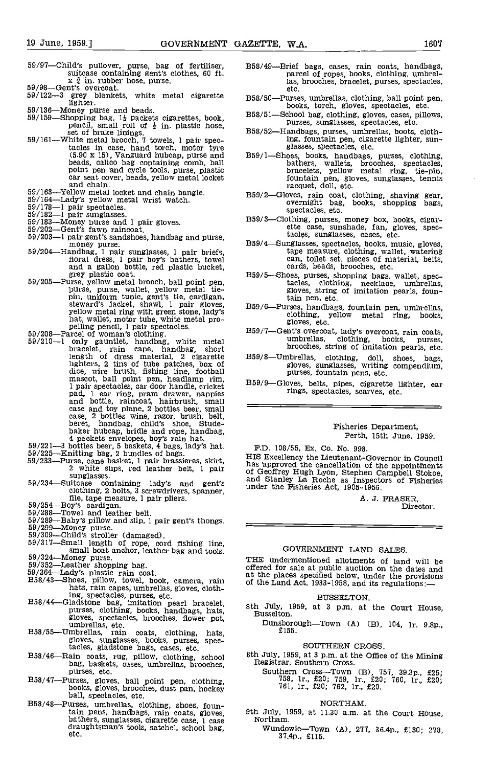- 59/97-Child's pullover, purse, bag of fertiliser, suitcase containing gent's clothes, 60 ft.
- 
- $x \frac{3}{4}$  in. rubber hose, purse.<br>59/98—Gent's overcoat.<br>59/122—3 grey blankets, white metal cigarette lighter.
- 
- 136-Money purse and beads.<br>
59/159-Shopping bag,  $1\frac{1}{2}$  packets cigarettes, book, pencil, small roll of  $\frac{1}{2}$  in. plastic hose, set of brake linings.<br>
59/161-White metal brooch, 7 towels, 1 pair spec-
- tacles in case, hand torch, motor tyre (5.90 x 15), Vanguard hubcap, purse and beads, calico bag containing comb, ball point pen and cycle tools, purse, plastic car seat cover, beads, yellow metal locket and chain.
- 59/163-Yellow metal locket and chain bangle.<br>59/164-Lady's yellow metal wrist watch.<br>59/178-1 pair spectacles.<br>59/182-1 pair sunglasses.<br>59/183-Money purse and 1 pair gloves.<br>59/202-Gent's fawn raincoat.
- 
- 
- 
- 
- 
- 59/203-1 pair gent's sandshoes, handbag and purse,<br>money purse, and purse, and purse, and purse, and purse, and purse, and purse, and a money purse.
- 
- 59/204—Handbag, 1 pair sunglasses, 1 pair briefs,<br>fioral dress, 1 pair sunglasses, 1 pair briefs,<br>fioral dress, 1 pair boy's bathers, towel<br>grey plastic coat.<br>grey plastic coat.<br>Five-s, even are the sallon bottle, red pla
- 
- length of dress material, 2 cigarette B59, lighters, 2 tins of tube patches, box of<br>dice, wire brush, fishing line, football<br>mascot, ball point pen, headlamp rim,<br>l pair spectacles, car door handle, cricket<br>pad, 1 ear ring, pram drawer, nappies<br>and bottle, raincoat
- 
- 
- 
- -
- 
- 
- 
- 
- 
- 
- 
- Sinan poar anchor, reacher was and room.<br>
199/324—Money purse.<br>
59/352—Leather shopping bag.<br>
59/364—Lady's plastic rain coat.<br>
B58/43—Shoes, pillow, towel, book, camera, rain<br>
hats, rain capes, umbrellas, gloves, cloth-<br>
- mg, spectacles, purses, etc.<br>
B58/44—Gladstone bag, imitation pearl bracelet,<br>
purses, clothing, books, handbags, hats,<br>
gloves, spectacles, brooches, flower pot,<br>
B58/55—Umbrellas, etc.<br>
gloves, sunglasses, books, purses,
- 
- B58/46-Rain coats, rug, pillow, clothing, school bag, baskets, cases, umbrellas, brooches, purses, etc.
- B58/47-Purses, gloves, ball point pen, clothing, books, gloves, brooches, dust pan, hockey ball, spectacles, etc.
- B58/48-Purses, umbrellas, clothing, shoes, fountain pens, handbags, rain coats, gloves,  $9$ th July, 1<br>
bathers, sunglasses, cigarette case, 1 case draughtsman's tools, satchel, school bag, etc.<br>
draughtsman's tools, satchel, school bag, etc.<br>  $\frac{37}{4}$
- 358/49-Brief bags, cases, rain coats, handbags, parcel of ropes, books, clothing, umbrellas, brooches, bracelet, purses, spectacles, etc.
- 358/50-Purses, umbrellas, clothing, ball point pen, books, torch, gloves, spectacles, etc.
- 358/51-School bag, clothing, gloves, cases, pillows, purses, sunglasses, spectacles, etc.
- B58/52-Handbags, purses, umbrellas, boots, clothing, fountain pen, cigarette lighter, sun- glasses, spectacles, etc.
- B59/1-Shoes, books, handbags, purses, clothing, bathers, wallets, brooches, spectacles, bracelets, yellow metal ring, tie-pin, fountain pen, gloves, sunglasses, tennis<br>racquet, doll, etc.
- 359/2-Gloves, rain coat, clothing, shaving gear, overnight bag books, shopping bags, spectacles, etc.
- 359/3-Clothing, purses, money box, books, cigar- ette case, sunshade, fan, gloves, spectacles, sunglasses, cases, etc.
- 359/4-Sunglasses, spectacles, books, music, gloves, tape measure, clothing, wallet, watering can, toilet set, pieces of material, belts, cards, beads, brooches, etc.
- 359/5-Shoes, purses, shopping bags, wallet, spectacles, clothing, necklace, umbrellas, gloves, string of imitation pearls, fountain pen, etc.
- 359/6-Purses, handbags, fountain pen, umbrellas, clothing, yellow metal ring, books, gloves. etc.
- where the vercoat, rain coats, umbrellas, clothing, books, purses, brooches, string of imitation pearls, etc.
- 359/8-Umbrellas, clothing, doll, shoes, bags, gloves, sunglasses, writing compendium, purses, fountain pens, etc.
- B59/9-Gloves, belts, pipes, cigarette lighter, ear rings, spectacles, scarves, etc.

#### Fisheries Department, Perth, 15th June, 1959.

F.D. 108/55, Ex. Co. No. 998.

Case and toy plane, 2 bottles beer, small<br>
case, 2 bottles wine, razor, brush, belt,<br>
beret, handbag, child's shoe, Stude-<br>
baker hubcap, bridle and rope, handbag,<br>
4 packets envelopes, boy's rain hat.<br>
59/221—3 bottles be This approved the care-llation of the appointments<br>of Geoffrey Hugh Lyon, Stephen Campbell Stoke,<br>and Stanley La Roche as Inspectors of Fisheries<br>under the Fisheries Act, 1905-1956.

A. J. FRASER, Director.

#### GOVERNMENT LAND SAtES

columny, 2 botts, 3 server alleged and the specified the specified and leader between the specified and leader between the specified of the specified of the specified of the specified of the specified of the specified of t THE undermentioned allotments of land will be offered for sale at public auction on the dates and at the places specified below, under the provisions of the Land Act, 1933-1958, and its regulations:-

#### BUSSELTON.

- 8th July, 1959, at 3 p.m. at the Court House, Busselton.
	- Dunsborough-Town (A) (B), 104, lr. 9.8p., £155,

#### SOUTHERN CROSS.

- 8th July, 1959, at 3 p.m. at the Office of the Mining Registrar, Southern Cross.
	- Southern Cross-Town (B), 757, 39.3p., £25;<br>
	758, lr., £20; 759, lr., £20; 760, lr., £20;<br>
	761, lr., £20; 762, lr., £20.

#### NORTHAM.

- 9th July, 1959, at 11.30 a.m. at the Court House,
	- Wundowie-Town (A), 277, 36,4p,, £130; 278, 37.4p., £115.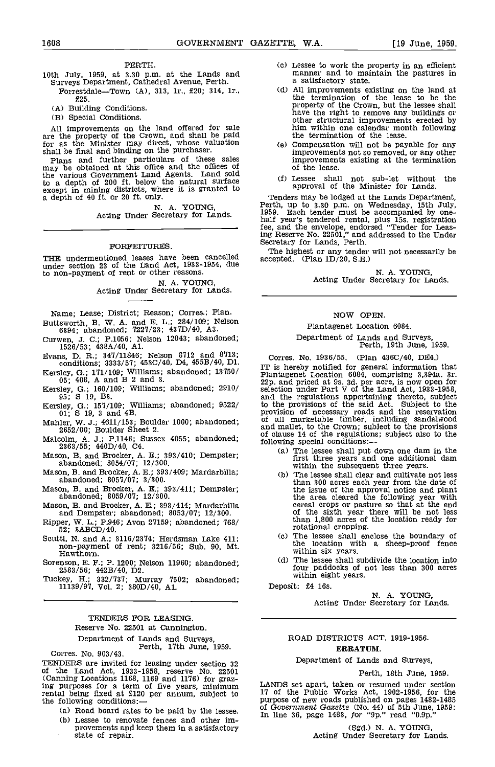#### PERTH.

- Surveys Department, Cathedral Avenue, Perth.<br>Forrestdale—Town (A), 313, 1r., £20; 314, 1r.,
	- £25.

(A) Building Conditions.

Special Conditions.

All improvements on the land offered for sale are the property of the Crown, and shall be paid for as the Minister may direct, whose valuation  $(e)$ 

shall be final and binding on the purchaser. Plans and further particulars of these sales may be obtained at this office and the offices of the various Government Land Agents. Land sold to a depth of 200 ft. below the natural surface except in mining districts, where it is granted to a depth of 40 ft. or 20 ft. only.

N. A. YOUNG,<br>Acting Under Secretary for Lands.

#### FORFEITURES.

THE undermentioned leases have been cancelled accepted under section 23 of the Land Act, 1933-1954, due to non-payment of rent or other reasons.

> N. A. YOUNG, Acting Under Secretary for Lands.

Name; Lease; District; Reason; Corres.; Plan. Buttsworth, B. W. A. and E. L.; 284/109; Nelson

6394; abandoned; '7227/23; 437D/40, A3. Curwen, J. C.; P.1056; Nelson 12043; abandoned; 1526/53; 438A/40, Al.

Evans, D. R.; 347/11846; Nelson 8712 and 8713;<br>conditions; 3333/57; 453C/40, D4, 455B/40, D1.

- Kersley, G.; 171/109; Williams; abandoned; 13750/<br>05; 408, A and B 2 and 3.
- Kersley, 0.; 160/109; Williams; abandoned; 2910/ 95; S 19, B3.
- Kersley, 0.; 157/109; williams; abandoned; 9522/ 01; S 19, 3 and 45.
- Mahler, W. J.; 4611/153; Boulder 1000; abandoned; 2652/00; Boulder Sheet 2.
- Malcolm, A. J.; P.1146; Sussex 4055; abandoned;<br>2363/55; 440D/40, C4.
- Mason, B. and Brocker, A. E.; 393/410; Dempster; abandoned; 8054/07; 12/300.
- Mason, B. and Brocker, A. E.; 393/409; Mardarbilla; abandoned; 8057/07; 3/300.
- Mason, B. and Brocker, A. E.; 393/411; Dempster; abandoned; 8059/07; 12/300.
- Mason, B. and Brocker, A. E.; 393/414; Mardarbilla and Dempster; abandoned; 8053/07; 12/300.
- Ripper, W. L.; P.946; Avon 27159; abandoned; 768/<br>52; 3ABCD/40.
- Scutti, N. and A.; 3116/2374; Herdsman Lake 411; non-payment of rent; 3216/56; Sub. 90, Mt. Hawthorn.
- Sorenson, E. F.; P. 1200; Nelson 11960; abandoned; 2583/56; 442B/40, D2.

Tuckey, H.; 332/737; Murray '7502; abandoned; 11139/97, Vol. 2; 380D/40, Al.

### TENDERS FOR LEASING. Reserve No. 22501 at Cannington.

Department of Lands and Surveys,<br>Perth, 17th June, 1959.<br>Corres. No. 903/43.<br>TENDERS are invited for leasing under section 32 TENDERS are invited for leasing under section 32 of the Land Act, 1933-1958, reserve No. 22501 (Canning Locations 1168, 1169 and 1176) for graz-ing purposes for a term of five years, minimum rental being fixed at £120 per annum, subject to 17 of the following conditions:

- (a) Road board rates to be paid by the lessee.
- Lessee to renovate fences and other improvements and keep them in a satisfactory state of repair.
- PERTH. FERTH. (c) Lessee to work the property in an efficient<br>10th July, 1959, at 3.30 p.m. at the Lands and and manner and to maintain the pastures in manner and to maintain the pastures in a satisfactory state.
	- All improvements existing on the land at the termination of the lease to be the have the right to remove any buildings or other structural improvements erected by him within one calendar month following the termination of the lease.
	- Compensation will not be payable for any improvements not so removed, or any other improvements existing at the termination of the lease.
	- Lessee shall not sub-let without the approval of the Minister for Lands.

Tenders may be lodged at the Lands Department, Perth, up to 3.30 p.m. on Wednesday, 15th July, 1959. Each tender must be accompanied by onefee, and the envelope, endorsed "Tender for Leasing Reserve No. 22501," and addressed to the Under Secretary for Lands, Perth.

The highest or any tender will not necessarily be  $\text{accepted.}$  (Plan  $1D/20$ , S.E.)

N. A. YOUNG,<br>Acting Under Secretary for Lands.

#### NOW OPEN.

#### Plantagenet Location 6084.

Department of Lands and Surveys, Perth, 19th June, 1959.

Corres. No. 1936/55. (Plan 436C/40, DE4.) IT is hereby notified for general information that<br>Plantagenet Location 6084, comprising 3,394a. 3r.<br>22p. and priced at 9s. 3d. per acre, is now open for<br>selection under Part V of the Land Act, 1933-1958, to the provisions of the said Act. Subject to the provision of necessary roads and the reservation of all marketable timber, including sandalwood and mallet, to the Crown; subject to the provisions of clause 14 of the regulations; subject also to the following special conditions:

- The lessee shall put down one dam in the first three years and one additional dam within the subsequent three years.
- $(b)$ The lessee shall clear and cultivate not less than 300 acres each year from the date of the issue of the approval notice and plant the area cleared the following year with cereal crops or pasture so that at the end of the sixth year there will be not less than 1,800 acres of the location ready for rotational cropping.
- The lessee shall enclose the boundary of the location with a sheep-proof fence within six years.
- The lessee shall subdivide the location into four paddocks of not less than 300 acres within eight years.

Deposit: £4 16s.

N. A. YOUNG,<br>Acting Under Secretary for Lands.

#### ROAD DISTRICTS ACT, 1919-1956. ERRATUM.

#### Department of Lands and Surveys,

Perth, 18th June, 1959.

LANDS set apart, taken or resumed under section 17 of the Public Works Act, 1902-1956, for the purpose of new roads published on pages 1482-1485<br>of Government Gazette (No. 44) of 5th June, 1959:<br>In line 36, page 1483, for "9p." read "0.9p."

(Sgd.) N. A. YOUNG,<br>Acting Under Secretary for Lands.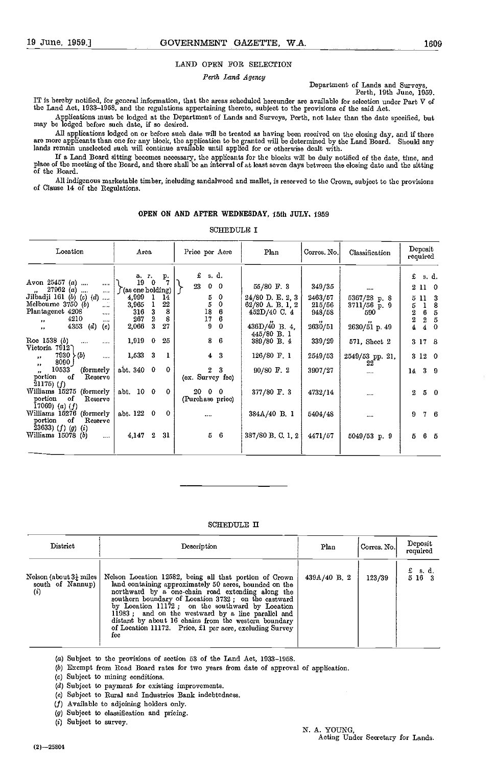#### LAND OPEN FOR SELECTION

#### Perth Land Agency

Department of Lands and Surveys, Perth, 19th June, 1959.

IT is hereby notified, for general information, that the areas scheduled hereunder are available for selection under Part V of<br>the Land Act, 1933–1958, and the regulations appertaining thereto, subject to the provisions of

Applications must be lodged at the Department of Lands and Surveys, Perth, not later than the date specified, but may be lodged before such date, if so desired.

All applications lodged on or before such date will be treated as having been received on the closing day, and if there<br>are more applicants than one for any block, the application to be granted will be determined by the La

If a Land Board sitting becomes necessary, the applicants for the blocks will be duly notified of the date, time, and place of the meeting of the Board, and there shall be an interval of at least seven days between the closing date and the sitting<br>of the Board.

All indigenous marketable timber, including sandalwood and mallet, is reserved to the Crown, subject to the previsions of Clause 14 of the Regulations.

#### OPEN ON AND AFTER WEDNESDAY, 15th JULY, 1959

SCHEDULE I

| Location                                                                                                                                                                                       | Area                                                                                                                                        | Price per Acre                                                                                 | Plan                                                                              | Corres. No.                                            | Classification                                              | Deposit<br>required                                                                                                                       |
|------------------------------------------------------------------------------------------------------------------------------------------------------------------------------------------------|---------------------------------------------------------------------------------------------------------------------------------------------|------------------------------------------------------------------------------------------------|-----------------------------------------------------------------------------------|--------------------------------------------------------|-------------------------------------------------------------|-------------------------------------------------------------------------------------------------------------------------------------------|
| Avon 25457 (a)<br><br>$27962(a)$<br><br>Jilbadji 161 (b) (c) (d)<br>$\sim$<br>Melbourne 3750 (b)<br><br>Plantagenet 4208<br>$\cdots$<br>4210<br>$\cdots$<br><br>4353<br>(e)<br>(d)<br>$\cdots$ | р.<br>a. 1.<br>19<br>0<br>(as one holding)<br>4,999<br>14<br>22<br>3,965<br>8<br>316<br>3<br>$\overline{2}$<br>8<br>267<br>2,066<br>3<br>27 | $f$ s.d.<br>23<br>$0\quad 0$<br>5<br>0<br>5<br>0<br>18<br>6<br>$\frac{17}{9}$<br>6<br>$\bf{0}$ | 55/80 F.3<br>24/80 D. E. 2, 3<br>62/80 A.B.1, 2<br>452D/40 C 4<br>$436D/40$ B. 4, | 349/35<br>2463/57<br>215/56<br>948/58<br>,,<br>2630/51 | <br>5367/28 p. 8<br>$3711/56$ p 9<br>590<br>$2630/51$ p. 49 | $f$ s.d.<br>2 11 0<br>5 11<br>-3<br>8<br>5.<br>1<br>6<br>2<br>5<br>$\,2\,$<br>2<br>5<br>$\overline{\bf{4}}$<br>$\overline{4}$<br>$\bf{0}$ |
| Roe 1538 (b)<br>$\cdots$<br>.<br>Victoria 7912)<br>7930 (b)<br>$\cdots$<br>$\bullet \bullet$                                                                                                   | 1,919<br>25<br>$\mathbf{0}$<br>1,533 3<br>$\bf{l}$                                                                                          | 8 <sub>6</sub><br>$4 \quad 3$                                                                  | 445/80 B. 1<br>$389/80$ B. 4<br>$126/80$ F. 1                                     | 339/29<br>2549/53                                      | 571, Sheet 2<br>2549/53 pp. 21,                             | 3 17 8<br>3120                                                                                                                            |
| 8090<br>$\bullet\bullet$<br>10533<br>(formerly)<br>$\bullet \bullet$<br>portion<br>оf<br>Reserve<br>$21175)$ (f)                                                                               | abt. 340 0<br>$\Omega$                                                                                                                      | 3<br>$\boldsymbol{2}$<br>(ex. Survey fee)                                                      | 90/80 F.2                                                                         | 3907/27                                                | 22<br>$\cdots$                                              | 14 3 9                                                                                                                                    |
| Williams 15275 (formerly<br>portion<br>of<br>Reserve<br>$(17069)$ $(a)$ $(f)$                                                                                                                  | abt. 10 0<br>$\Omega$                                                                                                                       | $20 \quad 0 \quad 0$<br>(Purchase price)                                                       | 377/80 F.3                                                                        | 4732/14                                                |                                                             | $2\quad 5\quad 0$                                                                                                                         |
| Williams 15276 (formerly<br>portion<br>of<br>Reserve<br>23633) (f) (g) (i)                                                                                                                     | abt. 122 0<br>$\Omega$                                                                                                                      |                                                                                                | 384A/40 B. 1                                                                      | 5404/48                                                |                                                             | 76<br>9                                                                                                                                   |
| Williams $15078$ (b)<br>$\cdots$                                                                                                                                                               | $\boldsymbol{2}$<br>31<br>4,147                                                                                                             | $5\quad 6$                                                                                     | 387/80 B.C. 1, 2                                                                  | 4471/57                                                | $5049/53$ p. 9                                              | $5\quad 6\quad 5$                                                                                                                         |

#### SCHEDULE II

| District                                                      | Description                                                                                                                                                                                                                                                                                                                                                                                                                                                     | Plan        | Corres. No. | Deposit<br>required |
|---------------------------------------------------------------|-----------------------------------------------------------------------------------------------------------------------------------------------------------------------------------------------------------------------------------------------------------------------------------------------------------------------------------------------------------------------------------------------------------------------------------------------------------------|-------------|-------------|---------------------|
| Nelson (about $3\frac{1}{4}$ miles<br>south of Nannup)<br>(i) | Nelson Location 12582, being all that portion of Crown<br>land containing approximately 50 acres, bounded on the<br>northward by a one-chain road extending along the<br>southern boundary of Location 3732; on the castward<br>by Location 11172; on the southward by Location<br>11983; and on the westward by a line parallel and<br>distant by about 16 chains from the western boundary<br>of Location 11172. Price, £1 per acre, excluding Survey<br>fee. | 439A/40 B 2 | 123/39      | $f$ sd.<br>5 16 3   |

(a) Subject to the provisions of ssction 53 of the Land Act, 1933-1958.

(6) Exempt from Road Board rates for two years from date of approval of application.

Subject to mining conditions.

(d) Subject to payment for existing improvements.

Subject to Rural and Industries Bank indebtedness.

Available to adjoining holders only.

Subject to classification and pricing.

(1) Subject to survey.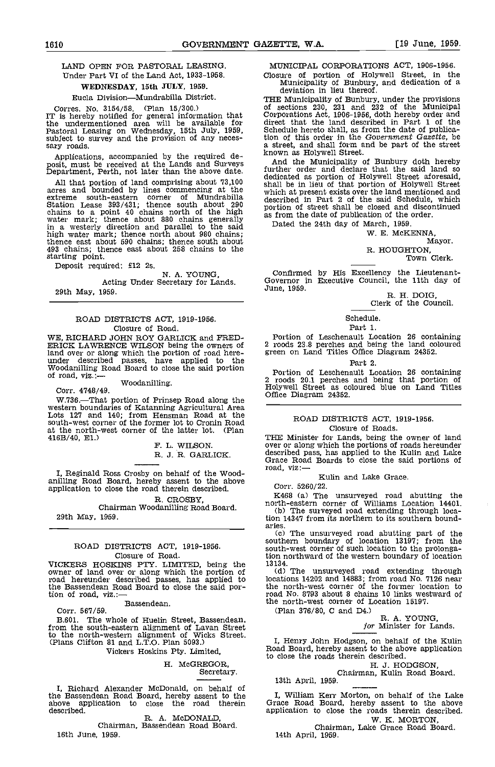#### LAND OPEN FOR PASTORAL LEASING. Under Part VI of the Land Act, 1933-1958.

#### WEDNESDAY, 15th JULY, 1959.

Eucla Division-Mundrabilla District.

Corres. No. 3154/58. (Plan 15/300.) of<br>IT is hereby notified for general information that Cor<br>the undermentioned area will be available for dir Pastoral Leasing on Wednesday, 15th July, 1959, subject to survey and the provision of any neces- sary roads.

Applications, accompanied by the required de-<br>posit, must be received at the Lands and Surveys and the Municipality of<br>Department, Perth, not later than the above date. Turther order and declarer

All that portion of land comprising about 73,100 using acres and bounded by lines commencing at the which extreme south-eastern corner of Mundrabilla winch<br>Station Lease 393/431; thence south about 290 portion<br>chains to a point 40 chains north of the high<br>water mark; thence about 880 chains generally<br>in a westerly direction an thence east about 590 chains; thence south about 493 chains; thence east about 258 chains to the starting point. starting point.<br>Deposit required: £12 2s.<br>N. A. YOUNG.

### Acting Under Secretary for Lands. 29th May, 1959.

#### ROAD DISTRICTS ACT, 1919-1956. Closure of Road.

WE, RICHARD JOHN ROY GARLICK and FRED-ERICK LAWRENCE WILSON being the owners of land over or along which the portion of road hereland over or along which the portion of road here- under described passes, have applied to the Woodanilling Road Board to close the said portion port<br>of road, viz.:— Woodanilling. 2 root<br>Corr. 4748/49. Coffice

W.736.-That portion of Prinsep Road along the western boundaries of Katanning Agricultural Area Lots 127 and 140; from Hensman Road at the south-west corner of the former lot to Cronin Road at the north-west corner of the latter lot. (Plan  $416B/40$ , E1.)

F. L. WILSON. R. J. R. GARLICK.

I, Reginald Ross Crosby on behalf of the Wood-<br>anilling Road Board, hereby assent to the above application to close the road therein described.

R. CROSBY,

#### Chairman Woodanilling Road Board. 29th May, 1959.

## ROAD DISTRICTS ACT, 1919-1956.

Closure of Road.<br>VICKERS HOSKINS PTY. LIMITED, being the VICKERS HOSKINS PTY. LIMITED, being the 13134.<br>
owner of land over or along which the portion of (d)<br>
road hereunder described passes, has applied to location<br>
the Bassendean Road Board to close the said por-<br>
the no tion of road, viz.:-

Bassendean.

Corr. 567/59.

B.601. The whole of Huelin Street, Bassendean, from the south-eastern alignment of Lavan Street to the north-western alignment of Wicks Street. (Plans Clifton 81 and L.T.O. Plan 5093.)

Vickers Hoskins Pty. Limited,

#### H. McGREGOR, Secretary.

I, Richard Alexander McDonald, on behalf of the Bassendean Road Board, hereby assent to the  $\sim$  I, above application to close the road therein Grace described.

R. A. McDONALD, Chairman, Bassendean Road Board, 16th June 1959.

MUNICIPAL CORPORATIONS ACT, 1906-1956.

Closure of portion of Holywell Street, in the Municipality of Bunbury, and dedication of a deviation in lieu thereof.

THE Municipality of Bunbury, under the provisions of sections 230, 231 and 232 of the Municipal Corporations Act, 1906-1956, doth hereby order and direct that the land described in Part 1 of the Schedule hereto shall, as from the date of publication of this order in the Government Gazette, be a street, and shall form and be part of the street known as Holywell Street.

And the Municipality of Bunbury doth hereby further order and declare that the said land so dedicated as portion of Holywell Street aforesaid, dedicated as portion of Holywell Street aforesaid, shall be in lieu of that portion of Holywell Street which at present exists over the land mentioned and described in Part 2 of the said Schedule, which portion of street shall be closed and discontinued as from the date of publication of the order.

Dated the 24th day of March, 1959.

W. E. McKENNA,

Mayor.

## R. HOUGHTON, Town Clerk.

Confirmed by His Excellency the Lieutenant-<br>
Governor in Executive Council, the 11th day of June, 1959.<br>
R. H. DOIG,<br>
Clerk of the Council.

Schedule.

Part 1.

Portion of Lesohenault Location 26 containing 2 roods 23.8 perches and being the land coloured green on Land Titles Office Diagram 24352.

#### Part 2.

Portion of Leschenault Location 26 containing 2 roods 20.1 perches and being that portion of Holywell Street as coloured blue on Land Titles Office Diagram 24352.

#### ROAD DISTRICTS ACT, 1919-1956. Closure of Roads.

THE Minister for Lands, being the owner of land over or along which the portions of roads hereunder described pass, has applied to the Kulin and Lake Grace Road Boards to close the said portions of road, viz:-

Kulin and Lake Grace.

Corr. 5260/22.<br>K468 (a) The unsurveyed road abutting the K468 (a) The unsurveyed road abutting the north-eastern corner of Williams Location 14401. The surveyed road extending through location 14347 from its northern to its southern bound-

aries. The unsurveyed road abutting part of the southern boundary of location 13197; from the south-west corner of such location to the prolongation northward of the western boundary of location

 $13134.$  (d) The unsurveyed road extending through locations 14202 and 14883; from road No, 7126 near the north-west corner of the former location to road No. 8793 about 8 chains 10 links westward of the north-west corner of Location 15197.

(Plan 376/80, C and D4.)<br>R. A. YOUNG,<br>for Minister for Lands.

I, Henry John Hodgson, on behalf of the Kuhn Road Board, hereby assent to the above application to close the roads therein described.

H. J. HODGSON,<br>Chairman, Kulin Road Board.<br>13th April, 1959.

I, William Kerr Morton, on behalf of the Lake Grace Road Board, hereby assent to the above application to close the roads therein described.<br>W. K. MORTON,

Chairman, Lake Grace Road Board. 14th April, 1959.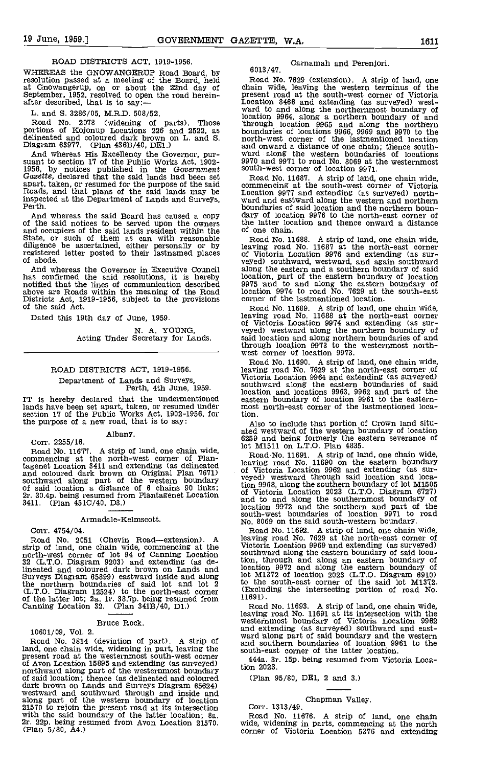#### ROAD DISTRICTS ACT, 1919-1956.

WHEREAS the GNOWANGERUP Road Board, by<br>resolution passed at a meeting of the Board, held<br>at Gnowangerup, on or about the 22nd day of chain<br>September, 1952, resolved to open the road herein-<br>presen<br>after described, that is

L. and S. 3286/05, M.R.D, 508/52.

Road No. 2078 (widening of parts). Those portions of Kojonup Locations 226 and 2522, as boudelineated and coloured dark brown on L. and S. nor<br>Diagram 63977. (Plan 436B/40, DE1.) and S. nor

And whereas His Excellency heads overnor, pursuant to section 17 of the Public Works Act, 1902-<br>1956, by notices published in the Government Gazette, declared that the said lands had been set<br>apart, taken, or resumed for t inspected at the Department of Lands and Surveys, Perth.

And whereas the said Board has caused a copy dary of the said notices to be served upon the owners the lat and occupiers of the said lands resident within the of one State, or such of them as can with reasonable Roadiligen registered letter posted to their lastnamed places of of abode.

And whereas the Governor in Executive Council has confirmed the said resolutions, it is hereby notified that the lines of communication described 9975 above are Roads within the meaning of the Road location<br>Districts Act, 1919-1956, subject to the provisions corner<br>of the said Act. Roa

Dated this 19th day of June, 1959.

N. A. YOUNG,<br>Acting Under Secretary for Lands.

## ROAD DISTRICTS ACT, 1919-1956.

## Department of Lands and Surveys, Perth, 4th June 1959.

lands have been set apart, taken, or resumed under section 17 of the Public Works Act, 1902-1956, for the purpose of a new road, that is to say:

Albany. Corr. 2255/16.

Road No. 11677. A strip of land, one chain wide, commencing at the north-west corner of Plantagenet Location 3411 and extending (as delineated  $_{\rm eff}^{\rm {1200}}$   $_{\rm {1300}}^{\rm {1200}}$ and coloured dark brown on Original Plan 7671) of Victorial Coloured dark brown on Original Plan 7671) of Victorial State of the western boundary veged of said location a distance of 6 chains 90 links;  $2r$ . 30.4p. being resumed from Plantagenet Location of Vi 2r. 30.4p. being resumed from Plantagenet Location<br>3411. (Plan 451C/40, D3.)

Armadale-Kelmscott.

Corr. 4754/04.

Road No. 2051 (Chevin Road-extension). A leaving road strip of land, one chain wide, commencing at the Victor north-west corner of lot 94 of Canning Location 32 (L.T.O. Diagram 9203) and extending (as de-<br>lineated and coloured dark brown on Lands and location Surveys Diagram 65899) eastward inside and along the M13<br>the northern boundaries of said lot and lot 2 to the (L.T.O. Diagram 12524) to the north-east corner (Excluding of the latter lot; 2a, 1r. 38.7p. being resumed from 11691). Canning Location 32. (Plan 341B/40, Dl.)

#### Bruce Rock.

10601/09, Vol. 2.

Road No. 3814 (deviation of part). A strip of an land, one chain wide, widening in part, leaving the present road at the westernmost south-west corner of Avon Location 15895 and extending (as surveyed) 444 anorthward along part of the westernmost boundary tion 2 of said location; thence (as delineated and coloured dark brown on Lands and Surveys Diagram 65624) westward and southward through and inside and along part of the western boundary of location 21570 to rejoin the present road at its intersection Correlation Correlation with the said boundary of the latter location; 8a. Road Carl 21570. Wide, (Plan 5/80, A4.) correlation 21570.

### Carnamah and Perenjorl. 6013/47.

Road No. 7629 (extension). A strip of land, one chain wide, leaving the western terminus of the present road at the south-west corner of Victoria Location 8466 and extending (as surveyed) west-ward to and along the norther location 9964, along a northern boundary of and through location 9965 and along the northern boundaries of locations 9966, 9969 and 9970 to the north-west corner of the lastmentioned location and onward a distance of one chain; thence south-<br>ward along the western boundaries of locations 9970 and 9971 to road No. 8069 at the westernmost south-west corner of location 9971.

Road No. 11687. A strip of land, one chain wide, commencing at the south-west corner of Victoria Location 9977 and extending (as surveyed) north-ward and eastward along the western and northern boundaries of said location and the northern boun-dary of location 9976 to the north-east corner of the latter location and thence onward a distance of one chain.

Road No. 11688. A strip of land, one chain wide, leaving road No. 11687 at the north-east corner of Victoria Location 9976 and extending (as suralong the eastern and a southern boundary of said location, part of the eastern boundary of location 9975 and to and along the eastern boundary of location 9974 to road No. 7629 at the south-east corner of the lastmentioned location.

Road No. 11689. A strip of land, one chain wide, leaving road No. 11688 at the north-east corner of Victoria Location 9974 and extending (as suror victorial model in problem is the northern boundary of said location and along northern boundaries of and through location 9973 to the westernmost north-<br>west corner of location 9973.

IT is hereby declared that the undermentioned eastern boundary of location 9961 to the eastern-<br>lands have been set apart, taken, or resumed under most north-east corner of the lastmentioned loca-Road No. 11690. A strip of land, one chain wide, leaving road No. 7629 at the north-east corner of Victoria Location 9964 and extending (as surveyed) location and locations 9963, 9962 and part of the eastern boundary of location 9961 to the eastern- most north-east corner of the lastmentioned location.

> Also to include that portion of Crown land situated westward of the western boundary of location 6259 and being formerly the eastern severance of lot M1511 on L.T.O. Plan 4835.

Road No. 11691. A strip of land, one chain wide, leaving road No. 11690 on the eastern boundary of Victoria Location 9962 and extending (as sur- veyed) westward through said location and location 9968, along the southern boundary of lot M1505<br>of Victoria Location 2023 (L.T.O. Diagram 6727)<br>and to and along the southernmost boundary of<br>location 9972 and the southern and part of the south-west boundaries of location 9971 to road No. 8069 on the said south-western boundary.

Road No. 11692. A strip of land, one chain wide, leaving road No. 7629 at the north-east corner of Victoria Location 9969 and extending (as surveyed) southward along the eastern boundary of said location, through and along an eastern boundary of location 9972 and along the eastern boundary of lot M1372 of location 2023 (L.T.O. Diagram 6910) to the south-east corner of the said lot M1372. (Excluding the intersecting portion of road No. 11691).

Road No. 11693. A strip of land, one chain wide, leaving road No. 11691 at its intersection with the westernmost boundary of Victoria Location 9962 and extending (as surveyed) southward and east- ward along part of said boundary and the western and southern boundaries of location 9961 to the south-east corner of the latter location.

444a. Sr. isp. being resumed from Victoria Location 2023.

(Plan 95/80, DEl, 2 and 3)

Chapman Valley. Corr. 1313/49.

Road No. 11676. A strip of land, one chain wide, widening in parts, commencing at the north corner of Victoria Location 5376 and extending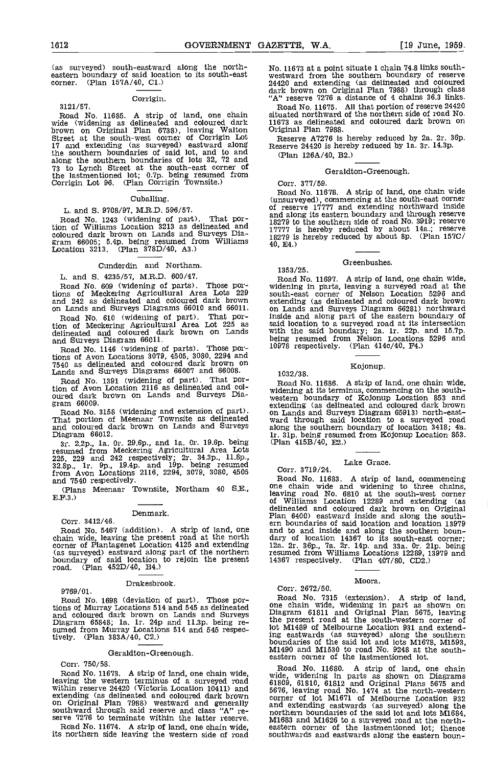(as surveyed) south-eastward along the north- eastern boundary of said location to its south-east corner. (Plan 157A/40, Ci.)

#### Corrigin.

3121/57. Road<br>
Road No. 11685. A strip of land, one chain situated<br>
wide (widening as delineated and coloured dark 11673 a<br>
brown on Original Plan 6738), leaving Walton Origina<br>
Street at the south-west corner of Corrigin along the southern boundaries of lots 32, 72 and 73 to Lynch Street at the south-east corner of the lastmentioned lot; 0.7p. being resumed from Corrigin Lot 96. (Plan Corrigin Townsite.)

#### Cuballing.

#### L. and S. 9708/97, M.R.D. 596/57.

Road No. 1243 (widening of part). That por-<br>tion of Williams Location 3213 as delineated and 17777 coloured dark brown on Lands and Surveys Dia-<br>gram 66005; 5.4p. being resumed from Williams 1827<br>Location 3213. (Plan 378D/40, A3.)

#### Cunderdin and Northam.

L. and S. 4235/57, M.R.D. 600/47.

Road No. 609 (widening of parts). Those portions of Meckering Agricultural Area Lots 229 southand 242 as delineated and coloured dark brown on Lands and Surveys Diagrams 66010 and 66011.

Road No. 610 (widening of part). That portion of Meckering Agricultural Area Lot 225 as delineated and coloured dark brown on Lands

and Surveys Diagram 66011.<br>Road No. 1146 (widening of parts). Those portions of Avon Locations 3079, 4505, 3080, 2294 and<br>7540 as delineated and coloured dark brown on<br>Lands and Surveys Diagrams 66007 and 66008.

Road No. 1391 (widening of part). That portion of Avon Location 2116 as delineated and col-<br>oured dark brown on Lands and Surveys Dia-<br>gram 66009. extend<br>Road No. 3158 (widening and extension of part). That portion of Meenaar Townsite as delineated ward

and coloured dark brown on Lands and Surveys along<br>Diagram 66012. 1r. 31<br>3r. 2.2p., 1a. 0r. 29.6p., and 1a. 0r. 19.6p. being (Plan

resumed from Meckering Agricultural Area Lots 225, 229 and 242 respectively; 2r. 34.3p., ll.8p.,  $\frac{22.8p}{32.8p}$ , ir. 9p., 19.4p. and 19p. being resumed<br>from Avon Locations 2116, 2294, 3079, 3080, 4505  $\qquad$  Corr

and 7540 respectively. (Plans Meenaar Townsite, Northam 40 SE.,  $EF.3.$ )

#### Denmark.

Corr. 3412/46. Road No. 5467 (addition). A strip of land, one can be chain wide, leaving the present road at the north dary o corner of Plantagenet Location 4125 and extending 12a. 2 (as surveyed) eastward along part of the northern boundary of said location to rejoin the present road. (Plan 452D/4O, B4.)

9769/01.

#### Drakesbrook.

Road No. 1698 (deviation of part). Those por-<br>tions of Murray Locations 514 and 545 as delineated one cand coloured dark brown on Lands and Surveys Diagram<br>Diagram 65848; 1a. 1r. 24p and 11.3p. being re-<br>sumed from Murray tively. (Plan 383A/40, C2.)

#### Geraldton-Greenough.

Corr. 750/58.<br>Road No. 11673. A strip of land, one chain wide, Francisco No. 11673. Heaving the western terminus of a surveyed road within reserve 24420 (Victoria Location 10411) and extending (as delineated and coloured dark brown extending (as delineated and coloured dark brown original Plan 7988) westward and generally and exsouthward through said reserve and class "A" re-<br>serve 7276 to terminate within the latter reserve.  $\overline{M}$ 

Road No. 11674. A strip of land, one chain wide, its northern side leaving the western side of road

No. 11673 at a point situate 1 chain 74 8 links south- westward from the southern boundary of reserve 24420 and extending (as delineated and coloured dark brown on Original Plan 7988) through class "A" reserve 7276 a distance of 4 chains 36.3 links.

Road No. 11675. All that portion of reserve 24420 situated northward of the northern side of road No. 11673 as delineated and coloured dark brown on Original Plan 7988.<br>Reserve A7276 is hereby reduced by 2a. 2r. 36p.

Reserve 24420 is hereby reduced by 1a. 3r. 14.3p.

(Plan 126A/40, B2.)

#### Geraldton-Greenough.

Corr. 377/59.

Road No. 11678. A strip of land, one chain wide (unsurveyed), commencing at the south-east corner of reserve 17777 and extending northward inside and along its eastern boundary and the southern side of road No. 3919; reserve 17777 is hereby reduced by about 14a.; reserve 18279 is hereby reduced by about 8p. (Plan 1570/ 40. E4.)

#### Greenbushes.

Road No. 11697. A strip of land, one chain wide, widening in parts, leaving a surveyed road at the south-east corner of Nelson Location 5296 and extending (as delineated and coloured dark brown on Lands and Surveys Diagram 66281) northward inside and along part of the eastern boundary of said location to a surveyed road at its intersection with the said boundary; 2a. ir. 22p. and 15.7p. being resumed from Nelson Locations 5296 and 10978 respectively. (Plan 414c/40, P4.)

### 1032/38.

1353/25.

Road No. 11686. A strip of land, one chain wide, widening at its terminus, commencing on the south- western boundary of Kojonup Lootion 853 and extending (as delineated and coloured dark brown on Lands and Surveys Diagram 65913) north-east- ward through said location to a surveyed road along the southern boundary of location 3418; 4a. ir. Sip. being resumed from Kojonup Location 853. (Plan 415B/40, E2.)

Kojonup.

#### Lake Grace. Corr. 3719/24.

# Road No. 11683. A strip of land, commencing<br>one chain wide and widening to three chains,<br>leaving road No. 6810 at the south-west corner<br>of Williams Location 12289 and extending (as<br>delineated and coloured dark brown on Ori and to and inside and along the southern boundary of location 14367 to its south-east corner;<br>12a. 2r. 36p., 7a. 2r. 14p. and 33a. 0r. 21p. being<br>resumed from Williams Locations 12289, 13979 and<br>14367 respectively. (Plan 4

### Corr. 2672/50.

Road No. 7315 (extension). A strip of land, one chain wide, widening in part as shown on Diagram 61811 and Original Plan 5675, leaving the present road at the south-western corner of lot M1489 of Melbourne Location 931 and extending eastwards (as surveyed) along the southern boundaries of the said lot and lots M1678, M1593, M149O and M1530 to road No. 9248 at the southeastern corner of the lastmentioned lot.

Moora.

Road No. 11680. A strip of land, one chain wide, widening in parts as shown on Diagrams 61809, 61810, 61812 and Original Plans 5675 and 5676, leaving road No. 1474 at the north-western corner of lot M1671 of Melbourne Location 932 and extending eastwards (as surveyed) along the<br>northern boundaries of the said lot and lots M1684,<br>M1683 and M1626 to a surveyed road at the north-<br>eastern corner of the lastmentioned lot; thence<br>southwards and eastwards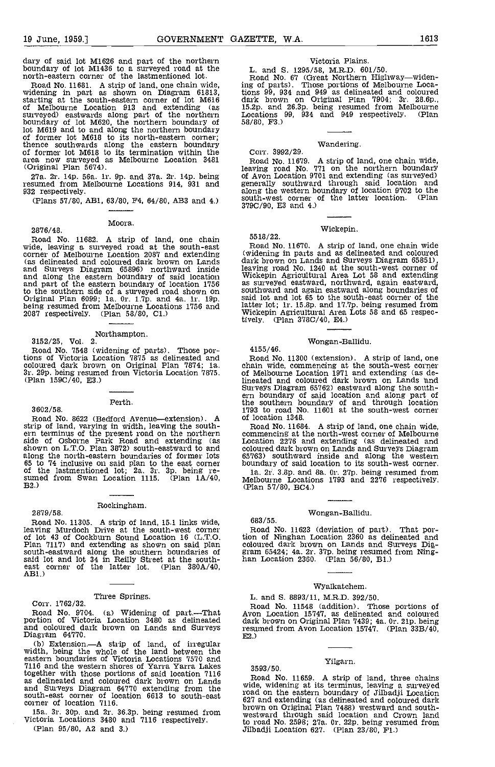dary of said lot M1626 and part of the northern boundary of lot M1436 to a surveyed road at the north-eastern corner of the lastmentioned lot.

Road No. 11681. A strip of land, one chain wide, ing of widening in part as shown on Diagram 61813, tions!<br>starting at the south-eastern corner of lot M616 dark of Melbourne Location 913 and extending (as surveyed) eastwards along part of the northern boundary of lot M620, the northern boundary of 58/80, lot M619 and to and along the northern boundary of former lot M618 to its north-eastern corner; thence southwards along the eastern boundary of former lot M618 to its termination within the area now surveyed as Melbourne Location 3481 (Original Plan 5674).

27a. 2r. 14p. 56a. lr. 9p. and 37a. 2r. 14p. being resumed from Melbourne Locations 914, 931 and 932 respectively.

(Plans 57/80, AB1, 63/80, F4, 64/80, AB3 and 4.)

Moora.

2876/48.

Road No. 11682. A strip of land, one chain 5518/<br>wide, leaving a surveyed road at the south-east Road<br>corner of Melbourne Location 2087 and extending (wideni (as delineated and coloured dark brown on Lands and Surveys Diagram 65396) northward inside and along the eastern boundary of said location Wicker and part of the eastern boundary of location 1756 to the southern side of a surveyed road shown on southy<br>Original Plan 6099; Ia. Or. 1.7p. and 4a. Ir. 19p. said Ideing resumed from Melbourne Locations 1756 and latter 2087 respectively. (Plan 58/80. Cl.)

### Northampton.<br>3152/25, Vol. 2.

Road No. 7548 (widening of parts). Those por-<br>tions of Victoria Location 7875 as delineated and<br>coloured dark brown on Original Plan 7874; 1a. chain<br>3r. 29p. being resumed from Victoria Location 7875. of Me<br>(Plan 159C/40,

#### 3602/58.

Perth.

Road No. 8622 (Bedford Avenue—extension). A of location 1348.<br>
rip of land, varying in width, leaving the south-Road No. 11684. A strip of land, one chain wide, strip of land, varying in width, leaving the south- ern terminus of the present road on the northern side of Osborne Park Road and extending (as shown on L.T.O. Plan 3872) south-eastward to and colour along the north-eastern boundaries of former lots  $65763$  southward 65 to 74 inclusive on said plan to the east corner boundary of said lot the lastmentioned lot; 2a. 3r. 3p. being re- sumed from Swan Location 1115. (Plan B2.)

### Rockingham. 2879/58.

# Road No. 11305. A strip of land, 15.1 links wide, leaving Murdoch Drive at the south-west corner of 1ot 43 of Cockburn Sound Location 16 (L.T.O. Plan 7117) and extending as shown on said plan south-eastward along the southern boundaries of said lot and lot 34 in Reilly Street at the south- east corner of the latter lot. (Plan  $380A/40$ , AB1.)

Three Springs. Corr. 1762/32.

Road No. 9704. (a) Widening of part.-.-That portion of victoria Location 3480 as delineated and coloured dark brown on Lands and Surveys Diagram 64770.<br>Diagram 64770. (b) Extension.—A strip of land, of irregular width, being the whole of the land between the

eastern boundaries of victoria Locations 7570 and 7116 and the western shores of Yarra Yarra Lakes together with those portions of said location 7116<br>as delineated and coloured dark brown on Lands Rode and Surveys Diagram 64770 extending from the spad south-east corner of location 6613 to south-east corner of location 7116.

15a. 3r. 30p. and 2r. 36.3p. being resumed from  $\frac{15a}{\text{westward}}$  the victoria Locations 3480 and 7116 respectively. (Plan 95/80, A2 and 3.)

### victoria Plains.

L. and S. 1295/58, M.R.D. 601/50.<br>Road No. 67 (Great Northern Highway—widening of parts). Those portions of Melbourne Locations 99, 934 and 949 as delineated and coloured<br>dark brown on Original Plan 7904; 3r. 28.6p.,<br>15.2p. and 26.3p. being resumed from Melbourne<br>Locations 99, 934 and 949 respect 53/80, F3.)

## Wandering. Corr. 3992/29.

Road No. 11679. A strip of land, one chain wide, leaving road No. 771 on the northern boundary of Avon Location 9701 and extending (as surveyed) generally southward through said location and along the western boundary of location 9702 to the south-west corner of the latter location. (Plan 379C/90, ES and 4.)

#### Wickepin.

Road No. 11670. A strip of land, one chain wide (widening in parts and as delineated and coloured<br>dark brown on Lands and Surveys Diagram 65851). dark brown on Lands and Surveys Diagram 65851), leaving road No. 1240 at the south-west corner of Wickepin Agricultural Area Lot 58 and extending as surveyed eastward, northward, again eastward, southward and again eastward along boundaries of said lot and lot 65 to the south-east corner of the latter lot; lr. 15.8p. and 17.7p. being resumed from Wickepin Agricultural Area Lots 58 and 65 respectively. (Plan 378C/40, E4.)

683/55.

55 18/22.

Wongan-Ballidu.<br>4155/46.<br>Road No. 11300 (extension). A: Road No. 11300 (extension). A strip of land, one chain wide, commencing at the south-west corner of Melbourne Location 1971 and extending (as delineated and coloured dark brown on Lands and Surveys Diagram 65762) eastward along the south- ern boundary of said location and along part of the southern boundary of and through location 1793 to road No. 11601 at the south-west corner of location 1348.

Road No. 11684. A strip of land, one chain wide, commencing at the north-west corner of Melbourne Location 2276 and extending (as delineated and coloured dark brown on Lands and Surveys Diagram 65763) southward inside and along the western boundary of said location to its south-west corner.

1a. 2r. 3.8p. and 8a. 0r. 27p. being resumed from Melbourne Locations 1793 and 2276 respectively.

#### Wongan-Ballidu.

Road No. 11623 (deviation of part). That por-tion of Ninghan Location 2360 as delineated and coloured dark brown on Lands and Surveys Dia-<br>gram 65424; 4a. 2r. 37p. being resumed from Ning-<br>han Location 2360. (Plan 56/80, B1.)

#### Wyalkatchem.

L. and S. 8893/11, M.R.D. 392/50.

Road No. 11548 (addition). Those portions of Avon Location 15747, as delineated and coloured dark brown on Original Plan 7439; 4a. Or. 21p. being resumed from Avon Location 15747. (Plan  $33B/40$ , E2.)

### Yilgarn. 3593/50.

Road No. 11659. A strip of land, three chains wide, widening at its terminus, leaving a surveyed road on the eastern boundary of Jilbadji Location 627 and extending (as delineated and coloured dark<br>brown on Original Plan 7488) westward and south-<br>westward through said location and Crown land<br>to road No. 2598; 27a. 0r. 22p. being resumed from<br>Jilbadji Location 627. (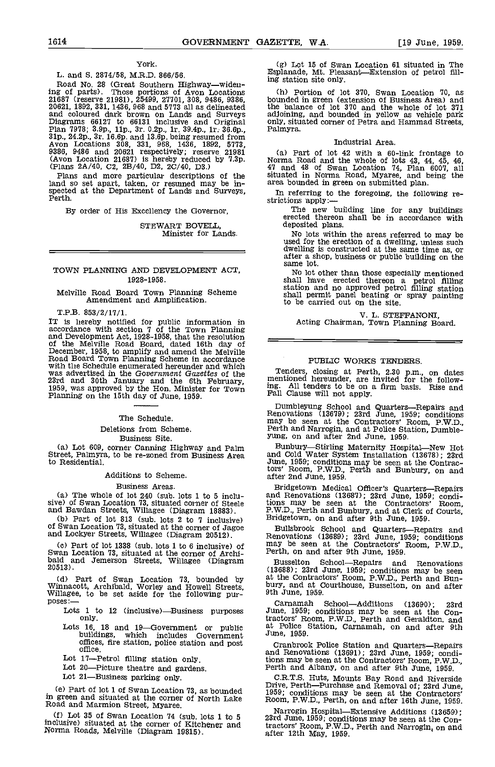#### York.

### L. and S. 2874/58, M.R.D. 866/56.

Road No. 28 (Great Southern Highway—widen-<br>ing of parts). Those portions of Avon Locations<br>21687 (reserve 21981), 25499, 27701, 308, 9486, 9386,<br>20621, 1892, 331, 1436, 968 and 5773 all as delineated ing of parts). Those portions of Avon Locations (h) Por<br>21687 (reserve 21981), 25499, 27701, 308, 9486, 9386, bounded ir<br>20621, 1892, 331, 1436, 968 and 5773 all as delineated the baland<br>and coloured dark brown on Lands a (Avon Location 21687) is hereby reduced by 7.3p. (Plans 2A/40, C2, 2B/40, D2, 2C/40, D3.)

Plans and more particular descriptions of the land so set apart, taken, or resumed may be in-<br>spected at the Department of Lands and Surveys,<br>Perth.

By order of His Excellency the Governor,

STEWART BOVELL, Minister for Lands.

#### TOWN PLANNING AND DEVELOPMENT ACT, 1928-1958.

Melville Road Board Town Planning Scheme Amendment and Amplification.

T.P.B. 853/2/17/1.

IT is hereby notified for public information in accordance with section 7 of the Town Planning and Development Act, 1928–1958, that the resolution<br>of the Melville Road Board, dated 16th day of<br>December, 1958, to amplify and amend the Melville<br>Road Board Town Planning Scheme in accordance<br>with the Schedule enumerate was advertised in the Government Gazettes of the 23rd and 30th January and the 6th February, 1959, was approved by the Hon. Minister for Town ing. All tenders to be on Planning on the 15th day of June, 1959. Fall Clause wi

#### The Schedule.

#### Deletions from Scheme.

Business Site.

(a) Lot 609, corner Canning Highway and Palm Street, Palmyra, to be re-zoned from Business Area to Residential.

#### Additions to Scheme.

#### Business Areas.

The whole of lot 240 (sub, lots 1 to 5 inclu- sive) of Swan Location 73, situated corner of Steele and Bawdan Streets, Willagee (Diagram 18803).

(b) Part of lot 813 (sub. lots 2 to 7 inclusive) of Swan Location 73, situated at the corner of Jagoe and Lockyer Streets, Willagee (Diagram 20512).

(c) Part of lot 1338 (sub. lots 1 to 6 inclusive) of Swan Location 73, situated at the corner of Archi- bald and Jemerson Streets, Willagee (Diagram 20513).

(d) Part of Swan Location 73, bounded by Winnacott, Archibald, Worley and Howell Streets, Willagee, to be set aside for the following purposes: Lots 1 to 12 (inclusive)—Business purposes only.

- Lots 16, 18 and 19—Government or public at buildings, which includes Government Jun offices, fire station, police station and post<br>office.
- Lot 17-Petrol filling station only.

Lot 20—Picture theatre and gardens.<br>Lot 21—Business parking only.

Part of lot I of Swan Location 73, as bounded in green and situated at the corner of North Lake Room, P.W.D., Perth, on and after 16th June, 1959.<br>Road and Marmion Street, Myaree.

 $(f)$  Lot 35 of Swan Location 74 (sub, lots 1 to 5 inclusive) situated at the corner of Kitchener and Norma Roads, Melville (Diagram 19815). (g) Lot 15 of Swan Location 61 situated in The Esplanade, Mt. Pleasant—Extension of petrol fill-<br>ing station site only.

Portion of lot 370, Swan Location 10, as bounded in green (extension of Business Area) and the balance of lot 370 and the whole of lot 371 adjoining, and bounded in yellow as vehicle park only, situated corner of Petra and Hammad Streets, Palmyra.

#### Industrial Area.

(a) Part of lot 42 with a 60-link frontage to Norma Road and the whole of lots 43, 44, 45, 46, 47 and 48 of Swan Location 74, Plan 6007, all situated in Norma Road, Myaree, and being the area bounded in green on submitted plan.

In referring to the foregoing, the following re-<br>strictions apply :—<br>The new building line for any buildings<br>erected thereon shall be in accordance with

deposited plans.

No lots within the areas referred to may be used for the erection of a dwelling, unless such dwelling is constructed at the same time as, or after a shop, business or public building on the same lot.

No lot other than those especially mentioned shall have erected thereon a petrol filling station and no approved petrol filling station shall permit panel beating or spray painting to be carried out on the site.

V. L. STEFFANONI,<br>Acting Chairman, Town Planning Board.

#### PUBLIC WORKS TENDERS.

Tenders, closing at Perth, 2.30 p.m., on dates mentioned hereunder, are invited for the following. All tenders to be on a firm basis Rise and Fall Clause will not apply.

Dumbleyung School and Quarters—Repairs and Renovations (13679); 23rd June, 1959; conditions may be seen at the Contractors' Room, P.W.D., Perth and Narrogin, and at Police Station, Dumble- yung, on and after 2nd June, 1959

Bunbury—Stirling Maternity Hospital—New Hot<br>and Cold Water System Installation (13678); 23rd June, 1959; conditions may be seen at the Contrac-tors' Room, P.W.D., Perth and Bunbury, on and after 2nd June, 1959.

Bridgetown Medical Officer's Quarters—Repairs<br>and Renovations (13687); 23rd June, 1959; condi-<br>tions may be seen at the Contractors' Room,<br>P.W.D., Perth and Bunbury, and at Clerk of Courts,<br>Bridgetown, on and after 9th Jun

Bullsbrook School and Quarters—Repairs and Renovations (13689); 23rd June, 1959; conditions may be seen at the Contractors' Room, P.W.D., Perth, on and after 9th June, 1959.

Busselton School—Repairs and Renovations<br>(13688); 23rd June, 1959; conditions may be seen bury, and at Courthouse, Busselton, on and after 9th June, 1959.

Carnamah School-Additions (13690); 23rd June 1959; conditions may be seen at the Con-tractors' Room, P.W.D., Perth and Geraldton. and at Police Station, Carnamah, on and after 9th June 1959.

Cranbrook Police Station and Quarters—Repairs<br>and Renovations (13691); 23rd June, 1959; conditions may be seen at the Contractors' Room, P.W.D., Perth and Albany, on and after 9th June, 1959.

C.R.T.S. Huts, Mounts Bay Road and Riverside Drive, Perth—Purchase and Removal of; 23rd June, 1959; conditions may be seen at the Contractors'

Narrogin HospitalExtensive Additions (13659); 23rd June, 1959; conditions may be seen at the Contractors' Room, P.W.D., Perth and Narrogin, on and after 12th May, 1959.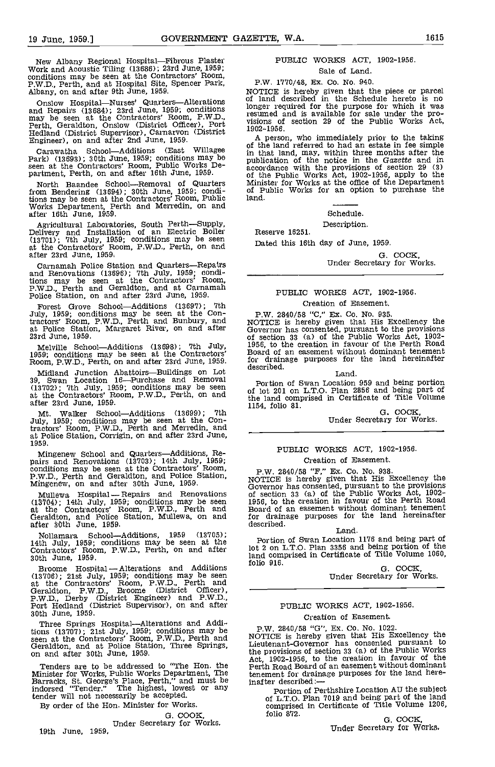New Albany Regional Hospital—Fibrous Plaster<br>Work and Acoustic Tiling (13686); 23rd June, 1959;<br>conditions may be seen at the Contractors' Room,<br>P.W.D., Perth, and at Hospital Site, Spencer Park,<br>Albany, on and after 9th J

Onslow Hospital—Nurses' Quarters—Alterations<br>and Repairs (13684); 23rd June, 1959; conditions<br>may be seen at the Contractors' Room, P.W.D.,<br>Perth, Geraldton, Onslow (District Officer), Port<br>Hedland (District Supervisor), C

Carawatha School-Additions (East Willagee on the Park) (13693); 30th June, 1959; conditions may be publy seen at the Contractors' Room, Public Works De- partment, Perth, on and after 16th June, 1959.

North Baandee School-Removal of Quarters from Bendering (13694); 30th June, 1959; conditions may be seen at the Contractors' Room, Public land.<br>Works Department, Perth and Merredin, on and Works Department, Peafter 16th June, 1959.

Agricultural Laboratories, South Perth—Supply,<br>Delivery and Installation of an Electric Boiler  $(13701)$ ; 7th July, 1959; conditions may be seen at the Contractors' Room, P.W.D., Perth, on and Date after 23rd June, 1959;

Carnamah Police Station and Quarters—Repairs<br>and Renovations (13696); 7th July, 1959; condi-<br>tions may be seen at the Contractors' Room,<br>P.W.D., Perth and Geraldton, and at Carnamah<br>Police Station, on and after 23rd June,

Forest Grove School—Additions (13697); 7th<br>July, 1959; conditions may be seen at the Contractors' Room, P.W.D., Perth and Bunbury, and at Police Station, Margaret River, on and after 23rd June, 1959.

Melville School—Additions (13698); 7th July, 1956, to the 1959; conditions may be seen at the Contractors' Board of Room, P.W.D., Perth, on and after 23rd June, 1959. for drain

Midland Junction Abattoirs—Buildings on Lot 39, Swan Location 16—Purchase and Removal Port (13702); 7th July, 1959; conditions may be seen of lot at the Contractors' Room, P.W.D., Perth, on and the late after 23rd June, 1959.

Mt. Walker School-Additions (13699); 7th<br>July, 1959; conditions may be seen at the Con-<br>tractors' Room, P.W.D., Perth and Merredin, and at Police Station, Corrigin, on and after 23rd June, 1959.

Mingenew School and Quarters—Additions, Re-<br>
pairs and Renovations (13703); 14th July, 1959; Creation of Easement.<br>
conditions may be seen at the Contractors' Room, P.W. 2840/58 "F," Ex. Co. No. 938.<br>
P.W.D., Perth and Ger

Mullewa Hospital - Repairs and Renovations of (18'104) 14th July, 1959; conditions may be seen at the Contractors' Room, P.W.D., Perth and Geraldton, and Police Station, Mullewa, on and after aldton, and Police Station, Mullewa, on and<br>after 30th June, 1959.

Nollamara School—Additions, 1959 (13705);<br>14th July, 1959; conditions may be seen at the Contractors' Room, P.W.D., Perth, on and after lot 2 on 1<br>30th June, 1959. [13] shad com and after show to see the seen at the show t

Broome Hospital - Alterations and Additions<br>
(13706); 21st July, 1959; conditions may be seen<br>
at the Contractors' Room, P.W.D., Perth and<br>
Geraldton, P.W.D., Broome (District Officer), P.W,D., Derby (District Engineer) and P.W.D., Port Hedland (District Supervisor), on and after 30th June, 1959.

Three Springs Hospital—Alterations and Addi-<br>tions (13707); 21st July, 1959; conditions may be seen at the Contractors' Room, P.W.D., Perth and NOTIC<br>Geraldton, and at Police Station, Three Springs, Lieute<br>on and after 30th June, 1959. the pr

Tenders are to be addressed to "The Hon. the Perth Minister for Works, Public Works Department, The Frace Barracks, St. George's Place, Perth," and must be jnafte indorsed "Tender." The highest, lowest or any tender will not necessarily be accepted.

By order of the Hon. Minister for Works.

G. COOK, Under Secretary for Works.<br>19th June, 1959.

### PUBLIC WORKS ACT, 1902-1956.

Sale of Land. P.W. 1770/48, Ex. Co. No. 940.

NOTICE is hereby given that the piece or parcel of land described in the Schedule hereto is no longer required for the purpose for which it was

resumed and is available for sale under the pro- visions of section 29 of the Public Works Act, 1902-1956.

A person, who immediately prior to the taking of the land referred to had an estate in fee simple in that land, may, within three months after the publication of the notice in the Gazette and in accordance with the provisions of section 29 (3) of the Public Works Act, 1902-1956, apply to the Minister for Works at the office of the Department of Public Works for an option to purchase the land.

Schedule.

Description. Reserve 16251.

Dated this 16th day of June, 1959.

G. COCK,<br>Under Secretary for Works.

### PUBLIC WORKS ACT, 1902-1956.

### Creation of Easement.

P.W. 2840/58 "C," Ex. Co. No. 935.<br>NOTICE is hereby given that His Excellency the<br>Governor has consented, pursuant to the provisions<br>of section 33 (a) of the Public Works Act, 1902-<br>1956, to the creation in favour of the for drainage purposes for the land hereinafter<br>described. <br>Land.

#### Land.

Portion of Swan Location 959 and being portion of lot 201 on L.T.O. Plan 2856 and being part of the land comprised in Certificate of Title Volume 1154, folio 81. G. COCK, Under Secretary for Works.

#### PUBLIC WORKS ACT, 1902-1956. Creation of Easement.

NUTION IS HEREBY given that His Excellency the<br>Governor has consented, pursuant to the provisions<br>of section 33 (a) of the Public Works Act, 1902-<br>1956, to the creation in favour of the Perth Road<br>Board of an easement with

#### Land.

Portion of Swan Location 1176 and being part of lot 2 on L.T.O. Plan 3356 and being portion of the land comprised in Certificate of Title Volume 1060

G. COCK,<br>Under Secretary for Works.

#### PUBLIC WORKS ACT, 1902-1956.

#### Creation of Easement.

P.W. 2840/58 "G", Ex. Co. No. 1022.<br>NOTICE is hereby given that His Excellency the<br>Lieutenant-Governor has consented pursuant to the provisions of section 33 (a) of the Public Works Act, 1902-1956, to the creation in favour of the Perth Road Board of an easement without dominant tenement for drainage purposes for the land here-<br>inafter described:—<br>Portion of Perthshire Location AU the subject

Portion of Perthshire Location AU the subject of L.T.O. Plan 7019 and being part of the land comprised in Certificate of Title Volume 1206, folio 872. G. COCK,

Under Secretary for Works.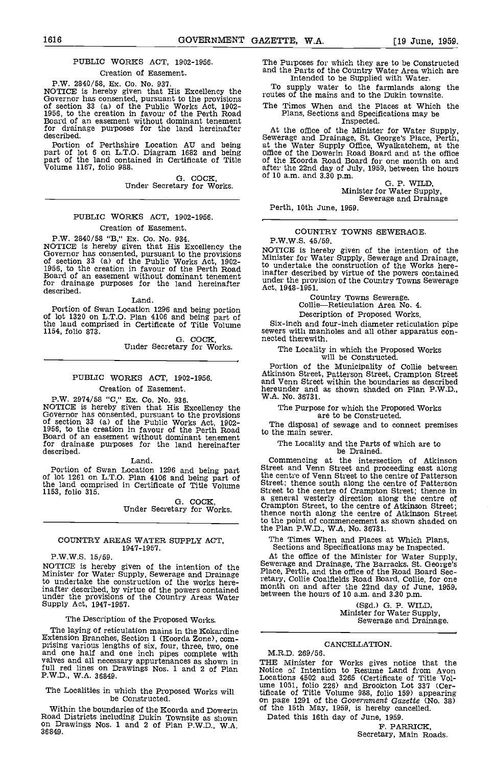#### PUBLIC WORKS ACT, 1902-1986.

Creation of Easement.

P.W. 2840/58, Ex. Co. No. 937.<br>
NOTICE is hereby given that His Excellency the<br>
Governor has consented, pursuant to the provisions<br>
of section 33 (a) of the Public Works Act, 1902-<br>
1956, to the creation in favour of the P

Portion of Perthshire Location AU and being part of lot 6 on L.T.O. Diagram 1682 and being part of the land contained in Certificate of Title Volume 1167, folio 988.

0. COCK, Under Secretary for Works.

### PUBLIC WORKS ACT, 1902-1956.

Creation of Easement.

P.W. 2840/58 "B," Ex. Co. No. 934.<br>NOTICE is hereby given that His Excellency the<br>Governor has consented, pursuant to the provisions<br>of section 33 (a) of the Public Works Act, 1902-<br>1956, to the creation in favour of the P for drainage purposes for the land hereinafter under the prov<br>described.  $\frac{1948-1951}{200}$ .

Land.

Portion of Swan Location 1296 and being portion<br>of lot 1320 on L.T.O. Plan 4106 and being part of the land comprised in Certificate of Title Volume 1154, folio 873.

G. COCK,<br>Under Secretary for Works.

### PUBLIC WORKS ACT, 1902-1956.

Creation of Easement.<br>P.W. 2974/58 "C," Ex. Co. No. 936.<br>NOTICE is hereby given that His Excellency the P.W. 2974/58 "C," Ex. Co. No. 936. W.A. No. 36731.<br>NOTICE is hereby given that His Excellency the The Purpos<br>Governor has consented, pursuant to the provisions of section 33 (a) of the Public Works Act, 1902-<br>1956, to the for drainage purposes for the land hereinafter<br>described.<br>Land. Land. Commencing at the intersection of Atkinson

Land.

Portion of Swan Location 1296 and being part of lot 1261 on L.T.O. Plan 4106 and being part of  $\frac{\text{ch}}{\text{c}}$ the land comprised in Certificate of Title Volume 1153, folio 315.

G. COCK,<br>Under Secretary for Works.

#### COUNTRY AREAS WATER SUPPLY ACT, 1947-1957.

P.W.W.S. 15/59.

NOTICE is hereby given of the intention of the Seweral Minister for Water Supply, Sewerage and Drainage Place to undertake the construction of the works hereinafter described, by virtue of the powers contained under the provisions of the Country Areas Water under the provisions of the Country Areas Water Supply Act, 1947-1957. (Sgd.) G. P. WII

#### The Description of the Proposed Works.

The laying of reticulation mains in the Kokardine<br>Extension Branches, Section 1 (Koorda Zone), com-<br>prising various lengths of six, four, three, two, one<br>and one half and one inch pipes complete with M.R. valves and all necessary appurtenances as shown in THE<br>full red lines on Drawings Nos. 1 and 2 of Plan Notice P.W.D., W.A. 36849.

## The Localities in which the Proposed Works will be Constructed.

Road Districts including Dukin Townsite as shown on Drawings Nos. 1 and 2 of Plan P.W.D., W.A. 36849.

The Purposes for which they are to be Constructed and the Parts of the Country Water Area which are

Intended to be Supplied with Water.<br>To supply water to the farmlands along the<br>routes of the mains and to the Dukin townsite.

The Times When and the Places at Which the Plans, Sections and Specifications may be Inspected.

At the office of the Minister for Water Supply, Sewerage and Drainage, St. George's Place, Perth, at the Water Supply Office, Wyalkatchem, at the office of the Dowerin Road Board and at the office of the Koorda Road Board for one month on and after the 22nd day of July, 1959, between the hours<br>of 10 a.m. and 3.30 p.m.  $G.$  P. WILD,<br>Minister for Water Supply,<br>Sewerage and Drainage

Sewerage and Drainage<br>Perth, 10th June, 1959.

#### COUNTRY TOWNS SEWERAGE. P.W.W.S. 45/59.

NOTICE is hereby given of the intention of the Minister for Water Supply, Sewerage and Drainage, in undertake the construction of the Works here-<br>inafter described by virtue of the powers contained under the provision of the Country Towns Sewerage

Country Towns Sewerage.<br>Collie-Reticulation Area No. 4.

Description of Proposed Works.

Six-inch and four-inch diameter reticulation pipe sewers with manholes and all other apparatus con-nected therewith.

The Locality in which the Proposed Works will be Constructed.

Portion of the Municipality of Collie between Atkinson Street, Patterson Street, Crampton Street and Venn Street within the boundaries as described hereunder and as shown shaded on Plan P.W.D.,

The Purpose for which the Proposed Works are to be Constructed.

The disposal of sewage and to connect premises to the main sewer.

#### The Locality and the Parts of which are to be Drained.

Commencing at the intersection of Atkinson Street and Venn Street and proceeding east along the centre of Venn Street to the centre of Patterson Street; thence south along the centre of Patterson Street to the centre of Crampton Street; thence in a general westerly direction along the centre of Crampton Street, to the centre of Atkinson Street; thence north along the centre of Atkinson Street to the point of commencement as shown shaded on the Plan P.W.D., W.A. No. 36731.

The Times When and Places at Which Plans, Sections and Specifications may be Inspected.

At the office of the Minister for Water Supply, Sewerage and Drainage, The Barracks, St. George's Place, Perth, and the office of the Road Board Secretary, Collie Coalfields Road Board, Collie, for one month on and after the 22nd day of June, 1959, between the hours of 10 am, and 3.30 p.m.

(Sgd,) G. P. WILD, Minister for Water Supply, Sewerage and Drainage.

#### CANCELLATION.

Within the boundaries of the Koorda and Dowerin of the 15th May, 1959, is hereby cancelled. MED. 269/56. THE Minister for Works gives notice that the Notice of Intention to Resume Land from Avon Locations 4502 and 3265 (Certificate of Title Vol- ume 1051, folio 226) and Brookton Lot 337 (Certificate of Title Volume 988, folio 159) appearing on page 1291 of the Government Gazette (No. 38)<br>of the 15th May, 1959, is hereby cancelled. Dated this 16th day of June, 1959.

F. PARRICK,

Secretary, Main Roads.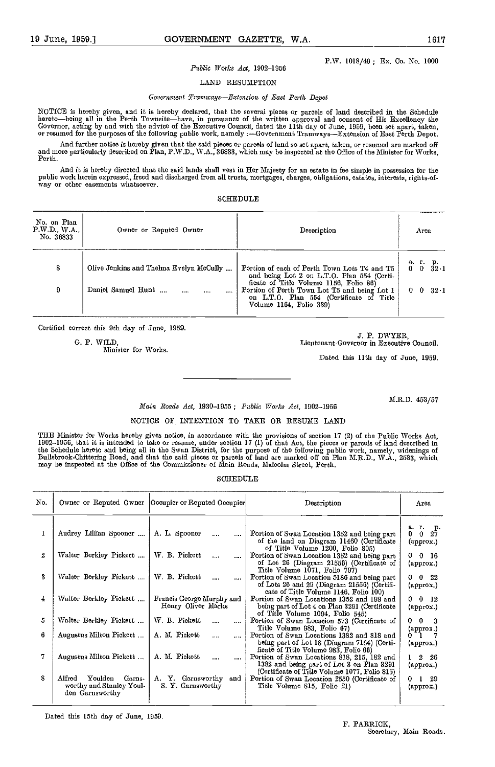P.W. 1018/49; Er. Co. No. 1000

#### Public Works Act, 1902-1956

LAND RESUMPTION

#### Government Tramways-Extension of East Perth Depot

NOTICE is hereby given, and it is hereby declared, that the several pieces or parcels of land described in the Schedule<br>hereto—being all in the Perth Townsite—have, in pursuance of the written approval and consent of His E

And further notice is hereby given that the said pieces or parcels of land so set apart, taken, or resumed are marked off and more particularly described on Plan, P.W.D., W.A., 36833, which may be inspected at the Office of the Minister for Works,<br>Perth.

And it is hereby directed that the said lands shall vest in Her Majesty for an estate in fee simple ia possession for the public work herein expressed, freed and discharged from all trusts, mortgages, charges, obligations, estates, interests, rights-of-<br>way or other easements whatsoever.

#### SCHEDULE

| No. on Plan<br>P.W.D. W.A.<br>No. 36833 | Owner or Reputed Owner                   | Description                                                                                                                          | Агеа                               |
|-----------------------------------------|------------------------------------------|--------------------------------------------------------------------------------------------------------------------------------------|------------------------------------|
| 8                                       | Olive Jenkins and Thelina Evelyn McCully | Portion of each of Perth Town Lots T4 and T5<br>and being Lot 2 on L.T.O. Plan 554 (Certi-<br>ficate of Title Volume 1156, Folio 86) | а.<br>$\mathbf{r}$ .<br>p.<br>32-1 |
| 9                                       | Daniel Samuel Hunt<br>$\cdots$           | Portion of Perth Town Lot T5 and being Lot 1<br>on L.T.O. Plan 554 (Certificate of Title<br>Volume 1164, Folio 339)                  | 32 <sub>1</sub>                    |

Certified correct this 9th day of June, 1959.

G. P. WILD,

Minister for Works.

J. P. DWYBR, Lieutenant-Governor in Executive Council.

Dated this 11th day of June, 1959.

M.R.D. 453/57

#### Maim Roads Act, 1930-1955 ; Public Works Act, 1902-1956

#### NOTICE OF INTENTION TO TAKE OR RESUME LAND

THE Minister for Works hereby gives notice, in accordance with the provisions of section 17 (2) of the Public Works Act,<br>1902–1956, that it is intended to take or resume, under section 17 (1) of that Act, the pieces or par Bullsbrook-Chittering Road, and that the said pieces or parcels of land are marked off on Plan M.R.D., W.A., 2583, which<br>may be inspected at the Office of the Commissioner of Main Roads, Malcolm Street, Perth.

#### SCHEDULE

| No. |                                                                            | Owner or Reputed Owner   Occupier or Reputed Occupier | Description                                                                                                                                                    | Area                                                               |
|-----|----------------------------------------------------------------------------|-------------------------------------------------------|----------------------------------------------------------------------------------------------------------------------------------------------------------------|--------------------------------------------------------------------|
|     | Audrey Lillian Spooner                                                     | A. L. Spooner<br>$\cdots$                             | Portion of Swan Location 1352 and being part<br>of the land on Diagram 11460 (Certificate                                                                      | $\begin{matrix} a & r & p \\ 0 & 0 & 27 \end{matrix}$<br>(approx.) |
| 2   | Walter Berkley Pickett                                                     | W. B. Pickett<br>$\mathbf{r}$                         | of Title Volume 1200, Folio 805)<br>Portion of Swan Location 1352 and being part<br>of Lot 26 (Diagram 21556) (Certificate of<br>Title Volume 1071, Folio 797) | $0 \quad 0 \quad 16$<br>(approx.)                                  |
| 3   | Walter Berkley Pickett                                                     | W. B. Pickett                                         | Portion of Swan Location 5186 and being part<br>of Lots 26 and 29 (Diagram 21556) (Certifi-<br>cate of Title Volume 1146, Folio 100)                           | $0\quad 0\quad 22$<br>(арргох.)                                    |
| 4   | Walter Berkley Pickett                                                     | Francis George Murphy and<br>Henry Oliver Marks       | Portion of Swan Locations 1352 and 198 and<br>being part of Lot 4 on Plan 3291 (Certificate<br>of Title Volume 1094, Folio 545)                                | $0 \quad 0 \quad 12$<br>(approx.)                                  |
| 5   | Walter Berkley Pickett                                                     | W. B. Pickett<br>$\sim$<br>$\cdots$                   | Portion of Swan Location 573 (Certificate of<br>Title Volume 983, Folio 67)                                                                                    | $0\quad 0$<br>3                                                    |
| 6   | Augustus Milton Pickett                                                    | A. M. Pickett<br>$\cdots$                             | Portion of Swan Locations 1382 and 818 and<br>being part of Lot 18 (Diagram 7164) (Certi-<br>ficate of Title Volume 983, Folio 66)                             | (approx.)<br>01<br>(approx.)                                       |
| 7   | Augustus Milton Pickett                                                    | A. M. Pickett<br>$\cdots$<br>                         | Portion of Swan Locations 818, 215, 182 and<br>1382 and being part of Lot 3 on Plan 3291<br>(Certificate of Title Volume 1077, Folio 815)                      | $1\quad 2\quad 26$<br>(approx.)                                    |
| 8   | Alfred<br>Youlden<br>Garns-<br>worthy and Stanley Youl-<br>den Garnsworthy | A. Y. Garnsworthy and<br>S. Y. Garnsworthy            | Portion of Swan Location 2550 (Certificate of<br>Title Volume 815, Folio 21)                                                                                   | 0 <sub>1</sub><br>-29<br>(approx.)                                 |

Dated this 15th day of June, 1959.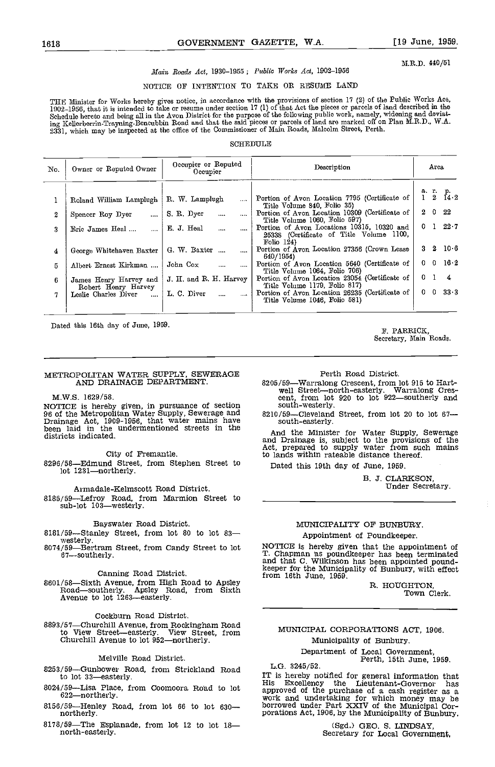#### M.R.D. 440/51

### Main Roads Act, 1930-1955; Public Works Act, 1902-1956

### NOTICE OF INTENTION TO TAKE OR RESUME LAND

THE Minister for Works hereby gives notice, in accordance with the provisions of section 17 (2) of the Public Works Act,<br>1902–1956, that it is intended to take or resume under section 17 (1) of that Act the pieces or parce 2331, which may be inspected at the office of the Commissioner of Main Roads, Malcolm Street, Perth.

#### SCHEDULE

| No.      | Owner or Reputed Owner                        | Occupier or Reputed<br>Occupier    | Description                                                                                             | Area                         |  |  |
|----------|-----------------------------------------------|------------------------------------|---------------------------------------------------------------------------------------------------------|------------------------------|--|--|
|          |                                               |                                    |                                                                                                         |                              |  |  |
|          | Roland William Lamplugh                       | R. W. Lamplugh                     | Portion of Avon Location 7795 (Certificate of<br>Title Volume 840, Folio 35)                            | a. r. p.<br>1 2 $14.2$       |  |  |
| $\bf{2}$ | Spencer Roy Dyer<br>$\cdots$                  | S. R. Dyer<br>$\cdots$<br>$\cdots$ | Portion of Avon Location 10309 (Certificate of  <br>Title Volume 1060, Folio 597)                       | $2\quad 0\quad 22$           |  |  |
| 3        | Eric James Heal                               | E. J. Heal<br>$\cdots$             | Portion of Avon Locations 10315, 10320 and<br>25338 (Certificate of Title Volume 1100,<br>Folio $124$ ) | $0 \quad 1 \quad 22 \cdot 7$ |  |  |
| 4        | George Whitehaven Baxter                      | G. W. Baxter<br>$\cdots$           | Portion of Avon Location 27356 (Crown Lease  <br>640/1954)                                              | $3\quad 2\quad 10\cdot 6$    |  |  |
| 5        | Albert Ernest Kirkman                         | John Cox<br>$\cdots$               | Portion of Avon Location 5640 (Certificate of<br>Title Volume 1064, Folio 706)                          | $0 \t 0 \t 16.2$             |  |  |
| 6.       | James Henry Harvey and<br>Robert Henry Harvey | J. H. and R. H. Harvey             | Portion of Avon Location 23054 (Certificate of  <br>Title Volume 1179, Folio 817)                       | $0 \quad 1 \quad 4$          |  |  |
| 7        | Leslie Charles Diver<br>$\sim$ $\sim$         | L. C. Diver                        | Portion of Avon Location 26235 (Certificate of  <br>Title Volume 1046, Folio 581)                       | $0 \t0 \t33.3$               |  |  |

Dated this 16th day of June, 1959. F. PARRICK,

## METROPOLITAN WATER SUPPLY, SEWERAGE AND DRAINAGE DEPARTMENT.

M.W.S. 1629/58.

NOTICE is hereby given, in pursuance of section 96 of the Metropolitan Water Supply, Sewerage and  $8210/$ <br>Drainage Act, 1909-1956, that water mains have seen laid in the undermentioned streets in the districts indicated.

#### City of Fremantle.

8296/58-Edmund Street, from Stephen Street to lot 1231-northerly.

Armadale-Kelmscott Road District.

8185/59-Lefroy Road, from Marmion Street to \_\_\_\_\_  $sub-lot$   $103$  westerly.

#### Canning Road District.

Canning Road District. from 16th June, 1959.<br>8601/58—Sixth Avenue, from High Road to Apsley<br>Road—southerly. Apsley Road, from Sixth<br>Avenue to lot 1263—easterly.

Cockburn Road District.<br>8893/57—Churchill Avenue, from Rock<br>to View Street—easterly. View 8893/57—Churchill Avenue, from Rockingham Road<br>to View Street—easterly. View Street, from MUNICI Churchill Avenue to lot 952-northerly.

#### Melville Road District.

- 8253/59-Gunbower Road, from Strickland Road<br>to lot 33-easterly.<br>IT is hereby notified for general information that to lot 33-easterly.
- $8024/59$ -Lisa Place, from Coomoora Road to lot 622-northerly.
- northerly.
- 8178/59-The Esplanade, from lot 12 to lot  $18$ north-easterly.

Secretary, Main Roads.

Perth Road District.

8205/59—Warralong Crescent, from lot 915 to Hart-<br>well Street—north-easterly. Warralong Cres-<br>cent, from lot 920 to lot 922—southerly and south-westerly.

8210/59-Cleveland Street, from lot 20 to lot 67south-easterly.

And the Minister for Water Supply, Sewerage and Drainage is, subject to the provisions of the Act, prepared to supply water from such mains to lands within rateable distance thereof.

Dated this 19th day of June, 1959.

B. 3. CLARKSON, Under Secretary.

#### MUNICIPALITY OF BUNBURY.

Appointment of Poundkeeper.

Bayswater Road District. MUNICIPALITY OF BUNBURY.<br>
8181/59—Stanley Street, from lot 80 to lot 83—<br>
8074/59—Bertram Street, from Candy Street to lot MOTICE is hereby given that the appointment of 67-southerly.<br>
T. Chapman a NOTICE is hereby given that the appointment of T. Chapman as poundkeeper has been terminated and that C. Wilkinson has been appointed pound- keeper for the Municipality of Eunbury, with effect from 16th June, 1959.

> R. HOUGHTON, Town Clerk.

#### MUNICIPAL CORPORATIONS ACT, 1906.

Municipality of Bunbury.

Department of Local Government,<br>Perth, 15th June, 1959.

8156/59—Henley Road, from lot 66 to lot 630— borrowed under Part XXIV of the Municipal Cornortherly.<br>porations Act, 1906, by the Municipality of Bunbury. This Excellency the Lieutenant-Governor has<br>approved of the purchase of a cash register as a<br>work and undertaking for which money may be<br>borrowed under Part XXIV of the Municipal Cor-

(Sgd.) GEO. S. LINDSAY, Secretary for Local Government,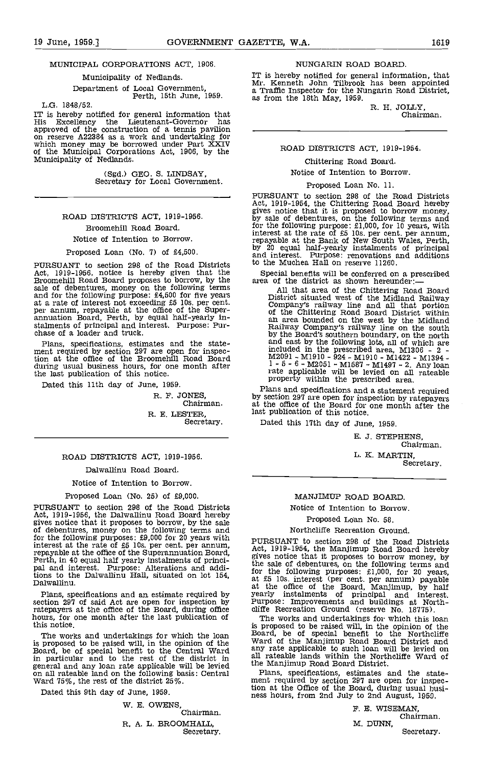#### MUNICIPAL CORPORATIONS ACT, 1906.

#### Municipality of Nedlands.

Department of Local Government, Perth, 15th June, 1959.

L.G. 1848/52.

IT is hereby notified for general information that His Excellency the Lieutenant-Governor has approved of the construction of a tennis pavilion on reserve A22384 as a work and undertaking for which money may be borrowed under Part XXIV of the Municipal Corporations Act, 1906, by the Municipality of Nedlands.

(Sgd.) GEO. S. LINDSAY,<br>Secretary for Local Government.

### ROAD DISTRICTS ACT, 1919-1956.

#### Broomehill Road Board. Notice of Intention to Borrow.

Proposed Loan (No. 7) of £4,500.

PURSUANT to section 298 of the Road Districts bothe Muchea Hall on reserve 11260.<br>Act, 1919-1956, notice is hereby given that the Special benefits will be conferred on a prescribed Act, 1919-1956, notice is hereby given that the Broomehill Road Board proposes to borrow, by the sale of debentures, money on the following terms and for the following purpose: £4,500 for five years at a rate of interest n are a rate of interest not executing to the Super-<br>annuation Board, Perth, by equal half-yearly in-<br>stalments of principal and interest. Purpose: Pur-<br>chase of a loader and truck.

Plans, specifications, estimates and the state-<br>ment required by section 297 are open for inspection at the office of the Broomehill Road Board during usual business hours, for one month after the last publication of this notice.

Dated this 11th day of June, 1959.

R. F. JONES,<br>Chairman. R. E. LESTER, Secretary.

#### ROAD DISTRICTS ACT, 1919-1956.

#### Dalwallinu Road Board.

Notice of Intention to Borrow.

#### Proposed Loan (No. 25) of £9,000.

PURSUANT to section 298 of the Road Districts Act, 1919-1956, the Dalwallinu Road Board hereby gives notice that it proposes to borrow, by the sale of debentures, money on the following terms and for the following purposes: £9,000 for 20 years with  $p_{\text{HIPS}}$ interest at the rate of £5 10s. per cent. per annum,<br>repayable at the office of the Superannuation Board,<br>Perth, in 40 equal half yearly instalments of princi-<br>pal and interest. Purpose: Alterations and additions to the Dalwallinu Hall, situated on lot 154, Dalwallinu.

Plans, specifications and an estimate required by section 297 of said Act are open for inspection by ratepayers at the office of the Board, during office hours, for one month after the last publication of this notice.

The works and undertakings for which the loan is proposed to be raised will, in the opinion of the Ward chard, be of special benefit to the Central Ward any rat<br>in particular and to the rest of the district in all rate<br>general and any loan rate applicable will be levi on all rateable land on the following basis: Central Ward 75%, the rest of the district 25%.

Dated this 9th day of June, 1959.

W. B. OWENS, Chairman.

R. A. L. BROOMHALL, Secretary.

#### NUNGARIN ROAD BOARD.

IT is hereby notified for general information, that Mr. Kenneth John Tilbrook has been appointed a Traffic Inspector for the Nungarin Road District, as from the 18th May, 1959.

R. H. JOLLY, Chairman.

#### ROAD DISTRICTS ACT, 1919-1954.

#### Chittering Road Board.

Notice of Intention to Borrow.

#### Proposed Loan No. 11.

PURSUANT to section 298 of the Road Districts Act, 1919-1954, the Chittering Road Board hereby gives notice that it is proposed to borrow money, by sale of debentures, on the following terms and for the following purpose: £1,000, for 10 years, with interest at the rate of £5 10s. per cent. per annum, repayable at the Bank of New South Wales, Perth, by 20 equal half-yearly instalments of principal and interest. Pu

area of the district as shown hereunder:

All that area of the Chittering Road Board District situated west of the Midland Railway Company's railway line and all that portion of the Chittering Road Board District within an area bounded on the west by the Midland Railway Company's railway line on the south Railway Company's railway line on the south<br>by the Board's southern boundary, on the north and east by the following lots, all of which are<br>included in the prescribed area, M1306 - 2 -<br>aready M2091 - Ml9lo - 924 - M1910 - Ml422 - M1394 - 1-5-6- M2051 - Mi587 - M1497 -2. Any loan rate applicable will be levied on all rateable property within the prescribed area.

Plans and specifications and a statement required by section 297 are open for inspection by ratepayers at the office of the Board for one month after the last publication of this notice.

Dated this 17th day of June, 1959.

B. J. STEPHENS, Chairman. L. K. MARTIN,

Secretary.

#### MANJIMUP ROAD BOARD,

Notice of Intention to Borrow.

Proposed Loan No. 58.

#### Northcliffe Recreation Ground.

PURSUANT to section 298 of the Road Districts Act, 1919-1954, the Manjimup Road Board hereby gives notice that it proposes to borrow money, by the sale of debentures, on the following terms and<br>for the following purposes:  $\pounds1,000$ , for 20 years,<br>at  $\pounds5$  10s. interest (per cent. per annum) payable<br>at the office of the Board, Manjimup, by half<br>yearly installme

The works and undertakings for which this loan is proposed to be raised will, in the opinion of the Board, be of special benefit to the Northcliffe Ward of the Manjimup Road Board District and any rate applicable to such loan will be levied on all rateable lands within the Northcliffe Ward of the Manjimup Road Board District.

Plans, specifications, estimates and the state- ment required by section 297 are open for inspection at the Office of the Board, during usual busi- ness hours, from 2nd July to 2nd August, 1959.

> P. B. WISEMAN, Chairman. M. DUNN, Secretary.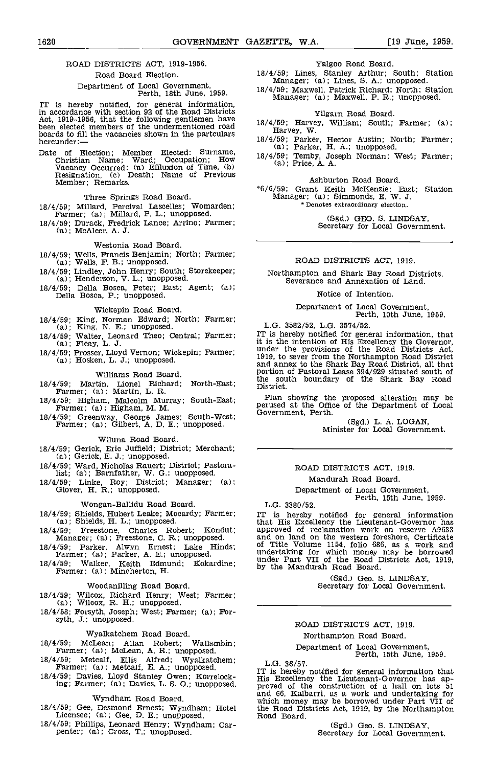#### ROAD DISTRICTS ACT, 1919-1956. Road Board Election.

Department of Local Government, Perth, 18th June, 1959.

IT is hereby notified, for general Information, in accordance with section 92 of the Road Districts Act, 1919-1956, that the following gentlemen have  $18/4/$ <br>been elected members of the undermentioned road  $18/4/$ boards to fill the vacancies shown in the partculars hereunder:  $\frac{18}{18}$ 

Date of Election; Member Elected: Surname,  $\frac{\Delta T}{18/4}$ ; T<br>Christian Name; Ward; Occupation; How  $\frac{\Delta T}{18.1}$ ; P Vacancy Occurred: (a) Effluxion of Time, (b)<br>Resignation, (c) Death; Name of Previous<br>Member; Remarks.

Three Springs Road Board.

- 18/4/59; Millard, Percival Lascelles; Womarden; Farmer; (a); Millard, P. L,; unopposed.
- 18/4/59; Durack, Fredrick Lance; Arrino; Farmer; (a); McAleer, A. J.

- Westonia Road Board.<br>18/4/59; Wells, Francis Benjamin; North; Farmer;<br>(a); Wells, F. B.; unopposed.
- 18/4/59; Lindley, John Henry; South; Storekeeper; (a); Henderson, V. L.; unopposed.
- 18/4/59; Della Bosca, Peter; East; Agent; (a); Della Bosca, P.; unopposed.

Wickepin Road Board.

- 18/4/59; King, Norman Edward; North; Farmer; (a); King, N. E.; unopposed.
- 18/4/59; Walter, Leonard Theo; Central; Farmer; (a); Fleay, L. J.
- 18/4/59; Prosser, Lloyd Vernon; Wickepin; Farmer; (a); Hosken, L. J.; unopposed.

#### Williams Road Board.

- 18/4/59; Martin, Lionel Richard; North-East; the sou<br>Farmer; (a); Martin, L. R.
- 18/4/59; Higham, Malcolm Murray; South-East; Farmer; (a); Higham, M. M.
- 18/4/59; Greenway, George James; South-West; Farmer; (a); Gilbert, A, D. E.; unopposed.

Wiluna Road Board.

- 18/4/59; Gerick, Eric Jumeld; District; Merchant; (a); Gerick, E. J.; unopposed.
- 18/4/59; Ward, Nicholas Rauert; District; Pastora-list; (a); Barnfather, W. G.; unopposed.
- 18/4/59; Linke, Roy; District; Manager; (a); Glover, H. R.; unopposed.

#### Wongan-Ballidu Road Board.

- 18/4/59; Shields, Hubert Leake; Mocardy; Farmer;<br>(a); Shields, H. L.; unopposed.<br>18/4/59; Freestone, Charles Robert; Kondut;
- 18/4/59; Freestone, Charles Robert; Kondut; Manager; (a); Freestone, C. R.; unopposed.
- 18/4/59; Parker, Alwyn Ernest; Lake Hinds; Farmer; (a); Parker, A. E.; unopposed.
- 18/4/59; Walker, Keith Edmund; Kokardine; under Part VII of the Road I Farmer; (a); Mincherton, H.

#### Woodanilling Road Board.

- 18/4/59; Wilcox, Richard Henry; West; Farmer; (a); Wilcox, R. H.; unopposed.
- 18/4/58; Forsyth, Joseph; West; Farmer; (a); For- syth, J.; unopposed.

#### Wyalkatchem Road Board.

18/4/59; McLean; Allan Robert; Wallambin; Farmer; (a); McLean, A. R,; unopposed.

- 18/4/59; Metcalf, Ellis Alfred; Wyalkatchem; Farmer; (a); Metcalf, E. A.; unopposed.
- 18/4/59; Davies, Lloyd Stanley Owen; Korrelocking; Farmer; (a); Davies, L. 5. 0.; unopposed.

#### Wyndham Road Board.

- 18/4/59; Gee, Desmond Ernest; Wyndham; Hotel the Road Dis<br>Licensee; (a); Gee, D. E.; unopposed. Road Board.
- 18/4/59; Phillips, Leonard Henry; Wyndham; Car- penter; (a); Cross, T.; unopposed.

#### Yalgoo Road Board.

18/4/59; Lines, Stanley Arthur; South; Station Manager; (a); Lines, S. A.; unopposed.

18/4/59; Maxwell, Patrick Richard; North; Station Manager; (a); Maxwell, P. R.; unopposed.

- Yilgarn Road Board.<br>18/4/59; Harvey, William; South; Farmer; (a);
- Harvey, W.<br>18/4/59; Parker, Hector Austin; North; Farmer; (a); Parker, H. A.; unopposed.
- 18/4/59; Temby, Joseph Norman; West; Farmer; (a); Price, A. A.

#### Ashburton Road Board.

6/6/59 Grant Keith McKenzie; East; Station Manager; (a); Simmonds, B. W. J. \* Denotes extraordinary election.

(Sgd.) GEO. S. LINDSAY, Secretary for Local Government.

#### ROAD DISTRICTS ACT, 1919.

Northampton and Shark Bay Road Districts. Severance and Annexation of Land.

#### Notice of Intention.

Department of Local Government, Perth, 10th June 1959.

L.G. 3582/52, L.G, 3574/52.

IT is hereby notified for general information, that<br>it is the intention of His Excellency the Governor,<br>under the provisions of the Road Districts Act,<br>1919, to sever from the Northampton Road District<br>and annex to the Sha

Plan showing the proposed alteration may be perused at the Office of the Department of Local Government, Perth.

(Sgd.) L. A. LOGAN, Minister for Local Government.

#### ROAD DISTRICTS ACT, 1919. Mandurah Road Board.

Department of Local Government, Perth, 15th June, 1959.

#### L.G. 3380/52.

IT is hereby notified for general information that His Excellency the Lieutenant-Governor has approved of reclamation work on reserve A9633 and on land on the western foreshore, Certificate of Title Volume 1154, folio 686, as a work and undertaking for which money may be borrowed under Part VII of the Road Districts Act, 1919, by the Mandurah Road Board.

(Sgd.) Geo. S. LINDSAY, Secretary for Local Government.

#### ROAD DISTRICTS ACT, 1919. Northampton Road Board.

## Department of Local Government,<br>Perth, 15th June, 1959.<br>L.G. 36/57.

L.G. 36/57. IT is hereby notified for general information that His Excellency the Lieutenant-Governor has ap- proved of the construction of a hall on lots 51 and 66, Kalbarri, as a work and undertaking for which money may be borrowed under Part VII of the Road Districts Act, 1919, by the Northampton

(Sgd.) Geo. S. LINDSAY, Secretary for Local Government.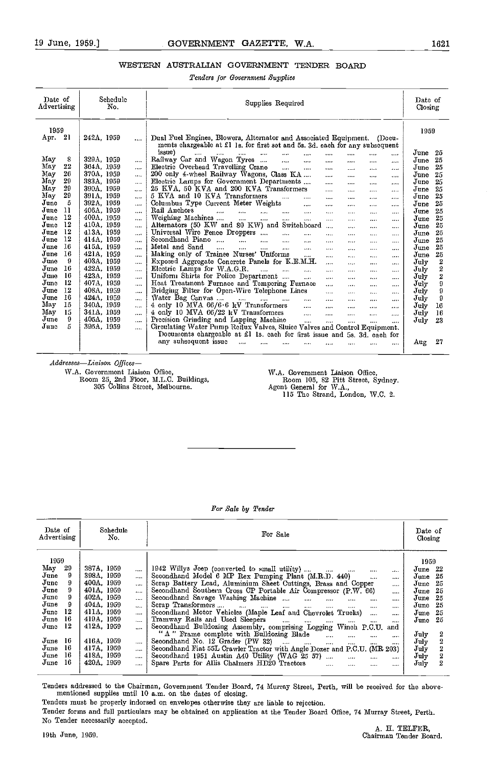### WESTERN AUSTRALIAN GOVERNMENT TENDER BOARD

Tenders for Government Supplies

| Date of<br>Advertising |    | Schedule<br>No. |  |           | Supplies Required                                                                                                                                                       | Date of<br>Closing |                |
|------------------------|----|-----------------|--|-----------|-------------------------------------------------------------------------------------------------------------------------------------------------------------------------|--------------------|----------------|
| 1959<br>Apr. 21        |    | 242A, 1959      |  |           | Dual Fuel Engines, Blowers, Alternator and Associated Equipment. (Docu-                                                                                                 | 1959               |                |
|                        |    |                 |  |           | ments chargeable at £1 1s. for first set and 5s. 3d. each for any subsequent<br>issue)                                                                                  | June               | -25            |
| May                    | 8  | 329A, 1959      |  | $\cdots$  | $\cdots$<br><b>SAME OF BUILDING</b><br>$\cdots$<br>$   -$<br>$\cdots$<br>$\cdots$<br>$\cdots$<br>$\cdots$<br>Railway Car and Wagon Tyres<br>$\mathbf{r}_{\mathrm{max}}$ | June               | 25             |
| May                    | 22 | 364A, 1959      |  | $\cdots$  | $\cdots$<br>$\cdots$<br><br>$\cdots$<br><br>Electric Overhead Travelling Crane<br>$\sim$<br>$\cdots$                                                                    | June               | 25             |
| May                    | 26 | 370A, 1959      |  | $\cdots$  | $\cdots$<br>$\cdots$<br>$\cdots$<br>$\cdots$<br>200 only 4-wheel Railway Wagons, Class KA<br>$\cdots$<br>                                                               | June               | 25             |
| May                    | 29 | 383A, 1959      |  | $\cdots$  | <br>$\cdots$<br>Electric Lamps for Government Departments<br>$\ddotsc$<br><br>$\cdots$                                                                                  | June               | 25             |
| May                    | 29 | 390A, 1959      |  |           | <br>25 KVA, 50 KVA and 200 KVA Transformers<br><br><br><br>                                                                                                             | June               | 25             |
| May                    | 29 | 391A. 1959      |  | $\cdots$  | 5 KVA and 10 KVA Transformers<br>$\cdots$<br><br><br><br><br>                                                                                                           | June               | 25             |
| June                   | 5  | 392A, 1959      |  |           | Columbus Type Current Meter Weights<br>$\cdots$<br><br><br>$\cdots$<br>$\cdots$                                                                                         | June               | 25             |
| June<br>11             |    | 406A, 1959      |  | $\cdots$  | Rail Anchors<br>$\cdots$<br>$\cdots$<br>$\cdots$<br>$\cdots$<br>$\cdots$<br>$\cdots$<br><br>                                                                            | June               | 25             |
| June                   | 12 | 409A, 1959      |  | $\cdots$  | <br>Weighing Machines<br>$\sim$<br>$\cdots$<br>$\cdots$<br>$\cdots$<br>$\cdots$<br><br>$\cdots$                                                                         | June               | 25             |
| June                   | 12 | 410A, 1959      |  | $\cdots$  | Alternators (50 KW and 80 KW) and Switchboard<br>$\cdots$                                                                                                               | June               | 25             |
| June                   | 12 | 413A, 1959      |  |           | <br>.<br>$\cdots$<br>Universal Wire Fence Droppers<br>$\sim$<br>$\cdots$<br>$10-1$<br>1.111<br>$\cdots$<br>$\cdots$                                                     | June               | 25             |
| June                   | 12 | 414A, 1959      |  | $\cdots$  | Secondhand Piano<br>$\sim 10^{-1}$<br>$\dddotsc$<br>$\sim$<br>$\cdots$<br>$\cdots$<br><br>$\cdots$<br>                                                                  | June               | 25             |
| June                   | 16 | 415A, 1959      |  | $\cdots$  | Metal and Sand<br>$\mathbf{1}$<br>$\cdots$<br>$\cdots$<br>$\cdots$<br>$\cdots$<br>1.141                                                                                 | June               | 25             |
| June                   | 16 | 421A, 1959      |  | $\cdots$  | <br>$\cdots$<br>$\cdots$<br>Making only of Trainee Nurses' Uniforms<br>$\cdots$                                                                                         | June               | 25             |
| June                   | 9  | 403A, 1959      |  | $\ddotsc$ | $\cdots$<br><br>$\cdots$<br>$\cdots$<br>Exposed Aggregate Concrete Panels for K.E.M.H.<br>$\cdots$                                                                      | July               | 2              |
| June                   | 16 | 422A, 1959      |  |           | <br><br><br>Electric Lamps for W.A.G.R.<br>$\ldots$<br>$\mathbf{r}$<br>$\cdots$                                                                                         | July               | 2              |
| June                   | 16 | 423A, 1959      |  | $\cdots$  | $\cdots$<br><br>$\cdots$<br><br>Uniform Shirts for Police Department<br>$\cdots$                                                                                        | $J$ uly            | $\overline{2}$ |
| June                   | 12 | 407A, 1959      |  | $\cdots$  | <br><br><br><br>Heat Treatment Furnace and Tempering Furnace                                                                                                            | $J$ uly            | 9              |
| June                   | 12 | 408A, 1959      |  | $\cdots$  | .<br>$\cdots$<br>$\cdots$<br><br>Bridging Filter for Open-Wire Telephone Lines                                                                                          | July               | 9              |
| June                   | 16 | 424A, 1959      |  |           | $\cdots$<br>$\cdots$<br><br>$\cdots$<br>Water Bag Canvas                                                                                                                | July               | 9              |
| May                    | 15 | 340A, 1959      |  | $\cdots$  | $\cdots$<br>$\cdots$<br>$\cdots$<br>$\cdots$<br><br>4 only 10 MVA 66/6 6 kV Transformers                                                                                | July               | 16             |
| May                    | 15 | 341A, 1959      |  | $\cdots$  | $\sim$<br>$\cdots$<br>$\cdots$<br>$\cdots$<br>.<br>4 only 10 MVA $66/22$ kV Transformers<br>$\sim 100$                                                                  | July               | 16             |
| June                   | 9  | 405A, 1959      |  | $\cdots$  | $\cdots$<br><br><br>$\cdots$<br>Precision Grinding and Lapping Machine<br>$\mathbf{r}$                                                                                  | July               | 23             |
| June                   | Б  | 395A, 1959      |  | $\cdots$  | $\cdots$<br>$\cdots$<br>$\cdots$<br>$\cdots$<br>Circulating Water Pump Reflux Valves, Sluice Valves and Control Equipment.                                              |                    |                |
|                        |    |                 |  |           | Documents chargeable at £1 1s. each for first issue and 5s. 3d. each for                                                                                                |                    |                |
|                        |    |                 |  |           | any subsequent issue                                                                                                                                                    |                    | 27             |
|                        |    |                 |  |           | $\cdots$<br><br><br><br><br><br><br>                                                                                                                                    | Aug                |                |

Addresses-Liaison Offices-

W.A. Governmeut Liaison Office, Room 25, 2nd Floor, ILL.C. Buildings, 305 Collins Street, Melbourne.

WA. Government Liaison Office, Room 105, 82 Pitt Street, Sydney. Agent General for \V.A., 115 The Strand, London, \V.C. 2.

For Sale by Tender

| Date of<br>Advertising                                                                                                                 | Schedule<br>No.                                                                                                                                                                                                                                                                                    | For Sale                                                                                                                                                                                                                                                                                                                                                                                                                                                                                                                                                                                                                                                                                                                                                                                                                                                                                                                              | Date of<br>Closing                                                                                                                                                                           |
|----------------------------------------------------------------------------------------------------------------------------------------|----------------------------------------------------------------------------------------------------------------------------------------------------------------------------------------------------------------------------------------------------------------------------------------------------|---------------------------------------------------------------------------------------------------------------------------------------------------------------------------------------------------------------------------------------------------------------------------------------------------------------------------------------------------------------------------------------------------------------------------------------------------------------------------------------------------------------------------------------------------------------------------------------------------------------------------------------------------------------------------------------------------------------------------------------------------------------------------------------------------------------------------------------------------------------------------------------------------------------------------------------|----------------------------------------------------------------------------------------------------------------------------------------------------------------------------------------------|
| 1959<br>May 29<br>9<br>June<br>June<br>June<br>June<br>June<br>12<br>June<br>16<br>June<br>12<br>June<br>June 16<br>June 16<br>June 16 | 387A, 1959<br>$\cdots$<br>398A, 1959<br>$\cdots$<br>400A, 1959<br>$\cdots$<br>401A, 1959<br>$\cdots$<br>402A, 1959<br>$\cdots$<br>404A, 1959<br>$\ddotsc$<br>411A, 1959<br>$\cdots$<br>419A, 1959<br>$\cdots$<br>412A, 1959<br>$\cdots$<br>416A, 1959<br>.<br>417A, 1959<br>$\cdots$<br>418A, 1959 | 1942 Willys Jeep (converted to small utility)<br><br>$\cdots$<br>Secondhand Model 6 MP Rex Pumping Plant (M.R.D. 440)<br>$\cdots$<br>$\cdots$<br>Scrap Battery Lead, Aluminium Sheet Cuttings, Brass and Copper<br>$\cdots$<br>Secondhand Southern Cross CP Portable Air Compressor (P.W. 66)<br><br>Secondhand Savage Washing Machine<br>$\cdots$<br>$\cdots$<br><br>Serap Transformers<br>$\sim$ $\sim$<br>$\cdots$<br>$\mathbf{r}$<br>$\cdots$<br>$\cdots$<br>Secondhand Motor Vehicles (Maple Leaf and Chevrolet Trucks)<br>$\cdots$<br>1.111<br>Tramway Rails and Used Sleepers<br>$\sim$<br>$\cdots$<br>Secondhand Bulldozing Assembly, comprising Logging Winch P.C.U. and<br>"A" Frame complete with Bulldozing Blade<br>$\mathbf{1}$<br>$\cdots$<br>$\cdots$<br>Secondhand No. 12 Grader (PW 32)<br>$\cdots$<br>$\cdots$<br>$\cdots$<br>$\cdots$<br>Secondhand Fiat 55L Crawler Tractor with Angle Dozer and P.C.U. (MR 203) | 1959<br>June 22<br>June 25<br>June 25<br>June 25<br>-25<br>June<br>June 25<br>-25<br>June<br>- 25<br>June<br>July<br>$\begin{smallmatrix}2\2\2\2\2\end{smallmatrix}$<br>July<br>Julv<br>July |
| 16<br>$_{\rm June}$                                                                                                                    | $\cdots$<br>420A, 1959<br>$\cdots$                                                                                                                                                                                                                                                                 | Secondhand 1951 Austin A40 Utility (WAG 25 57)<br>$\cdots$<br>$\cdots$<br>Spare Parts for Allis Chalmers HD20 Tractors<br>$\cdots$<br><br>                                                                                                                                                                                                                                                                                                                                                                                                                                                                                                                                                                                                                                                                                                                                                                                            | 2<br>July                                                                                                                                                                                    |

Tenders addressed to the Chairman, Government Tender Board, 74 Murray Street, Perth, will be received for the above-<br>mentioned supplies until 10 a.m. on the dates of closing.

Tenders must be properly indorsed on envelopes otherwise they are liable to rejection. Tender forms and full particulars may be obtained on appilcation at the Tender Board Office, 74 Murray Street, Perth. No Tender necessarily accepted. A. H. TELFER,<br>19th June, 1959. Chairman Tender Board.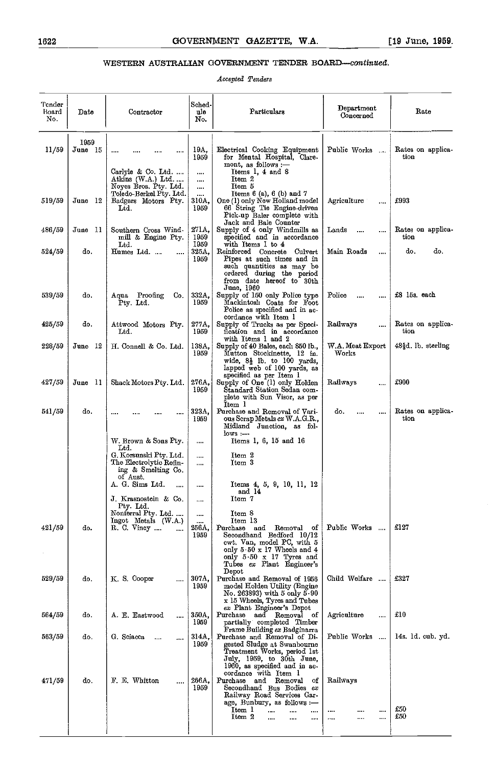### WESTERN AUSTRALIAN GOVERNMENT TENDER BOARD-continued.

Accepted Tenders

| Tender<br>Board<br>No. | Date            | Contractor                                                                               | Sched-<br>ule<br>No.          | Particulars                                                                                                                                                                                                         | Department<br>Concerned                   | Rate                      |
|------------------------|-----------------|------------------------------------------------------------------------------------------|-------------------------------|---------------------------------------------------------------------------------------------------------------------------------------------------------------------------------------------------------------------|-------------------------------------------|---------------------------|
| 11/59                  | 1959<br>June 15 | Carlyle & Co. Ltd.<br>Atkins (W.A.) Ltd.                                                 | 19A.<br>1959<br><br>          | Electrical Cooking Equipment<br>for Mental Hospital, Clare-<br>mont, as follows :-<br>Items 1, 4 and 8<br>Item 2                                                                                                    | Rates on applica-<br>tion                 |                           |
| 519/59                 | June 12         | Noyes Bros. Pty. Ltd.<br>Toledo-Berkel Pty. Ltd.<br>Badgers Motors Pty.<br>$_{\rm Ltd.}$ | $\cdots$<br><br>310A.<br>1959 | Item 5<br>Items $6$ (a), $6$ (b) and $7$<br>One (1) only New Holland model<br>66 String Tie Engine-driven<br>Pick-up Baler complete with                                                                            | Agriculture<br>$\cdots$                   | £993                      |
| 486/59                 | June 11         | Southern Cross Wind-<br>mill & Engine Pty.                                               | 271A.<br>1959                 | Jack and Bale Counter<br>Supply of 4 only Windmills as<br>specified and in accordance                                                                                                                               | Lands<br><br>                             | Rates on applica-<br>tion |
| 524/59                 | do.             | $_{\rm Ltd.}$<br>Humes Ltd.<br>                                                          | 1959<br>325A.<br>1959         | with Items I to 4<br>Reinforced Concrete Culvert<br>Pipes at such times and in<br>such quantities as may be<br>ordered during the period<br>from date hereof to 30th<br>June, 1960                                  | Main Roads<br>                            | do.<br>do.                |
| 539/59                 | do.             | Aqua Proofing<br>Co.<br>Pty. Ltd.                                                        | 332A.<br>1959                 | Supply of 150 only Police type<br>Mackintosh Coats for Foot<br>Police as specified and in ac-<br>cordance with Item 1                                                                                               | Police<br>                                | £8 15s. each              |
| 425/59                 | do.             | Attwood Motors Pty.<br>Ltd.                                                              | 277A,<br>1959                 | Supply of Trucks as per Speci-<br>fication and in accordance<br>with Items 1 and 2                                                                                                                                  | Railways<br>                              | Rates on applica-<br>tion |
| 228/59                 | June 12         | H. Connell & Co. Ltd.                                                                    | 138A,<br>1959                 | Supply of 40 Bales, each 850 lb.,<br>Mutton Stockinette, 12 in.<br>wide, $8\frac{1}{2}$ lb. to 100 yards,<br>lapped web of 100 yards, as                                                                            | W.A. Meat Export<br>Works                 | 48§d. Ib. sterling        |
| 427/59                 | June 11         | Shack Motors Pty. Ltd.                                                                   | 276A.<br>1959                 | specified as per Item 1<br>Supply of One (1) only Holden<br>Standard Station Sedan com-<br>plete with Sun Visor, as per<br>Item 1                                                                                   | Railways<br>                              | £900                      |
| 541/59                 | do.             |                                                                                          | 323A.<br>1959                 | Purchase and Removal of Vari-<br>ous Scrap Metals ex W.A.G.R.,<br>Midland Junction, as fol-<br>$_{\text{lovs}} -$                                                                                                   | do.<br><br>                               | Rates on applica-<br>tion |
|                        |                 | W. Brown & Sons Pty.<br>Ltd.                                                             |                               | Items 1, 6, 15 and 16                                                                                                                                                                                               |                                           |                           |
|                        |                 | G. Korsunski Pty. Ltd.<br>The Electrolytic Refin-<br>ing & Smelting Co.<br>of Aust.      | <br>                          | Item 2<br>Item 3                                                                                                                                                                                                    |                                           |                           |
|                        |                 | A. G. Sims Ltd.<br>                                                                      |                               | Items 4, 5, 9, 10, 11, 12<br>and 14                                                                                                                                                                                 |                                           |                           |
|                        |                 | J. Krasnostein & Co.<br>Pty. Ltd.<br>Nonferral Pty. Ltd.                                 | <br>$\cdots$                  | Item 7<br>Item 8                                                                                                                                                                                                    |                                           |                           |
| 421/59                 | do.             | Ingot Metals (W.A.)<br>R.C. Viney<br>$\cdots$                                            | <br>256A.<br>1959             | Item 13<br>Purchase<br>and<br>Removal<br>οf<br>Secondhand Bedford 10/12<br>ewt. Van, model PC, with 5<br>only $5 \cdot 50 \times 17$ Wheels and $4$<br>only $5.50 \times 17$ Tyres and<br>Tubes ex Plant Engineer's | Public Works                              | £127                      |
| 529/59                 | do.             | K.S. Cooper<br>$\cdots$                                                                  | 307A.<br>1959                 | Depot<br>Purchase and Removal of 1956<br>model Holden Utility (Engine<br>No. 263893) with 5 only $5 \cdot 90$<br>x 15 Wheels, Tyres and Tubes                                                                       | Child Welfare                             | £327                      |
| 564/59                 | do.             | A. E. Eastwood<br>                                                                       | 350A,<br>1959                 | ex Plant Engineer's Depot<br>Purchase<br>and Removal of<br>partially completed Timber                                                                                                                               | Agriculture<br>                           | £10                       |
| 563/59                 | do.             | G. Sciacca<br>$\overline{\phantom{a}}$                                                   | 314A.<br>1959                 | Frame Building ex Badginarra<br>Purchase and Removal of Di-<br>gested Sludge at Swanbourne<br>Treatment Works, period 1st<br>July, 1959, to 30th June,<br>1960, as specified and in ac-<br>cordance with Item 1     | Public Works                              | 14s. 1d. cub. yd.         |
| 471/59                 | do.             | F. E. Whitton<br>                                                                        | 266A.<br>1959                 | Purchase<br>Removal<br>and<br>οf<br>Secondhand Bus Bodies ex<br>Railway Road Services Gar-<br>age, Bunbury, as follows :-<br>Item 1<br><br>Item 2<br>a per                                                          | Railways<br><br><br><br>$\cdots$<br>1.500 | \$50<br>$\pounds 50$      |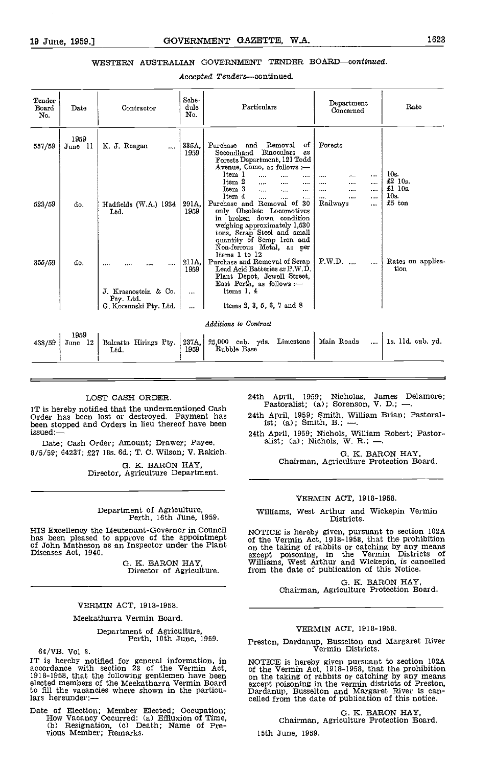#### WESTERN AUSTRALIAN GOVERNMENT TENDER BOARD-continued.

Accepted Tenders-continued.

| Tender<br>Board<br>No. | Date                 | Contractor                                     | Sche-<br>dule<br>No.      | Particulars                                                                                                                                                                                                                                                 | Department<br>Concerned                     | Rate                      |
|------------------------|----------------------|------------------------------------------------|---------------------------|-------------------------------------------------------------------------------------------------------------------------------------------------------------------------------------------------------------------------------------------------------------|---------------------------------------------|---------------------------|
| 557/59                 | 1959<br>- 11<br>June | K. J. Reagan<br>$\cdots$                       | 335A.<br>1959             | Removal<br>οf<br>Purchase<br>and<br>Secondhand<br><b>Binoculars</b><br>ex<br>Forests Department, 121 Todd<br>Avenue, Como, as follows :-<br>ltem 1<br>$\cdots$<br><br>ltem 2<br><br><br><br>Item 3<br>$\cdots$<br>$\ddotsc$<br>                             | Forests<br><br><br><br><br><br><br><br><br> | 10s<br>£2 10s.<br>£10s.   |
| 523/59                 | do.                  | Hadfields (W.A.) 1934<br>Ltd.                  | 291A.<br>1959             | ltem 4<br>$\cdots$<br>$\cdots$<br>$\cdots$<br>Purchase and Removal of 30<br>only Obsolete Locomotives<br>in broken down condition<br>weighing approximately 1,530<br>tons, Scrap Steel and small<br>quantity of Scrap Iron and<br>Non-ferrous Metal, as per | <br><br><br>Railways<br>                    | 10 <sub>s</sub><br>£5 ton |
| 355/59                 | do.                  | <br><br>.<br>J. Krasnostein & Co.<br>Pty. Ltd. | 211A.<br>1959<br>$\cdots$ | ltems 1 to 12<br>Purchase and Removal of Scrap<br>Lead Acid Batteries $ex$ P.W.D.<br>Plant Depot, Jewell Street,<br>East Perth, as follows :-<br>ltems 1, 4                                                                                                 | P.W.D.<br>$\overline{\phantom{a}}$<br>      | Rates on applica-<br>tion |
|                        |                      | G. Korsunski Pty. Ltd.                         | $\cdots$                  | lteins 2, 3, 5, 6, 7 and 8                                                                                                                                                                                                                                  |                                             |                           |
|                        |                      |                                                |                           | Additions to Contract                                                                                                                                                                                                                                       |                                             |                           |
| 438/59                 | 1959<br>June 12      | Balcatta Hirings Pty.<br>Ltd.                  | 237A.<br>1959             | 25,000 cub. yds.<br>Limestone<br>Rubble Base                                                                                                                                                                                                                | Main Roads<br>                              | 1s. 11d. enb. yd.         |

#### LOST CASH ORDER.

IT is hereby notified that the undermentioned Cash Order has been lost or destroyed. Payment has been stopped and Orders in lieu thereof have been issued:—

Date; Cash Order; Amount; Drawer; Payee. 8/5/59; 64237; £27 lBs. Gd.; T. C. Wilson; V. Rakich.

0. K. BARON HAY, Director, Agriculture Department.

## Department of Agriculture, Perth, 16th June, 1959.

HIS Excellency the Lieutenant-Governor in Council has been pleased to approve of the appointmeflt of John Matheson as an Inspector under the Plant Diseases Act, 1940.

0. K. BARON HAY, Director of Agriculture.

#### VERMIN ACT, 1918-1958.

#### Meekatharra Vermin Board.

Department of Agriculture, Perth, 10th June, 1959.

64/yB. Vol 3. IT is hereby notified for general information, in accordance with section 23 of the Vermin Act,<br>1918-1958, that the following gentlemen have been on the elected members of the Meekatharra Vermin Board except to fill the vacancies where shown in the particu-<br>lars hereunder:—

Date of Election; Member Elected; Occupation; How Vacancy Occurred: (a) Effluxion of Time, (b) Resignation, (c) Death; Name of Pre-vious Member; Remarks.

24th April, 1959; Nicholas, James Delamore;<br>Pastoralist; (a); Sorenson, V. D.; -..

24th April, 1959; Smith, William Brian; Pastoralist; (a); Smith, B.; ---.

24th April, 1959; Nichols, William Robert; Pastor-<br>alist; (a); Nichols, W. R.; --

0. K. BARON HAY, Chairman, Agriculture Protection Board.

#### VERMIN ACT, 1918-1958.

Williams, West Arthur and Wickepin Vermin Districts.

NOTICE is hereby given, pursuant to section 102A of the Vermin Act, 1918-1958, that the prohibition on the taking of rabbits or catching by any means except poisoning, in the Vermin Districts of Williams, West Arthur and Wickepin, is cancelled from the date of publication of this Notice.

G. K. BARON HAY,<br>Chairman, Agriculture Protection Board.

#### VERMIN ACT, 1918-1958.

Preston, Dardanup, Busselton and Margaret River Vermin Districts.

NOTICE is hereby given pursuant to section 102A of the Vermin Act, 1918-1958, that the prohibition<br>on the taking of rabbits or catching by any means<br>except poisoning in the vermin districts of Preston,<br>Dardanup, Busselton and Margaret River is can-<br>celled from the date

G. K. BARON HAY, Chairman, Agriculture Protection Board.

15th June, 1959.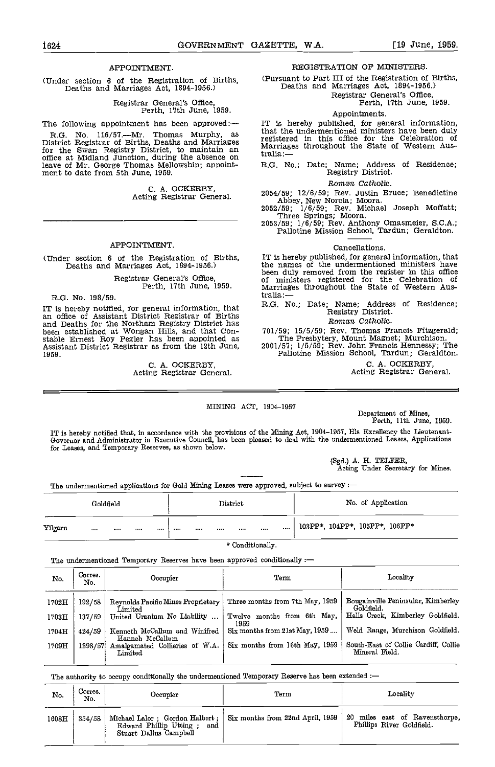#### APPOINTMENT.

(Under section 6 of the Registration of Births, Deaths and Marriages Act, 1894-1956.)

Registrar General's Office, Perth, 17th June, 1959.

for the Swan Registry District, to maintain an Marria<br>office at Midland Junction, during the absence on tralia:leave of Mr. George Thomas Mellowship; appoint- ment to date from 5th June, 1959.

C. A. OCKERBY,<br>Acting Registrar General.

#### APPOINTMENT.

(Under section 6 of the Registration of Births, Deaths and Marriages Act, 1894-1956.)

## Registrar General's Office, Perth, 17th June, 1959.

R.G. No. 198/59.

IT is hereby notified, for general information, that and B.G. No.; Date; Name; Address of Residence;<br>an office of Assistant District Registrar of Births<br>and Deaths for the Northam Registry District has<br>been established at 1959.

C. A. OCKERBY,<br>Acting Registrar General.

#### REGISTRATION OF MINISTERS.

(Pursuant to Part III of the Registration of Births, Deaths and Marriages Act, 1894-1956.)

Registrar General's Office, Perth, 17th June, 1959.

#### Appointments.

The following appointment has been approved:- IT is hereby published, for general information, R.G. No. 116/57.—Mr. Thomas Murphy, as that the undermentioned ministers have been duly<br>District Registrar of Births, Deaths and Marriages registered in this office for the Celebration of IT is hereby published, for general information, that the undermentioned ministers have been duly registered in this office for the Celebration of Marriages throughout the State of Western Australia :-

R.G. No.; Date; Name; Address of Residence; Registry District.

#### Roman Catholic.

2054/59; 12/6/59; Rev. Justin Bruce; Benedictine Abbey, New Norcia; Moora.

2052/59; 1/6/59; Rev. Michael Joseph Moffatt;<br>Three Springs; Moora.<br>2053/59; 1/6/59; Rev. Anthony Omasmeier, S.C.A.;<br>Pallotine Mission School, Tardun; Geraldton.

#### Cancellations.

IT is hereby published, for general information, that the names of the undermentioned ministers have been duly removed from the register in this office of ministers registered for the Celebration of Marriages throughout the State of Western Australia

R.G. No.; Date; Name; Address of Residence; Registry District.

#### Roman Catholic.

7019; The Presbytery, Mount Magnet; Murchison.<br>2001/57; 1/5/59; Rev. John Francis Hennessy; The Pallotine Mission School, Tardun; Geraldton.

C. A. OCKERBY, Acting Registrar General

#### MINING ACT, 1904-1957

Department of Mines, Perth, 11th June, 1959.

IT is hereby notified that, in accordance with the provisions of the Mining Act, 1904–1957, His Excellency the Lieutenant-Governor and Administrator in Executive Council, has been pleased to deal with the undermentioned Le for Leases, and Temporary Reserves, as shown below.

(Sgd.) A. H. TELFER, Acting Under Secretary for Mines.

The undermentioned applications for Gold Mining Leases were approved, subject to survey

|         | Goldfield |              |          |      | District |      | No. of Application                     |
|---------|-----------|--------------|----------|------|----------|------|----------------------------------------|
| Yilgarn | $\cdots$  | <br>$\cdots$ | $\cdots$ | <br> |          | <br> | <br>$'$ 103PP*, 104PP*, 105PP*, 106PP* |

\* Conditionally.

The undermentioned Temporary Reserves have been approved conditionally :-

| No.   | Corres.<br>No. | Occupier                                         | Term                                | Locality                                               |  |  |
|-------|----------------|--------------------------------------------------|-------------------------------------|--------------------------------------------------------|--|--|
| 1702H | 192/58         | Reynolds Pacific Mines Proprietary<br>Limited    | Three months from 7th May, 1959     | Bougainville Peninsular, Kimberley<br>Goldfield.       |  |  |
| 1703H | 137/59         | United Uranium No Liability                      | Twelve months from 6th May,<br>1959 | Halls Creek, Kimberley Goldfield.                      |  |  |
| 1704H | 424/59         | Kenneth McCallum and Winifred<br>Hannah McCallum | Six months from 21st May, 1959      | Weld Range, Murchison Goldfield.                       |  |  |
| 1709H | 1298/57        | Amalgamated Collieries of W.A.<br>Limited        | Six months from 16th May, 1959      | South-East of Collie Cardiff, Collie<br>Mineral Field. |  |  |

The authority to occupy conditionally the undermentioned Temporary Reserve has been extended :-

| No.   | Corres.<br>No. | Occupier                                                | Term                                                                          | Locality                                                    |  |  |
|-------|----------------|---------------------------------------------------------|-------------------------------------------------------------------------------|-------------------------------------------------------------|--|--|
| 1608H | 354/58         | Edward Phillip Utting;<br>and<br>Stuart Dallus Campbell | Michael Lalor; Gordon Halbert; $\frac{1}{2}$ Six months from 22nd April, 1959 | 20 miles east of Ravensthorpe,<br>Phillips River Goldfield. |  |  |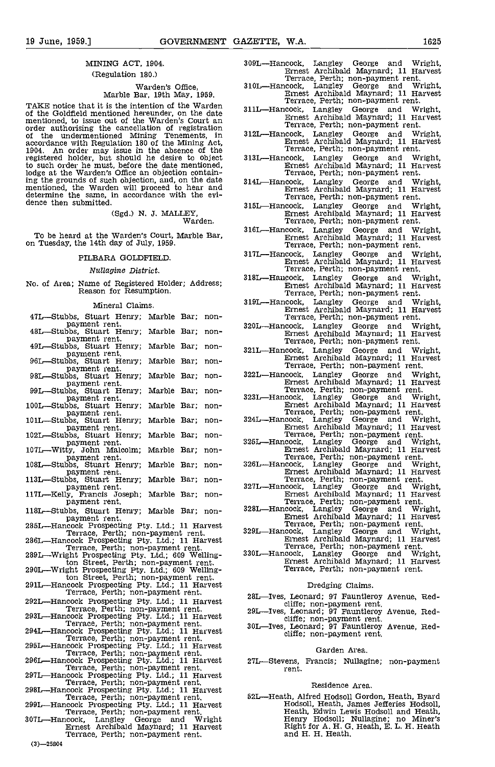#### MINING ACT, 1904. (Regulation 180.)

## Warden's Office,<br>Marble Bar, 19th May, 1959.

TAKE notice that it is the intention of the Warden of the Goldfield mentioned hereunder, on the date mentioned, to issue out of the Warden's Court an order authorising the cancellation of registration<br>of the undermentioned Mining Tenements, in<br>accordance with Regulation 180 of the Mining Act, accordance with Regulation 180 of the Mining Act, 1904. An order may issue in the absence of the registered holder, but should he desire to object 3 to such order he must, before the date mentioned, lodge at the Warden's Office an objection containing the grounds of such objection, and, on the date mentioned, the Warden will proceed to hear and determine the same, in accordance with the evi-<br>dence then submitted. 31

(Sgd.) N. J. MALLEY,<br>Warden.

#### PILBARA GOLDFIELD.

#### Nuflaginc District.

No. of Area; Name of Registered Holder; Address; Reason for Resumption.

#### Mineral Claims.

| 47L—Stubbs, Stuart Henry;<br>payment rent.                                              | Marble Bar; |      | non-   |     |
|-----------------------------------------------------------------------------------------|-------------|------|--------|-----|
| 48L—Stubbs, Stuart Henry;<br>payment rent.                                              | Marble Bar; |      | non-   | 320 |
| 49L—Stubbs, Stuart Henry;<br>payment rent,                                              | Marble Bar; |      | non-   | 321 |
| 96L-Stubbs, Stuart Henry;<br>payment rent.                                              | Marble Bar; |      | non-   |     |
| 98L—Stubbs, Stuart Henry;<br>payment rent.                                              | Marble      | Bar: | non-   | 322 |
| 99L—Stubbs, Stuart Henry;<br>payment rent.                                              | Marble      | Bar; | non-   | 323 |
| 100L—Stubbs, Stuart Henry;<br>payment rent.                                             | Marble Bar; |      | non-   |     |
| 101L—Stubbs, Stuart Henry;<br>payment rent.                                             | Marble Bar; |      | non-   | 324 |
| 102L—Stubbs, Stuart Henry;<br>payment rent.                                             | Marble Bar; |      | non-   | 325 |
| 107L-Witty, John Malcolm;<br>payment rent.                                              | Marble      | Bar: | non-   |     |
| 108L-Stubbs, Stuart Henry;<br>payment rent.                                             | Marble Bar: |      | non-   | 326 |
| 113L—Stubbs, Stuart Henry;<br>payment rent.                                             | Marble      | Bar; | non-   | 327 |
| 117L—Kelly, Francis Joseph;<br>payment rent.                                            | Marble Bar; |      | non-   |     |
| 118L—Stubbs, Stuart Henry; Marble Bar;<br>payment rent.                                 |             |      | non-   | 328 |
| 285L—Hancock Prospecting Pty, Ltd.; 11 Harvest<br>Terrace, Perth; non-payment rent.     |             |      |        | 329 |
| 286L—Hancock Prospecting Pty, Ltd.; 11 Harvest<br>Terrace, Perth; non-payment rent.     |             |      |        |     |
| 2891 Wright Prospecting Pty. Ltd.; 609 Welling-<br>ton Street, Perth; non-payment rent. |             |      |        | 330 |
| 290L—Wright Prospecting Pty, Ltd.; 609 Welling-<br>ton Street, Perth; non-payment rent. |             |      |        |     |
| 291L-Hancock Prospecting Pty. Ltd.; 11 Harvest<br>Terrace, Perth; non-payment rent.     |             |      |        |     |
| 292L—Hancock Prospecting Pty, Ltd.; 11 Harvest                                          |             |      |        | 28  |
| Terrace, Perth; non-payment rent.<br>293L—Hancock Prospecting Pty, Ltd.; 11 Harvest     |             |      |        | 29  |
| Terrace, Perth; non-payment rent.<br>294L—Hancock Prospecting Pty, Ltd.; 11 Harvest     |             |      |        | 30  |
| Terrace, Perth; non-payment rent.<br>295L—Hancock Prospecting Pty, Ltd.; 11 Harvest     |             |      |        |     |
| Terrace, Perth; non-payment rent.<br>296L—Hancock Prospecting Pty, Ltd.; 11 Harvest     |             |      |        | 27  |
| Terrace, Perth; non-payment rent,<br>297L—Hancock Prospecting Pty, Ltd.; 11 Harvest     |             |      |        |     |
| Terrace, Perth; non-payment rent.<br>298L—Hancock Prospecting Pty, Ltd.; 11 Harvest     |             |      |        |     |
| Terrace, Perth; non-payment rent,<br>299L—Hancock Prospecting Pty, Ltd.; 11 Harvest     |             |      |        | 52  |
| Terrace, Perth; non-payment rent.<br>307L—Hancock,<br>Langley George and                |             |      | Wright |     |
| Ernest Archibald Maynard; 11 Harvest<br>Terrace, Perth; non-payment rent.               |             |      |        |     |
| 79N -<br><b>DEODA</b>                                                                   |             |      |        |     |

| 309L—Hancock, Langley George and Wright, |                                      |  |  |
|------------------------------------------|--------------------------------------|--|--|
|                                          | Ernest Archibald Maynard: 11 Harvest |  |  |
|                                          | Terrace Perth, non-nayment rent      |  |  |

- Terrace, Perth; non-payment rent.<br>310L—Hancock, Langley George and Wright,<br>Ernest Archibald Maynard; 11 Harvest<br>Terrace, Perth; non-payment rent.
- 311L-Hancock, Langley George and Wright, Ernest Archibald Maynard; 11 Harvest Terrace, Perth; non-payment rent.
- 312L-Hancock, Langley George and Wright, Ernest Archibald Maynard; 11 Harvest Terrace, Perth; non-payment rent.
- 3 13L-Hancock, Langley George and Wright, Ernest Archibald Maynard; 11 Harvest Terrace, Perth; non-payment rent.
- 314L-Hancock, Langley George and Wright, Ernest Archibald Maynard; 11 Harvest Terrace, Perth; non-payment rent.
- 315L-Hancock, Langley George and Wright,<br>Ernest Archibald Maynard; 11 Harvest<br>Terrace, Perth; non-payment rent.
- To be heard at the Warden's Court, Marble Bar,<br>
on Tuesday, the 14th day of July, 1959.<br>
Terrace Perth' non-nayment rent
	-
	- Terrace, Perth; non-payment rent,<br>317L—Hancock, Langley George and Wright,<br>Ernest Archibald Maynard; 11 Harvest<br>Terrace, Perth; non-payment rent.<br>318L—Hancock, Langley George and Wright,<br>Ernest Archibald Maynard; 11 Harves
	- 319L-Hancock, Langley George and Wright, Ernest Archibald Maynard; 11 Harvest Terrace, Perth; non-payment rent.
	- 320L-Hancock, Langley George and Wright, Ernest Archibald Maynard; 11 Harvest Terrace, Perth; non-payment rent.
	- 321L-Hancock, Langley George and Wright,<br>Ernest Archibald Maynard; 11 Harvest<br>Terrace, Perth; non-payment rent.<br>322L-Hancock, Langley George and Wright,<br>Ernest Archibald Maynard; 11 Harvest
	-
	-
	-
	-
	-
	-
	-
	-
	- Francock, Langley George and Wright,<br>
	Francock, Langley George and Wright,<br>
	Francock, Langley George and Wright,<br>
	Francock, Langley George and Wright,<br>
	Francock, Langley George and Wright,<br>
	Francock, Langley George and Wri

#### Dredging Claims.

- 28L-Ives, Leonard; 97 Fauntleroy Avenue, Red-<br>cliffe; non-payment rent.<br>29L-Ives, Leonard; 97 Fauntleroy Avenue, Red-<br>30L-Ives, Leonard; 97 Fauntleroy Avenue, Red-<br>30L-Ives, Leonard; 97 Fauntleroy Avenue, Red-<br>cliffe; non-
- 
- 

#### Garden Area.

27L-Stevens, Francis; Nullagine; non-payment rent.

#### Residence Area,

52L—Heath, Alfred Hodsoll Gordon, Heath, Byard<br>Hodsoll, Heath, James Jefferies Hodsoll,<br>Heath, Edwin Lewis Hodsoll and Heath,<br>Henry Hodsoll; Nullagine; no Miner's<br>Right for A. H. G. Heath, E. L. H. Heath and H. H. Heath,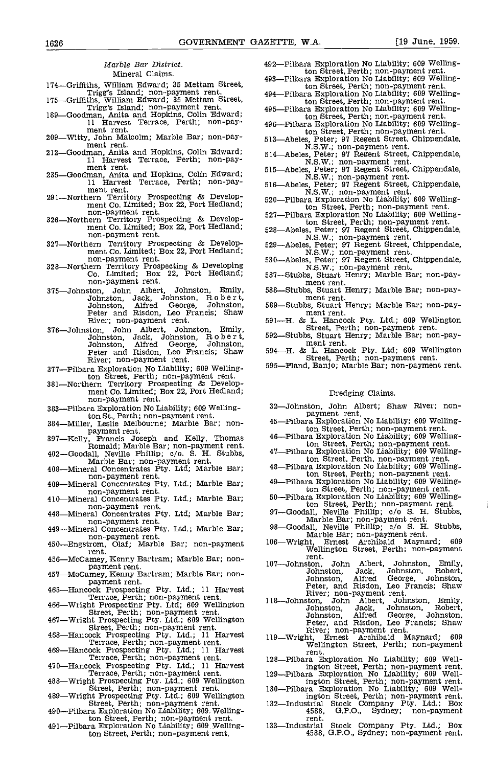#### Marble Ear District. Mineral Claims.

- 
- 174-Griffiths, William Edward; 35 Mettam Street,<br>Trigg's Island; non-payment rent.<br>175-Griffiths, William Edward; 35 Mettam Street,<br>189-Goodman, Anita and Hopkins, Colin Edward;
- 11 Trigg's Island; non-payment rent.<br>189—Goodman, Anita and Hopkins, Colin Edward;<br>11 Harvest Terrace, Perth; non-pay-<br>209—Witty, John Malcolm; Marble Bar; non-pay-
- 
- 209-Witty, John Malcolm; Marble Bar; non-pay-<br>ment rent.<br>212-Goodman, Anita and Hopkins, Colin Edward;<br>11 Harvest Terrace, Perth; non-payment rent.
- 235-Goodman, Anita and Hopkins, Colin Edward;<br>11 Harvest Terrace, Perth; non-pay-
- ment rent, 291-Northern Territory Prospecting & Develop-<br>ment Co. Limited; Box 22, Port Hedland; 1920-Pilbara Exploration No Liability; 609 Welling-<br>ment Co. Limited; Box 22, Port Hedland; 201-Pilbara Exploration No Liabil
- non-payment rent.<br>
326-Northern Territory Prospecting & Develop-<br>
ment Co. Limited; Box 22, Port Hedland;<br>
non-payment rent.
- 327-Northern Territory Prospecting & Develop-<br>ment Co. Limited; Box 22, Port Hedland; non-payment rent. 530-128-Northern Territory Prospecting & Developing
- Co. Limited; Box 22, Port Hedhand; non-payment rent.
- 375-Johnston, John Albert, Johnston, Emily, Johnston, Jack, Johnston, R 0 b e r t, Johnston, Alfred George, Johnston, 589—Stubbs<br>Peter and Risdon, Leo Francis; Shaw m River; non-payment rent.
- 316-Johnston, John Albert, Johnston, Emily, Johnston, Jack, Johnston, R o bert, Johnston, Alfred George, Johnston, m<br>Peter and Risdon, Leo Francis; Shaw 594—H. &<br>River; non-payment rent.
- 377-Pilbara Exploration No tiability; 609 Welling-
- ton Street, Perth; non-payment rent.<br>381-Northern Territory Prospecting & Develop-<br>ment Co. Limited; Box 22, Port Hedland; non-payment rent.
- 383-Pilbara Exploration No Liability; 609 Welling-
- ton St., Perth; non-payment rent.<br>384—Miller, Leslie Melbourne; Marble Bar; non-<br>payment rent.
- 
- 
- payment rent.<br>
397—Kelly, Francis Joseph and Kelly, Thomas<br>
Romald; Marble Bar; non-payment rent.<br>
402—Goodall, Neville Phillip; c/o. S. H. Stubbs,<br>
Marble Ear; non-payment rent,<br>
408—Mineral Concentrates Pty. Ltd; Marble
- non-payment rent. 409-Mineral Concentrates Pty. Ltd.; Marble Bar;
- 410—Mineral Concentrates Pty. Ltd.; Marble Bar;<br>non-payment rent.<br>448—Mineral Concentrates Pty. Ltd; Marble Bar;<br>non-payment rent.<br>449—Mineral Concentrates Pty. Ltd.; Marble Bar;<br>non-payment rent.<br>450—Engstrom, Olaf; Marbl
- 
- 
- rent.<br>456—McCamey, Kenny Bartram; Marble Bar; non-
- 
- payment rent.<br>457—McCamey, Kenny Bartram; Marble Bar; non-<br>payment rent. payment rent.<br>465—Hancock Prospecting Pty. Ltd.; 11 Harvest
- 
- 
- Terrace, Perth; non-payment rent.<br>
466—Wright Prospecting Pty. Ltd; 609 Wellington<br>
Street, Perth; non-payment rent.<br>
467—Wright Prospecting Pty. Ltd.; 609 Wellington<br>
467—Wright Prospecting Pty. Ltd.; 609 Wellington<br>
5tre
- 468—Hancock Prospecting Pty. Ltd.; 11 Harvest 119—Wright,<br>Terrace, Perth; non-payment rent. 469—Hancock Prospecting Pty. Ltd.; 11 Harvest rent<br>Terrace, Perth; non-payment rent. 128—Pilbara
- Terrace, Perth; non-payment rent.<br>470-Hancock Prospecting Pty. Ltd.; 11 Harvest
- 
- 
- Terrace, Perth; non-payment rent. 129—1<br>
488—Wright Prospecting Pty. Ltd.; 609 Wellington<br>
Street, Perth; non-payment rent. 130—1<br>
489—Wright Prospecting Pty. Ltd.; 609 Wellington<br>
489—Wright Prospecting Pty. Ltd.; 609 Wel
- ton Street, Perth; non-payment rent. 491-Pilbara Exploration No Liability; 609 Welling-
- ton Street, Perth; non-payment rent.
- 492-Pilbara Exploration No Liability; 609 Welling-
- ton Street, Perth; non-payment rent. 493-Pilbara Exploration No Liability; 609 Welling-494-Pilbara Exploration No Liability; 609 Welling-
- ton Street, Perth; non-payment rent.<br>495—Pilbara Exploration No Liability; 609 Welling-
- ton Street, Perth; non-payment rent. 496-Pilbara Exploration No Liability; 609 Welling-
- 
- 
- 
- 
- ton Street, Perth; non-payment rent.<br>513—Abeles, Peter; 97 Regent Street, Chippendale,<br>514—Abeles, Peter; 97 Regent Street, Chippendale,<br>514—Abeles, Peter; 97 Regent Street, Chippendale,<br>N.S.W.; non-payment rent.<br>515—Abele
- ton Street, Perth; non-payment rent. 527-Pilbara Exploration No Liability; 609 Welling-
- 
- 
- 527—Pilbara Exploration No Liability; 609 Welling-<br>ton Street, Perth; non-payment rent.<br>528—Abeles, Peter; 97 Regent Street, Chippendale,<br>N.S.W.; non-payment rent.<br>529—Abeles, Peter; 97 Regent Street, Chippendale,<br>N.S.W.;
- 
- ment rent.<br>588-Stubbs, Stuart Henry; Marble Bar; non-pay-
- 
- ment rent.<br>589-Stubbs, Stuart Henry; Marble Bar; non-pay-<br>ment rent.
- 591-H. & L. Hancock Pty. Ltd.; 609 Wellington<br>Street, Perth; non-payment rent.<br>592-Stubbs, Stuart Henry; Marble Bar; non-pay-<br>ment rent.
- 
- 594-H. & L. Hancock Pty. Ltd; 609 Wellington<br>Street, Perth; non-payment rent.<br>595-Fland, Banjo; Marble Bar; non-payment rent.
- 

#### Dredging Claims.

- 32-Johnston, John Albert; Shaw River; non-<br>payment rent.
- 45-Pilbara Exploration No Liability; 609 Welling-<br>ton Street, Perth; non-payment rent. ton Street, Perth; non-payment rent. 46-Pilbara Exploration No Liability; 609 Welling-
- ton Street, Perth; non-payment rent. 47-Pilbara Exploration No Liability; 609 Welling-
- ton Street, Perth, non-payment rent. 48-Pilbara Exploration No Liability; 609 Welling-
- ton Street, Perth; non-payment rent. 49-Pilbara Exploration No Liability; 609 Welling-
- ton Street, Perth; non-payment rent.<br>50-Pilbara Exploration No Liability; 609 Welling-
- 
- 50—Final Exploration No Enland, payment rent.<br>
97—Goodall, Neville Phillip; c/o S. H. Stubbs,<br>
Marble Bar; non-payment rent.<br>
98—Goodall, Neville Phillip; c/o S. H. Stubbs,<br>
Marble Bar; non-payment rent.<br>
06—Wright, Ernest
- 
- 106—Wright, Ernest Archibald Maynard; 609<br>Wellington Street, Perth; non-payment<br>rent.<br>107—Johnston, John Albert, Johnston, Emily,<br>107—Johnston, Jack, Johnston, Robert,
- 107-Johnston, John Albert, Johnston, Emily, Johnston, Jack, Robert, Johnston, Alfred George, Johnston,<br>Peter, and Risdon, Leo Francis; Shaw
- Peter, and Risdon, Leo Francis; Shaw<br>River; non-payment rent.<br>118—Johnston, John Albert, Johnston, Emily,<br>Johnston, Jack, Johnston, Robert,<br>Johnston, Alfred George, Johnston, Feter, and Risdon, Leonge, Johnston,<br>River; non-payment rent.<br>River; non-payment rent.<br>ht, Ernest Archibald Maynard; 609<br>Wellington Street, Perth; non-payment
- Wellington Street, Perth; non-payment<br>rent.<br>128—Pilbara Exploration No Liability; 609 Well-
- Ington Street, Perth; non-payment rent.<br>129-Pilbara Exploration No Liability; 609 Well-
- ington Street, Perth; non-payment rent. 130-Pilbara Exploration No Liability; 609 Well-

- ington Street, Perth; non-payment rent.<br>132—Industrial Stock Company Pty. Ltd.; Box<br>4588, G.P.O., Sydney; non-payment 4588, G.P.O., Sydney; non-payment<br>rent.<br>133—Industrial Stock Company Pty. Ltd.; Box<br>4588, G.P.O., Sydney; non-payment rent.
-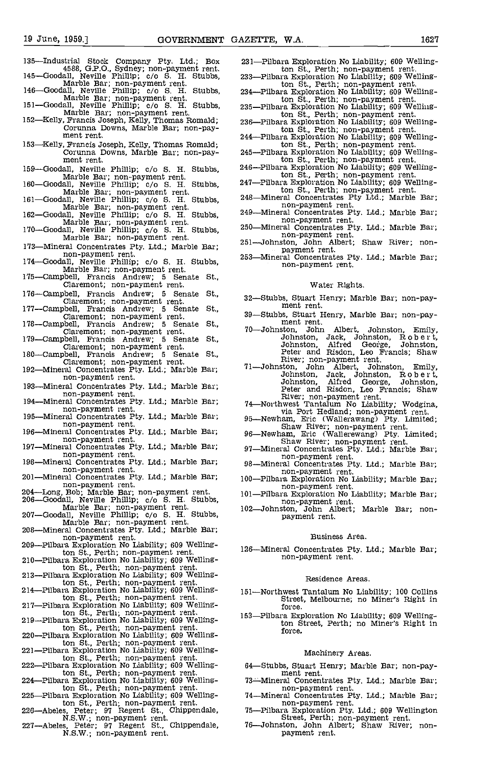- 135-Industrial Stock Company Pty. Ltd.; Box<br>4588, G.P.O., Sydney; non-payment rent.<br>145-Goodall, Neville Phillip; c/o S. H. Stubbs,
- 
- 
- Marble Bar; non-payment rent.<br>
Marble Bar; non-payment rent.<br>
146—Goodall, Neville Phillip; c/o S. H. Stubbs,<br>
Marble Bar; non-payment rent.<br>
151—Goodall, Neville Phillip; c/o S. H. Stubbs,<br>
235-<br>
Marble Bar; non-payment r
- 153-Kelly, Francis Joseph, Kelly, Thomas Romald; Corunna Downs, Marble Bar; non-pay- ment rent.
- 
- 
- 
- 
- 
- 173-Mineral Concentrates Pty. Ltd.; Marble Bar;<br>non-payment rent.<br>174-Goodall, Neville Phillip; c/o S. H. Stubbs,<br>Marble Bar; non-payment rent.<br>175-Campbell, Francis Andrew; 5 Senate St.,<br>Claremont; non-payment rent.
- 
- 
- 176—Campbell, Francis Andrew; 5 Senate St.,<br>
Claremont; non-payment rent.<br>
177—Campbell, Francis Andrew; 5 Senate St.,<br>
Claremont; non-payment rent.<br>
178—Campbell, Francis Andrew; 5 Senate St.,<br>
179—Campbell, Francis Andre
- 
- 
- 
- 
- Claremont; non-payment rent.<br>
192—Mineral Concentrates Pty. Ltd.; Marble Bar; non-payment rent.
- 193-Mineral Concentrates Pty. Ltd.; Marble Bar;<br>non-payment rent.<br>194-Mineral Concentrates Pty. Ltd.; Marble Bar;<br>non-payment rent.
- 
- 195-Mineral Concentrates Pty. Ltd.; Marble Bar;<br>non-payment rent.
- 196-Mineral Concentrates Pty. Ltd.; Marble Bar;<br>non-payment rent.
- 197-Mineral Concentrates Pty. Ltd.; Marble Bar;<br>non-payment rent.<br>198-Mineral Concentrates Pty. Ltd.; Marble Bar;<br>non-payment rent.
- 
- 201-Mineral Concentrates Pty. Ltd.; Marble Bar;<br>non-payment rent.
- 
- non-payment rent.<br>
206—Goodall, Neville Bar; non-payment rent.<br>
206—Goodall, Neville Phillip; c/o S. H. Stubbs,<br>
Marble Bar; non-payment rent.<br>
207—Goodall, Neville Phillip; c/o S. H. Stubbs,<br>
Marble Bar; non-payment rent.
- 
- 
- ton St., Perth; non-payment rent. 210-Pilbara Exploration No Liability; 609 Welling-
- ton St., Perth; non-payment rent. 213-Pilbara Exploration No Liability; 609 Welling-
- ton St., Perth; non-payment rent.<br>214-Pilbara Exploration No Liability; 609 Welling-
- ton St., Perth; non-payment rent.<br>217-Pilbara Exploration No Liability; 609 Welling-
- ton St., Perth; non-payment rent. 219-Pilbara Exploration No Liability; 609 Welling-
- ton St., Perth' non-payment rent. 220-Pilbara Exploration No Liability; 609 Wellington St., Perth; non-payment rent. 221-Pilbara Exploration No Liability; 609 Welling-
- 
- ton St., Perth; non-payment rent.<br>222-Pilbara Exploration No Liability; 609 Welling-<br>ton St., Perth; non-payment rent.
- 224-Pilbara Exploration No Liability; 609 Welling-<br>ton St., Perth; non-payment rent.
- 225-Pilbara Exploration No Liability; 609 Welling-
- 
- ton St., Perth; non-payment rent.<br>
226-Abeles, Peter; 97 Regent St., Chippendale,<br>
N.S.W.; non-payment rent.<br>
227-Abeles, Peter; 97 Regent St., Chippendale,<br>
N.S.W.; non-payment rent.
- 231-Pilbara Exploration No Liability; 609 Welling-<br>ton St., Perth; non-payment rent.
- 233-Pilbara Exploration No Liability; 609 Welling-<br>ton St., Perth; non-payment rent. ton St., Perth; non-payment rent. 234-Pilbara Exploration No Liability; 609 Welling-
- 235-Pilbara Exploration No Liability; 609 Welling-
- ton St., Perth; non-payment rent.<br>236-Pilbara Exploration No Liability; 609 Welling-<br>ton St., Perth; non-payment rent.
- -Pilbara Exploration No Liability; 609 Welling-
- ton St., Perth; non-payment rent. 245-Pilbara Exploration No Liability; 609 Welling-
- ton St., Perth; non-payment rent. 246-Pilbara Exploration No Liability; 609 Welling-
- 159—Goodall, Neville Phillip; c/o S. H. Stubbs,<br>
Marble Bar; non-payment rent.<br>
160—Goodall, Neville Phillip; c/o S. H. Stubbs,<br>
247—Pilbara Exploration No Liability; 609 Welling-<br>
160—Goodall, Neville Phillip; c/o S. H. S ton St., Perth; non-payment rent. 247-Pilbara Exploration No Liability; 609 Welling
	- ton St., Perth; non-payment rent.<br>248-Mineral Concentrates Pty Ltd.; Marble Bar;<br>non-payment rent.
	-
- Marble Bar; non-payment rent.<br>170-Goodall, Neville Phillip; c/o S. H. Stubbs, 250-Mineral Concentrates Pty. Ltd.; Marble Bar;<br>Marble Bar; non-payment rent. and the mon-payment rent. non-payment rent.<br>
250-Mineral Concentrates Pty. Ltd.; Marble Bar;<br>
251-Johnston, John Albert; Shaw River; non-<br>
payment rent.
	-
	- 253-Mineral Concentrates Pty. Ltd.; Marble Bar; non-payment rent.

#### Water Rights.

- 32-Stubbs, Stuart Henry; Marble Bar; non-pay- ment rent.
- 39-Stubbs, Stuart Henry, Marble Bar; non-pay-<br>ment rent.<br>70-Johnston, John Albert, Johnston, Emily,
- 70-Johnston, John Albert, Johnston, Emily,<br>Johnston, Jack, Johnston, R o b e r t,<br>Johnston, Alfred George, Johnston,<br>Peter and Risdon, Leo Francis; Shaw
- River; non-payment rent.<br>
71-Johnston, John Albert, Johnston, Emily,<br>
Johnston, Jack, Johnston, Robert,<br>
Johnston, Alfred George, Johnston,<br>
Peter and Risdon, Leo Francis; Shaw
- 
- 
- Peter and Risdon, Leo Francis; Shaw<br>River; non-payment rent.<br>74—Northwest Tantalum No Liability; Wodgina,<br>74—Northwest Tantalum No Liability; Wodgina,<br>95—Newham, Eric (Wallerawang) Pty. Limited;<br>5haw River; non-payment ren
- 
- non-payment rent.<br>
100-Pilbara Exploration No Liability; Marble Bar;<br>
non-payment rent.
- 
- non-payment rent.<br>102-Johnston, John Albert; Marble Bar; non-
- payment rent.

#### Business Area.

126-Mineral Concentrates Pty. Ltd.; Marble Bar; non-payment rent.

#### Residence Areas.

- 151-Northwest Tantalum No Liability; 100 collins Street, Melbourne; no Miner's Right in force.
- 153-Pilbara Exploration No Liability; 609 Wellington Street, Perth; no Miner's Right in force.

#### Machinery Areas.

- 64-Stubbs, Stuart Henry; Marble Bar; non-pay-<br>ment rent.<br>73-Mineral Concentrates Pty, Ltd.; Marble Bar;
- 
- non-payment rent.<br>
74—Mineral Concentrates Pty. Ltd.; Marble Bar;<br>
75—Pilbara Exploration Pty. Ltd.; 609 Wellington<br>
54. Street, Perth; non-payment rent.<br>
76—Johnston, John Albert; Shaw River; non-
- 
- payment rent.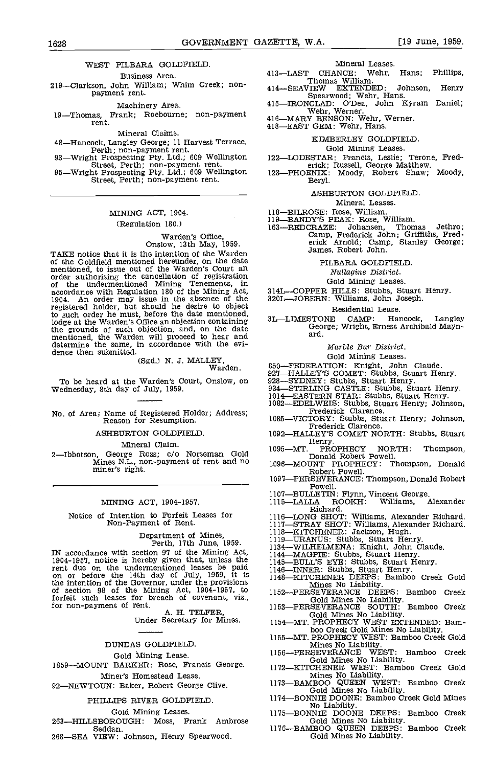## WEST PILBARA GOLDFIELD.<br>Business Area 413—LAST

Business Area. 219-Clarkson, John William; Whim Creek; nonpayment rent.

Machinery Area.<br>19—Thomas, Frank; Roebourne; non-payment rent.

Mineral Claims.<br>48—Hancock, Langley George; 11 Harvest Terrace,

Perth; non-payment rent.<br>93—Wright Prospecting Pty. Ltd.; 609 Wellington<br>51—Wright Prospecting Pty. Ltd.; 609 Wellington<br>95—Wright Prospecting Pty. Ltd.; 609 Wellington<br>51. Street, Perth; non-payment rent.

#### MINING ACT, 1904.

#### (Regulation 180.)

## Warden's Office, Onslow, 13th May, 1959.

TAXE notice that it is the intention of the warden of the Goldfield mentioned hereunder, on the date mentioned, to issue out of the Warden's Court an of the undermentioned Mining Tenements, in accordance with Regulation 180 of the Mining Act, 314L-<br>1904. An order may issue in the absence of the 320Lregistered holder, but should he desire to object to such order he must, before the date mentioned, lodge at the Warden's Office an objection containing the grounds of such objection, and, on the date mentioned, the Warden will proceed to hear and determine the same, in accordance with the evi- dence then submitted.

(Sgd.) N. J. MALLEY, Warden.

SHELLET, WALLET, 850-FEDERATION: Knight, John Claude.<br>Warden. 850-FEDERATION: Knight, John Claude.<br>To be heard at the Warden's Court, Onslow, on 928-SYDNEY: Stubbs, Stuart Henry.<br>Wednesday, 8th day of July, 1959. 934-STIRL

No. of Area; Name of Registered Holder; Address; Reason for Resumption.

ASHEURTON GOLDFIELD.

Mineral Claim.

2—Ibbotson, George Ross; c/o Norseman Gold 1095—MT.<br>Mines N.L, non-payment of rent and no 1096—MOU<br>miner's right.

#### MINING ACT, 1904-1957.

Notice of Intention to Forfeit Leases for Non-Payment of Rent.

Department of Mines, Perth, 17th June, 1959.

IN accordance with section 97 of the Mining Act,  $\frac{11945}{1144}$ <br>1904-1957, notice is hereby given that, unless the  $\frac{11445}{1145}$ rent due on the undermentioned leases be paid  $\frac{1145}{1146-11}$ <br>on or before the 14th day of July, 1959, it is  $\frac{1146-11}{1148-11}$ the intention of the Governor, under the provisions of section 98 of the Mining Act, 1904-1957, to  $1152$ <sub>-1</sub> for section 98 of the Mining Act, 1904-1957, to<br>forfeit such leases for breach of covenant, viz.,<br>for non-payment of rent.<br>A. H. TELFER,<br>Under Secretary for Mines.

#### DUNDAS GOLDFIELD

#### Gold Mining Lease.

1859-MOUNT BARKER: Rose, Francis George. Miner's Homestead Lease.

92-NEWTOUN: Baker, Robert George Clive.

Gold Mining Leases.

- 263-HILLSBOROUGH: Moss, Frank Ambrose Seddan.
- 268-SEA VIEW: Johnson, Henry Spearwood.

Mineral Leases.<br>CHANCE: Wehr, Hans; Phillips, 413—LAST CHANCE: Wehr, Hans; Phillips,<br>Thomas William.

- 
- 414-SEAVIEW EXTENDED: Johnson, Henry<br>Spearwood; Wehr, Hans.<br>415-IRONCLAD: O'Dea, John Kyram Daniel;<br>Wehr, Werner.<br>416-MARY BENSON: Wehr, Werner.<br>418-EAST GEM: Wehr, Hans.
- 

### KIMBERLEY GOLDFIELD

### Gold Mining Leases.

- 
- 
- 122—LODESTAR: Francis, Leslie; Terone, Fred-<br>erick; Russell, George Matthew.<br>123—PHOENIX: Moody, Robert Shaw; Moody, Beryl.

#### ASHEURTON GOLDFIELD

Mineral Leases.<br>118—BILROSE: Rose, William.<br>119—BANDY'S PEAK: Rose, William.<br>163—REDCRAZE:\_ Johansen, Thon CRAZE: Johansen, Thomas Jethro; Camp, Frederick John; Griffiths, Frederick Arnold; Camp, Stanley George; James, Robert John.

#### PILBARA GOLDFIELD

Nuilagine District.

Gold Mining Leases.

314L-COPPER HILLS: Stubbs, Stuart Henry.

320L-JOBERN: Williams, John Joseph.

Residential Lease.<br>3L—LIMESTONE CAMP: Hancock, STONE CAMP: Hancock, Langley<br>George; Wright, Ernest Archibald Mayn-<br>ard.

#### Marbie Bar District.

#### Gold Mining Leases.

- 
- 
- 
- 850—FEDERATION: Knight, John Claude.<br>927—HALLEY'S COMET: Stubbs, Stuart Henry.<br>928—SYDNEY: Stubbs, Stuart Henry.<br>934—STIRLING CASTLE: Stubbs, Stuart Henry.<br>1014—EASTLERN STAR: Stubbs, Stuart Henry.<br>1082—EDELWEIS: Stubbs, S
- 1085—VICTORY: Stubbs, Stuart Henry; Johnson, Frederick Clarence.
- 1092-HALLEY'S COMET NORTH: Stubbs, Stuart<br>Henry.<br>1095-MT. PROPHECY NORTH: Thompson,
- Henry.<br>1095—MT. PROPHECY NORTH: Thompson, Donald Robert Powell.
- 1096-MOUNT PROPHECY: Thompson, Donald Robert Powell.
- 1097—PERSEVERANCE: Thompson, Donald Robert Powell.
- 1107—BULLETIN: Flynn, Vincent George.<br>1115—LALLA ROOKH: Williams, Alexander
- Richard.<br>
-LONG SHOT: Williams, Alexander Richard.<br>
-STRAY SHOT: Williams, Alexander Richard.<br>
-KITCHENER: Jackson, Hugh. 1116—LONG SHOT: Williams, Alexander Richard.<br>1117—STRAY SHOT: Williams, Alexander Richard.<br>1118—KITCHENER: Jackson, Hugh.<br>1119—URANUS: Stubbs, Stuart Henry.<br>1134—WILHELMENA: Knight, John Claude.<br>1144—MAGPIE: Stubbs, Stuart
- 
- 
- 

- 
- 
- 

Mines No Liability.<br>1152—PERSEVERANCE DEEPS: Bamboo Creek

- Gold Mines No Liability.<br>1153—PERSEVERANCE SOUTH: Bamboo Creek
- Gold Mines No Liability.<br>1154—MT. PROPHECY WEST EXTENDED: Bam-<br>boo Creek Gold Mines No Liability.
- 
- 1155-MT. PROPHECY WEST: Bamboo Creek Gold Mines No Liability. Mines No Liability.<br>1156—PERSEVERANCE WEST: Bamboo Creek
- Gold Mines No Liability.<br>1172—KITCHENER WEST: Bamboo Creek Gold
- 
- Mines No Liability.<br>1173—BAMBOO QUEEN WEST: Bamboo Creek<br>Gold Mines No Liability.<br>1174—BONNIE DOONE: Bamboo Creek Gold Mines
- PHILLIPS RIVER GOLDFIELD. 1174-BONNIE DOONE: Bamboo Creek Gold Mines No Liability.<br>1175—BONNIE DOONE DEEPS: Bamboo Creek
	-
	- Gold Mines No Liability.<br>1176—BAMBOO QUEEN DEEPS: Bamboo Creek<br>Gold Mines No Liability.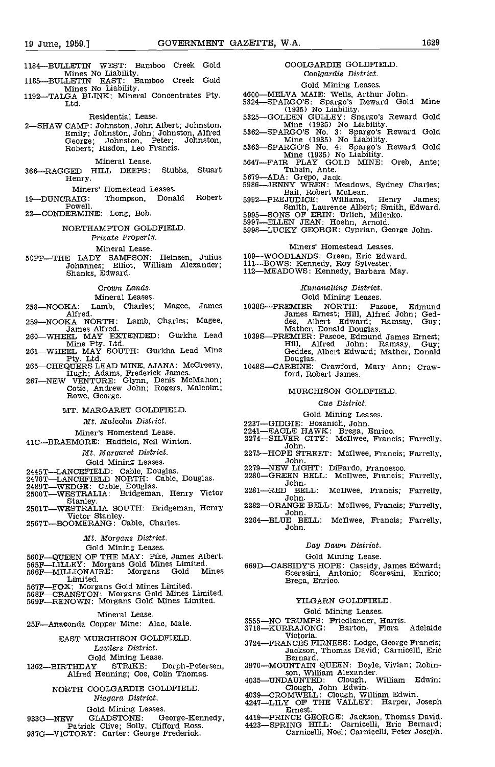- 1184-BULLETIN WEST: Bamboo Creek Gold<br>Mines No Liability. Mines No Liability.<br>1185—BULLETIN EAST: Bamboo Creek Gold
- 
- Mines No Liability.<br>1192—TALGA BLINK: Mineral Concentrates Pty.<br>Ltd.

Residential Lease.

2SHAW CAMP: Johnston, John Albert; Johnston, Emily; Johnston, John; Johnston, Alfred George; Johnston, Peter; Johnston, Hilly, Composity, Composition, Peter;<br>
Robert; Risdon, Leo Francis.

Mineral Lease.<br>HILL DEEPS: Stubbs, Stuart 366-RAGGED HILL DEEPS: Henry.

Miners' Homestead Leases.

Powell.

22-CONDERMINE: Long, Bob.

NORTHAMPTON GOLDFIELD

#### Private Property.

Mineral Lease.

50PP-THE LADY SAMPSON: Heinsen, Julius 109 Johannes; Elliot, William Alexander; Johannes; Elliot,<br>Shanks, Edward.

#### Crown Lands.

Mineral Leases.

- 258-NOOKA: Lamb, Charles; Magee, James Alfred
- 259-NOOKA NORTH: Lamb, Charles; Magee,
- James Alfred. 260WHEEL MAY EXTENDED: Gurkha Lead mine Fty. Ltd. 261 Wheeler Mine Fty. Ltd. 261 Wheeler MAY SOUTH: Gurkha Lead Mine
- 
- 
- Pty. Ltd. 265—CHEQUERS LEAD MINE, AJANA: McGreevy, Donald Douglas.<br>
265—CHEQUERS LEAD MINE, AJANA: McGreevy, Hugh; Adams, Frederick James.<br>
267—NEW VENTURE: Glynn, Denis McMahon; Cotic, Andrew John; Rogers, Malcolm; Rowe,

#### MT. MARGARET GOLDFIELD

Mt. Malcolm District.

Miner's Homestead Lease.

41C-BRAEMORE: Hadfield, Neil Winton.

Mt. Margaret District.

Gold Mining Leases.<br>-LANCEFIELD: Cable, Douglas.

- 
- 
- 
- 2445T—LANCEFIELD: Cable, Douglas.<br>
2279—NEW LIGHT: DiPardo, Francesco.<br>
2478T—LANCEFIELD: Cable, Douglas.<br>
2280—GREEN BELL: McIlwee, Francis;<br>
2489T—WEDGE: Cable, Douglas.<br>
2280—GREEN BELL: McIlwee, Francis;<br>
2280—GREEN BE
- 

#### Mt. Morgans District.

#### Gold Mining Leases.

- 
- 560F—QUEEN OF THE MAY: Pike, James Albert.<br>565F—LILLEY: Morgans Gold Mines Limited.<br>566F—MILLIONAIRE: Morgans Gold Mines<br>Limited.
- 
- 
- Limited.<br>567F—FOX: Morgans Gold Mines Limited.<br>568F—CRANSTON: Morgans Gold Mines Limited.<br>569F—RENOWN: Morgans Gold Mines Limited.

Mineral Lease.

#### 25F-Anaconda Copper Mine: Alac, Mate.

EAST MURCHISON GOLDFIELD

Lawlers District.

Gold Mining Lease.<br>1362—BIRTHDAY STRIKE: Dorph-Petersen,

## NORTH COOLGARDIE GOLDFIELD

Niagara District.

Gold Mining Leases.<br>GLADSTONE: G 933G-NEW GLADSTONE: George-Kennedy,<br>Patrick Clive; Solly, Clifford Ross.<br>937G-VICTORY: Carter: George Frederick.

### COOLGARDIE GOLDFIELD Coolgardie District.

#### Gold Mining Leases.

- 
- 
- 
- 
- 4600—MELVA MAIE: Wells, Arthur John.<br>5324—SPARGO'S: Spargo's Reward Gold Mine<br>5325—GOLDEN GULLEY: Spargo's Reward Gold<br>Mine (1935) No Liability.<br>5362—SPARGO'S No. 3: Spargo's Reward Gold<br>Mine (1935) No Liability.<br>5363—SPAR
- 
- 
- 
- 19-DUNCRAIG: Thompson, Donald Robert 5992-PREJUDICE: Williams, Henry James;<br>
Powell.<br>
22-CONDERMINE: Long, Bob. 5995-SONS OF ERIN: Urlich, Milenko.<br>
NORTHAMPTON GOLDFIELD. 5997-ELLEN JEAN: Hoehn, Arnold.<br>
5997-ELLEN JEAN: 5647—FAIR PLAY GULL<br>Tabain, Ante.<br>5679—ADA: Grepo, Jack.<br>5986—JENNY WEEN: Meadows, Sydney Charles;<br>Bail, Robert McLean.<br>PERIUDICE: Williams, Henry James;<br>PERIUDICE: Williams, Henry James;
	-
	-

#### Miners' Homestead Leases.

- 
- 109—WOODLANDS: Green, Eric Edward.<br>111—BOWS: Kennedy, Roy Sylvester.<br>112—MEADOWS: Kennedy, Barbara May.
- 

#### Kunanalling District.

#### Gold Mining Leases.

- 1038S-PREMIER NORTH: Pascoe, Edmund<br>James Ernest; Hill, Alfred John; Ged-<br>des, Albert Edward; Ramsay, Guy; James Ernest; Hill, Albert Edward; Ramses, Mather, Donald Douglas.<br>1039S—PREMIER: Pascoe, Edmund James Ernest; Mather, Pascoe, Edmund James Ernest; Fill. Alfred John; Ramsay, Guy;
- Hill, Alfred John; Ramsay, Guy; Geddes, Albert Edward; Mather, Donald Douglas.
- ford, Robert James.

#### MURCHISON GOLDFIELD

#### Cue District.

- 
- 
- 
- Gold Mining Leases.<br>2237—GIDGIE: Bozanich, John.<br>2241—EAGLE HAWK: Brega, Enrico.<br>2274—SILVER CITY: McIlwee, Francis; Farrelly,<br>John.
- 2275-HOPE STREET: McIlwee, Francis; Farrelly, John.
- 
- 2280—GREEN BELL: McIlwee, Francis; Farrelly, John.
- 2 BELL: McIlwee, Francis; Farrelly,<br>John.
- 2282-ORANGE BELL: McIlwee, Francis; Farrelly, John.
- 2284-BLUE BELL: McIlwee, Francis; Farrelly, John.

#### Day Dawn District.

### Gold Mining Lease.

669D—CASSIDY'S HOPE: Cassidy, James Edward;<br>
Sceresini, Antonio; Sceresini, Enrico;<br>
Brega, Enrico.

#### YILGARN GOLDFIELD

#### Gold Mining Leases.

- 
- 3555—NO TRUMPS: Friedlander, Harris.<br>3718—KURRAJONG: Barton, Flora Adelaide<br>Victoria.
- 3724—FRANCES FIRNESS: Lodge, George Francis;<br>Jackson, Thomas David; Carnicelli, Eric<br>Bernard.
- THDAY STRIKE: Dorph-Petersen, 3970—MOUNTAIN QUEEN: Boyle, Vivian; Robin-<br>Alfred Henning; Coe, Colin Thomas. 4035—UNDAUNTED: Clough, William Edwin;
	- 3970MOUNTAIN COUER, JOHN Edwin- son, Eduar, William Edwin.<br>4039—CROMWELI: Clough, William Edwin.<br>4247—LILY OF THE VALLEY: Harper, Joseph<br>Ernest.
		-
	- 4419-PRINCE GEORGE: Jackson, Thomas David.<br>4423-SPRING HILL: Carnicelli, Eric Bernard;<br>Carnicelli, Noel; Carnicelli, Peter Joseph.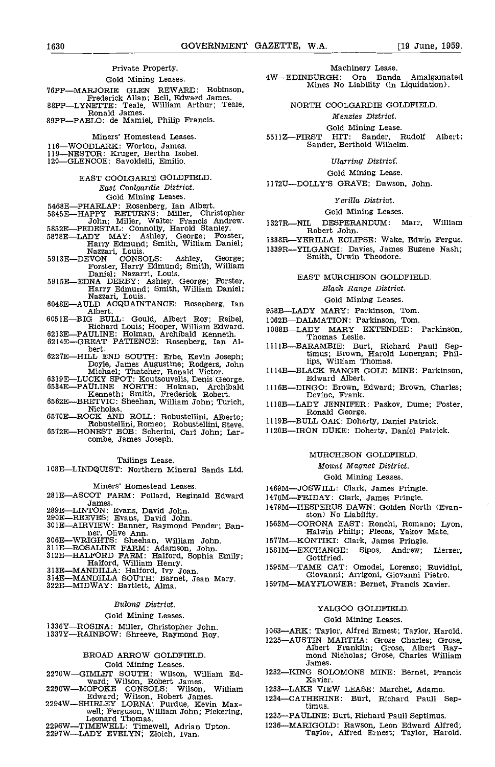#### Private Property.

#### Gold Mining Leases.

- 76PP—MARJORIE GLEN REWARD: Robinson,<br>Frederick Allan; Bell, Edward James.<br>88PP—LYNETTE: Teale, William Arthur; Teale,<br>Ronald James.
- 89PP-PABLO: de Mamiel, Philip Francis.

Miners' Homestead Leases.

- 116—WOODLARK: Worton, James.<br>119—NESTOR: Kruger, Bertha Isobel.
- 
- 120—GLENCOE: Savoldelli, Emilio.
	- EAST COOLGARIE GOLDFIELD East Coolgardie District. Gold Mining Leases.
- 
- 
- 
- 1978 1988 1988 1989 1989 1989 1989 1989 1989 1989 1989 1989 1989 1989 1989 1989 1989 1989 1989 1989 1989 1989 1989 1989 1989 1989 1989 1989 1989 1989 1989 1989
- 
- DRIEL: Nazarri, Louis.<br>
Forster, Harry Edmund; Smith, William<br>
Daniel; Nazarri, Louis.<br>
5915E—EDNA DERBY: Ashley, George; Forster,<br>
Harry Edmund; Smith, William Daniel;<br>
Nazzari, Louis.<br>
Nazzari, Louis.<br>
6048E—AULD ACQUAIN
- 
- 605 1E-BIG BULL: Gould, Albert Roy; Reibel,<br>Richard Louis; Hooper, William Edward.<br>6213E-PAULINE: Holman, Archibald Kenneth.<br>6214E-GREAT PATIENCE: Rosenberg, Ian Al-
- 
- 
- 
- bert.<br>
6227E—HILL END SOUTH: Erbe, Kevin Joseph;<br>
Doyle, James Augustine; Rodgers, John<br>
Michael; Thatcher, Ronald Victor.<br>
6319E—LUCKY SPOT: Koutsouvelis, Denis George.<br>
6534E—PAULINE NORTH: Holman, Archibald<br>
6562E—BRETV
- 
- 6570E-ROCK AND ROLL: Robustellini, Alberto;
- Robustellini, Romeo; Robustellini, Steve.<br>6572E—HONEST BOB: Scherini, Carl John; Lar-<br>combe, James Joseph.
	-

#### Tailings Lease.

1OBELINDQUI5T: Northern Mineral Sands Ltd.

#### Miners' Homestead Leases.

- 281E-ASCOT FARM: Pollard, Reginald Edward James.<br>289E—LINTON: Evans, David John.
- 
- 
- EXERIBIVE METRICITYS: Sheehan, William John.<br>
1577M—KONTIKI: C.<br>
1677M—KONTIKI: C.<br>
1677M—KONTIKI: C.<br>
1677M—KONTIKI: C.<br>
1677M—KONTIKI: C.<br>
1681M—EXCHANGE:<br>
1681M—EXCHANGE:<br>
1681M—EXCHANGE:<br>
1681M—EXCHANGE:<br>
1681M—EXCHANG
- 
- 
- 
- 
- 

#### Bulong District.

#### Gold Mining Leases.

1336Y-ROSINA: Miller, Christopher John.<br>1337Y-RAINBOW: Shreeve, Raymond Roy.

#### BROAD ARROW GOLDFIELD Gold Mining Leases.

- 
- 2270W—GIMLET SOUTH: Wilson, William Ed- 1232—KIN<br>ward; Wilson, Robert James.<br>2290W—MOPOKE CONSOLS: Wilson, William 1233—LAK
- 
- Edward; Wilson, Robert James. 2294W—SHIRLEY LORNA: Purdue, Kevin Max-<br>well; Ferguson, William John; Pickering, Leonard Thomas. 12
- Leonard Thomas.<br>2296W—TIMEWELL: Timewell, Adrian Upton.<br>2297W—LADY EVELYN; Zloich, Ivan.

#### Machinery Lease.

4WEDINBURGH: Ora Banda Amalgamated Mines No Liability (in Liquidation).

NORTH COOLGARDIE GOLDFIELD

#### Mensies District.

Gold Mining Lease.<br>5511Z—FIRST HIT: Sander, Rudolf Albert;<br>Sander, Berthold Wilhelm.

#### Ularring District.

#### Gold Mining Lease.

1172U-DOLLY'S GRAVE: Dawson, John.

#### Yerilla District.

#### Gold Mining Leases.

DESPERANDUM: Marr, William Robert John.

- 1338R-YERILLA ECLIPSE: Wake, Edwin Fergus. 1339R-YILGANGI: Davies, James Eugene Nash;
	-

#### EAST MURCHISON GOLDFIELD.

#### Black Range District.

#### Gold Mining Leases.

- 958B-LADY MARY: Parkinson, Tom.
- 1062B-DALMATION: Parkinson, Tom.
- 1088BLADY MARY EXTENDED: Parkinson, Thomas Leslie.
- 1111B-BARAMBIE: Burt, Richard Paull Septimus; Brown, Harold Lonergan; Phillips, William Thomas.
- 11143BLACK RANGE GOLD MINE: Parkinson, Edward Albert.
- 1116B-DINGO: Brown, Edward; Brown, Charles; Devine, Frank.
- 111SBLADY JENNIFER: Paskov, flume; Foster, Ronald George.
- 11193BULL OAK: Doherty, Daniel Patrick.
- 1120B-IRON DUKE: Doherty, Daniel Patrick.

#### MURCHISON GOLDEIELD

#### Mount Magnet District.

#### Gold Mining Leases.

- 1469M-JOSWILL: Clark, James Pringle.
- 1470M-FRIDAY: Clark, James Pringle.
- 1479M-HESPERUS DAWN: Golden North (Evan-<br>ston) No Liability.
- 1563MCORONA EAST: Ronchi, Romano; Lyon, Halwin Philip; Plecas, Yakov Mate.
- 1577M-KONTIKI: Clark, James Pringle.
- XCHANGE: Sipos, Andrew; Lierzer,<br>Gottfried.
- 1595MTAME CAT: Omodei, Lorenzo; Ruvidini, Giovanni; Arrigoni, Giovanni Pietro.
- 1597M-MAYFLOWER: Bernet, Francis Xavier.

#### YALGOO GOLDFIELD

#### Gold Mining Leases.

- 1063-ARK: Taylor, Alfred Ernest; Taylor, Harold.
- 1225-AUSTIN MARTHA: Grose Charles; Grose, Albert Franklin; Grose, Albert Ray-<br>mond Nicholas; Grose, Charles William James.
- 1232—KING SOLOMONS MINE: Bernet, Francis<br>Xavier.
- 1233-LAKE VIEW LEASE: Marchei, Adamo.
- 1234-CATHERINE: Burt, Richard Paull Septimus.
- 1235-PAULINE: Burt, Richard Paull Septimus.
- 1236-MARIGOLD: Rawson, Leon Edward Alfred; Taylor, Alfred Ernest; Taylor, Harold.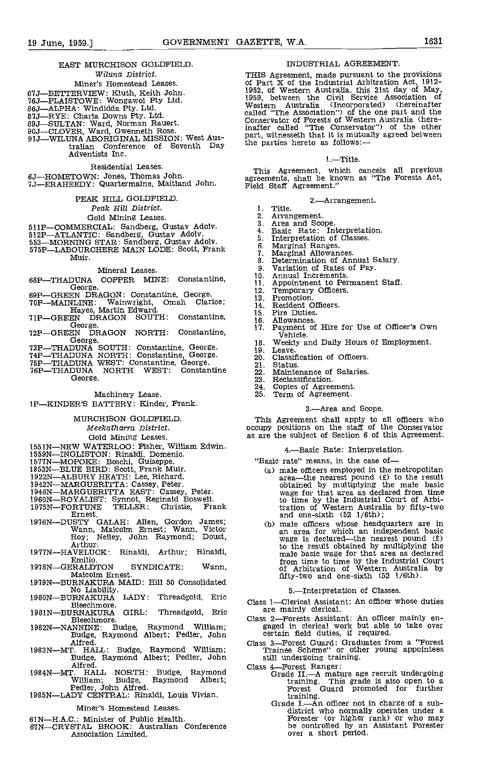EAST MURCHISON GOLDFIELD. MOUSTRIAL AGREEMENT.<br>Wiluna District. THIS Agreement, made pursuant to the provisions Wiluna District. Miner's Homestead Leases.<br>67J—BETTERVIEW: Kluth, Keith John.<br>76J—PLAISTOWE: Wongawol Pty Ltd. 76J—PLAISTOWE: WONGAWOI Pty Ltd.<br>86J—ALPHA: Windidda Pty. Ltd.<br>87J—RYE: Charla Downs Pty. Ltd.<br>89J—SULTAN: Ward, Norman Rauert.<br>90J—CLOVER, Ward, Gwenneth Rose.<br>91J—WILUNA ABORIGINAL MISSION: West Aus-Extralian Conference of Seventh Day the parties hereto as follows:-Adventists Inc. Residential Leases. 6J-HOMETOWN: Jones, Thomas John.<br>7J-ERAHEEDY: Quartermaine, Maitland John. PEAK HILL GOLDFIELD Peak Hill District. 1. Gold Mining Leases. 2.<br>
RGUL Condhana Curton Adelu 3. SlIP-COMMERCIAL: Sandberg, Gustav Adolv. 512P-ATLANTIC: Sandberg, Gustav Adolv. 553-MORNING STAR: Sandberg, Gustav Adolv. 553-MORNING STAR: Sandberg, Gustav Adolv. 575P-LABOURCHERE MAIN LODE: Scott, Frank 5,  $\frac{7}{1}$  Min  $\frac{1}{2}$  Min  $\frac{1}{2}$  Min  $\frac{8}{1}$  Min Mineral Leases.<br>
9. Determination of Annual Salary.<br>
9. Variation of Rates of Pay.<br>
10. Annual Increments. 68P-THADUNA COPPER MINE: Constantine, 10.<br>George. 11. 11. Aper-Green DRAGON: Constantine, 11. Aper-Green<br>
George. 12. Te<br>
10P-MAINLINE: Wainwright, Omah Clarice; 13. Pr<br>
14. Rayes, Martin Edward. 14. Respectively Hayes, Martin Edward.<br>118. Honder Charles Bouth: Constantine, 15. Higher George. 11. Pa

- 17. 72P-GREEN DRAGON NORTH: Constantine,
- 
- 
- George. 18. 73P-THADUNA SOUTH: Constantine, George. 19. 74P-THADUNA NORTH: Constantine, George. 20. 76P-THADUNA NORTH WEST: Constantine 21. 76P-THADUNA NORTH WEST: Constantine 22. 76P-THADUNA NORTH WEST: Constantine 22.

George.

Machinery Lease.

1P-KINDER'S BATTERY: Kinder, Frank.

#### MURCHISON GOLDFIELD

Meekatharra District.

Gold Mining Leases.

- l55lN-NEW WATERLOO: Fisher, William Edwin. 1559N-INGLISTON: Rinaldi, Domenic.
- 
- 1577N-MOPOKE: Boschi, Guiseppe. 1853N-BLUE BIRD: Scott, Frank Muir.
- 
- 
- 
- 
- 1922N-ALBURY HEATH: Lee, Richard.<br>1942N-MARGUERITTA: Cassey, Peter.<br>1946N-MARGUERITTA EAST: Cassey, Peter.<br>1960N-ROYALIST: Synnot, Reginald Boswell.<br>1975N-FORTUNE TELLER: Christie, Frank
- Ernest. 1976N-DUSTY GALAH: Allen, Gordon James; Wann, Malcolm Ernest; Wann, Victor Roy; Nelley, John Raymond; Doust, Arthur.
- 1977N-HAVELUCK: Rinaldi, Arthur; Rinaldi, Emilio.
- 1978N-GERALDTON SYNDICATE: Wann, Malcolm Ernest.
- 1979N-BURNAKURA MAID: Hill 50 Consolidated No Liability.<br>
1980N-BURNAKURA LADY: Threadgold, Eric
- Bleechmore.
- 1981N-BURNAKURA GIRL: Threadgold, Eric
- Bleechmore. Class :<br>
1982N-NANNINE: Budge, Raymond William; Budge, Raymond Albert; Pedler, John cel<br>
Alfred. Class :
- Alfred.<br>1983N—MT. HALL: Budge, Raymond William;<br>Budge, Raymond Albert; Pedler, John<br>Alfred.
- 1984N-MT. HALL NORTH: Budge, Raymond Class to the William; Budge, Raymond Albert;
- Pedler, John Alfred. i985N-LADY CENTRAL: Rinaldi, Louis Vivian.
	- Miner's Homestead Leases.
	-
- 61N-H,A.C.: Minister of Public Health. GIN-CRYSTAL BROOK: Australian Conference Association Limited.

#### INDUSTRIAL AGREEMENT.

THIS Agreement, made pursuant to the provisions<br>of Part X of the Industrial Arbitration Act, 1912-<br>1952, of Western Australia, this 21st day of May,<br>1959, between the Civil Service Association of Western Australia (Incorporated) (hereinafter called "The Association") of the one part and the Conservator of Forests of Western Australia (hereinafter called "The Conservator") of the other part, witnesseth that it is mutually agreed between the parties hereto as follows:-

#### 1.-Title.

This Agreement, which cancels all previous agreements, shall be known as "The Forests Act, Field Staff Agreement."

## 2.--Arrangement.<br>Title.<br>Arrangement.

- 
- 
- 3. 4. 5.
- 
- 
- 6. Marginal Ranges.<br>7. Marginal Allowances.
- Arrangement.<br>
Area and Scope.<br>
Basic Rate: Interpretation.<br>
Interpretation of Classes.<br>
Marginal Allowances.<br>
Determination of Annual Salary.<br>
Variation of Rates of Pay.<br>
Annual Increments.
- 
- 
- Annual Increments.<br>Appointment to Permanent Staff.<br>Temporary Officers.<br>Promotion.
- 
- 
- Resident Officers.
- Fire Duties.
- Allowances.
	- Payment of Hire for Use of Officer's Own Vehicle.
- Weekly and Daily Hours of Employment.
- Leave.
- Classification of Officers.
- Status. Maintenance of Salaries.
- Reclassification.
- Copies of Agreement. Term of Agreement.  $\frac{24}{25}$ .
- 

#### 3.-Area and Scope.

This Agreement shall apply to all officers who occupy positions on the staff of the Conservator as are the subject of section 6 of this Agreement.

#### 4.-Basic Rate: Interpretation.

- "Basic rate" means, in the case of- $\alpha$ ) male officers employed in the metropolitan male officers employed in the metropolitan area--the nearest pound  $(f)$  to the result obtained by multiplying the male basic wage for that area as declared from time to time by the Industrial Court of Arbitration of Western Australia by fifty-two and one-sixth (52 1/6th);<br>male officers whose headquarters are in
	- an area for which an independent basic wage is declared—the nearest pound  $(\hat{x})$ to the result obtained by multiplying the male basic wage for that area as declared from time to time by the Industrial Court of Arbitration of Western Australia by fifty-two and one-sixth (52 1/6th).

#### 5.-Interpretation of Classes.

- Class 1-Clerical Assistant: An officer whose duties
- Class 2-Forests Assistant: An officer mainly en-<br>gaged in clerical work but able to take over<br>certain field duties, if required.
- Class 3-Forest Guard: Graduates from a "Forest Trainee Scheme" or other young appointees
- 
- still undergoing training. Class 4-Forest Ranger: Grade 11.-A mature age recruit undergoing training. This grade is also open to a<br>Forest Guard promoted for further
	- training.<br>Grade I.—An officer not in charge of a sub-<br>district who normally operates under a<br>Forester (or higher rank) or who may be controlled by an Assistant Forester over a short period.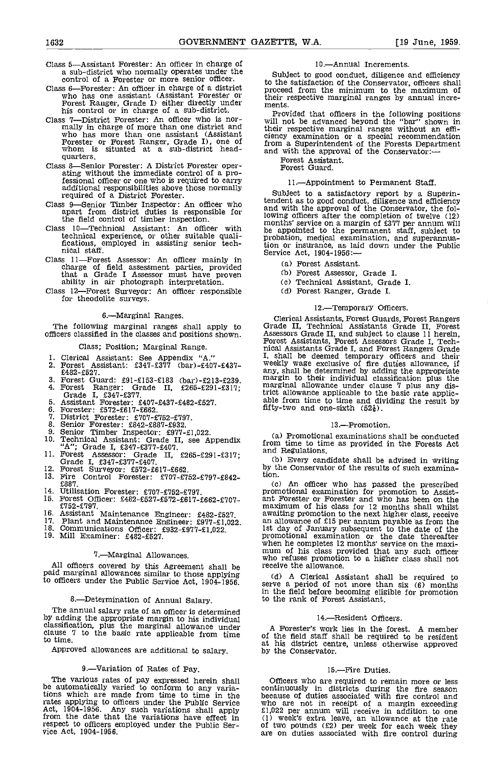- Class 5-Assistant Forester: An officer in charge of a sub-district who normally operates under the control of a Forester or more senior officer.
- Class 6—Forester: An officer in charge of a district process who has one assistant (Assistant Forester or their in Forest Ranger, Grade I) either directly under their in the control or in charge of a sub-district. Class 7—
- mally in charge of more than one district and who has more than one assistant (Assistant Forester or Forest Ranger, Grade I), one of whom is situated at a sub-district headquarters.
- Class 8-Senior Forester: A District Forester oper- ating without the immediate control of a professional officer or one who is required to carry additional responsibilities above those normally required of a District Forester.
- Class 9—Senior Timber Inspector: An officer who tended<br>apart from district duties is responsible for and wine
- the field control of timber inspection.<br>Class 10-Technical Assistant: An officer with the app
- Class 11—Forest Assessor: An officer mainly in<br>
charge of field assessment parties, provided<br>
that a Grade I Assessor must have proven (b)<br>
ability in air photograph interpretation. (c)
- Class 12-Forest Surveyor: An officer responsible for theodolite surveys.

#### 6.-Marginal Ranges.

The following marginal ranges shall apply to officers classified in the classes and positions shown.

#### Class; Position; Marginal Range.

- 
- 1. Clerical Assistant: See Appendix "A."<br>2. Forest Assistant: £347-£377 (bar)-£407-£437-<br>£482-£527.
- Forest Guard: £91-£153-£183 (bar)-£213-£239.<br>Forest Ranger: Grade II, £265-£291-£317;<br>Grade I, £347-£377.<br>Assistant Forester: £407-£437-£482-£527.
- 
- Forester: £572-t617-f662.
- 
- District Forester: £707-f752-f797. Senior Forester: £842-E887-t932.
- 
- 10.
- 11. Forest Assessor: Grade II,  $£265-\pounds291-\pounds317$ ; and Regulations.<br>
Grade I,  $£347-\pounds377-\pounds407$ .<br>
12. Forest Surveyor:  $£572-\pounds617-\pounds662$ .<br>
2. Forest Surveyor:  $£572-\pounds617-\pounds662$ .
- 
- Fire Control Forester: £707-£752-£797-£842-13. £887.
- 14.
- Utilisation Forester: £707-f752-f797. Forest Officer: £482-f527-f572-f617-f652-f707- £752-f 797. 15.
- 16. Assistant Maintenance Engineer:  $£482-£527$ , 17. Plant and Maintenance Engineer:  $£977-£1,022$ .<br>18. Communications Officer:  $£932-£977-£1,022$ , 19. Mill Examiner:  $£482-£527$ .
- 
- 
- 

#### 7.-Marginal Allowances.

All officers covered by this Agreement shall be received marginal allowances similar to those applying (d) officers under the Public Service Act, 1904-1956.

#### 8.-Determination of Annual Salary.

The annual salary rate of an officer is determined<br>by adding the appropriate margin to his individual<br>clause 7 to the basic rate applicable from time clause 7 to the basic rate applicable from time<br>to time. This distribute

Approved allowances are additional to salary.

#### 9.—Variation of Rates of Pay.

The various rates of pay expressed herein shall be automatically varied to conform to any variations which are made from time to time in the becau rates applying to officers under the Public Service Act, 1904-1956. Any such variations shall apply fl.022 from the date that the variations have effect in (1) we respect to officers employed under the Public Ser-<br>vice Act, 1904-1956. a

#### 10.-Annual Increments.

Subject to good conduct, diligence and efficiency to the satisfaction of the Conservator, officers shall proceed from the minimum to the maximum of their respective marginal ranges by annual incre- ments.

Provided that officers in the following positions will not be advanced beyond the "bar" shown in their respective marginal ranges without an effi- ciency examination or a special recommendation from a Superintendent of the Forests Department and with the approval of the Conservator:-

Forest Assistant. Forest Guard.

#### 11.-Appointment to Permanent Staff.

Class 10—Technical Assistant: An officer with<br>technical experience, or other suitable quali-<br>fications, employed in assisting senior tech-<br>ich or insurance, as laid down under the Public<br>nical staff.<br>Service Act. 1904-1956 Subject to a satisfactory report by a Superin-tendent as to good conduct, diligence and efficiency and with the approval of the Conservator, the following officers after the completion of twelve (12) months' service on a margin of £377 per annum will be appointed to the permanent staff, subject to probation, medical examination, and superannuation or insurance, as laid down under the Public Service Act, 1904-1956:—

- Forest Assistant.
- Forest Assessor, Grade I.
- Technical Assistant, Grade I.
- Forest Ranger, Grade I.

#### 12.-Temporary Officers.

Clerical Assistants, Forest Guards, Forest Rangers<br>Grade II, Technical Assistants Grade II, Forest<br>Assessors Grade II, and subject to clause 11 herein,<br>Forest Assistants, Forest Assessors Grade I, Tech-<br>nical Assistants Gr I, shall be deemed temporary officers and their<br>weekly wage exclusive of fire duties allowance, if<br>any, shall be determined by adding the appropriate<br>margin to their individual classification plus the<br>marginal allowance un trict allowance applicable to the basic rate applic- able from time to time and dividing the result by fifty-two and one-sixth  $(52\frac{1}{6})$ .

#### 13.-Promotion.

Senior Timber Inspector:  $\frac{2977-21,022}{2}$  (a) Promotional examinations shall be conducted Technical Assistant: Grade II, see Appendix from time to time as provided in the Forests Act  $\frac{42}{2}$ ; Grade I, £347-£377-£407 from time to time as provided in the Forests Act

> Every candidate shall be advised in writing by the Conservator of the results of such examination.

An officer who has passed the prescribed promotional examination for promotion to Assist- ant Forester or Forester and who has been on the maximum of his class for 12 months shall whilst awaiting promotion to the next higher class, receive an anowance of zip per annum payable as from the<br>Ist day of January subsequent to the date of the<br>promotional examination or the date thereafter<br>when he completes 12 months' service on the maxi-<br>mum of his class provided t

A Clerical Assistant shall be required to serve a period of not more than six (6) months in the field before becoming eligible for promotion to the rank of Forest Assistant.

#### 14.-Resident Officers.

A Forester's work lies in the forest. A member of the field staff shall be required to be resident at his district centre, unless otherwise approved by the Conservator,

15.—Fire Duties.<br>Officers who are required to remain more or less Officers who are required to remain more or less continuously in districts during the fire season because of duties associated with fire control and who are not in receipt of a margin exceeding  $£1,022$  per annum will receive in addition to one (1) week's extra leave, an allowance at the rate of two pounds ( $£2$ ) per week for each week they are on duties associated with fire control during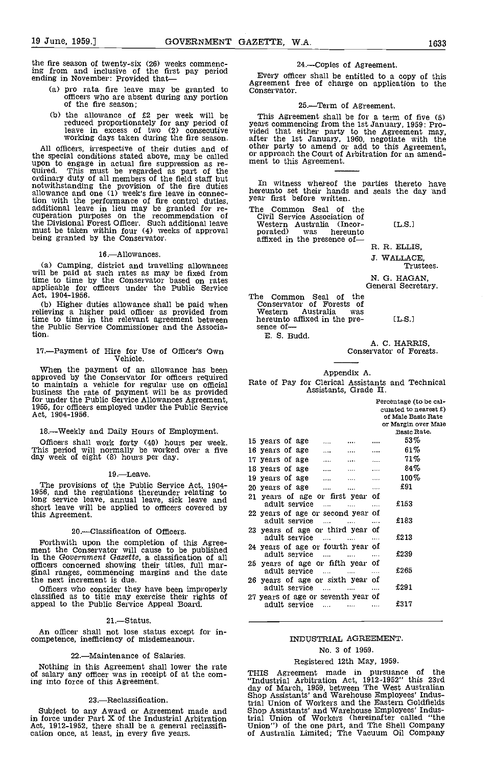the fire season of twenty-six (26) weeks commenc-<br>ing from and inclusive of the first pay period<br>ending in November: Provided that.... ending in November: Provided that

- pro rata fire leave may be granted to officers who are absent during any portion of the fire season;
- the allowance of £2 per week will be reduced proportionately for any period of leave in excess of two (2) consecutive working days taken during the fire season.

All officers, irrespective of their duties and of the special conditions stated above, may be called the special conditions stated above, may be called upon to engage in actual fire suppression as re-<br>quired. This must be regarded as part of the<br>ordinary duty of all members of the field staff but<br> $\frac{1}{2}$  in witness, whe notwithstanding the provision of the fire duties allowance and one (1) week's fire leave in connection with the performance of fire control duties, additional leave in lieu may be granted for re- cuperation purposes on the recommendation of the Divisional Forest Officer. Such additional leave must be taken within four (4) weeks of approval being granted by the Conservator.

#### 16. Allowances

Camping, district and travelling allowances will be paid at such rates as may be fixed from time to time by the Conservator based on rates applicable for officers under the Public Service Act, 1904-1956.

(b) Higher duties allowance shall be paid when relieving a higher paid officer as provided from Western time to time in the relevant agreement between here the Public Service Commissioner and the Association.

## 17.--Payment of Hire for Use of Officer's Own Vehicle.

When the payment of an allowance has been approved by the Conservator for officers required to maintain a vehicle for regular use on official business the rate of payment will be as provided for under the Public Service Allowances Agreement, 1955, for officers employed under the Public Service Act, 1904-1956.

#### 18.Weekly and Daily Hours of Employment.

Officers shall work forty (40) hours per week. This period will normally be worked over a five day week of eight (8) hours per day.

#### $19 -$ Leave.

The provisions of the Public Service Act, 1904-<br>1956, and the regulations thereunder relating to  $\frac{20 \text{ year}}{21 \text{ year}}$ long service leave, annual leave, sick leave and and short leave will be applied to officers covered by this Agreement.

#### 20.Classification of Officers.

Forthwith upon the completion of this Agree- ment the Conservator will cause to be published in the Government Gazette, a classification of all officers concerned showing their titles, full marginal ranges, commencing margins and the date the next increment is due.

Officers who consider they have been improperly classified as to title may exercise their rights of appeal to the Public Service Appeal Board.

#### 21.-Status.

An officer shall not lose status except for in- competence, inefficiency of misdemeanour.

#### 22.Maintenance of Salaries.

Nothing in this Agreement shall lower the rate of salary any officer was in receipt of at the coming into force of this Agreement.

#### 23.—Reclassification.

Subject to any Award or Agreement made and in force under Part X of the Industrial Arbitration Act, 1912-1952, there shall be a general reclassifi- cation once, at least, in every five years.

#### 24.Copies of Agreement.

Agreement free of charge on application to the

#### 25.-Term of Agreement.

This Agreement shall be for a term of five (5)<br>years commencing from the 1st January, 1959: Pro-<br>vided that either party to the Agreement may,<br>after the 1st January, 1960, negotiate with the<br>other party to amend or add to

In witness whereof the parties thereto have hereunto set their hands and seals the day and year first before written.

| The Common Seal of the<br>Civil Service Association of |                  |  |
|--------------------------------------------------------|------------------|--|
| Western Australia (Incor-                              | $\mathsf{L.S.1}$ |  |
| porated) was hereunto                                  |                  |  |
| affixed in the presence of-                            |                  |  |

R. R. ELLIS,

J. WALLACE, Trustees.

N. G. HAGAN, General Secretary.

The Common Seal of the Conservator of Forests of Western Australia was hereunto affixed in the pre-<br>sence of-E. S. Budd.

A. C. HARRIS,<br>Conservator of Forests.

#### Appendix A.

## Rate of Pay for Clerical Assistants and Technical Assistants, Grade II.

|                                                                      |                | Percentage (to be cal-<br>culated to nearest $\epsilon$ )<br>of Male Basic Rate |
|----------------------------------------------------------------------|----------------|---------------------------------------------------------------------------------|
|                                                                      |                | or Margin over Male<br>Basic Rate.                                              |
|                                                                      |                |                                                                                 |
| 15 years of age                                                      |                | 53%                                                                             |
| 16 years of age<br>$\cdots$                                          | $\cdots$       | 61%                                                                             |
| 17 years of age<br>$\ddotsc$                                         |                | 71%                                                                             |
| 18 years of age<br>$\cdots$<br>                                      | $\cdots$       | $.84\%$                                                                         |
| 19 years of age<br>$\cdots$<br>                                      | .              | $100\%$                                                                         |
| 20 years of age<br>$\cdots$                                          | $\cdots$       | £91                                                                             |
| 21 years of age or first year<br>adult service<br>$\cdots$           | οf<br>$\cdots$ | ±153                                                                            |
| 22 years of age or second year of<br>adult service<br>$\sim$         |                | £183                                                                            |
| 23 years of age or third year<br>adult service                       | Ωf             | £213                                                                            |
| 24 years of age or fourth year of<br>adult service<br>$\sim$ 1000    | .              | £239                                                                            |
| 25 years of age or fifth year<br>adult service<br>$\sim$ 1000 $\sim$ | οf<br>         | £265                                                                            |
| 26 years of age or sixth year of<br>adult service<br>$\sim$ 1000     | $\cdots$       | £291                                                                            |
| 27 years of age or seventh year of<br>adult service<br>$\mathbf{1}$  |                | £317                                                                            |

#### INDUSTRIAL AGREEMENT.

#### No. 3 of 1959.

#### Registered 12th May, 1959.

THIS Agreement made in pursuance of the "Industrial Arbitration Act, 1912-1952" this 23rd day of March, 1959, between The West Australian Shop Assistants' and Warehouse Employees' Industrial Union of Workers and the Eastern Goldfields Shop Assistants' and Warehouse Employees' Indus-trial Union of Workers (hereinafter called "the Union") of the one part, and The Shell Company of Australia Limited; The Vacuum Oil Company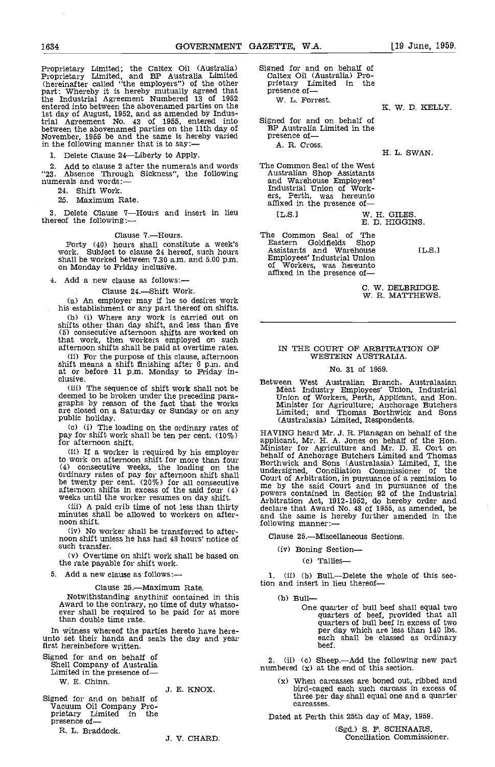Proprietary Limited; the Caltex Oil (Australia) Signed for and on behalf of Proprietary Limited, and BP Australia Limited Caltex Oil (Australia) Pro-<br>(hereinafter called "the employers") of the other prietary Limited in th (hereinafter called "the employers") of the other part: Whereby it is hereby mutually agreed that the Industrial Agreement Numbered 13 of 1952 entered into between the abovenamed parties on the 1st day of August, 1952, and as amended by Indus-<br>trial Agreement No. 43 of 1955, entered into Signed between the abovenamed parties on the 11th day of BP.<br>November, 1955 be and the same is hereby varied pres in the following manner that is to say:—

1. Delete Clause 24-Liberty to Apply.

2. Add to clause 2 after the numerals and words The C<br>
"23. Absence Through Sickness", the following Australian and words:—

24. Shift Work.

25. Maximum Rate.

3. Delete Clause  $7$ —Hours and insert in lieu  $15.51$ thereof the following:

#### Clause 7.-Hours.

Forty (40) hours shall constitute a week's  $E_4$ <br>work. Subject to clause 24 hereof, such hours  $E_4$ shall be worked between 7.30 a.m. and 5.00 p.m. on Monday to Friday inclusive.

4. Add a new clause as follows:

#### Clause 24.-Shift Work.

(a) An employer may if he so desires work his establishment or any part thereof on shifts.

(b) (i) Where any work is carried out on shifts other than day shift, and less than five (5) consecutive afternoon shifts are worked on that work, then workers employed on such afternoon shifts shall be paid at overtime rates.

(ii) For the purpose of this clause, afternoon<br>
shift means a shift finishing after 6 p.m. and<br>
at or before 11 p.m. Monday to Friday in-<br>
clusive.

The sequence of shift work shall not be deemed to be broken under the preceding para- graphs by reason of the fact that the works are closed on a Saturday or Sunday or on any public holiday.<br>(c) (i) The loading on the ordinary rates of

pay for shift work shall be ten per cent.  $(10\%)$  for afternoon shift.

to work on afternoon shift for more than four (4) consecutive weeks, the loading on the ordinary rates of pay for afternoon shift shall under<br>be twenty per cent.  $(20\%)$  for all consecutive  $\begin{array}{c} \text{but not} \\ \text{but not} \end{array}$ afternoon shifts in excess of the said four (4) weeks until the worker resumes on day shift.

weeks until the worker resumes on day shift.<br>(iii) A paid crib time of not less than thirty<br>minutes shall be allowed to workers on afternoon shift.

No worker shall be transferred to afternoon shift unless he has had 40 hours' notice of such transfer.

(v) Overtime on shift work shall be based on the rate payable for shift work,

5. Add a new clause as follows:

Clause 25.—Maximum Rate.<br>Notwithstanding anything contained in this Notwithstanding anything contained in this Award to the contrary, no time of duty whatso- ever shall be required to be paid for at more than double time rate.

In witness whereof the parties hereto have here- unto set their hands and seals the day and year first hereinbefore written.

Signed for and on behalf of Shell Company of Australia Limited in the presence of

W. B. Chinn.

.5. E. KNOX.

Signed for and on behalf of Vacuum Oil Company Pro- prietary Limited in the presence of

R. L. Braddock.

.5. V. CHARD.

Signed for and on behalf of Caltex Oil (Australia) Pro-<br>prietary Limited in the presence of— W. L. Forrest.

Signed for and on behalf of BP Australia Limited in the presence of — A. R. Cross.

The Common Seal of the West Australian Shop Assistants and Warehouse Employees'

ers, Perth, was hereunto affixed in the presence of-

The Common Seal of The<br>Eastern Goldfields Shop Eastern Goldfields Shop<br>
Assistants and Warehouse 1.5.1<br>
Employees' Industrial Union 1.5.1 of Workers, was hereunto<br>affixed in the presence of-

W. DELBRIDGE. W. R. MATTHEWS.

W. H. GILES D. HIGGINS.

#### IN THE COURT OF ARBITRATION OF WESTERN AUSTRALIA.

#### No. 31 of 1959.

Between West Australian Branch, Australasian Meat Industry Employees' Union, Industrial Union of Workers, Perth, Applicant, and Hon. Minister for Agriculture; Anchorage Butchers Limited; and Thomas Borthwick and Sons (Australasia) Limited, Respondents.

If a worker is required by his employer<br>behalf of Anchorage Butchers Limited and Thomas HAVING heard Mr. J. R. Flanagan on behalf of the applicant, Mr. H. A. Jones on behalf of the Hon. Minister for Agriculture and Mr. D. E. Cort on behalf of Anchorage Butchers Limited and Thomas Borthwick and Sons (Australasia) Limited, I, the understand, Conciliation Commissioner of the Court of Arbitration, in pursuance of a remission to me by the said Court and in pursuance of the powers contained in Section 92 of the Industrial Arbitration Act, 1912-1952, do hereby order and declare that Award No. 48 of 1955, as amended, be<br>and the same is hereby further amended in the and the same is hereby further amended in the following manner:—

Clause 25.-Miscellaneous Sections.

(iv) Boning Section

(c) Tallies-

1. (ii) (b) Bull.--Delete the whole of this section and insert in lieu thereof

(b) Bull—<br>One quarter of bull beef shall equal two One quarter of bull beef shall equal two quarters of beef, provided that all quarters of bull beef in excess of two per day which are less than 140 lbs. each shall be classed as ordinary beef.

2. (ii) (c) Sheep.—Add the following new part numbered  $(x)$  at the end of this section.

(x) When carcasses are boned out, ribbed and bird-caged each such carcass in excess of three per day shall equal one and a quarter carcasses.

Dated at Perth this 25th day of May, 1959.

(Sgd.) S. F. SCHNAARS, Conciliation Commissioner.

K. W. D. KELLY.

H. L. SWAN.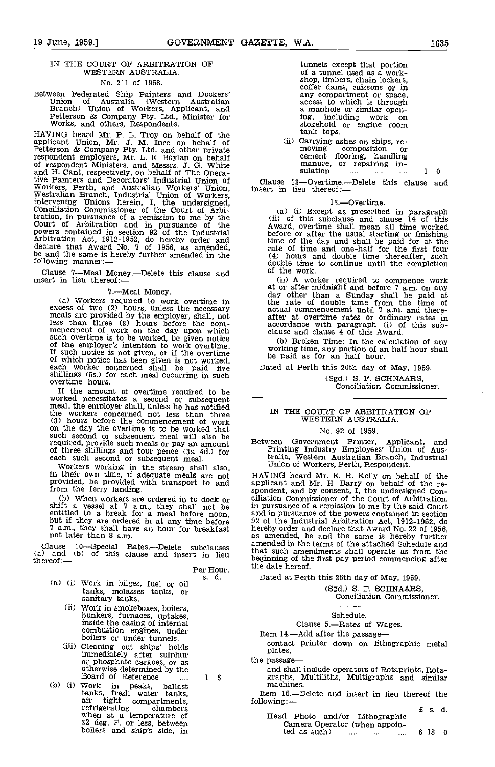#### IN THE COURT OF ARBITRATION OF WESTERN AUSTRALIA. No. 211 of 1958.

# Between Federated Ship Painters and Dockers' Union of Australia (Western Australian Branch) Union of Workers, Applicant, and Petterson & Company Pty. Ltd., Minister for Works, and others, Respondents.

HAVING heard Mr. P. L. Troy on behalf of the applicant Union, Mr. J. M. Ince on behalf of Petterson & Company Pty. Ltd. and other private respondent employers, Mr. L. E. Boylan on behalf of respondent Ministers, and Messrs. J. 0. White and H. Cant, respectively, on behalf of The Opera-tive Painters and Decorators' Industrial Union of Workers, Perth, and Australian Workers' Union, insert in lieu thereof:<br>Westralian Branch, Industrial Union of Workers,<br>intervening Unions herein, I, the undersigned,  $13$ .<br>Conciliation Commissioner of the Court of Arbi- (a tration, in pursuance of a remission to me by the Court of Arbitration and in pursuance of the powers contained in section 92 of the Industrial Arbitration Act, 1912-1952, do hereby order and the declare that Award No. 7 of 1956, as amended, reduced the same is hereby further amended in the following manner:—

Clause 7—Meal Money.—Delete this clause and of the work insert in lieu thereof:— (ii) A work

7.-Meal Money.

(a) Workers required to work overtime in<br>
excess of two (2) hours, unless the necessary ac<br>
meals are provided by the employer, shall, not<br>
less than three (3) hours before the com-<br>
mencement of work on the day upon which such overtime is to be worked, be given notice<br>of the employer's intention to work overtime.<br>If such notice is not given, or if the overtime<br>of which notice has been given is not worked,<br>each worker concerned shall be paid shillings (5s.) for each meal occurring in such overtime hours.

If the amount of overtime required to be worked necessitates a second or subsequent meal, the employer shall, unless he has notified the workers concerned not less than three (3) hours before the commencement of work<br>on the day the overtime is to be worked that such second or subsequent meal will also be or the use or pay an amount meals or pay an amount required, provide such meals or pay an amount of three shillings and four pence (3s. 4d.) for each such second or subsequent meal. This

Workers working in the stream shall also, UI<br>in their own time, if adequate meals are not provided, be provided with transport to and applice<br>from the ferry landing. sponde

Clause 10—Special Rates.—Delete subclauses (a) and (b) of this clause and insert in lieu thereof:— $P$ 

- (a) (i) Work in bilges, fuel or oil<br>tanks, molasses tanks, or<br>sanitary tanks.<br>(ii) Work in smokeboxes, boilers,
	- bunkers, furnaces, uptakes, inside the casing of internal combustion engines, under boilers or under tunnels.
	- Cleaning out ships' holds<br>immediately after sulphur<br>or phosphate cargoes, or as<br>otherwise determined by the<br>Board of Reference<br>Board of Reference
- (b) (i) Work in peaks, ballast tanks, fresh water tanks, air tight compartments, refrigerating chambers when at a temperature of 32 deg. F. or less, between boilers and ship's side, in

tunnels except that portion of a tunnel used as a workshop, limbers, chain lockers, coffer dams, caissons or in any compartment or space, access to which is through a manhole or similar opening, including work on stokehold or engine room tank tops.

|          | (ii) Carrying ashes on ships, re- |          |          |   |   |  |
|----------|-----------------------------------|----------|----------|---|---|--|
|          | moving composition or             |          |          |   |   |  |
|          | cement flooring, handling         |          |          |   |   |  |
|          | manure, or repairing in-          |          |          |   |   |  |
| sulation | $\cdots$                          | $\cdots$ | $\cdots$ | 1 | 0 |  |

Clause 13-Overtime.--Delete this clause and

#### 13.-Overtime.

(i) Except as prescribed in paragraph (ii) of this subclause and clause 14 of this Award, overtime shall mean all time worked before or after the usual starting or finishing time of the day and shall be paid for at the rate of time and one-half for the first four (4) hours and double time thereafter, such double time to continue until the completion of the work.

(ii) A worker required to commence work at or after midnight and before 7 am. on any day other than a Sunday shall be paid at the rate of double time from the time of actual commencement until 7 am. and there- after at overtime rates or ordinary rates in accordance with paragraph (i) of this sub-<br>clause and clause 4 of this Award.

Broken Thne: In the calculation of any working time, any portion of an half hour shall be paid as for an half hour.

Dated at Perth this 20th day of May, 1959. (Sgd.) S. F. SCHNAARS, Conciliation Commissioner.

#### IN THE COURT OF ARBITRATION OF WESTERN AUSTRALIA.

#### No. 92 of 1959.

Between Government Printer, Applicant, and Printing Industry Employees' Union of Australia, Western Australian Branch, Industrial Union of Workers, Perth, Respondent.

(b) When workers are ordered in to dock or<br>siliation Commissioner of the Court of Arbitration,<br>shift a vessel at 7 a.m., they shall not be<br>in pursuance of a remission to me by the said Court<br>entitled to a break for a meal HAVING heard Mr. E. R. Kelly on behalf of the applicant and Mr. H. Barry on behalf of the respondent, and by consent, I, the undersigned Conciliation Commissioner of the Court of Arbitration, and in pursuance or one powers connected in the Halustrial Arbitration Act, 1912-1952, do<br>hereby order and declare that Award No. 22 of 1956,<br>as amended, be and the same is hereby further<br>amended in the terms of the attach that such amendments shall operate as from the beginning of the first pay period commencing after the date hereof.

Dated at Perth this 26th day of May, 1959.

(Sgd.) S. F. SCHNAARS, Conciliation Commissioner.

Schedule.<br>Clause 5.—Rates of Wages.

Item 14.-Add after the passage-

contact printer down on lithographic metal plates,<br>the passage—

and shall include operators of Rotaprints, Rotagraphs, Multiliths, Multigraphs and similar machines.

Item 16.—Delete and insert in lieu thereof the following:—

|                                                                                                           | £s.d |     |
|-----------------------------------------------------------------------------------------------------------|------|-----|
| Head Photo and/or Lithographic                                                                            |      |     |
| Camera Operator (when appoin-                                                                             |      |     |
| ted as such)<br>$\mathcal{L}_{\mathcal{F}}$ and $\mathcal{L}_{\mathcal{F}}$<br>1.111<br><b>ARTIST COM</b> | 618  | - വ |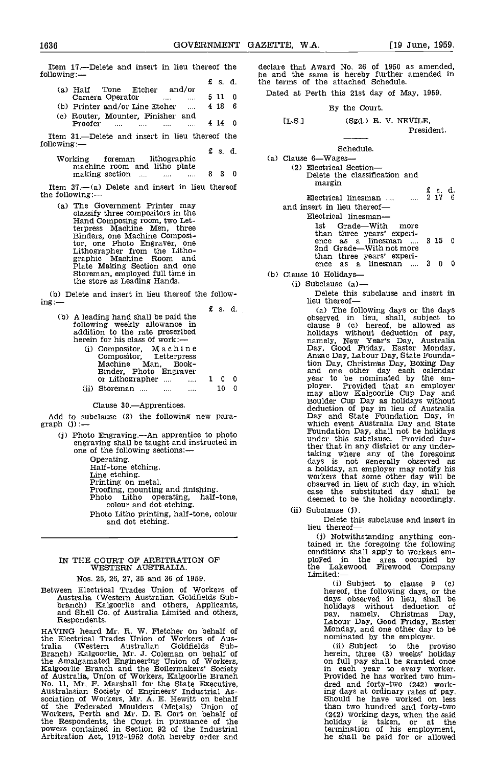Item 17.—Delete and insert in lieu thereof the declar following:  $\overline{E}$  5. d.

| (a) Half Tone Etcher               |  | and/or                                                                     |  |       | . . |
|------------------------------------|--|----------------------------------------------------------------------------|--|-------|-----|
| Camera Operator                    |  | $\mathbf{r}$ and $\mathbf{r}$ are the set of $\mathbf{r}$ and $\mathbf{r}$ |  | 511 0 |     |
| (b) Printer and/or Line Etcher     |  |                                                                            |  | 4186  |     |
| (a) Pouter, Mounter, Ennisher, and |  |                                                                            |  |       |     |

Router, Mounter, Finisher and Proofer .... .... .... 4 14 0

Item 31.—Delete and insert in lieu thereof the following: following:— $\epsilon$  5. d.

Working foreman lithographic machine room and litho plate making section ... ... ... ... 8 3 0

Item  $37$ .—(a) Delete and insert in lieu thereof the following:

> The Government Printer may classify three compositors in the Hand Composing room, two Let-Hand Composing room, two Let-<br>terpress Machine Men, three<br>Binders, one Machine Composi-<br>tor, one Photo Engraver, one Lithographer from the Litho-<br>graphic Machine Room and<br>Plate Making Section and one<br>Storeman, employed full time in the store as Leading Hands.

(b) Delete and insert in lieu thereof the follow- ing:

| (b) A leading hand shall be paid the | following weekly allowance in<br>addition to the rate prescribed<br>herein for his class of work:—<br>(i) Compositor, Machine<br>Compositor. Letterpress<br>Machine Man. Book-<br>Binder, Photo Engraver |  | $E$ s. d. |   |  |
|--------------------------------------|----------------------------------------------------------------------------------------------------------------------------------------------------------------------------------------------------------|--|-----------|---|--|
|                                      | or Lithographer $\dots$ $\dots$ 1 0                                                                                                                                                                      |  |           | Ð |  |
|                                      | Storeman                                                                                                                                                                                                 |  |           |   |  |

Clause 30.-Apprentices.

Add to subclause (3) the following new para-<br>graph  $(j):$ 

- $(i)$  Photo Engraving.—An apprentice to photo engraving shall be taught and instructed in one of the following sections:—<br>Operating.
	-

- Operating.<br>Half-tone etching.<br>Line etching.<br>Printing on metal.<br>Proofing, mounting and finishing.<br>Photo Litho operating, half-tone, colour and dot etching.
- Photo Litho printing, half-tone, colour and dot etching.

## IN THE COURT OF ARBITRATION OF WESTERN AUSTRALIA.

Nos. 25, 26, 27, 35 and 36 of 1959.

Between Electrical Trades Union of Workers of Australia (Western Australian Goldfields Sub- branch) Kalgoorlie and others, Applicants, and Shell Co. of Australia Limited and others, Respondents.

HAVING heard Mr. R. W. Fletcher on behalf of the Electrical Trades Union of Workers of Australia (Western Australian Goldfields Sub-Branch) Kalgoorlie, Mr. J. Coleman on behalf of the Amalgamated Engineering Union of Workers, Kalgoorlie Branch and the Boilermakers' Society of Australia, Union of Workers, Kalgoorlie Branch<br>No. 11, Mr. F. Marshall for the State Executive,<br>Australasian Society of Engineers' Industrial As-<br>sociation of Workers, Mr. A. E. Hewitt on behalf<br>of the Federated Moulder the Respondents, the Court in pursuance of the powers contained in section 92 of the Industrial Arbitration Act, 1912-1952 doth hereby order and

declare that Award No. 26 of 1950 as amended, be and the same is hereby further amended in the terms of the attached Schedule.

Dated at Perth this 21st day of May, 1959.

By the Court.

IL S.] (Sgd.) R. V. NEVILE President.

Schedule. (a) Clause  $6$ —Wages— $(2)$  Electrical Section— (2) Electrical Section—<br>Delete the classification and margin  $E$  s. d.<br>Electrical linesman ....  $\ldots$  2 17 6 and insert in lieu thereof Electrical linesman—<br>1st Grade—With

Grade-With more than three years' experience as a linesman .... 3 15 0<br>2nd Grade—With not more than three years' experi-ence as a linesman .... <sup>3</sup> <sup>0</sup> <sup>0</sup>

(b) Clause 10 Holidays—<br>(i) Subclause (a)—

Delete this subclause and insert in lieu thereof—

(a) The following days or the days observed in lieu, shall, subject to clause  $9$  (c) hereof, be allowed as holidays without deduction of pay, namely, New Year's Day, Australia Day, Good Friday, Easter Monday, Ansac Day, Labour Day, State Foundation Day, Christmas Day, Boxing Day and one other day each calendar year to be nominated by the employer. Provided that an employer may allow Kalgoorlie Cup Day and Boulder Cup Day as holidays without deduction of pay in lieu of Australia have not allow the which event Australia Day and State Foundation Day, shall not ther that in any district or any under-taking where any of the foregoing days is not generally observed as a holiday, an employer may notify his workers that some other day will be observed in lieu of such day, in which case the substituted day shall be deemed to be the holiday accordingly

(ii) Subclause (j). Delete this subclause and insert in lieu thereof—

(j) Notwithstanding anything contained in the foregoing the following conditions shall apply to workers employed in the area occupied by the Lakewood Firewood Company<br>Limited:-

> Subject to clause <sup>9</sup> (c) hereof, the following days, or the days observed in lieu, shall be holidays without deduction of pay, namely, Christmas Day, Labour Day, Good Friday, Easter Monday, and one other day to be nominated by the employer.

Subject to the proviso herein, three (3) weeks' holiday on full pay shall be granted once in each year to every worker. Provided he has worked two hundred and forty-two (242) working days at ordinary rates of pay. should he have worked on less than two hundred and forty-two (242) working days, when the said holiday is taken, or at the termination of his employment, he shall be paid for or allowed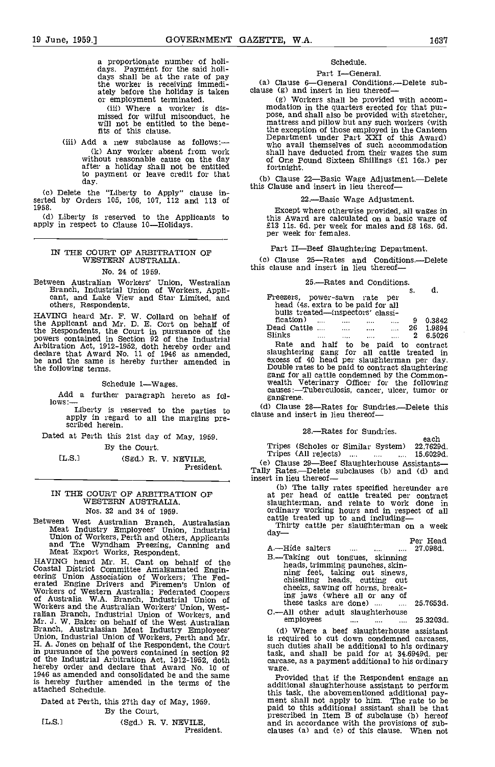a proportionate number of holi- days. Payment for the said holi- days shall be at the rate of pay the worker is receiving immedi-<br>the worker is receiving immedi-<br>ately before the holiday is taken clause (g) and insert in lieu thereof—<br>or employment terminated. (g) Workers shall be provided with accomor employment terminated. (iii) Where a worker is dis-

missed for wilful misconduct, he will not be entitled to the bene-fits of this clause.

(iii) Add a new subclause as follows:-(k) Any worker absent from work without reasonable cause on the day of after a holiday shall not be entitled for to payment or leave credit for that day.

Delete the "Liberty to Apply" clause in- serted by Orders 105, 106, 107, 112 and 113 of 1958.

(d) Liberty is reserved to the Applicants to this Award are calculapply in respect to Clause 10—Holidays.<br>apply in respect to Clause 10—Holidays. E13 11s. 6d. per week<br>per week for females.

#### IN THE COURT OP ARBITRATION OF WESTERN AUSTRALIA.

#### No. 24 of 1959.

Between Australian Workers' Union, Westralian Branch, Industrial Union of Workers, Appli- cant, and Lake View and Star Limited, and others, Respondents.

HAVING heard Mr. F. W. Collard on behalf of the Applicant and Mr. B. E. Cort on behalf of the Respondents, the Court in pursuance of the<br>powers contained in Section 92 of the Industrial<br>Arbitration Act, 1912-1952, doth hereby order and<br>declare that Award No. 11 of 1946 as amended,<br>be and the same is hereby furt

Schedule 1-Wages.

Add a further paragraph hereto as fol-<br>lows:-

Liberty is reserved to the parties to apply in regard to all the margins pre-scribed herein.

Dated at Perth this 21st day of May, 1959.

By the Court.

[L.S.] (Sgd.) R. V. NEVILE, President.

#### IN THE COURT OF ARBITRATION OF WESTERN AUSTRAUA.

Nos. 32 and 34 of 1959.

Between West Australian Branch, Australasian Meat Industry Employees' Union, Industrial Thirty cattle providents Union of Workers, Perth and others, Applicants and The Wyndham Freezing, Canning and Meat Export Works, Respo

HAVING heard Mr. H. Cant on behalf of the Coastal District Committee Amalgamated Engineering Union Association of Workers; The Federated Engineering Union Association of Workers The Federated Coopers of Australia W.A. Branch, Industrial Union of Australia Workers Workers and the Australian Workers' Union, West-<br>raitan Branch, Industrial Union of Workers, and<br>Mr. J. W. Baker on behalf of the West Australian<br>Branch, Australasian Meat Industry Employees' (d)<br>Union, Industrial Union o is hereby further amended in the terms of the<br>attached Schedule.

Dated at Perth, this 27th day of May, 1959. By the Court,

| I |  |  |  |
|---|--|--|--|
|---|--|--|--|

(Sgd.) R. V. NEVILE,<br>President.

#### Schedule.

Part I-General.

(a) Clause 6-General Conditions.--Delete sub-<br>clause (g) and insert in lieu thereof--

modation in the quarters erected for that pur-<br>pose, and shall also be provided with stretcher,<br>mattress and pillow but any such workers (with the exception of those employed in the Canteen Department under Part XXI of this Award) who avail themselves of such accommodation shall have deducted from their wages the sum of One Pound Sixteen Shillings (El lBs.) per fortnight.

(b) Clause 22-Basic Wage Adjustment.-Delete this Clause and insert in lieu thereof-

-Basic Wage Adjustment.

Except where otherwise provided, all wages in<br>this Award are calculated on a basic wage of<br>£13 11s. 6d. per week for males and £8 16s. 6d.<br>per week for females.

Part II-Beef Slaughtering Department.

(c) Clause 25-Rates and Conditions.--Delete this clause and insert in lieu thereof-

### 25.—Rates and Conditions.  $\ddot{\hspace{1cm}}$

|                                                  |                                                                                                                 |   | . . | . .       |  |
|--------------------------------------------------|-----------------------------------------------------------------------------------------------------------------|---|-----|-----------|--|
| Freezers, power-sawn rate per                    |                                                                                                                 |   |     |           |  |
| head (4s. extra to be paid for all               |                                                                                                                 |   |     |           |  |
| bulls treated—inspectors' classi-                |                                                                                                                 |   |     |           |  |
| fication)<br>$\sim$ 100 $\mu$                    |                                                                                                                 | . | 9   | 0.3842    |  |
|                                                  |                                                                                                                 |   |     | 26 1.9894 |  |
| Slinks<br>$\cdots$                               | the contract of the contract of the contract of the contract of the contract of the contract of the contract of |   |     | 2 6.5026  |  |
| Rate and half to be paid to contract             |                                                                                                                 |   |     |           |  |
| slaughtering gang for all cattle treated in      |                                                                                                                 |   |     |           |  |
| excess of 40 head per slaughterman per day.      |                                                                                                                 |   |     |           |  |
| Double rates to be paid to contract slaughtering |                                                                                                                 |   |     |           |  |
| gang for all cattle condemned by the Common-     |                                                                                                                 |   |     |           |  |
| wealth Veterinary Officer for the following      |                                                                                                                 |   |     |           |  |
| causes:-Tuberculosis, cancer, ulcer, tumor or    |                                                                                                                 |   |     |           |  |
| gangrene.                                        |                                                                                                                 |   |     |           |  |
|                                                  |                                                                                                                 |   |     |           |  |

(d) Clause 28-Rates for Sundries.-Delete this clause and insert in lieu thereof-

28.—Rates for Sundries.

each Tripes (Scholes or Similar System) 22.7629d. Tripes (All rejects)  $\ldots$   $\ldots$   $\ldots$  15.6029d.

Collause 29—Beef Slaughterhouse Assistants<br>Tally Rates.—Delete subclauses (b) and (d) and insert in lieu thereof

(b) The tally rates specified hereunder are at per head of cattle treated per contract ordinary working hours and in respect of all ordinary working hours and in respect of all cattle treated up to and including—<br>Thirty cattle per slaughterman on a week<br>day—<br>Per Head

A.—Hide salters .... .... .... 27.098d.<br>B.—Taking out tongues, skinning B.—Taking out tongues, skinning<br>heads, trimming paunches, skin-<br>ning feet, taking out sinews,<br>chiselling heads, cutting out<br>cheeks, sawing off horns, breaking jaws (where all or any of<br>these tasks are done) .... ..... 25.7653d. these tasks are done) .... ....

C.—All other adult slaughterhouse employees .... .... .... 25.3203d.

(d) Where a beef slaughterhouse assistant is required to cut down condemned carcases, such duties shall be additional to his ordinary task, and shall be paid for at 34.6949d. per carcase, as a payment additional to his ordinary wage.

Provided that if the Respondent engage an additional slaughterhouse assistant to perform this task, the abovementioned additional pay-<br>ment shall not apply to him. The rate to be<br>paid to this additional assistant shall be that<br>prescribed in Item B of subclause (b) hereof<br>and in accordance with the provisions o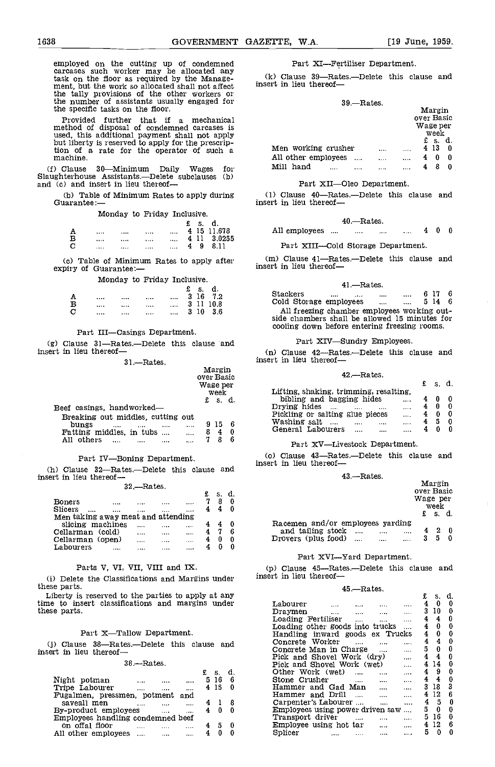employed on the cutting up of condemned carcases such worker may be allocated any task on the floor as required by the Manage-<br>ment, but the work so allocated shall not affect the tally provisions of the other workers or the taily provisions of the other workers or<br>the number of assistants usually engaged for the specific tasks on the floor.

Provided further that if a mechanical method of disposal of condemned carcases is used, this additional payment shall not apply used, this additional payment shall not apply but liberty is reserved to apply for the prescrip-<br>tion of a rate for the operator of such a machine.

(f) Clause 30-Minimum Daily Wages for Slaughterhouse Assistants.—Delete subclauses (b) and (c) and insert in lieu thereof—

(b) Table of Minimum Rates to apply during Guarantee:

Monday to Friday Inclusive.

|   |         |       |       |          |   | £s. | d.          |
|---|---------|-------|-------|----------|---|-----|-------------|
|   | 1.1.7.7 | 1.111 | 1.111 | $\cdots$ |   |     | 4 15 11.678 |
| B |         |       |       | $\cdots$ |   |     | 4 11 3.0255 |
| C |         |       |       | $\cdots$ | 4 | -9  | -8.11       |

Cc) Table of Minimum Rates to apply after expiry of Guarantee:

Monday to Friday Inclusive.

|          |           |                  | £ | -S.  | d.        |  |
|----------|-----------|------------------|---|------|-----------|--|
|          | <br>      | <br>$\cdots$     |   |      | 3 16 7.2  |  |
| в        | <br>      | <br>$\mathbf{r}$ |   |      | 3 11 10.8 |  |
| <b>C</b> | <br>1.1.1 | <br>$\cdots$     |   | 3 10 | - 3.6     |  |

#### Part III-Casings Department.

 $(g)$  Clause 31-Rates.-Delete this clause and Insert in lieu thereof-

 $31 -$ Rates.

|                                                                                                                                               |                          | over Basic    | Margin         |                 |                                   |
|-----------------------------------------------------------------------------------------------------------------------------------------------|--------------------------|---------------|----------------|-----------------|-----------------------------------|
|                                                                                                                                               |                          | Wage per<br>£ | week<br>s. d.  |                 | Lifting, s<br>bibling<br>Drying h |
| Beef casings, handworked—<br>Breaking out middles, cutting out<br>bungs<br>$\cdots$<br>$\cdots$<br>Fatting middles, in tubs<br>All others<br> | <br>$\cdots$<br>$\cdots$ | 8             | -15<br>-4<br>8 | - 6<br>- 0<br>6 | Pickling<br>Washing<br>General    |
|                                                                                                                                               |                          |               |                |                 | Por                               |

#### Part IV-Boning Department.

(h) Clause  $32$ -Rates.-Delete this clause and insert in lieu thereof-

32.Rates.

| <b>Boners</b>                      |       |         |         |       |  |         |
|------------------------------------|-------|---------|---------|-------|--|---------|
| Slicers<br>                        |       |         |         |       |  |         |
| Men taking away meat and attending |       |         |         |       |  |         |
| slicing machines                   |       | 11.11   | 1.1.1.1 | 1.1.1 |  | Racemen |
| Cellarman (cold)                   |       | 1.111   |         |       |  | and ta  |
| Cellarman (open)                   |       | 1.1.1.1 |         |       |  | Drovers |
| Labourers                          | 1.111 |         |         |       |  |         |

#### Parts V. VI, VII, VIII and IX.

Ci) Delete the Classifications and Margins under these parts.

Liberty is reserved to the parties to apply at any time to insert classifications and margins under these parts.

#### Part X-Tallow Department.

(j) Clause 38-Rates.-Delete this clause and insert in lieu thereof-

#### 38.-Rates.

|                                           |   | s.           | d.  | Other Work  |
|-------------------------------------------|---|--------------|-----|-------------|
| Night potman<br>$\cdots$<br><br>          |   | 5 16         | - 6 | Stone Crusl |
| Tripe Labourer<br><br>1.1.1<br>           |   | 4 15         | - 0 | Hammer ar   |
| Fugalmen, pressmen, potment and           |   |              |     | Hammer ar   |
| saveall men<br>.                          |   |              |     | Carpenter's |
| By-product employees<br>1.111<br>$\cdots$ |   | 40           | - 0 | Employees u |
| Employees handling condemned beef         |   |              |     | Transport o |
| on offal floor<br>$\cdots$                |   | - 5          | - 0 | Employee u  |
| All other employees                       | 4 | $\mathbf{0}$ | - 0 | Splicer     |
|                                           |   |              |     |             |

#### Part XI-Fertiliser Department.

 $(k)$  Clause 39-Rates.-Delete this clause and insert in lieu thereof

#### 39.Rates.

|                                                 |      | Margin<br>over Basic |         |
|-------------------------------------------------|------|----------------------|---------|
|                                                 |      | Wage per<br>week     |         |
| Men working crusher                             | <br> | £ s.<br>4 13         | d.<br>0 |
| All other employees<br>$\cdots$<br>Mill<br>hand | <br> | 4<br>0               | 0<br>0  |

#### Part XII-Oleo Department.

(1) Clause 40-Rates.-Delete this clause and insert in lieu thereof-

$$
40.—Rates.
$$

All employees .... .... .... .... 4 0 0

#### Part XIII-Cold Storage Department.

(m) Clause 41-Rates.--Delete this clause and insert in lieu thereof-

#### 41.-Rates.

Stackers .... .... .... .... 6 17 6<br>Cold Storage employees .... .... 5 14 6 Cold Storage employees .... .... 5 14 6<br>All freezing chamber employees working outside chambers shall be allowed 15 minutes for cooling down before entering freezing rooms.

#### Part XIV-Sundry Employees.

Clause  $42$ —Rates.—Delete this clause and insert in lieu thereof-

#### 42.Rates.

|                                        | -s. d. |   |  |
|----------------------------------------|--------|---|--|
| Lifting, shaking, trimming, resalting. |        |   |  |
| bibling and bagging hides<br>          |        |   |  |
| Drying hides<br><br><br><br>           |        | 0 |  |
| Pickling or salting glue pieces<br>    |        | 0 |  |
| Washing salt<br><br><br>               | 5      | 0 |  |
| General Labourers<br><br><br>          |        |   |  |
|                                        |        |   |  |

#### Part XV-Livestock Department.

(o) Clause 43-Rates.-Delete this clause and insert in lieu thereof-

#### 43.Rates.

|                                                                                       |                      |                      | over Basic<br>Wage per | Margin<br>week    |   |  |
|---------------------------------------------------------------------------------------|----------------------|----------------------|------------------------|-------------------|---|--|
|                                                                                       |                      |                      |                        | $\mathbf{f}$ s d. |   |  |
| Racemen and/or employees yarding<br>and tailing stock<br>Drovers (plus food) $\ldots$ | $\cdots$<br>$\cdots$ | $\cdots$<br>$\cdots$ | 4<br>3                 | 2<br>5            | 0 |  |

#### Part XVI-Yard Department.

(p) Clause 45-Rates,-Delete this clause and insert in lieu thereof-

#### 45.Rates.

|                                                                          | £<br>s.       | d. |
|--------------------------------------------------------------------------|---------------|----|
| Labourer                                                                 | $\bf{0}$<br>4 | 0  |
| Dravmen<br>$\cdots$<br>$\cdots$<br>11.11                                 | 3<br>10       | 0  |
| Loading Fertiliser<br>$\cdots$<br>$\cdots$                               | 4<br>4        | 0  |
| Loading other goods into trucks                                          | 4<br>$\bf{0}$ | 0  |
| Handling inward goods ex Trucks                                          | 4<br>0        | 0  |
| Concrete Worker                                                          | 4<br>4        | 0  |
| Concrete Man in Charge                                                   | 5<br>0        | 0  |
| Pick and Shovel Work (dry)<br>$\cdots$                                   | 4<br>4        | 0  |
| Pick and Shovel Work (wet)<br>.                                          | 4<br>14       | 0  |
| Other Work (wet)<br>$\cdots$<br>$\cdots$<br>$\cdots$                     | 9<br>4        | 0  |
| Stone Crusher<br>$\cdots$<br>$\cdots$<br>$\cdots$                        | 4<br>4        | 0  |
| Hammer and Gad Man<br>$\cdots$<br>$\cdots$                               | 3<br>18       | 3  |
| Hammer and Drill<br>$\sim$ 100 $\sim$ 100 $\sim$<br>$\cdots$<br>$\cdots$ | 12<br>4       | 6  |
| Carpenter's Labourer<br>$\cdots$<br>                                     | 4<br>5        | 0  |
| Employees using power driven saw                                         | 5<br>0        | 0  |
| Transport driver<br>$\cdots$                                             | 5<br>16       | 0  |
| Employee using hot tar<br>$\cdots$<br>$\cdots$                           | 12<br>4       | 6  |
| Splicer<br><br>                                                          | 5<br>0        | 0  |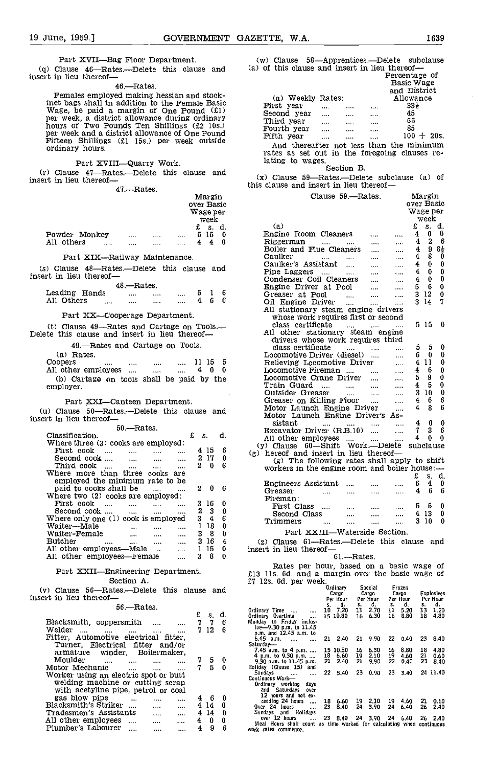Part XVII-Bag Floor Department. (w)<br>(q) Clause 46-Rates.--Delete this clause and (a) of insert in lieu thereof-

46.-Rates.

Females employed making hessian and stock-<br>inet bags shall in addition to the Female Basic<br>Wage, be paid a margin of One Pound  $(E1)$ <br>per week, a district allowance during ordinary<br>hours of Two Pounds Ten Shillings  $(E2 \t 1$ 

Part XVIII-Quarry Work. late<br>
(r) Clause 47-Rates.-Delete this clause and  $\frac{(\mathbf{x})}{(\mathbf{x})}$ <br>
insert in lieu thereof--

47.-Rates.

| Margin<br>over Basic<br>Wage per<br>week                                                                                                                           |                                                                    |
|--------------------------------------------------------------------------------------------------------------------------------------------------------------------|--------------------------------------------------------------------|
| £ s. d.<br>Powder Monkey<br>515<br>0<br>$\cdots$<br>$\cdots$                                                                                                       | (a)<br>Engine Roo                                                  |
| $\cdots$<br>All others<br>44<br>0<br>$\cdots$<br>$\cdots$<br>$\cdots$                                                                                              | Riggerman<br>Boiler and                                            |
| Part XIX-Railway Maintenance.                                                                                                                                      | Caulker                                                            |
| (s) Clause 48-Rates.-Delete this clause and<br>insert in lieu thereof-                                                                                             | Caulker's A<br>Pipe Lagger<br>Condenser (                          |
| 48.—Rates.                                                                                                                                                         | Engine Driv                                                        |
| Leading Hands<br>6<br>5.<br>1<br><b>Contract Contract</b><br>$\cdots$<br>and the<br>$4 -$<br>6.<br>6<br>All Others<br>$\cdots$<br>$\cdots$<br>$\cdots$<br>$\cdots$ | Greaser at<br>Oil Engine<br>All stationa                           |
| Part XX-Cooperage Department.                                                                                                                                      | whose wor                                                          |
| (t) Clause $49$ --Rates and Cartage on Tools.<br>Delete this clause and insert in lieu thereof-                                                                    | class cert<br>All other s                                          |
| 49.-Rates and Cartage on Tools.                                                                                                                                    | drivers wl<br>class certi                                          |
| (a) Rates.                                                                                                                                                         | Locomotive                                                         |
| Coopers<br>11 15<br>5<br><b>The Committee Committee</b><br><b>Alberta</b><br>All other employees<br>40<br>0<br>$\ddotsc$                                           | Relieving L<br>Locomotive :                                        |
| (b) Cartage on tools shall be paid by the                                                                                                                          | Locomotive                                                         |
| employer.                                                                                                                                                          | Train Guar<br>Outsider Gr                                          |
| Part XXI—Canteen Department.                                                                                                                                       | Greaser on                                                         |
| (u) Clause 50—Rates,—Delete this clause and                                                                                                                        | Motor Laun                                                         |
| insert in lieu thereof—                                                                                                                                            | Motor Laur<br>sistant                                              |
| 50.—Rates.                                                                                                                                                         | Excavator L                                                        |
| Classification.<br>£<br>S.<br>d.<br>Where three (3) cooks are employed:                                                                                            | All other en                                                       |
| 415<br>First cook<br>6<br>$\sim 100$                                                                                                                               | $(y)$ Clause $6$<br>(g) hereof and                                 |
| Second cook<br>217<br>0<br>$\sim 100$ km s $^{-1}$<br><b>Contract</b><br>$\cdots$                                                                                  | $(g)$ The i                                                        |
| 20<br>Third cook …<br>6<br>$\sim 10^{11}$ km $^{-1}$<br>$\sim 100$ km s $^{-1}$<br>$\cdots$<br>Where more than three cooks are                                     | workers in t                                                       |
| employed the minimum rate to be                                                                                                                                    | Engineers A                                                        |
| paid to cooks shall be<br>2<br>0<br>6<br>Where two (2) cooks are employed:                                                                                         | Greaser                                                            |
| First cook<br>316<br>0<br>$\cdots$<br>$\cdots$                                                                                                                     | Fireman:<br>First Clas                                             |
| 2<br>Second cook<br>3<br>0<br><b>Contract Contract Contract Contract</b><br>$\cdots$                                                                               | Second Cl                                                          |
| Where only one (1) cook is employed<br>$\overline{4}$<br>6<br>3.<br>Waitei—Male<br>1 18<br>0<br><b>Contract Contract</b><br><b>Contract</b><br>$\cdots$            | Trimmers                                                           |
| Waiter-Female<br>38<br>0<br>$\sim 100$ km $^{-1}$<br>$\cdots$                                                                                                      | Part X                                                             |
| 316<br>4<br>Butcher<br>All other employees—Male<br>$\cdots$                                                                                                        | $(z)$ Clause $61$                                                  |
| 1 15<br>0<br>$\cdots$<br>All other employees—Female<br>38<br>0<br>$\ddotsc$                                                                                        | insert in lieu th                                                  |
|                                                                                                                                                                    | Rates per                                                          |
| Part XXII-Engineering Department.                                                                                                                                  | £13 11s. 6d. and                                                   |
| Section A.<br>(v) Clause 56—Rates.—Delete this clause and                                                                                                          | £7 12s. 6d. per v                                                  |
| insert in lieu thereof-                                                                                                                                            |                                                                    |
| 56.-Rates.                                                                                                                                                         | Ordinary Time                                                      |
| £<br>d.<br>S.                                                                                                                                                      | Ordinary Overtime<br>Monday to Friday incl<br>ive-9.30 p.m. to 11. |
| Blacksmith, coppersmith<br>7<br>7<br>6<br>$\cdots$<br>$\cdots$<br>Welder<br>7 12<br>6<br><b>Service</b> Contractor<br>$\cdots$<br>$\cdots$                         |                                                                    |
| Fitter, Automotive electrical fitter,                                                                                                                              | p.m. and 12.45 a.m.<br>6.45 a.m.                                   |
| Turner, Electrical fitter and/or                                                                                                                                   | Saturday-<br>7.45 a.m. to 4 p.m.                                   |
| armature winder, Boilermaker,<br>Moulder<br>7.<br>5<br>0<br>$\cdots$<br>$\mathbf{r}$<br>$\cdots$                                                                   | 4 p.m. to 9.30 p.m.<br>9.30 p.m. to 11.45 p.                       |
| Motor Mechanic<br>7.<br>5<br>0<br>$\sim 100$<br>$\cdots$<br>$\mathbf{r}$ is a $\mathbf{r}$                                                                         | Holiday (Clause 15) a<br>Sundays                                   |
| Worker using an electric spot or butt<br>welding machine or cutting scrap                                                                                          | Continuous Work-                                                   |
| with acetyline pipe, petrol or coal                                                                                                                                | Ordinary working d<br>and Saturdays o                              |
| gas blow pipe<br>4.<br>- 6<br>0<br>$\cdots$<br>$\cdots$                                                                                                            | 12 hours and not<br>ceeding 24 hours                               |
| Blacksmith's Striker<br>414<br>0<br>$\cdots$<br>Tradesmen's Assistants<br>414<br>0                                                                                 | Over 24 hours                                                      |
| $\cdots$<br>$\cdots$<br>All other employees<br>40<br>0<br><br>                                                                                                     | Sundays and Holida<br>over 12 hours                                |
|                                                                                                                                                                    | Meal Hours shall cou                                               |

All other employees .... .... .... 4 0 0<br>Plumber's Labourer .... .... .... 4 9 6

(w) Clause 58-Apprentices-Delete subclause (a) of this clause and insert in lieu thereof-<br>Percentage of

|                                               |           |       | Percentage or |  |
|-----------------------------------------------|-----------|-------|---------------|--|
|                                               |           |       | Basic Wage    |  |
|                                               |           |       | and District  |  |
| (a) Weekly Rates:                             |           |       | Allowance     |  |
| First year                                    | <br>      |       | 33 }          |  |
| Second year                                   | <br>      | 1.11  | 45            |  |
| Third year                                    | <br>1.1.1 | 1.1.1 | 65            |  |
| Fourth year                                   | <br>      |       | 85            |  |
| Fifth year                                    | <br>      |       | $100 + 20s$ . |  |
| And thereafter not less than the minimum      |           |       |               |  |
| rates as set out in the foregoing clauses re- |           |       |               |  |
| lating to wages.                              |           |       |               |  |

Section B.

 $(x)$  Clause 59-Rates.-Delete subclause  $(a)$  of this clause and insert in lieu thereof-

| Clause 59.—Rates.                                                                                                                            | Margin                                   |
|----------------------------------------------------------------------------------------------------------------------------------------------|------------------------------------------|
|                                                                                                                                              | over Basic                               |
|                                                                                                                                              | Wage per                                 |
|                                                                                                                                              | week                                     |
| (a)                                                                                                                                          | £<br>s. d.<br>0<br>0                     |
| Engine Room Cleaners<br><br>Riggerman                                                                                                        | 4<br>2<br>6<br>4                         |
| $\ldots$<br>$\cdots$<br>$\ldots$<br>.<br>Boiler and Flue Cleaners<br>$\cdots$                                                                | 4<br>984                                 |
| Caulker<br><b>County</b><br>$\cdots$<br><b>SALE</b>                                                                                          | 8.<br>0<br>4                             |
| Caulker's Assistant<br>$\cdots$<br>$\sim$ 1000 $\mu$<br>                                                                                     | 0<br>4<br>0.                             |
| Pipe Laggers<br>and in<br>$\sim 100$<br>                                                                                                     | $\overline{4}$<br>0<br>0                 |
| Condenser Coil Cleaners<br>$\cdots$<br>$\cdots$                                                                                              | 0<br>4<br>0                              |
| Engine Driver at Pool<br>$\cdots$<br>                                                                                                        | 6<br>0<br>5                              |
| Greaser at Pool<br>$\mathbf{L}$<br><br>$\cdots$                                                                                              | 312<br>0                                 |
| Oil Engine Driver<br>$\sim$ $\sim$<br>$\cdots$<br>                                                                                           | 7<br>3 14                                |
| All stationary steam engine drivers                                                                                                          |                                          |
| whose work requires first or second                                                                                                          |                                          |
| class certificate<br>$\sim$<br><b>Contractor</b><br>$\cdots$                                                                                 | 515<br>0                                 |
| All other stationary steam engine                                                                                                            |                                          |
| drivers whose work requires third                                                                                                            |                                          |
| class certificate<br><b>Contract Contract</b><br>$\cdots$                                                                                    | 5<br>0<br>5.                             |
| Locomotive Driver (diesel)<br>$\ddotsc$<br>$\overline{a}$                                                                                    | 6.<br>0<br>0                             |
| Relieving Locomotive Driver<br>$\ddotsc$                                                                                                     | 411<br>0                                 |
| Locomotive Fireman<br>$\mathbf{L}$                                                                                                           | 4<br>6<br>0                              |
| Locomotive Crane Driver<br>$\sim 100$<br>$\mathbf{r}$                                                                                        | 9<br>0<br>5                              |
| Train Guard<br>$\cdots$<br>$\sim 100$ km s $^{-1}$<br>                                                                                       | 45<br>0<br>0                             |
| Outsider Greaser<br><b>Contract</b><br>$\ldots$<br>$\ddotsc$<br>Greaser on Killing Floor                                                     | 310<br>6<br>4<br>6.                      |
| .<br>Motor Launch Engine Driver                                                                                                              | 6<br>4<br>8                              |
| $\cdots$<br>Motor Launch Engine Driver's As-                                                                                                 |                                          |
| sistant<br>$\cdots$<br>$\cdots$<br>$\sim$ $\sim$ $\sim$<br>$\cdots$                                                                          | 4<br>0<br>0                              |
| Excavator Driver (R.B.10)<br>$\cdots$<br>                                                                                                    | 7<br>3<br>6                              |
| All other employees<br><br>$\cdots$                                                                                                          | 0<br>0<br>4                              |
| Work.—Delete<br>$(y)$ Clause $60$ —Shift                                                                                                     | subclause                                |
| (g) hereof and insert in lieu thereof—                                                                                                       |                                          |
| (g) The following rates shall apply to shift                                                                                                 |                                          |
| workers in the engine room and boiler house: $-$                                                                                             |                                          |
|                                                                                                                                              | £<br>S.<br>d.                            |
| Engineers Assistant<br>$\cdots$<br>$\cdots$<br>$\cdots$                                                                                      | 6<br>4<br>0                              |
| Greaser<br>$\sim$ and $\sim$<br>$\cdots$<br>$\cdots$<br>$\cdots$                                                                             | 6<br>6<br>4                              |
| Fireman:                                                                                                                                     |                                          |
| First Class<br>$\cdots$<br>$\cdots$<br>$\cdots$                                                                                              | 5<br>0<br>5                              |
| Second Class<br><br><br>$\cdots$                                                                                                             | 413<br>0                                 |
| Trimmers<br><br><br>$\cdots$<br>$\cdots$                                                                                                     | 310<br>0                                 |
| Part XXIII—Waterside Section.                                                                                                                |                                          |
| (z) Clause 61-Rates.-Delete this clause and                                                                                                  |                                          |
| insert in lieu thereof—                                                                                                                      |                                          |
| 61 — Rates.                                                                                                                                  |                                          |
| Rates per hour, based on a basic wage of                                                                                                     |                                          |
| £13 11s. 6d. and a margin over the basic wage of                                                                                             |                                          |
| £7 12s. 6d. per week.                                                                                                                        |                                          |
| Ordinary<br>Special<br>Frozen                                                                                                                |                                          |
| Cargo<br>Cargo<br>Cargo<br>Per Hour<br>Per Hour                                                                                              | Explosives<br>Per Hour<br>Per Hour       |
| d.<br>5.<br>s.<br>₫.<br>s.                                                                                                                   | d.<br>5.<br>d.                           |
| 10 7.20<br>2.70<br>Ordinary Time<br>11<br>11<br>$\cdots$<br>                                                                                 | 5.20<br>13<br>1.20                       |
| 15 10.80<br>6.30<br>Ordinary Overtime<br>16<br>16<br>$\cdots$<br>Monday to Friday inclus-                                                    | 18<br>4.80<br>8.80                       |
| ive-9.30 p.m. to 11.45                                                                                                                       |                                          |
| p.m. and 12.45 a.m. to<br>9.90<br>6.45 a.m.<br>21<br>2.40<br>21<br>22                                                                        | 0.40<br>23<br>8.40                       |
| $\cdots$<br>$\ddotsc$<br>Saturday—                                                                                                           |                                          |
| 7.45 a.m. to 4 p.m.<br>15 10.80<br>16<br>6.30<br>16                                                                                          | 8.80<br>18<br>4.80                       |
| 18<br>4 p.m. to 9.30 p.m.<br>19<br>2.10<br>19<br>6.60<br>9.30 p.m. to 11.45 p.m.<br>21<br>9.90<br>22<br>21<br>2.40                           | 21<br>4.60<br>0.60<br>23<br>0.40<br>8.40 |
| Holiday (Clause 15) and                                                                                                                      |                                          |
| Sundays<br>22<br>5.40<br>23<br>0.90<br>23<br>$\ddotsc$<br>$\cdots$                                                                           | 3.40<br>24 11.40                         |
| Continuous Work—<br>Ordinary working<br>davs                                                                                                 |                                          |
| and Saturdays<br>over                                                                                                                        |                                          |
| 12 hours and not ex-<br>19<br>2.10                                                                                                           |                                          |
|                                                                                                                                              |                                          |
| ceeding 24 hours<br>19<br>18<br>6.60<br>Over 24 hours<br>23<br>24<br>8.40<br>3.90<br>24<br>$\cdots$                                          | 4.60<br>21<br>0.60<br>6.40<br>26<br>2.40 |
| Holidays<br>Sundays and                                                                                                                      |                                          |
| over 12 hours<br>23<br>8.40<br>24<br>3.90<br>24<br>$\sim$ 100 $\mu$<br>Meal Hours shall count as time worked for calculating when continuous | 6.40<br>26<br>2.40                       |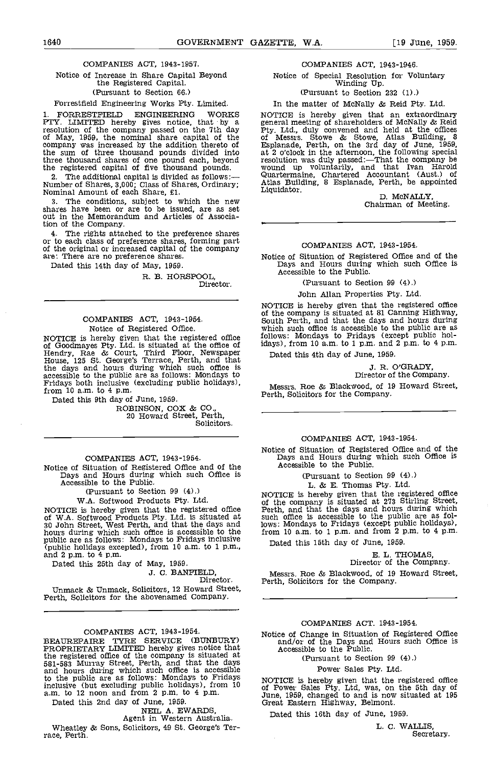#### COMPANIES ACT, 1943-1957.

#### Notice of Increase in Share Capital Beyond the Registered Capital. (Pursuant to Section 66.)

#### Forrestfield Engineering Works Pty, Limited.

1. FORRESTFIELD ENGINEERING WORKS PTY. LIMITED hereby gives notice, that by a general resolution of the company passed on the 7th day by Fig. 1 of May, 1959, the nominal share capital of the of M company was increased by the addition thereto of the sum of three thousand pounds divided into at 2 o' three thousand shares of one pound each, beyond the registered capital of five thousand pounds.

2. The additional capital is divided as follows: Wumber of Shares, 3,000; Class of Shares, Ordinary; Atlas Build Nominal Amount of each Share, £1. Liquidator.

The conditions, subject to which the new shares have been or are to be issued, are as set out in the Memorandum and Articles of Association of the Company.<br>4. The rights attached to the preference shares

4. The rights attached to the preference shares<br>or to each class of preference shares, forming part<br>of the original or increased capital of the company<br>are: There are no preference shares.<br>Notice of Situation of Registered are: There are no preference shares.

Dated this 14th day of May, 1959.

#### R. B. HORSPOOL, Director.

#### COMPANIES ACT. 1943-1954. Notice of Registered Office.

NOTICE is hereby given that the registered office<br>of Goodmayes Pty. Ltd. is situated at the office of<br>Hendry, Rae & Court, Third Floor, Newspaper<br>House, 125 St. George's Terrace, Perth, and that<br>the days and hours during w

Dated this 9th day of June, 1959.

ROBINSON, COX & CO.,<br>20 Howard Street, Perth,<br>Solicitors.

#### COMPANIES ACT, 1943-1954.

Notice of Situation of Registered Office and of the Days and Hours during which such Office is Accessible to the Public.

(Pursuant to Section 99 (4).)

WA. Softwood Products Pty. Ltd.

NOTICE is hereby given that the registered office of W.A. Softwood Products Pty. Ltd. is situated at 30 John Street, West Perth, and that the days and hours during which such office is accessible to the public are as follows: Mondays to Fridays inclusive (public holidays excepted), from 10 a.m. to 1 p.m., and 2 p.m. to 4 p.m.

Dated this 25th day of May, 1959.

Director.

Unmack & Unmack, Solicitors, 12 Howard Street, Perth, Solicitors for the abovenamed Company.

#### COMPANIES ACT, 1943-1954.

BEAUREPAIRE TYRE SERVICE (BUNBURY)<br>PROPRIETARY LIMITED hereby gives notice that<br>the registered office of the company is situated at<br>581-583 Murray Street, Perth, and that the days<br>and hours during which such office is acce to the public are as follows: Mondays to Fridays NO inclusive (but excluding public holidays), from  $10 \t{100} \t{100}$ <br>a.m. to 12 noon and from 2 p.m. to 4 p.m.  $\text{June.}$ 

Dated this 2nd day of June, 1959.

NEIL A. EWARDS,<br>Agent in Western Australia.

Wheatley & Sons, Solicitors, 49 St. George's Ter- race, Perth.

#### COMPANIES ACT, 1943-1946.

Notice of Special Resolution for Voluntary Winding Up.

#### (Pursuant to Section 232 (1).)

In the matter of McNally & Reid fly. Ltd.

NOTICE is hereby given that an extraordinary general meeting of shareholders of McNally & Reid general meeting of shareholders of McNally & Reid Pty. Ltd., duly convened and held at the offices of Messrs. Stowe & Stowe, Atlas Building, 8 Esplanade, Perth, on the 3rd day of June 1959, at 2 o'clock in the afternoon, the following special<br>resolution was duly passed:—That the company be<br>wound up voluntarily, and that Ivan Harold<br>Quartermaine, Chartered Accountant (Aust.) of<br>Atlas Building, 8 Esplanade, Per

D. McNALLY,<br>Chairman of Meeting.

#### COMPANIES ACT, 1943-1954.

Days and Hours during which such Office is Accessible to the Public.

(Pursuant to Section 99 (4).)

John Ailan Properties Pty, Ltd

NOTICE is hereby given that the registered office of the company is situated at 81 Canning Highway, South Perth, and that the days and hours during which such office is accessible to the public are as follows: Mondays to Fridays (except public holidays), from 10 a.m. to 1 p.m. and 2 p.m. to 4 p.m.

Dated this 4th day of June, 1959.

J. R. O'GRADY, Director of the Company.

Messrs. Roe & Blackwood, of 19 Howard Street, Perth, Solicitors for the Company.

#### COMPANIES ACT, 1943-1954.

Notice of Situation of Registered Office and of the Days and Hours during which such Office is Accessible to the Public.

(Pursuant to Section 99 (4).)

L. & E. Thomas Pty. Ltd.

NOTICE is hereby given that the registered office<br>of the company is situated at 273 Stirling Street,<br>Perth, and that the days and hours during which such office is accessible to the public are as follows: Mondays to Fridays (except public holidays), from 10 a.m. to 1 p.m. and from 2 p.m. to 4 p.m.

Dated this 15th day of June, 1959.

E. L. THOMAS,<br>Director of the Company.

J. C. BANFIELD, Messrs. Roe & Blackwood, of 19<br>Director. Perth, Solicitors for the Company. Messrs. Roe & Blackwood, of 19 Howard Street,

#### COMPANIES ACT. 1943-1954.

Notice of Change in Situation of Registered Office and/or of the Days and Hours such Office is Accessible to the Public.

(Pursuant to Section 99 (4).)

#### Power Sales Pty. Ltd.

NOTICE is hereby given that the registered office of Power Sales Pty. Ltd. was, on the 5th day of June, 1959, changed to and is now situated at 195 Great Eastern Highway, Belmont.

Dated this 16th day of June, 1959.

L, C. WALLIS, Secretary.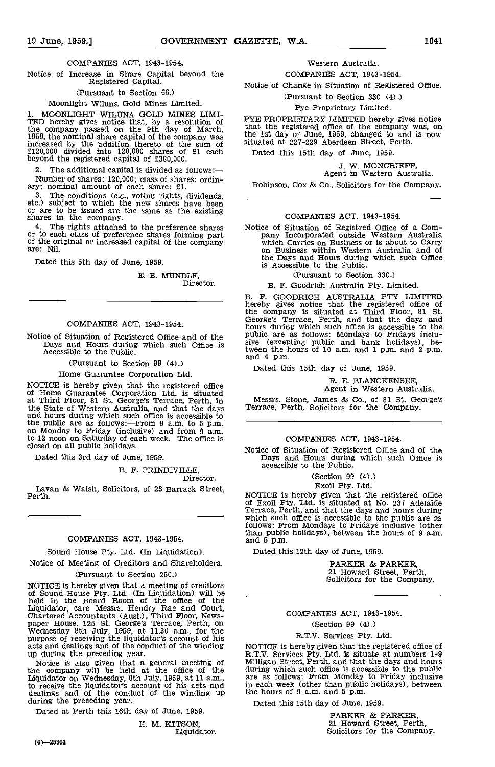#### COMPANIES ACT, 1943-1954,

Notice of Increase in Share Capital beyond the Registered Capital.

### (Pursuant to Section 66.)

#### Moonlight Wiluna Gold Mines Limited.

1. MOONLIGhT WILUNA GOLD MINES LIMI-TED hereby gives notice that, by a resolution of PYEP<br>the company passed on the 9th day of March, that t<br>1959, the nominal share capital of the company was the 1st increased by the addition thereto of the sum of £120,000 divided into 120,000 shares of £1 each beyond the registered capital of £380,000.

The additional capital is divided as follows: Number of shares: 120,000; class of shares: ordin-<br>ary; nominal amount of each share: £1.

The conditions (e.g., voting rights, dividends, etc.) subject to which the new shares have been or are to be issued are the same as the existing shares in the company.<br>4. The rights attached to the preference shares

4. The rights attached to the preference shares or to each class of preference shares forming part or to each class of preference shares forming part of the original or increased capital of the company which Carries on Bus are: Nil.

Dated this 5th day of June, 1959.

E. B. MUNDLE Director.

#### COMPANIES ACT, 1943-1954.

Notice of Situation of Registered Office and of the Dublic are<br>Days and Hours during which such Office is sive (exception<br>Accessible to the Public.<br>and 4 p.m.

(Pursuant to Section 99 (4).)

Home Guarantee Corporation Ltd.

NOTICE is hereby given that the registered office<br>of Home Guarantee Corporation Ltd. is situated at Third Floor, 81 St. George's Terrace, Perth, in the State of Western Australia, and that the days Terra<br>and hours during which such office is accessible to the public are as follows:—From 9 a.m. to 5 p.m. on Monday to Friday (inclusive) and from 9 a.m.<br>to 12 noon on Saturday of each week. The office is closed on all public holidays.

Dated this 3rd day of June, 1959.

B. F. PRINDIVILLE,

Director.

Lavan & Walsh, Solicitors, of 23 Barrack Street, Perth.

#### COMPANIES ACT, 1943-1954.

#### Sound House Pty. Ltd. (In Liquidation).

Notice of Meeting of Creditors and Shareholders.

#### (Pursuant to Section 250.)

NOTICE is hereby given that a meeting of creditors of Sound House Pty. Ltd. (In Liquidation) will be held in the Board Room of the office of the Figured in the Board Robin of the bing of the control of the material court,<br>
Liquidator, care Messrs. Hendry Rae and Court,<br>
Chartered Accountants (Aust.), Third Floor, News-<br>
paper House, 125 St. George's Terrace, Perth,

Notice is also given that a general meeting of Millig<br>the company will be held at the office of the during Liquidator on Wednesday, 8th July, 1959, at 11 a.m., are as<br>to receive the liquidator's account of his acts and dealings and of the conduct of the winding up the hou dealings and of the conduct of the winding up during the preceding year.

Dated at Perth this 16th day of June, 1959.

IL M. KITSON, Liquidator.

### COMPANIES ACT, 1943-1954.

Notice of Change in Situation of Registered Office.

(Pursuant to Section 330 (4).)

#### Pye Proprietary Limited.

PYE PROPRIETARY LIMITED hereby gives notice that the registered office of the company was, on the 1st day of June, 1959, changed to and is now situated at 227-229 Aberdeen Street, Perth.

Dated this 15th day of June, 1959.

J. W. MONCRIEFF, Agent in Western Australia.

Robinson, Cox & Co., Solicitors for the Company.

#### COMPANIES ACT, 1943-1954.

Notice of Situation of Registred Office of a Com-<br>pany Incorporated outside Western Australia on Business within Western Australia and of<br>the Days and Hours during which such Office is Accessible to the Public.

(Pursuant to Section 330.)

B. F. Goodrich Australia Pty. Limited.

B. F. GOODRICH AUSTRALIA PTY LIMITED hereby gives notice that the registered office of the company is situated at Third Floor, 81 St. George's Terrace, Perth, and that the days and hours during which such office is accessible to the public are as follows: Mondays to Fridays inclusive (excepting public and bank holidays), between the hours of 10 a.m. and 1 p.m. and 2 p.m. and 4 p.m.

Dated this 15th day of June, 1959.

## R. E. BLANCKENSEE, Agent in Western Australia.

Messrs. Stone, James & Co., of 81 St. George's Terrace, Perth, Solicitors for the Company.

#### COMPANIES ACT, 1943-1954.

Notice of Situation of Registered Office and of the Days and Hours during which such Office is accessible to the Public.

#### (Section 99 (4).) Exoil Pty. Ltd.

NOTICE is hereby given that the registered office of Exoil Pty. Ltd. is situated at No. 237 Adelaide Terrace, Perth, and that the days and hours during which such office is accessible to the public are as<br>follows: From Mondays to Fridays inclusive (other than public holidays), between the hours of 9 a.m.<br>and 5 p.m.

Dated this 12th day of June, 1959.

PARKER & PARKER, 21 Howard Street, Perth, Solicitors for the Company.

#### COMPANIES ACT, 1943-1954.

(Section 99 (4).)

#### R.T.V. Services Pty. Ltd.

R.T.V. Services Pty. Ltd. is situate at numbers 1-9<br>Milligan Street, Perth, and that the days and hours during which such office is accessible to the public are as follows: From Monday to Friday inclusive in each week (other than public holidays), between the hours of 9 a.m. and 5 p.m.

Dated this 15th day of June, 1959.

PARKER & PARKER, 21 Howard Street, Perth, Solicitors for the Company.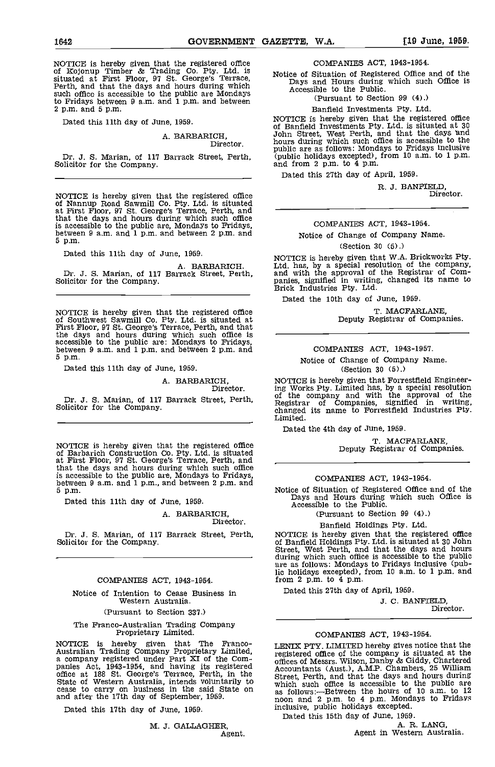NOTICE is hereby given that the registered office<br>of Kojonup Timber & Trading Co. Pty. Ltd. is **Notic** situated at First Floor, 97 St. George's Terrace, Perth, and that the days and hours during which such office is accessible to the public are Mondays to Fridays between 9 am. and 1 p.m. and between 2 p.m. and 5 p.m.

Dated this 11th day of June, 1959.

#### A. I3ARBARICH, Director.

Dr. J. S. Marian, of 117 Barrack Street, Perth, Solicitor for the Company.

NOTICE is hereby given that the registered office<br>of Nannup Road Sawmill Co. Pty. Ltd. is situated at First Floor, 97 St. George's Terrace, Perth, and that the days and hours during which such office is accessible to the public are, Mondays to Fridays, between 9 a.m. and 1 p.m. and between 2 p.m. and 5 p.m.

Dated this 11th day of June, 1959.

A. BABBARICH. Dr. J. S. Marian, of 117 Barrack Street, Perth, Solicitor for the Company.

NOTICE is hereby given that the registered office<br>of Southwest Sawmill Co. Pty. Ltd. is situated at<br>First Floor, 97 St. George's Terrace, Perth, and that<br>the days and hours during which such office is<br>accessible to the pu 5 p.m.

Dated this 11th day of June, 1959.

## A. BARBARICH, Director.

Dr. J. S. Marian, of 117 Barrack Street, Perth, Solicitor for the Company.

NOTICE is hereby given that the registered office of Barbarich Construction Co. Pty. Ltd. is situated at First Floor, 97 St. George's Terrace, Perth, and that the days and hours during which such office is accessible to the public are, Mondays to Fridays,<br>between 9 a.m. and 1 p.m., and between 2 p.m. and<br>5 p.m. Motice of Situation of Registered Office and of the 5 p.m.

Dated this 11th day of June, 1959.

#### A. BARBARICH, Director.

#### COMPANIES ACT, 1943-1954.

Notice of Intention to Cease Business in Western Australia.

(Pursuant to Section 337.)

## The Franco-Australian Trading Company Proprietary Limited.

NOTICE is hereby given that The Franco-Australian Trading Company Proprietary Limited,<br>a company registered under Part XI of the Com-<br>panies Act, 1943-1954, and having its registered office at 188 St. George's Terrace, Perth, in the Street,<br>State of Western Aus cease to carry on business in the said State on and after the 17th day of September, 1959.

Dated this 17th day of June, 1959.

M. J. GALLAGHER, Agent. COMPANIES ACT, 1943-1954.

Notice of Situation of Registered Office and of the Days and Hours during which such Office is Accessible to the Public.

(Pursuant to Section 99 (4).)

Banfield Investments Pty. Ltd

NOTICE is hereby given that the registered office<br>of Banfield Investments Pty. Ltd. is situated at 30 John Street, West Perth, and that the days and hours during which such office is accessible to the public are as follows: Mondays to Fridays inclusive (public holidays excepted), from 10 a.m. to 1 p.m. and from 2 p.m. to 4 p.m.

Dated this 27th day of April, 1959.

R. J. BANFIELD

Director.

### COMPANIES ACT, 1943-1954.

#### Notice of Change of Company Name.

#### (Section 30 (5).)

NOTICE is hereby given that W.A. Brickworks Pty. Ltd. has, by a special resolution of the company, and with the approval of the Registrar of Companies, signified in writing, changed its name to Brick Industries Pty. Ltd.

Dated the 10th day of June. 1959.

T. MACFARLANE, Deputy Registrar of Companies.

#### COMPANIES ACT, 1943-1957.

Notice of Change of Company Name. (Section 30 (5).)

NOTICE is hereby given that Forrestfield Engineering Works Pty. Limited has, by a special resolution of the company and with the approval of the Registrar of Companies, signified in writing, changed its name to Forrestfleld Industries Pty. Limited.

Dated the 4th day of June, 1959.

T. MACFARLANE, Deputy Registrar of Companies.

COMPANIES ACT, 1943-1954.

Notice of Situation of Theorem of Registered Office is Days and Hours during which such Office is Accessible to the Public.

(Pursuant to Section 99 (4).)

Banfleld Holdings Pty. Ltd.

Dr. J. S. Marian, of 117 Barrack Street, Perth, NOTICE is hereby given that the registered office Solicitor for the Company.<br>
of Banfield Holdings Pty. Ltd. is situated at 30 John NOTICE is hereby given that the registered office<br>of Banfield Holdings Pty. Ltd. is situated at 30 John<br>Street, West Perth, and that the days and hours<br>during which such office is accessible to the public<br>are as follows: M from 2 p.m. to 4 p.m.

Dated this 27th day of April, 1959.

J. C. BANFIELD, Director.

#### COMPANIES ACT, 1943-1954.

LENIX PTY. LIMITED hereby gives notice that the registered office of the company is situated at the offices of Messrs. Wilson, Danby & Giddy, Chartered Accountants (Aust.), AMP. Chambers, 25 William Street, Perth, and that the days and hours during which such office is accessible to the public are as follows:—Between the hours of 10 a.m. to 12 noon and 2 p.m. to 4 p.m. Mondays to Fridays inclusive, public holidays excepted.

Dated this 15th day of June, 1959.

Agent in Western Australia.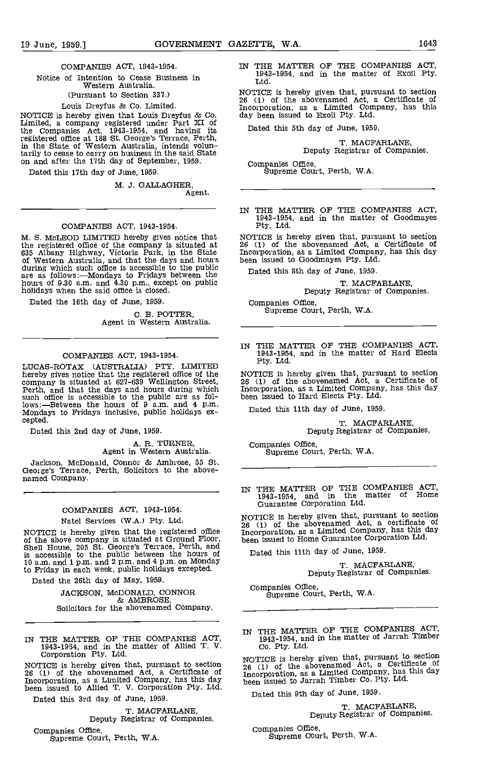#### COMPANIES ACT, 1943-1954.

Notice of Intention to Cease Business in Western Australia.

(Pursuant to Section 337.)

Louis Dreyfus & Co. Limited.<br>NOTICE is hereby given that Louis Dreyfus & Co. NOTICE is hereby given that Louis Dreyfus & Co. Limited, a company registered under Part XI of the Companies Act, 1943-1954, and having its registered office at 188 St. George's Terrace, Perth, in the State of Western Australia, intends voluntarily to cease to carry on business in the said State on and after the 17th day of September, 1959.

Dated this 17th day of June, 1959.

M. J. GALLAGHER, Agent.

#### COMPANIES ACT, 1943-1954.

M. S. McLEOD LIMITED hereby gives notice that<br>the registered office of the company is situated at<br>635 Albany Highway, Victoria Park, in the State<br>of Western Australia, and that the days and hours<br>during which such office i

Dated the 16th day of June, 1959.

C. B. POTTER,<br>Agent in Western Australia.

#### COMPANIES ACT, 1943-1954.

LUCAS-ROTAX (AUSTRALIA) FrY. LIMITED hereby gives notice that the registered office of the company is situated at 627-639 Wellington Street, such office is accessible to the public are as fol-<br>lows:—Between the hours of 9 a.m. and 4 p.m.<br>Mondays to Fridays inclusive, public holidays ex-<br>cepted.

Dated this 2nd day of June, 1959.

## A. R. TURNER, Agent in Western Australia.

Jackson, McDonald, Connor & Ambrose, 55 St. George's Terrace, Perth, Solicitors to the above- named Company.

#### COMPANIES ACT, 1943-1954.

Natel Services (W.A.) Pty. Ltd.

NOTICE is hereby given that the registered office above company is situated at Ground Floor, been is<br>Shell House, 205 St. George's Terrace, Perth, and is accessible to the public between the hours of 10 a.m. and 1p.m. and 2 pm. and 4p.m. on Monday to Friday in each week, public holidays excepted.

Dated the 26th day of May, 1959.

JACKSON, McDONALD, CONNOR & AMBROSE, Solicitors for the abovenamed Company.

IN THE MATTER OF THE COMPANIES ACT, 1943-1954, and in the matter of Allied T. V. Corporation Pty. Ltd.

NOTICE is hereby given that, pursuant to section  $26 \text{ (1)}$ <br>26 (1) of the abovenamed Act, a Certificate of  $100 \text{ (1)}$ Incorporation, as a Limited Company, has this day been issued to Allied T. V. Corporation Pty. Ltd.

Dated this 3rd day of June, 1959.

T. MACFARLANE,<br>Deputy Registrar of Companies.

Companies Office,<br>Supreme Court, Perth, W.A.

IN THE MATTER OF THE COMPANIES ACT, 1943-1954, and in the matter of Exoil Pty. Ltd.

NOTICE is hereby given that, pursuant to section <sup>26</sup> (1) of the abovenamed Act, a Certificate of Incorporation, as a Limited Company, has this day been issued to Exoil Pty. Ltd.

Dated this 5th day of June, 1959.

T. MACFARLANE, Deputy Registrar of Companies.

Supreme Court, Perth, W.A.

IN THE MATTER OF THE COMPANIES ACT, 1943-1954, and in the matter of 000dmayes Pty. Ltd.

NOTICE is hereby given that, pursuant to section 26 (1) of the abovenamed Act, a Certificate of Incorporation, as a Limited Company, has this day been issued to Goodmayes Pty. Ltd.

Dated this 8th day of June, 1959.

T. MACFARLANE,<br>Deputy Registrar of Companies.

Companies Office, Supreme Court, Perth, W.A.

IN THE MATTER OF THE COMPANIES ACT, 1943-1954, and in the matter of Hard Elects Pty. Ltd.

NOTICE is hereby given that, pursuant to section <sup>26</sup> (1) of the abovenamed Act, a Certificate of Incorporation, as a Limited Company, has this day been issued to Hard Elects Pty. Ltd.

Dated this 11th day of June, 1959.

T. MACFARLANE, Deputy Registrar of Companies.

Companies Office, Supreme Court, Perth, W.A.

IN TEE MATTER OF THE COMPANIES ACT, 1943 -1954, and in the matter of Home Guarantee Corporation Ltd.

NOTICE is hereby given that, pursuant to section 26 (1) of the abovenamed Act, a certificate of Incorporation, as a Limited Company, has this day been issued to Home Guarantee Corporation Ltd.

Dated this 11th day of June, 1959.

T. MACFARLANE, Deputy Registrar of Companies.

Companies Office,<br>Supreme Court, Perth, W.A.

IN THE MATTER OF THE COMPANIES ACT, 1943-1954, and in the matter of Jarrah Timber Co. Pty. Ltd.

NOTICE is hereby given that, pursuant to section 26 (1) of the abovenamed Act, a Certificate of Incorporation, as a Limited Company, has this day been issued to Jarrah Timber Co. Pty. Ltd.

Dated this 9th day of June, 1959.

T. MACFARLANE, Deputy Registrar of Companies.

Companies Office, Supreme Court, Perth, W.A.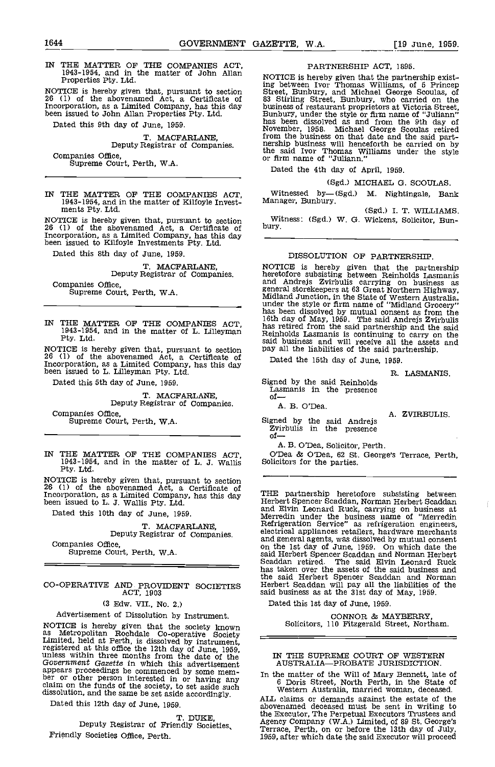IN THE MATTER OF THE COMPANIES ACT, 1943-1954, and in the matter of John Allan Properties Pty. Ltd.

NOTICE is hereby given that, pursuant to section 26 (1) of the abovenamed Act, a Certificate of Incorporation, as a Limited Company, has this day been Issued to John Allan Properties Pty. Ltd.

Dated this 9th day of June, 1959.

T. MACFABLANE, Deputy Registrar of Companies.

Companies Office, Supreme Court, Perth, WA.

IN THE MATTER OF THE COMPANIES ACT, 1943-1954, and in the matter of Kilfoyle Invest- ments Pty. Ltd.

NOTICE is hereby given that, pursuant to section With 26 (1) of the abovenamed Act, a Certificate of bury.<br>Incorporation, as a Limited Company, has this day been issued to Kilfoyle Investments Pty. Ltd.

Dated this 8th day of June. 1959.

## T. MACFARLANE, Deputy Registrar of Companies.

Companies Office, Supreme Court, Perth, WA.

IN THE MATTER OF THE COMPANIES ACT, 1943-1954, and in the matter of L. Lilleyman Pty. Ltd.

NOTICE is hereby given that, pursuant to section pay all 26 (1) of the abovenamed Act, a Certificate of Incorporation, as a Limited Company, has this day been issued to L. Lilleyman Pty. Ltd.

Dated this 5th day of June, 1959.

T. MACFARLANE, Deputy Registrar of Companies.

Companies Office, Supreme Court, Perth, W.A.

IN THE MATTER OF THE COMPANIES ACT, O'Dea & O'Dea, 62 St.<br>1943-1954, and in the matter of L. J. Wallis Solicitors for the parties.<br>Pty. Ltd.

NOTICE is hereby given that, pursuant to section  $26$  (1) of the abovenamed Act, a Certificate of  $_{\text{min}}$ Incorporation, as a Limited Company, has this day been issued to L. J. Wallis Pty. Ltd.

Dated this 10th day of June, 1959.

T. MACFARIAANE, Deputy Registrar of Companies.

Companies Office, Supreme Court, Perth, W.A.

## CO-OPERATIVE AND. PROVIDENT SOCIETIES ACT, 1903

(3 Edw. VII., No. 2.)

### Advertisement of Dissolution by Instrument.

NOTICE is hereby given that the society known as Metropolitan Rochdale Co-operative Society Limited, held at Perth, is dissolved by instrument, registered at this office the 12th day of June, 1959, unless within three months from the date of the Government Gazette in Government Gazette in which this advertisement appears proceedings be commenced by some mem-<br>ber or other person interested in or having any claim on the funds of the society, to set aside such  $\frac{6}{West}$ dissolution, and the same be set aside accordingly.

Dated this 12th day of June, 1959.

T. DUKE,<br>Deputy Registrar of Friendly Societies. Friendly Societies Office, Perth.

PARTNERSHIP ACT, 1895.

NOTICE is hereby given that the partnership existing between Ivor Thomas Williams, of 5 Princep<br>Street, Bunbury, and Michael George Scoulas, of ing between Ivor Thomas Williams, of 5 Princep<br>Street, Bunbury, and Michael George Scoulas, of<br>83 Stirling Street, Bunbury, who carried on the<br>business of restaurant proprietors at Victoria Street,<br>Bunbury, under the style from the business on that date and the said part-<br>nership business will henceforth be carried on by<br>the said Ivor Thomas Williams under the style<br>or firm name of "Juliann."

Dated the 4th day of April, 1959.

### (Sgd.) MICHAEL G. SCOULAS.

Witnessed by-(Sgd.) M. Nightingale, Bank Manager, Bunbury. (Sgd.) I. T. WILLIAMS.

Witness: (Sgd.) W. G. Wickens, Solicitor, Bun-<br>bury.

#### DISSOLUTION OF PARTNERSHIP.

NOTICE is hereby given that the partnership<br>heretofore subsisting between Reinholds Lasmanis heretofore subsisting between Reinholds Lasmanis<br>and Andrejs Zvirbulis carrying on business as<br>general storekeepers at 63 Great Northern Highway,<br>Midland Junction, in the State of Western Australia,<br>under the style or firm said business and will receive all the assets and pay all the liabilities of the said partnership.

Dated the 15th day of June, 1959.

R. LASMANIS.

Signed by the said Reinholds Lasmanis in the presence of

A. B. O'Dea.

Signed by the said Andrejs A. ZVIRBULIS.<br>
Zvirbulis in the presence of-

A. B. O'Dea, Solicitor, Perth.

O'Dea & O'Dea, 62 St. George's Terrace, Perth,

THE partnership heretofore subsisting between Herbert Spencer Scaddan, Norman Herbert Scaddan and Elvin Leonard Ruck, carrying on business at Merredin under the business name of "Merredin electrical appliances retailers, hardware merchants and general agents, was dissolved by mutual consent on the 1st day of June, 1959. On which date the said Herbert Spencer Scaddan and Norman Herbert Scaddan retired. The said Elvin Leonard Ruck has taken over the assets of the said business and the said Herbert Spencer Scaddan and Norman Herbert Scaddan will pay all the liabilities of the said business as at the 31st day of May, 1959.

Dated this 1st day of June, 1959.

CONNOR & MAYBERRY, Solicitors, 110 Fitzgerald Street, Northam.

#### IN THE SUPREME COURT OF WESTERN AUSTRALIA-PROBATE JURISDICTION.

In the matter of the Will of Mary Bennett, late of 6 Doris Street, North Perth, in the State of Western Australia, married woman, deceased.

ALL claims or demands against the estate of the abovenamed deceased must be sent In writing to the Executor, The Perpetual Executors Trustees and Agency Company (W.A.) Limited, of 89 St. George's Terrace, Perth, on or before the 13th day of July, 1959, after which date the said Executor will proceed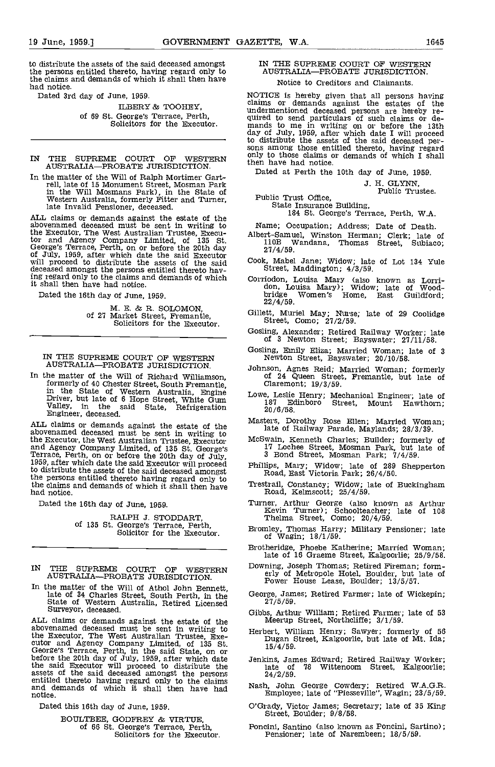to distribute the assets of the said deceased amongst the persons entitled thereto, having regard only to the claims and demands of which it shall then have had notice.

Dated 3rd day of June, 1959.

ILBERY & TOOHEY, of 59 St. George's Terrace, Perth, Solicitors for the Executor.

## IN THE SUPREME COURT OP WESTERN AUSTRALIAPROBATE JURISDICTION.

In the matter of the Will of Ralph Mortimer Gartrell, late of 15 Monument Street, Mosman Park in the Will Mosmans Park), in the State of Western Australia, formerly Fitter and Turner, late Invalid Pensioner, deceased.

ALL claims or demands against the estate of the<br>abovenamed deceased must be sent in writing to<br>the Executor, The West Australian Trustee, Execu-<br>tor and Agency Company Limited, of 135 St.<br>11 George's Terrace, Perth, on or before the 20th day<br>of July, 1959, after which date the said Executor<br>will proceed to distribute the assets of the said  $\frac{\text{Cook}}{\text{Stu}}$ <br>deceased amongst the persons entitled thereto having regard only to the claims and demands of which Corrict shall then have had notice.

Dated the 16th day of June, 1959.

M. E. & R. SOLOMON, of 27 Market Street, Fremantle, Solicitors for the Executor.

#### IN THE SUPREME COURT OF WESTERN AUSTRALIA-PROBATE JURISDICTION.

In the matter of the Will of Richard Williamson, formerly of 40 Chester Street, South Fremantle, Claremo<br>in the State of Western Australia, Engine Lowe, Leslie<br>Driver, but late of 6 Hope Street, White Gum 187 Eq Valley, in the said State, Refrigeration  $\frac{1}{2}$ <br>Engineer, deceased.

ALL claims or demands against the estate of the abovenamed deceased must be sent in writing to the Executor, the West Australian Trustee, Executor McSv<br>and Agency Company Limited, of 135 St. George's Terrace, Perth, on or before the 20th day of July, 3<br>1959, after which date the said Executor will proceed Phill to distribute the assets of the said deceased amongst the persons entitled thereto having regard only to the claims and demands of which it shall then have had notice.

Dated the 16th day of June, 1959.

RALPH J. STODDART,<br>of 135 St. George's Terrace, Perth,<br>Solicitor for the Executor.

- IN THE SUPREME COURT OF WESTERN Downing, Jos AUSTRALIA-PROBATE JURISDICTION.
- In the matter of the Will of Athol John Bennett,<br>late of 34 Charles Street, South Perth, in the George, Jam<br>State of Western Australia, Retired Licensed 27/5/59.<br>Gibbs. Arthu

ALL claims or demands against the estate of the abovenamed deceased must be sent in writing to Herber the Executor, The West Australian Trustee, Exe-<br>cutor and Agency Company Limited, of 135 St.<br>George's Terrace, Perth, in the said State, on or<br>before the 20th day of July, 1959, after which date Jenk the said Executor will proceed to distribute the assets of the said deceased amongst the persons  $24$ /<br>entitled thereto having regard only to the claims and demands of which it shall then have had  $\text{Nash}_{\text{max}}$ entitled thereto having regard only to the claims<br>and demands of which it shall then have had<br>notice.

Dated this 16th day of June, 1959.

BOULTBEE, GODFREY & VIRTUE, of 66 St. George's Terrace, Perth, Solicitors for the Executor.

#### IN THE SUPREME COURT OF WESTERN AUSTRALIA-PROBATE JURISDICTION. Notice to Creditors and Claimants.

NOTICE is hereby given that all persons having claims or demands against the estates of the undermentioned deceased persons are hereby required to send particulars of such claims or demands to me in writing on or before the 13th mands to me in writing on or before the 13th day of July 1959, after which date I wil only to those claims or demands of which I shall then have had notice. then have had notice.<br>Dated at Perth the 10th day of June, 1959.

J. H. GLYNN, Public Trustee.

Public Trust Office, State Insurance Building, 184 St. George's Terrace, Perth, W.A.

Name; Occupation; Address; Date of Death.

- Albert-Samuel, Winston Herman; Clerk; late of I1OB Wandana, Thomas Street, Subiaco; 27/4/59.
- Cook, Mabel Jane; Widow; late of Lot 134 Yule Street, Maddington; 4/3/59.
- Corriodon, Louisa Mary (also known as Lorri- don, Louisa Mary); Widow; late of Wood- bridge Women's Home, East Guildiord; 22/4/59.
- Gillett, Muriel May; Nurse; late of 29 Coolidge Street, Como; 27/2/59.
- Gosling, Alexander; Retired Railway Worker; late of 3 Newton Street; Bayswater; 27/11/58.
- Gosling, Emily Eliza; Married Woman, late of 3 Newton Street, Bayswater; 20/10/58.
- Johnson, Agnes Reid; Married Woman; formerly of 24 Queen Street, Fremantle, but late of Claremont; 19/3/59.
- Lowe, Leslie Henry; Mechanical Engineer; late of <sup>187</sup> Edinboro Street, Mount Hawthorn; 20/6/58.
- Masters, Dorothy Rose Ellen; Married Woman, late of Railway Parade, Maylands; 28/3/39.
- McSwain, Kenneth Charles; Builder; formerly of 17 Lochee Street, Mosman Park, but late of 3 Bond Street, Mosman Park; 7/4/59.
- Phillips, Mary; Widow; late of 289 Shepperton Road, East Victoria Park; 26/4/50,
- Trestrail, Constancy; Widow; late of Buckingham Road, Kelmscott; 25/4/59.
- Turner, Arthur George (also known as Arthur Kevin Turner); Schoolteacher; late of <sup>108</sup> Thelma Street, Como; 20/4/59.
- Bromley, Thomas Harry; Military Pensioner; late of Wagin; 18/1/59.
- Brotheridge, Phoebe Katherine; Married Woman; late of 16 Graeme Street, Kalgoorlie; 25/9/58.
- Downing, Joseph Thomas; Retired Fireman; form- erly of Metropole Hotel, Boulder, but late of Power House Lease, Boulder; 13/5/57.
- George, James; Retired Farmer; late of Wickepin;
- Gibbs, Arthur William; Retired Farmer; late of 53 Meerup Street, Northcliffe; 3/1/59.
- Herbert, William Henry; Sawyer; formerly of 56 Dugan Street, Kalgoorlie, but late of Mt. Ida 15/4/59.
- Jenkins, James Edward; Retired Railway Worker; late of <sup>78</sup> Wittenoom Street, Kalgoorlie; 24/2/59.
- Nash, John George Cowdery; Retired W.A.G,R. Employee; late of 'Piesseville", Wagin; 23/5/59.
- O'Grady, Victor James; Secretary; late of 35 King Street, Boulder; 9/8/58.
- Poncini, Santino (also known as Poncini, Sartino); Pensioner; late of Narembeen; 18/5/59.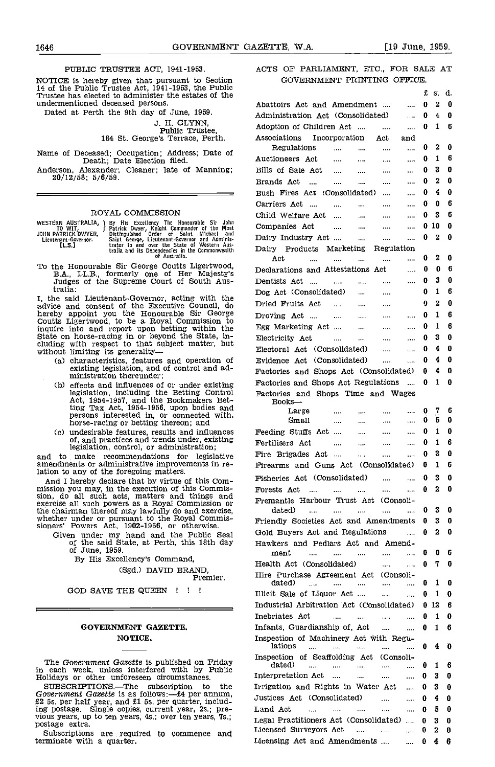#### PUBLIC TRUSTEE ACT, 1941-1953.

NOTICE is hereby given that pursuant to Section 14 of the Public Trustee Act, 1941-1953, the Public Trustee has elected to administer the estates of the undermentioned deceased persons.

Dated at Perth the 9th day of June, 1959.

J. H. GLYNN,<br> **Public Trustee,<br>184 St. George's Terrace, Perth.** 

Name of Deceased; Occupation; Address; Date of Death; Date Election filed.

Anderson, Alexander; Cleaner; late of Manning; 20/12/58; 5/6/59.

#### ROYAL COMMISSION

| to wit.                                     | WESTERN AUSTRALIA, I By His Excellency The Honourable Sir John<br>Patrick Dwyer, Knight Commander of the Most    | C) |
|---------------------------------------------|------------------------------------------------------------------------------------------------------------------|----|
| JOHN PATRICK DWYER,<br>Lieutenant-Governor. | Distinguished Order of Saint Michael and<br>Saint George. Lieutenant-Governor and Adminis-                       | D  |
| TL.S.T                                      | trator in and over the State of Western Aus-<br>tralia and its Dependencies in the Commonwealth<br>of Australia. | D. |
|                                             | To the Honourable Sir George Coutts Ligertwood,<br>TA IID fournouls and of Hay Majastule                         | Dı |

To the Honourable Sir George Coutts Ligertwood,<br>B.A., LL.B., formerly one of Her Majesty's Decl<br>Judges of the Supreme Court of South Aus- Den tralia:

I, the said Lieutenant-Governor, acting with the  $\frac{D\sigma}{D}$ advice and consent of the Executive Council, do Dried<br>hereby appoint you the Honourable Sir George Drovin<br>Coutts Ligertwood, to be a Royal Commission to inquire into and report upon betting within the Egg I<br>State on horse-racing in or beyond the State, in-<br>cluding with respect to that subject matter, but<br>without limiting its generality---

- (a) characteristics, features and operation of existing legislation, and of control and ad-<br>ministration thereunder;
- effects and influences of or under existing Facto<br>legislation, including the Betting Control Pacto<br>Act, 1954-1957, and the Bookmakers Betting Tax Act, 1954-1956, upon bodies and persons interested in, or connected with, horse-racing or betting thereon; and
- undesirable features, results and influences of, and practices and trends under, existing legislation, control, or administration;<br>to make recommendations for legislative

and to make recommendations for legislative amendments or administrative improvements in relation to any of the foregoing matters.<br>And I hereby declare that by virtue of this Com-

And I hereby declare that by virtue of this Com-<br>mission you may, in the execution of this Commis-<br>sion, do all such acts, matters and things and<br>exercise all such powers as a Royal Commission or<br>Freman the chairman thereof may lawfully do and exercise, whether under or pursuant to the Royal Commissioners' Powers Act, 1902-1956, or otherwise.

Given under my hand and the Public Seal of the said State, at Perth, this 18th day of June, 1959.

By His Excellency's Command,

(Sgd.) DAVID BRAND,<br>Premier.

GOD SAVE THE QUEEN ! ! !

#### GOVERNMENT GAZETTE. NOTICE.

The Government Gazette is published on Friday in each week, unless interfered with by Public Holidays or other unforeseen circumstances.

SUBSCRIPTIONS.—The subscription to the Irrigi Government Gazette is as follows:— $\pounds$ 4 per annum,  $\pounds$ 2 5s. per half year, and £1 5s. per quarter, includ-E25. Ber half year, and £15s. per quarter, including postage. Single copies, current year, 2s.; pre-<br>vious years, up to ten years, 4s.; over ten years, 7s.; postage extra.

Subscriptions are required to commence and  $\frac{1}{1}$ <br>minate with a quarter terminate with a quarter.

ACTS OF PARLIAMENT, ETC., FOR SALE AT GOVERNMENT PRINTING OFFICE.

|                                                                                                                                        | £        |        | s d.   |
|----------------------------------------------------------------------------------------------------------------------------------------|----------|--------|--------|
| Abattoirs Act and Amendment<br>                                                                                                        | 0.       | 2      | 0      |
| Administration Act (Consolidated)<br>$\cdots$                                                                                          | 0        | 4      | 0      |
| Adoption of Children Act<br><br>$\cdots$                                                                                               | 0        | 1      | 6      |
| Incorporation Act<br>Associations<br>and                                                                                               |          |        |        |
| Regulations<br>$\cdots$<br><br><b><i>Contract Contract</i></b><br>$\cdots$                                                             | U        | 2      | 0      |
| Auctioneers Act<br>$\sim 100$ and<br>$\sim$ 1000 $\pm$<br><br>$\sim$                                                                   | 0        | 1      | 6      |
| $\sim$ 1000<br>Bills of Sale Act<br>$\sim$<br>$\sim$<br>                                                                               | 0        | 3      | 0      |
| Brands Act<br>$\sim$<br><br>$\cdots$<br>$\cdots$<br>                                                                                   | 0        | 2      | 0      |
| Bush Fires Act (Consolidated)<br>                                                                                                      | 0        | 4      | 0      |
| Carriers Act                                                                                                                           | 0        | 0      | 6      |
| $\cdots$<br>$\cdots$<br>$\cdots$<br>                                                                                                   |          | 3      | 6      |
| Child Welfare Act<br>$\sim$ $\sim$<br>$\cdots$<br>$\cdots$                                                                             | 0        |        |        |
| Companies Act<br>$\cdots$<br>$\cdots$<br>$\cdots$<br>                                                                                  | 0.       | 10     | 0      |
| Dairy Industry Act<br><br><br>$\cdots$                                                                                                 | 0        | 2      | 0      |
| Dairy Products Marketing<br>Regulation                                                                                                 |          |        |        |
| Act<br><br>$\cdots$<br><br>$\cdots$<br>                                                                                                | 0        | 2      | 0      |
| Declarations and Attestations Act<br>$\cdots$                                                                                          | 0        | 0      | 6      |
| Dentists Act<br>$\sim 100$<br>$\sim 100$<br>$\sim 1000$                                                                                | 0        | 3      | 0      |
| Dog Act (Consolidated)<br>$\cdots$                                                                                                     | 0        | 1      | 6      |
| Dried Fruits Act<br><b>Contract Contract</b><br>$\sim 100$ and $\sim 100$<br>$\sim 10^{11}$ and $\sim 10^{11}$                         | Ð        | 2      | 0      |
| Droving Act<br><b><i>Committee</i></b><br>$\cdots$                                                                                     | 0        | 1      | 6      |
| Egg Marketing Act $\dots$ $\dots$<br>$\cdots$<br>$\cdots$                                                                              | o        | 1      | 6      |
| Electricity Act<br>alan samun<br>$\cdots$<br>$\overline{\mathbf{A}}$<br>$\ldots$                                                       | 0        | 3      | 0      |
| Electoral Act (Consolidated)                                                                                                           | 0        | 4      | 0      |
| $\cdots$<br>$\cdots$                                                                                                                   |          | 4      | 0      |
| Evidence Act (Consolidated)<br>$\cdots$<br>$\cdots$                                                                                    | 0        |        |        |
| Factories and Shops Act (Consolidated)                                                                                                 | 0        | 4      | 0      |
| Factories and Shops Act Regulations<br>$\sim$                                                                                          | 0        | 1      | 0      |
| Factories and Shops Time and Wages                                                                                                     |          |        |        |
| Books—<br>Large                                                                                                                        | 0        | 7      | 6      |
| $\cdots$<br>$\sim$<br>$\ldots$<br>$\sim$ and $\sim$<br>Small<br>$\ddotsc$<br>and the company of the second<br><b>Contract Contract</b> | 0        | 5      | 0      |
|                                                                                                                                        | 0        | 1      | 0      |
| Feeding Stuffs Act<br><b>Contractor</b><br>$\cdots$<br>$\cdots$                                                                        |          | 1      | 6      |
| Fertilisers Act<br>$\ldots$<br>$\cdots$<br>$\sim$<br>$\ldots$                                                                          | 0        |        |        |
| Fire Brigades Act<br>$\cdots$<br><br>                                                                                                  | o        | 3      | 0      |
| Firearms and Guns Act (Consolidated)                                                                                                   | Ū.       | 1      | 6      |
| Fisheries Act (Consolidated)<br>$\cdots$<br>$\ddotsc$                                                                                  | 0        | 3      | 0      |
| Forests Act<br><br>$\sim$<br>$\cdots$<br>$\cdots$<br>$\ldots$                                                                          | 0        | 2      | 0      |
| Fremantle Harbour Trust Act (Consoli-                                                                                                  |          |        |        |
| dated)<br>$\cdots$<br>$\cdots$<br><br>$\cdots$<br>$\cdots$                                                                             | $\bf{0}$ | 3      | 0      |
| Friendly Societies Act and Amendments                                                                                                  | 0.       | 3      | 0      |
| Gold Buyers Act and Regulations<br>$\ddotsc$                                                                                           | 0.       | 2      | 0      |
| Hawkers and Pedlars Act and Amend-                                                                                                     |          |        |        |
| ment<br>$\cdots$<br><br>$\cdots$<br>                                                                                                   | 0        | 0      | 6      |
| Health Act (Consolidated)<br>$\cdots$<br>$\cdots$                                                                                      | 0.       | 7.     | 0      |
| Hire Purchase Agreement Act (Consoli-                                                                                                  |          |        |        |
| dated)<br>$\cdots$<br>$\cdots$<br>$\cdots$<br>$\cdots$<br>$\cdots$                                                                     | 0        | 1      | 0      |
| Illicit Sale of Liquor Act<br>$\cdots$<br>$\cdots$                                                                                     | 0        | 1      | 0      |
| Industrial Arbitration Act (Consolidated)                                                                                              | 0.       | 12     | 6      |
| Inebriates Act                                                                                                                         | Ū        | 1      | 0      |
| $\cdots$<br>$\cdots$<br>$\cdots$<br><br>Infants, Guardianship of, Act                                                                  |          | 1      | 6      |
| $\cdots$<br>$\cdots$                                                                                                                   | 0        |        |        |
| Inspection of Machinery Act with Regu-<br>lations<br>$\mathbf{1}$<br>$\cdots$<br><br>$\ldots$<br>$\cdots$                              | 0        | 4      | 0      |
| Inspection of Scaffolding Act (Consoli-                                                                                                |          |        |        |
| dated)<br><b>Section</b><br><br>$\cdots$<br><br>$\cdots$                                                                               | 0        | 1      | 6      |
| Interpretation Act<br>.<br>$\cdots$<br>                                                                                                | 0        | 3      | 0      |
| Irrigation and Rights in Water Act<br>                                                                                                 | 0        | 3      | 0      |
| Justices Act (Consolidated)<br>$\cdots$<br>$\cdots$                                                                                    | 0        | 4      | 0      |
| Land Act<br><b>College College</b><br><b>Contractor</b><br>$\sim$ 100 km s $^{-1}$<br>$\cdots$                                         | 0        | 5      | 0      |
| $\ddotsc$<br>Legal Practitioners Act (Consolidated)                                                                                    |          |        |        |
| Licensed Surveyors Act<br>$\sim 100$                                                                                                   | 0<br>0   | 3<br>2 | 0<br>0 |
| $\sim$ 100 $\sim$ 100 $\sim$<br>$\cdots$<br>Licensing Act and Amendments                                                               |          |        |        |
|                                                                                                                                        | 0.       |        | 46     |